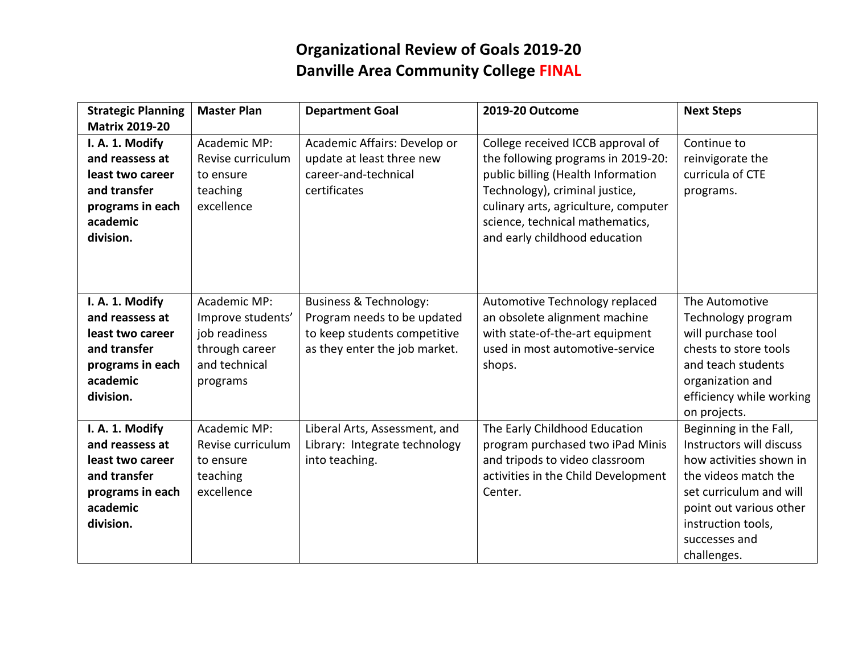## **Organizational Review of Goals 2019-20 Danville Area Community College FINAL**

| <b>Strategic Planning</b><br><b>Matrix 2019-20</b>                                                                  | <b>Master Plan</b>                                                                                | <b>Department Goal</b>                                                                                                            | 2019-20 Outcome                                                                                                                                                                                                                                             | <b>Next Steps</b>                                                                                                                                                                                                 |
|---------------------------------------------------------------------------------------------------------------------|---------------------------------------------------------------------------------------------------|-----------------------------------------------------------------------------------------------------------------------------------|-------------------------------------------------------------------------------------------------------------------------------------------------------------------------------------------------------------------------------------------------------------|-------------------------------------------------------------------------------------------------------------------------------------------------------------------------------------------------------------------|
| I. A. 1. Modify<br>and reassess at<br>least two career<br>and transfer<br>programs in each<br>academic<br>division. | Academic MP:<br>Revise curriculum<br>to ensure<br>teaching<br>excellence                          | Academic Affairs: Develop or<br>update at least three new<br>career-and-technical<br>certificates                                 | College received ICCB approval of<br>the following programs in 2019-20:<br>public billing (Health Information<br>Technology), criminal justice,<br>culinary arts, agriculture, computer<br>science, technical mathematics,<br>and early childhood education | Continue to<br>reinvigorate the<br>curricula of CTE<br>programs.                                                                                                                                                  |
| I. A. 1. Modify<br>and reassess at<br>least two career<br>and transfer<br>programs in each<br>academic<br>division. | Academic MP:<br>Improve students'<br>job readiness<br>through career<br>and technical<br>programs | <b>Business &amp; Technology:</b><br>Program needs to be updated<br>to keep students competitive<br>as they enter the job market. | Automotive Technology replaced<br>an obsolete alignment machine<br>with state-of-the-art equipment<br>used in most automotive-service<br>shops.                                                                                                             | The Automotive<br>Technology program<br>will purchase tool<br>chests to store tools<br>and teach students<br>organization and<br>efficiency while working<br>on projects.                                         |
| I. A. 1. Modify<br>and reassess at<br>least two career<br>and transfer<br>programs in each<br>academic<br>division. | Academic MP:<br>Revise curriculum<br>to ensure<br>teaching<br>excellence                          | Liberal Arts, Assessment, and<br>Library: Integrate technology<br>into teaching.                                                  | The Early Childhood Education<br>program purchased two iPad Minis<br>and tripods to video classroom<br>activities in the Child Development<br>Center.                                                                                                       | Beginning in the Fall,<br>Instructors will discuss<br>how activities shown in<br>the videos match the<br>set curriculum and will<br>point out various other<br>instruction tools,<br>successes and<br>challenges. |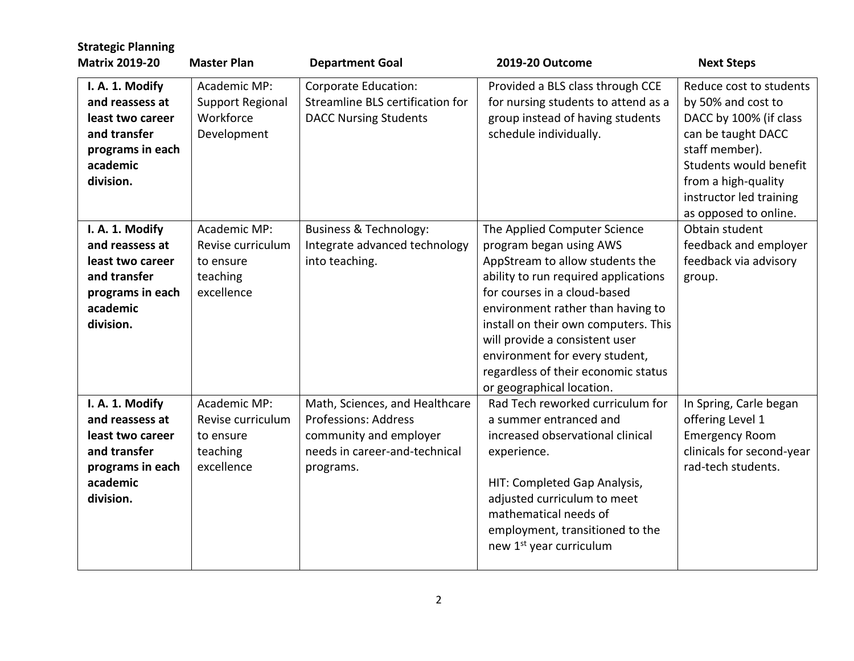| <b>Strategic Planning</b><br><b>Matrix 2019-20</b>                                                                  | <b>Master Plan</b>                                                       | <b>Department Goal</b>                                                                                                                | 2019-20 Outcome                                                                                                                                                                                                                                                                                                                                                                         | <b>Next Steps</b>                                                                                                                                                                                                    |
|---------------------------------------------------------------------------------------------------------------------|--------------------------------------------------------------------------|---------------------------------------------------------------------------------------------------------------------------------------|-----------------------------------------------------------------------------------------------------------------------------------------------------------------------------------------------------------------------------------------------------------------------------------------------------------------------------------------------------------------------------------------|----------------------------------------------------------------------------------------------------------------------------------------------------------------------------------------------------------------------|
| I. A. 1. Modify<br>and reassess at<br>least two career<br>and transfer<br>programs in each<br>academic<br>division. | Academic MP:<br>Support Regional<br>Workforce<br>Development             | Corporate Education:<br>Streamline BLS certification for<br><b>DACC Nursing Students</b>                                              | Provided a BLS class through CCE<br>for nursing students to attend as a<br>group instead of having students<br>schedule individually.                                                                                                                                                                                                                                                   | Reduce cost to students<br>by 50% and cost to<br>DACC by 100% (if class<br>can be taught DACC<br>staff member).<br>Students would benefit<br>from a high-quality<br>instructor led training<br>as opposed to online. |
| I. A. 1. Modify<br>and reassess at<br>least two career<br>and transfer<br>programs in each<br>academic<br>division. | Academic MP:<br>Revise curriculum<br>to ensure<br>teaching<br>excellence | <b>Business &amp; Technology:</b><br>Integrate advanced technology<br>into teaching.                                                  | The Applied Computer Science<br>program began using AWS<br>AppStream to allow students the<br>ability to run required applications<br>for courses in a cloud-based<br>environment rather than having to<br>install on their own computers. This<br>will provide a consistent user<br>environment for every student,<br>regardless of their economic status<br>or geographical location. | Obtain student<br>feedback and employer<br>feedback via advisory<br>group.                                                                                                                                           |
| I. A. 1. Modify<br>and reassess at<br>least two career<br>and transfer<br>programs in each<br>academic<br>division. | Academic MP:<br>Revise curriculum<br>to ensure<br>teaching<br>excellence | Math, Sciences, and Healthcare<br><b>Professions: Address</b><br>community and employer<br>needs in career-and-technical<br>programs. | Rad Tech reworked curriculum for<br>a summer entranced and<br>increased observational clinical<br>experience.<br>HIT: Completed Gap Analysis,<br>adjusted curriculum to meet<br>mathematical needs of<br>employment, transitioned to the<br>new 1 <sup>st</sup> year curriculum                                                                                                         | In Spring, Carle began<br>offering Level 1<br><b>Emergency Room</b><br>clinicals for second-year<br>rad-tech students.                                                                                               |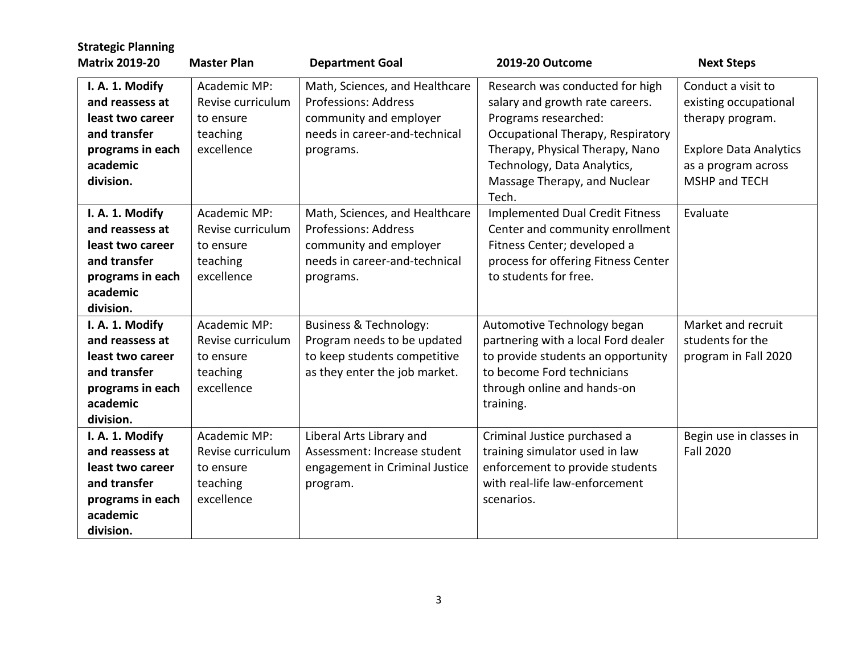| <b>Strategic Planning</b><br><b>Matrix 2019-20</b>                                                                  | <b>Master Plan</b>                                                       | <b>Department Goal</b>                                                                                                                | 2019-20 Outcome                                                                                                                                                                                                                            | <b>Next Steps</b>                                                                                                                        |
|---------------------------------------------------------------------------------------------------------------------|--------------------------------------------------------------------------|---------------------------------------------------------------------------------------------------------------------------------------|--------------------------------------------------------------------------------------------------------------------------------------------------------------------------------------------------------------------------------------------|------------------------------------------------------------------------------------------------------------------------------------------|
| I. A. 1. Modify<br>and reassess at<br>least two career<br>and transfer<br>programs in each<br>academic<br>division. | Academic MP:<br>Revise curriculum<br>to ensure<br>teaching<br>excellence | Math, Sciences, and Healthcare<br><b>Professions: Address</b><br>community and employer<br>needs in career-and-technical<br>programs. | Research was conducted for high<br>salary and growth rate careers.<br>Programs researched:<br>Occupational Therapy, Respiratory<br>Therapy, Physical Therapy, Nano<br>Technology, Data Analytics,<br>Massage Therapy, and Nuclear<br>Tech. | Conduct a visit to<br>existing occupational<br>therapy program.<br><b>Explore Data Analytics</b><br>as a program across<br>MSHP and TECH |
| I. A. 1. Modify<br>and reassess at<br>least two career<br>and transfer<br>programs in each<br>academic<br>division. | Academic MP:<br>Revise curriculum<br>to ensure<br>teaching<br>excellence | Math, Sciences, and Healthcare<br><b>Professions: Address</b><br>community and employer<br>needs in career-and-technical<br>programs. | <b>Implemented Dual Credit Fitness</b><br>Center and community enrollment<br>Fitness Center; developed a<br>process for offering Fitness Center<br>to students for free.                                                                   | Evaluate                                                                                                                                 |
| I. A. 1. Modify<br>and reassess at<br>least two career<br>and transfer<br>programs in each<br>academic<br>division. | Academic MP:<br>Revise curriculum<br>to ensure<br>teaching<br>excellence | <b>Business &amp; Technology:</b><br>Program needs to be updated<br>to keep students competitive<br>as they enter the job market.     | Automotive Technology began<br>partnering with a local Ford dealer<br>to provide students an opportunity<br>to become Ford technicians<br>through online and hands-on<br>training.                                                         | Market and recruit<br>students for the<br>program in Fall 2020                                                                           |
| I. A. 1. Modify<br>and reassess at<br>least two career<br>and transfer<br>programs in each<br>academic<br>division. | Academic MP:<br>Revise curriculum<br>to ensure<br>teaching<br>excellence | Liberal Arts Library and<br>Assessment: Increase student<br>engagement in Criminal Justice<br>program.                                | Criminal Justice purchased a<br>training simulator used in law<br>enforcement to provide students<br>with real-life law-enforcement<br>scenarios.                                                                                          | Begin use in classes in<br><b>Fall 2020</b>                                                                                              |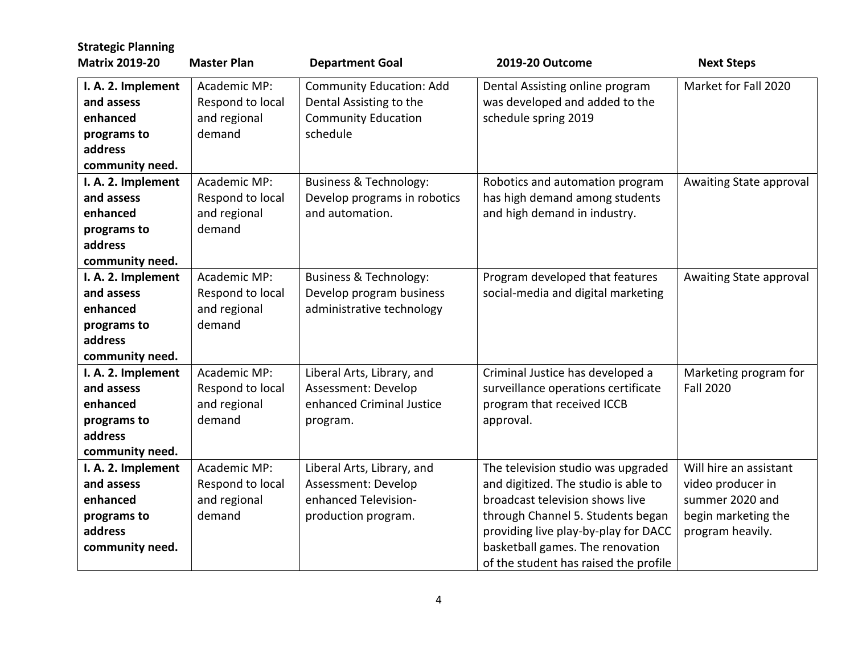| <b>Strategic Planning</b> |                    |                                   |                                       |                         |
|---------------------------|--------------------|-----------------------------------|---------------------------------------|-------------------------|
| <b>Matrix 2019-20</b>     | <b>Master Plan</b> | <b>Department Goal</b>            | 2019-20 Outcome                       | <b>Next Steps</b>       |
| I. A. 2. Implement        | Academic MP:       | <b>Community Education: Add</b>   | Dental Assisting online program       | Market for Fall 2020    |
| and assess                | Respond to local   | Dental Assisting to the           | was developed and added to the        |                         |
| enhanced                  | and regional       | <b>Community Education</b>        | schedule spring 2019                  |                         |
| programs to               | demand             | schedule                          |                                       |                         |
| address                   |                    |                                   |                                       |                         |
| community need.           |                    |                                   |                                       |                         |
| I. A. 2. Implement        | Academic MP:       | <b>Business &amp; Technology:</b> | Robotics and automation program       | Awaiting State approval |
| and assess                | Respond to local   | Develop programs in robotics      | has high demand among students        |                         |
| enhanced                  | and regional       | and automation.                   | and high demand in industry.          |                         |
| programs to               | demand             |                                   |                                       |                         |
| address                   |                    |                                   |                                       |                         |
| community need.           |                    |                                   |                                       |                         |
| I. A. 2. Implement        | Academic MP:       | <b>Business &amp; Technology:</b> | Program developed that features       | Awaiting State approval |
| and assess                | Respond to local   | Develop program business          | social-media and digital marketing    |                         |
| enhanced                  | and regional       | administrative technology         |                                       |                         |
| programs to               | demand             |                                   |                                       |                         |
| address                   |                    |                                   |                                       |                         |
| community need.           |                    |                                   |                                       |                         |
| I. A. 2. Implement        | Academic MP:       | Liberal Arts, Library, and        | Criminal Justice has developed a      | Marketing program for   |
| and assess                | Respond to local   | Assessment: Develop               | surveillance operations certificate   | <b>Fall 2020</b>        |
| enhanced                  | and regional       | enhanced Criminal Justice         | program that received ICCB            |                         |
| programs to               | demand             | program.                          | approval.                             |                         |
| address                   |                    |                                   |                                       |                         |
| community need.           |                    |                                   |                                       |                         |
| I. A. 2. Implement        | Academic MP:       | Liberal Arts, Library, and        | The television studio was upgraded    | Will hire an assistant  |
| and assess                | Respond to local   | Assessment: Develop               | and digitized. The studio is able to  | video producer in       |
| enhanced                  | and regional       | enhanced Television-              | broadcast television shows live       | summer 2020 and         |
| programs to               | demand             | production program.               | through Channel 5. Students began     | begin marketing the     |
| address                   |                    |                                   | providing live play-by-play for DACC  | program heavily.        |
| community need.           |                    |                                   | basketball games. The renovation      |                         |
|                           |                    |                                   | of the student has raised the profile |                         |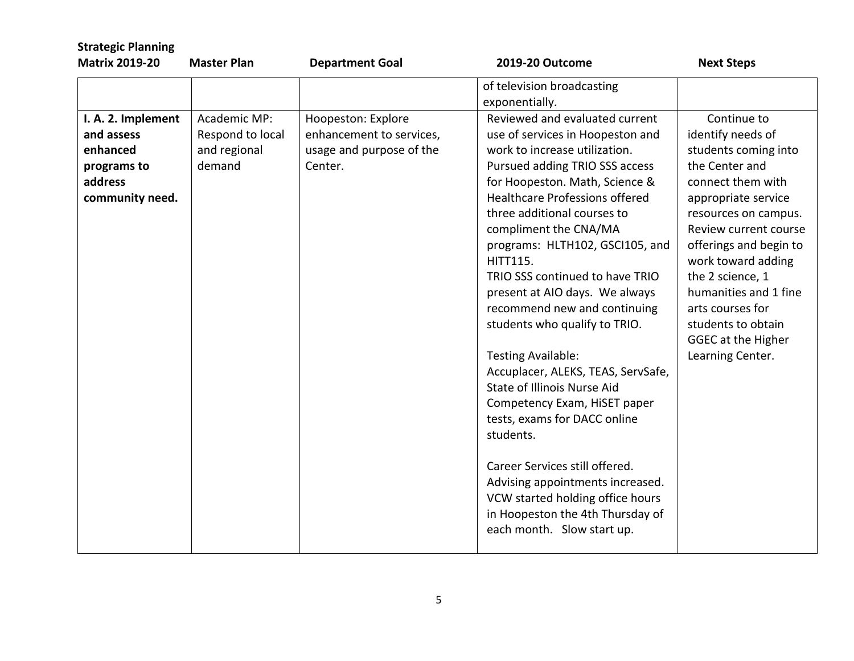| <b>Strategic Planning</b>                 |                    |                          |                                                                                                                                                                                                                                                                                                                                                                                                                                                                                                                                                                         |                                                                                                                                                                                                                                                                                                     |
|-------------------------------------------|--------------------|--------------------------|-------------------------------------------------------------------------------------------------------------------------------------------------------------------------------------------------------------------------------------------------------------------------------------------------------------------------------------------------------------------------------------------------------------------------------------------------------------------------------------------------------------------------------------------------------------------------|-----------------------------------------------------------------------------------------------------------------------------------------------------------------------------------------------------------------------------------------------------------------------------------------------------|
| <b>Matrix 2019-20</b>                     | <b>Master Plan</b> | <b>Department Goal</b>   | 2019-20 Outcome                                                                                                                                                                                                                                                                                                                                                                                                                                                                                                                                                         | <b>Next Steps</b>                                                                                                                                                                                                                                                                                   |
|                                           | Academic MP:       |                          | of television broadcasting<br>exponentially.<br>Reviewed and evaluated current                                                                                                                                                                                                                                                                                                                                                                                                                                                                                          |                                                                                                                                                                                                                                                                                                     |
| I. A. 2. Implement                        |                    | Hoopeston: Explore       |                                                                                                                                                                                                                                                                                                                                                                                                                                                                                                                                                                         | Continue to                                                                                                                                                                                                                                                                                         |
| and assess                                | Respond to local   | enhancement to services, | use of services in Hoopeston and                                                                                                                                                                                                                                                                                                                                                                                                                                                                                                                                        | identify needs of                                                                                                                                                                                                                                                                                   |
| enhanced                                  | and regional       | usage and purpose of the | work to increase utilization.                                                                                                                                                                                                                                                                                                                                                                                                                                                                                                                                           | students coming into                                                                                                                                                                                                                                                                                |
| programs to<br>address<br>community need. | demand             | Center.                  | Pursued adding TRIO SSS access<br>for Hoopeston. Math, Science &<br>Healthcare Professions offered<br>three additional courses to<br>compliment the CNA/MA<br>programs: HLTH102, GSCI105, and<br><b>HITT115.</b><br>TRIO SSS continued to have TRIO<br>present at AIO days. We always<br>recommend new and continuing<br>students who qualify to TRIO.<br><b>Testing Available:</b><br>Accuplacer, ALEKS, TEAS, ServSafe,<br>State of Illinois Nurse Aid<br>Competency Exam, HiSET paper<br>tests, exams for DACC online<br>students.<br>Career Services still offered. | the Center and<br>connect them with<br>appropriate service<br>resources on campus.<br>Review current course<br>offerings and begin to<br>work toward adding<br>the 2 science, 1<br>humanities and 1 fine<br>arts courses for<br>students to obtain<br><b>GGEC at the Higher</b><br>Learning Center. |
|                                           |                    |                          | Advising appointments increased.<br>VCW started holding office hours<br>in Hoopeston the 4th Thursday of<br>each month. Slow start up.                                                                                                                                                                                                                                                                                                                                                                                                                                  |                                                                                                                                                                                                                                                                                                     |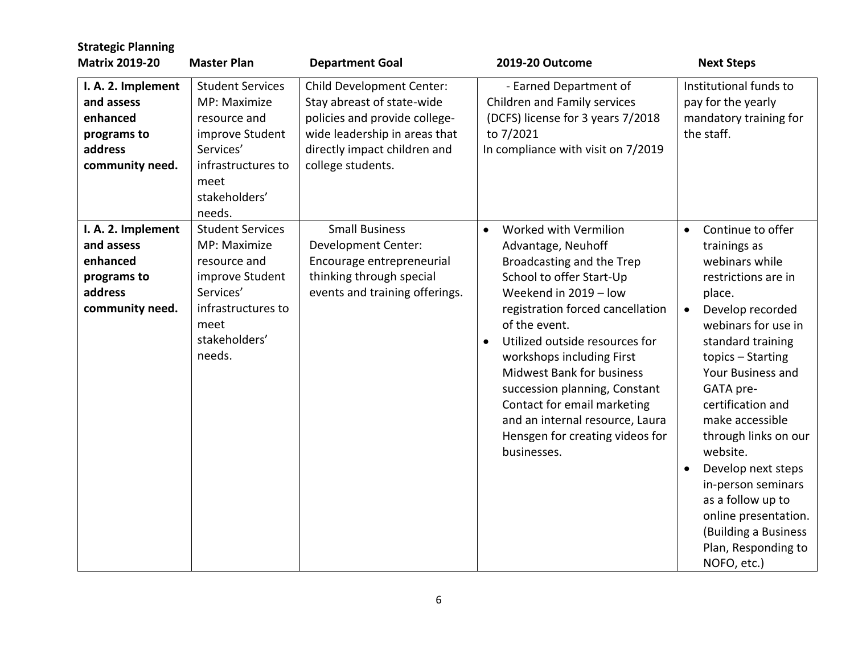| <b>Strategic Planning</b><br><b>Matrix 2019-20</b>                                        | <b>Master Plan</b>                                                                                                                               | <b>Department Goal</b>                                                                                                                                                                | 2019-20 Outcome                                                                                                                                                                                                                                                                                                                                                                                                                                                      | <b>Next Steps</b>                                                                                                                                                                                                                                                                                                                                                                                                                                           |
|-------------------------------------------------------------------------------------------|--------------------------------------------------------------------------------------------------------------------------------------------------|---------------------------------------------------------------------------------------------------------------------------------------------------------------------------------------|----------------------------------------------------------------------------------------------------------------------------------------------------------------------------------------------------------------------------------------------------------------------------------------------------------------------------------------------------------------------------------------------------------------------------------------------------------------------|-------------------------------------------------------------------------------------------------------------------------------------------------------------------------------------------------------------------------------------------------------------------------------------------------------------------------------------------------------------------------------------------------------------------------------------------------------------|
| I. A. 2. Implement<br>and assess<br>enhanced<br>programs to<br>address<br>community need. | <b>Student Services</b><br>MP: Maximize<br>resource and<br>improve Student<br>Services'<br>infrastructures to<br>meet<br>stakeholders'<br>needs. | <b>Child Development Center:</b><br>Stay abreast of state-wide<br>policies and provide college-<br>wide leadership in areas that<br>directly impact children and<br>college students. | - Earned Department of<br>Children and Family services<br>(DCFS) license for 3 years 7/2018<br>to 7/2021<br>In compliance with visit on 7/2019                                                                                                                                                                                                                                                                                                                       | Institutional funds to<br>pay for the yearly<br>mandatory training for<br>the staff.                                                                                                                                                                                                                                                                                                                                                                        |
| I. A. 2. Implement<br>and assess<br>enhanced<br>programs to<br>address<br>community need. | <b>Student Services</b><br>MP: Maximize<br>resource and<br>improve Student<br>Services'<br>infrastructures to<br>meet<br>stakeholders'<br>needs. | <b>Small Business</b><br><b>Development Center:</b><br>Encourage entrepreneurial<br>thinking through special<br>events and training offerings.                                        | Worked with Vermilion<br>$\bullet$<br>Advantage, Neuhoff<br>Broadcasting and the Trep<br>School to offer Start-Up<br>Weekend in 2019 - low<br>registration forced cancellation<br>of the event.<br>Utilized outside resources for<br>$\bullet$<br>workshops including First<br><b>Midwest Bank for business</b><br>succession planning, Constant<br>Contact for email marketing<br>and an internal resource, Laura<br>Hensgen for creating videos for<br>businesses. | Continue to offer<br>$\bullet$<br>trainings as<br>webinars while<br>restrictions are in<br>place.<br>Develop recorded<br>webinars for use in<br>standard training<br>topics - Starting<br>Your Business and<br>GATA pre-<br>certification and<br>make accessible<br>through links on our<br>website.<br>Develop next steps<br>in-person seminars<br>as a follow up to<br>online presentation.<br>(Building a Business<br>Plan, Responding to<br>NOFO, etc.) |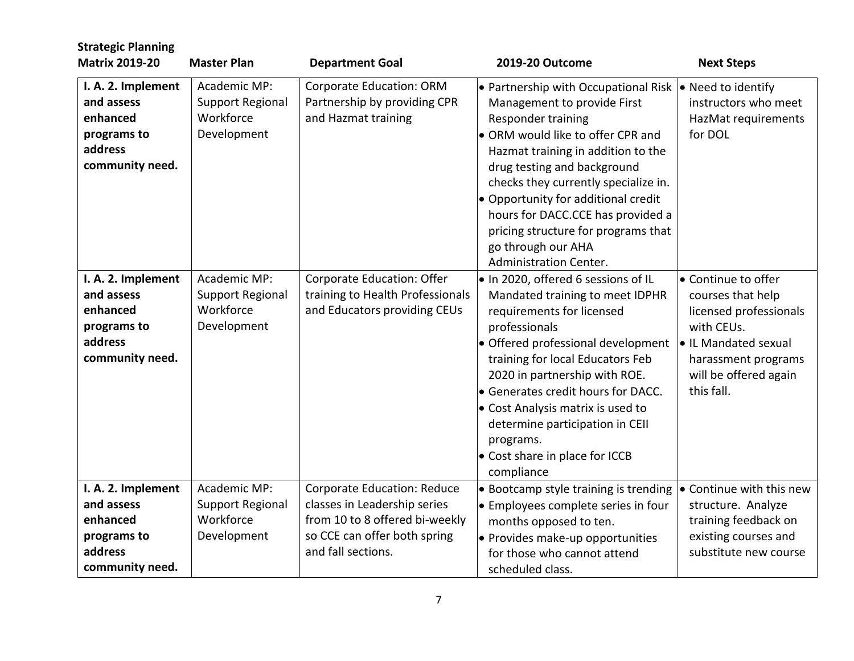| <b>Strategic Planning</b><br><b>Matrix 2019-20</b>                                        | <b>Master Plan</b>                                                  | <b>Department Goal</b>                                                                         | 2019-20 Outcome                                                                                                                                                                                                                                                                                                                                                                                                                         | <b>Next Steps</b>                                                                                                                                                      |
|-------------------------------------------------------------------------------------------|---------------------------------------------------------------------|------------------------------------------------------------------------------------------------|-----------------------------------------------------------------------------------------------------------------------------------------------------------------------------------------------------------------------------------------------------------------------------------------------------------------------------------------------------------------------------------------------------------------------------------------|------------------------------------------------------------------------------------------------------------------------------------------------------------------------|
| I. A. 2. Implement<br>and assess<br>enhanced<br>programs to<br>address<br>community need. | Academic MP:<br>Support Regional<br>Workforce<br>Development        | Corporate Education: ORM<br>Partnership by providing CPR<br>and Hazmat training                | • Partnership with Occupational Risk $\cdot$ Need to identify<br>Management to provide First<br>Responder training<br>• ORM would like to offer CPR and<br>Hazmat training in addition to the<br>drug testing and background<br>checks they currently specialize in.<br>• Opportunity for additional credit<br>hours for DACC.CCE has provided a<br>pricing structure for programs that<br>go through our AHA<br>Administration Center. | instructors who meet<br>HazMat requirements<br>for DOL                                                                                                                 |
| I. A. 2. Implement<br>and assess<br>enhanced<br>programs to<br>address<br>community need. | Academic MP:<br><b>Support Regional</b><br>Workforce<br>Development | Corporate Education: Offer<br>training to Health Professionals<br>and Educators providing CEUs | . In 2020, offered 6 sessions of IL<br>Mandated training to meet IDPHR<br>requirements for licensed<br>professionals<br>· Offered professional development<br>training for local Educators Feb<br>2020 in partnership with ROE.<br>• Generates credit hours for DACC.<br>• Cost Analysis matrix is used to<br>determine participation in CEII<br>programs.<br>• Cost share in place for ICCB<br>compliance                              | • Continue to offer<br>courses that help<br>licensed professionals<br>with CEUs.<br>• IL Mandated sexual<br>harassment programs<br>will be offered again<br>this fall. |
| I. A. 2. Implement<br>and assess<br>enhanced                                              | Academic MP:<br>Support Regional<br>Workforce                       | Corporate Education: Reduce<br>classes in Leadership series<br>from 10 to 8 offered bi-weekly  | • Bootcamp style training is trending<br>$\bullet$ Employees complete series in four<br>months opposed to ten.                                                                                                                                                                                                                                                                                                                          | • Continue with this new<br>structure. Analyze<br>training feedback on                                                                                                 |
| programs to<br>address<br>community need.                                                 | Development                                                         | so CCE can offer both spring<br>and fall sections.                                             | · Provides make-up opportunities<br>for those who cannot attend<br>scheduled class.                                                                                                                                                                                                                                                                                                                                                     | existing courses and<br>substitute new course                                                                                                                          |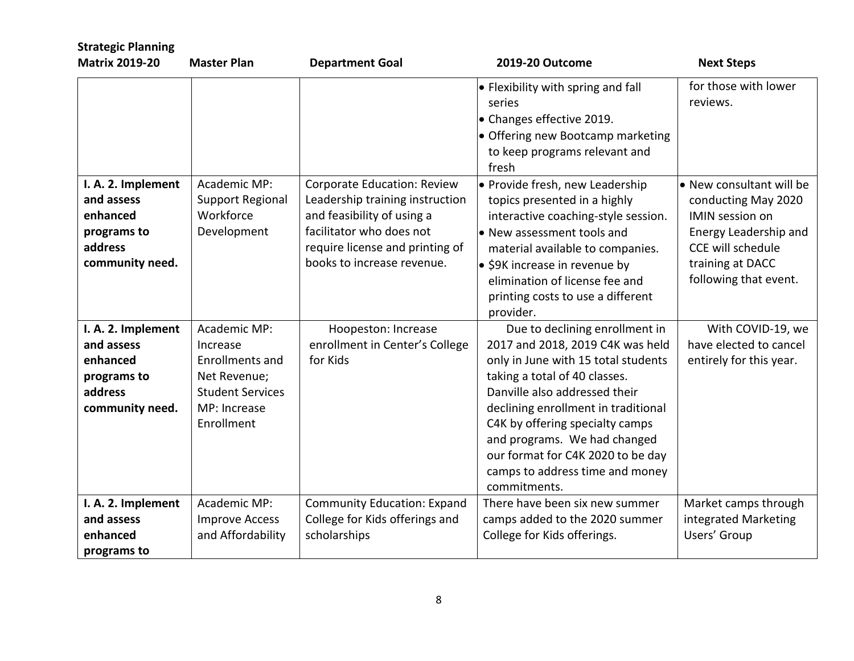| <b>Strategic Planning</b>                                                                 |                                                                                                                             |                                                                                                                                                                                           |                                                                                                                                                                                                                                                                                                                                                                               |                                                                                                                                                                             |
|-------------------------------------------------------------------------------------------|-----------------------------------------------------------------------------------------------------------------------------|-------------------------------------------------------------------------------------------------------------------------------------------------------------------------------------------|-------------------------------------------------------------------------------------------------------------------------------------------------------------------------------------------------------------------------------------------------------------------------------------------------------------------------------------------------------------------------------|-----------------------------------------------------------------------------------------------------------------------------------------------------------------------------|
| <b>Matrix 2019-20</b>                                                                     | <b>Master Plan</b>                                                                                                          | <b>Department Goal</b>                                                                                                                                                                    | 2019-20 Outcome                                                                                                                                                                                                                                                                                                                                                               | <b>Next Steps</b>                                                                                                                                                           |
|                                                                                           |                                                                                                                             |                                                                                                                                                                                           | $\bullet$ Flexibility with spring and fall<br>series<br>$\bullet$ Changes effective 2019.<br>$\bullet$ Offering new Bootcamp marketing<br>to keep programs relevant and<br>fresh                                                                                                                                                                                              | for those with lower<br>reviews.                                                                                                                                            |
| I. A. 2. Implement<br>and assess<br>enhanced<br>programs to<br>address<br>community need. | Academic MP:<br>Support Regional<br>Workforce<br>Development                                                                | Corporate Education: Review<br>Leadership training instruction<br>and feasibility of using a<br>facilitator who does not<br>require license and printing of<br>books to increase revenue. | • Provide fresh, new Leadership<br>topics presented in a highly<br>interactive coaching-style session.<br>$\bullet$ New assessment tools and<br>material available to companies.<br>$\bullet$ \$9K increase in revenue by<br>elimination of license fee and<br>printing costs to use a different<br>provider.                                                                 | . New consultant will be<br>conducting May 2020<br><b>IMIN</b> session on<br>Energy Leadership and<br><b>CCE will schedule</b><br>training at DACC<br>following that event. |
| I. A. 2. Implement<br>and assess<br>enhanced<br>programs to<br>address<br>community need. | Academic MP:<br>Increase<br><b>Enrollments and</b><br>Net Revenue;<br><b>Student Services</b><br>MP: Increase<br>Enrollment | Hoopeston: Increase<br>enrollment in Center's College<br>for Kids                                                                                                                         | Due to declining enrollment in<br>2017 and 2018, 2019 C4K was held<br>only in June with 15 total students<br>taking a total of 40 classes.<br>Danville also addressed their<br>declining enrollment in traditional<br>C4K by offering specialty camps<br>and programs. We had changed<br>our format for C4K 2020 to be day<br>camps to address time and money<br>commitments. | With COVID-19, we<br>have elected to cancel<br>entirely for this year.                                                                                                      |
| I. A. 2. Implement<br>and assess<br>enhanced<br>programs to                               | Academic MP:<br><b>Improve Access</b><br>and Affordability                                                                  | <b>Community Education: Expand</b><br>College for Kids offerings and<br>scholarships                                                                                                      | There have been six new summer<br>camps added to the 2020 summer<br>College for Kids offerings.                                                                                                                                                                                                                                                                               | Market camps through<br>integrated Marketing<br>Users' Group                                                                                                                |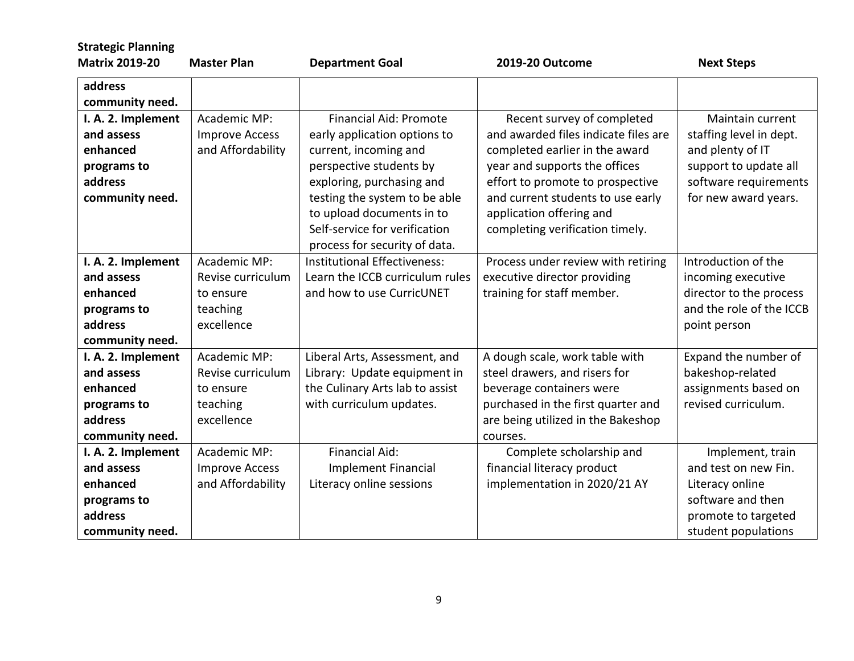| <b>Strategic Planning</b>                                                                 |                                                                          |                                                                                                                                                                                                                                                                                |                                                                                                                                                                                                                                                                               |                                                                                                                                           |
|-------------------------------------------------------------------------------------------|--------------------------------------------------------------------------|--------------------------------------------------------------------------------------------------------------------------------------------------------------------------------------------------------------------------------------------------------------------------------|-------------------------------------------------------------------------------------------------------------------------------------------------------------------------------------------------------------------------------------------------------------------------------|-------------------------------------------------------------------------------------------------------------------------------------------|
| <b>Matrix 2019-20</b>                                                                     | <b>Master Plan</b>                                                       | <b>Department Goal</b>                                                                                                                                                                                                                                                         | 2019-20 Outcome                                                                                                                                                                                                                                                               | <b>Next Steps</b>                                                                                                                         |
| address<br>community need.                                                                |                                                                          |                                                                                                                                                                                                                                                                                |                                                                                                                                                                                                                                                                               |                                                                                                                                           |
| I. A. 2. Implement<br>and assess<br>enhanced<br>programs to<br>address<br>community need. | Academic MP:<br><b>Improve Access</b><br>and Affordability               | <b>Financial Aid: Promote</b><br>early application options to<br>current, incoming and<br>perspective students by<br>exploring, purchasing and<br>testing the system to be able<br>to upload documents in to<br>Self-service for verification<br>process for security of data. | Recent survey of completed<br>and awarded files indicate files are<br>completed earlier in the award<br>year and supports the offices<br>effort to promote to prospective<br>and current students to use early<br>application offering and<br>completing verification timely. | Maintain current<br>staffing level in dept.<br>and plenty of IT<br>support to update all<br>software requirements<br>for new award years. |
| I. A. 2. Implement<br>and assess<br>enhanced<br>programs to<br>address<br>community need. | Academic MP:<br>Revise curriculum<br>to ensure<br>teaching<br>excellence | Institutional Effectiveness:<br>Learn the ICCB curriculum rules<br>and how to use CurricUNET                                                                                                                                                                                   | Process under review with retiring<br>executive director providing<br>training for staff member.                                                                                                                                                                              | Introduction of the<br>incoming executive<br>director to the process<br>and the role of the ICCB<br>point person                          |
| I. A. 2. Implement<br>and assess<br>enhanced<br>programs to<br>address<br>community need. | Academic MP:<br>Revise curriculum<br>to ensure<br>teaching<br>excellence | Liberal Arts, Assessment, and<br>Library: Update equipment in<br>the Culinary Arts lab to assist<br>with curriculum updates.                                                                                                                                                   | A dough scale, work table with<br>steel drawers, and risers for<br>beverage containers were<br>purchased in the first quarter and<br>are being utilized in the Bakeshop<br>courses.                                                                                           | Expand the number of<br>bakeshop-related<br>assignments based on<br>revised curriculum.                                                   |
| I. A. 2. Implement<br>and assess<br>enhanced<br>programs to<br>address<br>community need. | Academic MP:<br><b>Improve Access</b><br>and Affordability               | Financial Aid:<br><b>Implement Financial</b><br>Literacy online sessions                                                                                                                                                                                                       | Complete scholarship and<br>financial literacy product<br>implementation in 2020/21 AY                                                                                                                                                                                        | Implement, train<br>and test on new Fin.<br>Literacy online<br>software and then<br>promote to targeted<br>student populations            |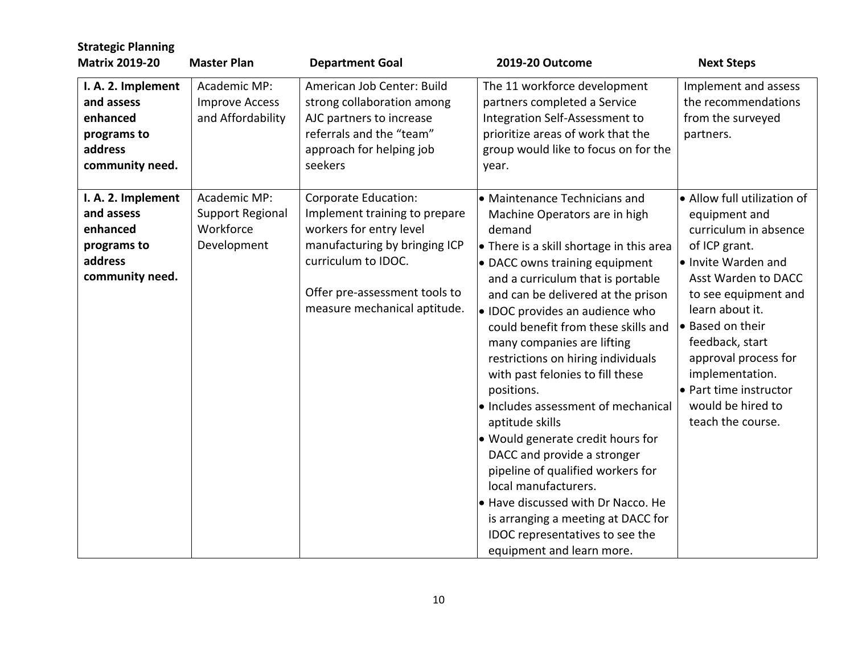| <b>Strategic Planning</b>                                                                 |                                                                     |                                                                                                                                                                                                           |                                                                                                                                                                                                                                                                                                                                                                                                                                                                                                                                                                                                                                                                                                                                                                          |                                                                                                                                                                                                                                                                                                                                        |
|-------------------------------------------------------------------------------------------|---------------------------------------------------------------------|-----------------------------------------------------------------------------------------------------------------------------------------------------------------------------------------------------------|--------------------------------------------------------------------------------------------------------------------------------------------------------------------------------------------------------------------------------------------------------------------------------------------------------------------------------------------------------------------------------------------------------------------------------------------------------------------------------------------------------------------------------------------------------------------------------------------------------------------------------------------------------------------------------------------------------------------------------------------------------------------------|----------------------------------------------------------------------------------------------------------------------------------------------------------------------------------------------------------------------------------------------------------------------------------------------------------------------------------------|
| <b>Matrix 2019-20</b>                                                                     | <b>Master Plan</b>                                                  | <b>Department Goal</b>                                                                                                                                                                                    | <b>2019-20 Outcome</b>                                                                                                                                                                                                                                                                                                                                                                                                                                                                                                                                                                                                                                                                                                                                                   | <b>Next Steps</b>                                                                                                                                                                                                                                                                                                                      |
| I. A. 2. Implement<br>and assess<br>enhanced<br>programs to<br>address<br>community need. | Academic MP:<br><b>Improve Access</b><br>and Affordability          | American Job Center: Build<br>strong collaboration among<br>AJC partners to increase<br>referrals and the "team"<br>approach for helping job<br>seekers                                                   | The 11 workforce development<br>partners completed a Service<br>Integration Self-Assessment to<br>prioritize areas of work that the<br>group would like to focus on for the<br>year.                                                                                                                                                                                                                                                                                                                                                                                                                                                                                                                                                                                     | Implement and assess<br>the recommendations<br>from the surveyed<br>partners.                                                                                                                                                                                                                                                          |
| I. A. 2. Implement<br>and assess<br>enhanced<br>programs to<br>address<br>community need. | Academic MP:<br><b>Support Regional</b><br>Workforce<br>Development | Corporate Education:<br>Implement training to prepare<br>workers for entry level<br>manufacturing by bringing ICP<br>curriculum to IDOC.<br>Offer pre-assessment tools to<br>measure mechanical aptitude. | • Maintenance Technicians and<br>Machine Operators are in high<br>demand<br>• There is a skill shortage in this area<br>• DACC owns training equipment<br>and a curriculum that is portable<br>and can be delivered at the prison<br>· IDOC provides an audience who<br>could benefit from these skills and<br>many companies are lifting<br>restrictions on hiring individuals<br>with past felonies to fill these<br>positions.<br>· Includes assessment of mechanical<br>aptitude skills<br>. Would generate credit hours for<br>DACC and provide a stronger<br>pipeline of qualified workers for<br>local manufacturers.<br>. Have discussed with Dr Nacco. He<br>is arranging a meeting at DACC for<br>IDOC representatives to see the<br>equipment and learn more. | • Allow full utilization of<br>equipment and<br>curriculum in absence<br>of ICP grant.<br>lo Invite Warden and<br>Asst Warden to DACC<br>to see equipment and<br>learn about it.<br>► Based on their<br>feedback, start<br>approval process for<br>implementation.<br>• Part time instructor<br>would be hired to<br>teach the course. |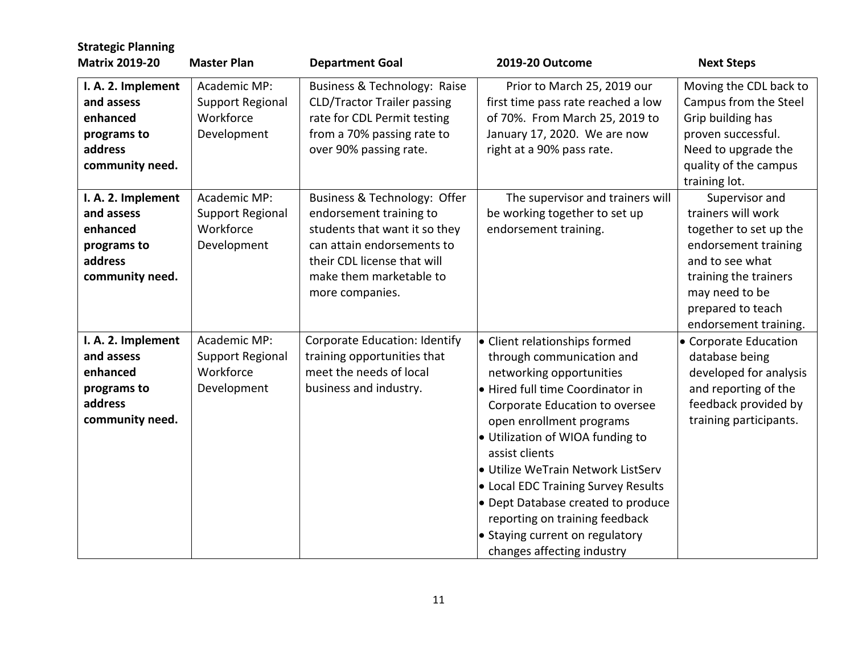| <b>Strategic Planning</b><br><b>Matrix 2019-20</b>                                        | <b>Master Plan</b>                                                  | <b>Department Goal</b>                                                                                                                                                                              | 2019-20 Outcome                                                                                                                                                                                                                                                                                                                                                                                                                                                      | <b>Next Steps</b>                                                                                                                                                                                  |
|-------------------------------------------------------------------------------------------|---------------------------------------------------------------------|-----------------------------------------------------------------------------------------------------------------------------------------------------------------------------------------------------|----------------------------------------------------------------------------------------------------------------------------------------------------------------------------------------------------------------------------------------------------------------------------------------------------------------------------------------------------------------------------------------------------------------------------------------------------------------------|----------------------------------------------------------------------------------------------------------------------------------------------------------------------------------------------------|
| I. A. 2. Implement<br>and assess<br>enhanced<br>programs to<br>address<br>community need. | Academic MP:<br>Support Regional<br>Workforce<br>Development        | Business & Technology: Raise<br><b>CLD/Tractor Trailer passing</b><br>rate for CDL Permit testing<br>from a 70% passing rate to<br>over 90% passing rate.                                           | Prior to March 25, 2019 our<br>first time pass rate reached a low<br>of 70%. From March 25, 2019 to<br>January 17, 2020. We are now<br>right at a 90% pass rate.                                                                                                                                                                                                                                                                                                     | Moving the CDL back to<br>Campus from the Steel<br>Grip building has<br>proven successful.<br>Need to upgrade the<br>quality of the campus<br>training lot.                                        |
| I. A. 2. Implement<br>and assess<br>enhanced<br>programs to<br>address<br>community need. | Academic MP:<br><b>Support Regional</b><br>Workforce<br>Development | Business & Technology: Offer<br>endorsement training to<br>students that want it so they<br>can attain endorsements to<br>their CDL license that will<br>make them marketable to<br>more companies. | The supervisor and trainers will<br>be working together to set up<br>endorsement training.                                                                                                                                                                                                                                                                                                                                                                           | Supervisor and<br>trainers will work<br>together to set up the<br>endorsement training<br>and to see what<br>training the trainers<br>may need to be<br>prepared to teach<br>endorsement training. |
| I. A. 2. Implement<br>and assess<br>enhanced<br>programs to<br>address<br>community need. | Academic MP:<br><b>Support Regional</b><br>Workforce<br>Development | Corporate Education: Identify<br>training opportunities that<br>meet the needs of local<br>business and industry.                                                                                   | • Client relationships formed<br>through communication and<br>networking opportunities<br>• Hired full time Coordinator in<br>Corporate Education to oversee<br>open enrollment programs<br>• Utilization of WIOA funding to<br>assist clients<br>· Utilize WeTrain Network ListServ<br>• Local EDC Training Survey Results<br>• Dept Database created to produce<br>reporting on training feedback<br>• Staying current on regulatory<br>changes affecting industry | • Corporate Education<br>database being<br>developed for analysis<br>and reporting of the<br>feedback provided by<br>training participants.                                                        |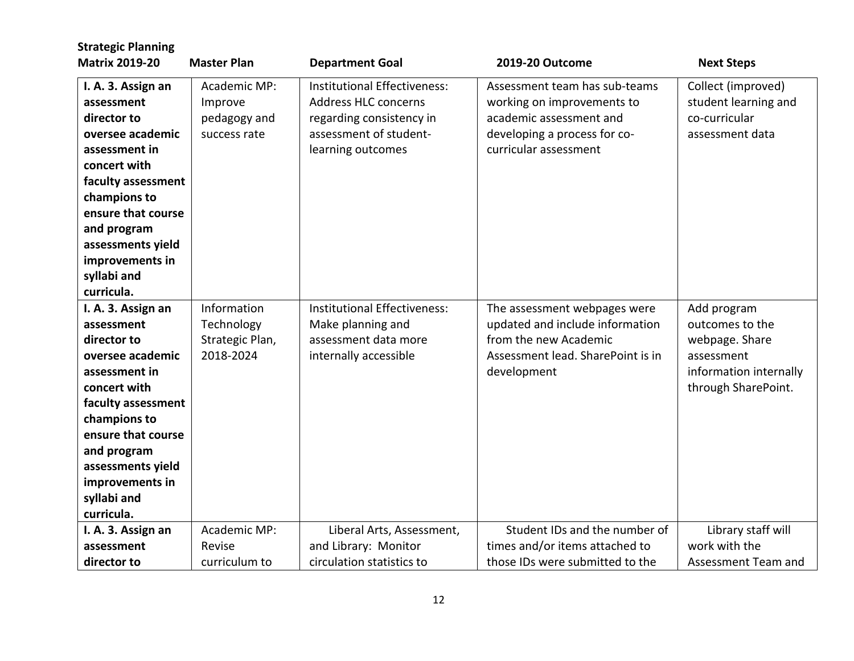| <b>Strategic Planning</b><br><b>Matrix 2019-20</b>                                                                                                                                                                                                   | <b>Master Plan</b>                                        |                                                                                                                                        | 2019-20 Outcome                                                                                                                                 |                                                                                                                 |
|------------------------------------------------------------------------------------------------------------------------------------------------------------------------------------------------------------------------------------------------------|-----------------------------------------------------------|----------------------------------------------------------------------------------------------------------------------------------------|-------------------------------------------------------------------------------------------------------------------------------------------------|-----------------------------------------------------------------------------------------------------------------|
|                                                                                                                                                                                                                                                      |                                                           | <b>Department Goal</b>                                                                                                                 |                                                                                                                                                 | <b>Next Steps</b>                                                                                               |
| I. A. 3. Assign an<br>assessment<br>director to<br>oversee academic<br>assessment in<br>concert with<br>faculty assessment<br>champions to<br>ensure that course<br>and program<br>assessments yield<br>improvements in<br>syllabi and               | Academic MP:<br>Improve<br>pedagogy and<br>success rate   | Institutional Effectiveness:<br><b>Address HLC concerns</b><br>regarding consistency in<br>assessment of student-<br>learning outcomes | Assessment team has sub-teams<br>working on improvements to<br>academic assessment and<br>developing a process for co-<br>curricular assessment | Collect (improved)<br>student learning and<br>co-curricular<br>assessment data                                  |
| curricula.                                                                                                                                                                                                                                           |                                                           |                                                                                                                                        |                                                                                                                                                 |                                                                                                                 |
| I. A. 3. Assign an<br>assessment<br>director to<br>oversee academic<br>assessment in<br>concert with<br>faculty assessment<br>champions to<br>ensure that course<br>and program<br>assessments yield<br>improvements in<br>syllabi and<br>curricula. | Information<br>Technology<br>Strategic Plan,<br>2018-2024 | Institutional Effectiveness:<br>Make planning and<br>assessment data more<br>internally accessible                                     | The assessment webpages were<br>updated and include information<br>from the new Academic<br>Assessment lead. SharePoint is in<br>development    | Add program<br>outcomes to the<br>webpage. Share<br>assessment<br>information internally<br>through SharePoint. |
| I. A. 3. Assign an                                                                                                                                                                                                                                   | Academic MP:                                              | Liberal Arts, Assessment,                                                                                                              | Student IDs and the number of                                                                                                                   | Library staff will                                                                                              |
| assessment                                                                                                                                                                                                                                           | Revise                                                    | and Library: Monitor                                                                                                                   | times and/or items attached to                                                                                                                  | work with the                                                                                                   |
| director to                                                                                                                                                                                                                                          | curriculum to                                             | circulation statistics to                                                                                                              | those IDs were submitted to the                                                                                                                 | Assessment Team and                                                                                             |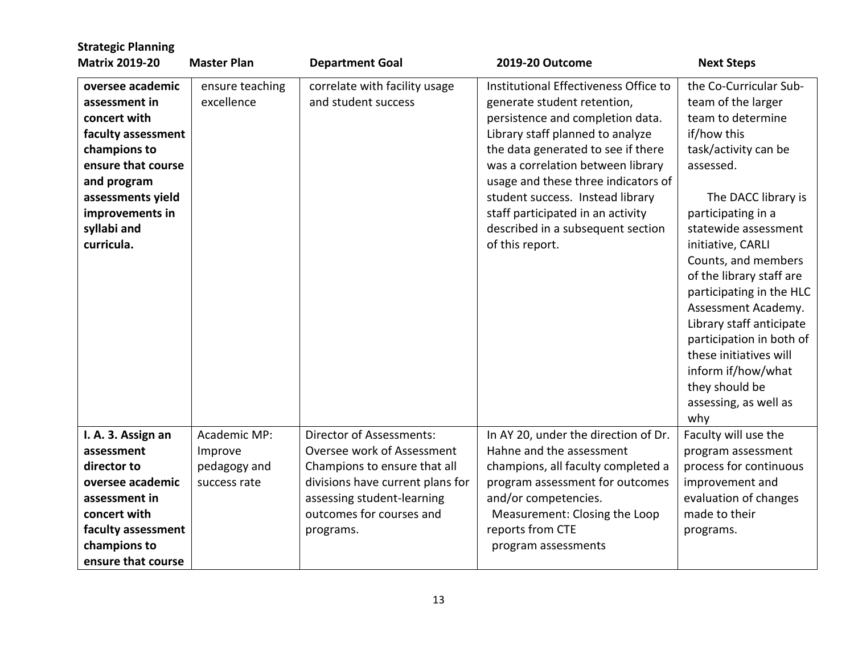| <b>Strategic Planning</b>                                                                                                                                                                         |                                                         |                                                                                                                                                                                                   |                                                                                                                                                                                                                                                                                                                                                                                                 |                                                                                                                                                                                                                                                                                                                                                                                                                                                                                 |
|---------------------------------------------------------------------------------------------------------------------------------------------------------------------------------------------------|---------------------------------------------------------|---------------------------------------------------------------------------------------------------------------------------------------------------------------------------------------------------|-------------------------------------------------------------------------------------------------------------------------------------------------------------------------------------------------------------------------------------------------------------------------------------------------------------------------------------------------------------------------------------------------|---------------------------------------------------------------------------------------------------------------------------------------------------------------------------------------------------------------------------------------------------------------------------------------------------------------------------------------------------------------------------------------------------------------------------------------------------------------------------------|
| <b>Matrix 2019-20</b>                                                                                                                                                                             | <b>Master Plan</b>                                      | <b>Department Goal</b>                                                                                                                                                                            | 2019-20 Outcome                                                                                                                                                                                                                                                                                                                                                                                 | <b>Next Steps</b>                                                                                                                                                                                                                                                                                                                                                                                                                                                               |
| oversee academic<br>assessment in<br>concert with<br>faculty assessment<br>champions to<br>ensure that course<br>and program<br>assessments yield<br>improvements in<br>syllabi and<br>curricula. | ensure teaching<br>excellence                           | correlate with facility usage<br>and student success                                                                                                                                              | Institutional Effectiveness Office to<br>generate student retention,<br>persistence and completion data.<br>Library staff planned to analyze<br>the data generated to see if there<br>was a correlation between library<br>usage and these three indicators of<br>student success. Instead library<br>staff participated in an activity<br>described in a subsequent section<br>of this report. | the Co-Curricular Sub-<br>team of the larger<br>team to determine<br>if/how this<br>task/activity can be<br>assessed.<br>The DACC library is<br>participating in a<br>statewide assessment<br>initiative, CARLI<br>Counts, and members<br>of the library staff are<br>participating in the HLC<br>Assessment Academy.<br>Library staff anticipate<br>participation in both of<br>these initiatives will<br>inform if/how/what<br>they should be<br>assessing, as well as<br>why |
| I. A. 3. Assign an<br>assessment<br>director to<br>oversee academic<br>assessment in<br>concert with<br>faculty assessment<br>champions to<br>ensure that course                                  | Academic MP:<br>Improve<br>pedagogy and<br>success rate | Director of Assessments:<br>Oversee work of Assessment<br>Champions to ensure that all<br>divisions have current plans for<br>assessing student-learning<br>outcomes for courses and<br>programs. | In AY 20, under the direction of Dr.<br>Hahne and the assessment<br>champions, all faculty completed a<br>program assessment for outcomes<br>and/or competencies.<br>Measurement: Closing the Loop<br>reports from CTE<br>program assessments                                                                                                                                                   | Faculty will use the<br>program assessment<br>process for continuous<br>improvement and<br>evaluation of changes<br>made to their<br>programs.                                                                                                                                                                                                                                                                                                                                  |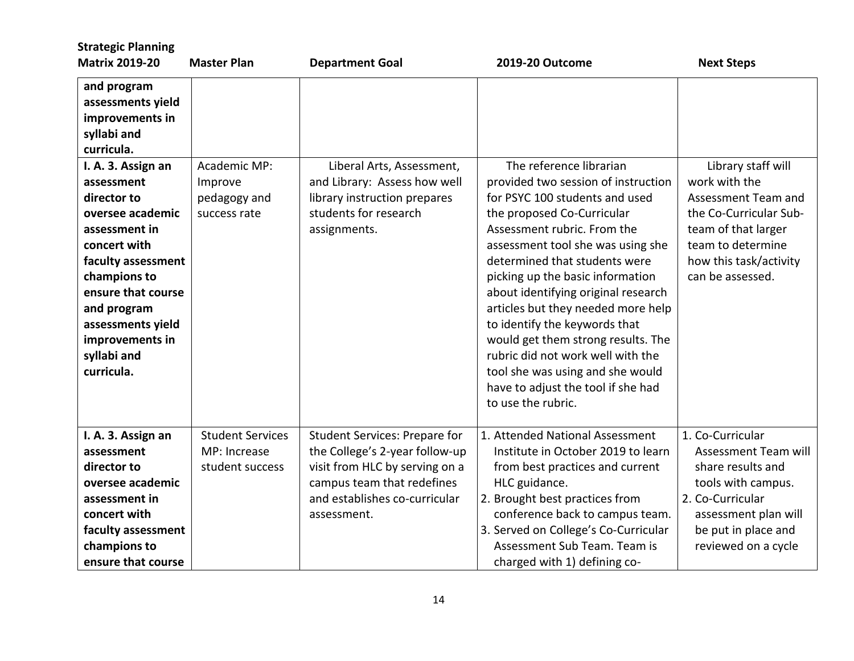| <b>Master Plan</b>                                                               | <b>Department Goal</b>                                                                                                                                                                 | 2019-20 Outcome                                                                                                                                                                                                                                                                                                                                                                                                                                                                                                                                                  | <b>Next Steps</b>                                                                                                                                                              |
|----------------------------------------------------------------------------------|----------------------------------------------------------------------------------------------------------------------------------------------------------------------------------------|------------------------------------------------------------------------------------------------------------------------------------------------------------------------------------------------------------------------------------------------------------------------------------------------------------------------------------------------------------------------------------------------------------------------------------------------------------------------------------------------------------------------------------------------------------------|--------------------------------------------------------------------------------------------------------------------------------------------------------------------------------|
|                                                                                  |                                                                                                                                                                                        |                                                                                                                                                                                                                                                                                                                                                                                                                                                                                                                                                                  |                                                                                                                                                                                |
| Academic MP:<br>Improve<br>pedagogy and<br>success rate<br>faculty assessment    | Liberal Arts, Assessment,<br>and Library: Assess how well<br>library instruction prepares<br>students for research<br>assignments.                                                     | The reference librarian<br>provided two session of instruction<br>for PSYC 100 students and used<br>the proposed Co-Curricular<br>Assessment rubric. From the<br>assessment tool she was using she<br>determined that students were<br>picking up the basic information<br>about identifying original research<br>articles but they needed more help<br>to identify the keywords that<br>would get them strong results. The<br>rubric did not work well with the<br>tool she was using and she would<br>have to adjust the tool if she had<br>to use the rubric. | Library staff will<br>work with the<br>Assessment Team and<br>the Co-Curricular Sub-<br>team of that larger<br>team to determine<br>how this task/activity<br>can be assessed. |
| <b>Student Services</b><br>MP: Increase<br>student success<br>faculty assessment | <b>Student Services: Prepare for</b><br>the College's 2-year follow-up<br>visit from HLC by serving on a<br>campus team that redefines<br>and establishes co-curricular<br>assessment. | 1. Attended National Assessment<br>Institute in October 2019 to learn<br>from best practices and current<br>HLC guidance.<br>2. Brought best practices from<br>conference back to campus team.<br>3. Served on College's Co-Curricular<br>Assessment Sub Team. Team is                                                                                                                                                                                                                                                                                           | 1. Co-Curricular<br>Assessment Team will<br>share results and<br>tools with campus.<br>2. Co-Curricular<br>assessment plan will<br>be put in place and<br>reviewed on a cycle  |
|                                                                                  |                                                                                                                                                                                        |                                                                                                                                                                                                                                                                                                                                                                                                                                                                                                                                                                  | charged with 1) defining co-                                                                                                                                                   |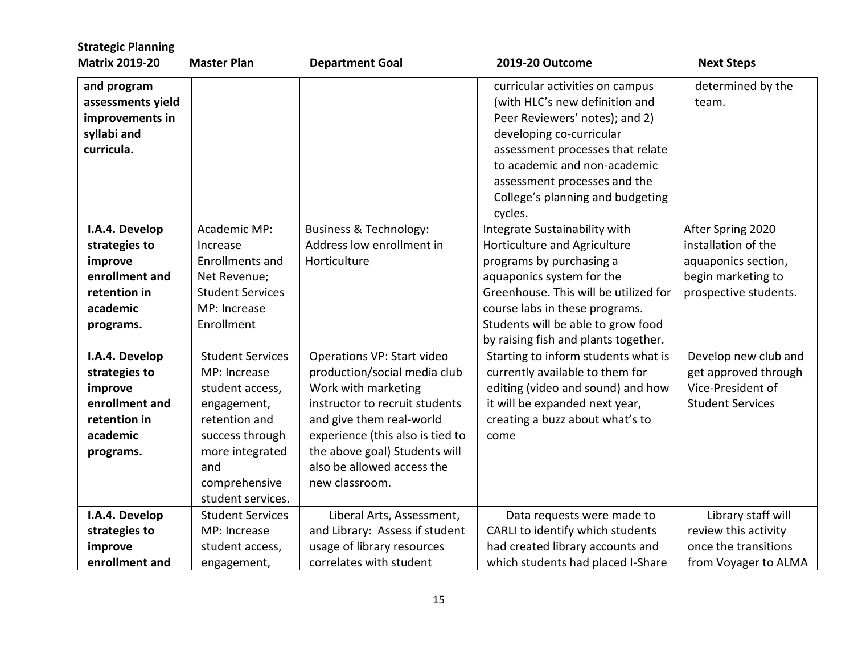| <b>Strategic Planning</b><br><b>Matrix 2019-20</b> | <b>Master Plan</b>      | <b>Department Goal</b>            | 2019-20 Outcome                                                   | <b>Next Steps</b>       |
|----------------------------------------------------|-------------------------|-----------------------------------|-------------------------------------------------------------------|-------------------------|
|                                                    |                         |                                   |                                                                   | determined by the       |
| and program<br>assessments yield                   |                         |                                   | curricular activities on campus<br>(with HLC's new definition and | team.                   |
| improvements in                                    |                         |                                   | Peer Reviewers' notes); and 2)                                    |                         |
| syllabi and                                        |                         |                                   | developing co-curricular                                          |                         |
| curricula.                                         |                         |                                   |                                                                   |                         |
|                                                    |                         |                                   | assessment processes that relate<br>to academic and non-academic  |                         |
|                                                    |                         |                                   |                                                                   |                         |
|                                                    |                         |                                   | assessment processes and the                                      |                         |
|                                                    |                         |                                   | College's planning and budgeting                                  |                         |
|                                                    |                         |                                   | cycles.                                                           |                         |
| I.A.4. Develop                                     | Academic MP:            | <b>Business &amp; Technology:</b> | Integrate Sustainability with                                     | After Spring 2020       |
| strategies to                                      | Increase                | Address low enrollment in         | Horticulture and Agriculture                                      | installation of the     |
| improve                                            | <b>Enrollments and</b>  | Horticulture                      | programs by purchasing a                                          | aquaponics section,     |
| enrollment and                                     | Net Revenue;            |                                   | aquaponics system for the                                         | begin marketing to      |
| retention in                                       | <b>Student Services</b> |                                   | Greenhouse. This will be utilized for                             | prospective students.   |
| academic                                           | MP: Increase            |                                   | course labs in these programs.                                    |                         |
| programs.                                          | Enrollment              |                                   | Students will be able to grow food                                |                         |
|                                                    |                         |                                   | by raising fish and plants together.                              |                         |
| I.A.4. Develop                                     | <b>Student Services</b> | Operations VP: Start video        | Starting to inform students what is                               | Develop new club and    |
| strategies to                                      | MP: Increase            | production/social media club      | currently available to them for                                   | get approved through    |
| improve                                            | student access,         | Work with marketing               | editing (video and sound) and how                                 | Vice-President of       |
| enrollment and                                     | engagement,             | instructor to recruit students    | it will be expanded next year,                                    | <b>Student Services</b> |
| retention in                                       | retention and           | and give them real-world          | creating a buzz about what's to                                   |                         |
| academic                                           | success through         | experience (this also is tied to  | come                                                              |                         |
| programs.                                          | more integrated         | the above goal) Students will     |                                                                   |                         |
|                                                    | and                     | also be allowed access the        |                                                                   |                         |
|                                                    | comprehensive           | new classroom.                    |                                                                   |                         |
|                                                    | student services.       |                                   |                                                                   |                         |
| I.A.4. Develop                                     | <b>Student Services</b> | Liberal Arts, Assessment,         | Data requests were made to                                        | Library staff will      |
| strategies to                                      | MP: Increase            | and Library: Assess if student    | CARLI to identify which students                                  | review this activity    |
| improve                                            | student access,         | usage of library resources        | had created library accounts and                                  | once the transitions    |
| enrollment and                                     | engagement,             | correlates with student           | which students had placed I-Share                                 | from Voyager to ALMA    |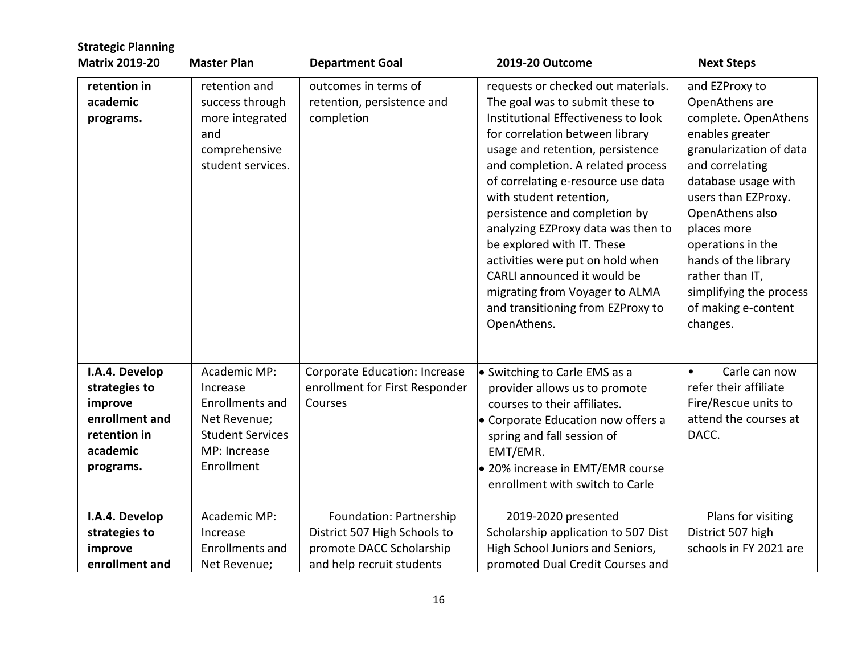| <b>Strategic Planning</b><br><b>Matrix 2019-20</b>                                                    | <b>Master Plan</b>                                                                                                          | <b>Department Goal</b>                                                                                           | 2019-20 Outcome                                                                                                                                                                                                                                                                                                                                                                                                                                                                                                                                         | <b>Next Steps</b>                                                                                                                                                                                                                                                                                                                       |
|-------------------------------------------------------------------------------------------------------|-----------------------------------------------------------------------------------------------------------------------------|------------------------------------------------------------------------------------------------------------------|---------------------------------------------------------------------------------------------------------------------------------------------------------------------------------------------------------------------------------------------------------------------------------------------------------------------------------------------------------------------------------------------------------------------------------------------------------------------------------------------------------------------------------------------------------|-----------------------------------------------------------------------------------------------------------------------------------------------------------------------------------------------------------------------------------------------------------------------------------------------------------------------------------------|
| retention in<br>academic<br>programs.                                                                 | retention and<br>success through<br>more integrated<br>and<br>comprehensive<br>student services.                            | outcomes in terms of<br>retention, persistence and<br>completion                                                 | requests or checked out materials.<br>The goal was to submit these to<br>Institutional Effectiveness to look<br>for correlation between library<br>usage and retention, persistence<br>and completion. A related process<br>of correlating e-resource use data<br>with student retention,<br>persistence and completion by<br>analyzing EZProxy data was then to<br>be explored with IT. These<br>activities were put on hold when<br>CARLI announced it would be<br>migrating from Voyager to ALMA<br>and transitioning from EZProxy to<br>OpenAthens. | and EZProxy to<br>OpenAthens are<br>complete. OpenAthens<br>enables greater<br>granularization of data<br>and correlating<br>database usage with<br>users than EZProxy.<br>OpenAthens also<br>places more<br>operations in the<br>hands of the library<br>rather than IT,<br>simplifying the process<br>of making e-content<br>changes. |
| I.A.4. Develop<br>strategies to<br>improve<br>enrollment and<br>retention in<br>academic<br>programs. | Academic MP:<br>Increase<br><b>Enrollments and</b><br>Net Revenue;<br><b>Student Services</b><br>MP: Increase<br>Enrollment | Corporate Education: Increase<br>enrollment for First Responder<br>Courses                                       | • Switching to Carle EMS as a<br>provider allows us to promote<br>courses to their affiliates.<br>• Corporate Education now offers a<br>spring and fall session of<br>EMT/EMR.<br>• 20% increase in EMT/EMR course<br>enrollment with switch to Carle                                                                                                                                                                                                                                                                                                   | Carle can now<br>$\bullet$<br>refer their affiliate<br>Fire/Rescue units to<br>attend the courses at<br>DACC.                                                                                                                                                                                                                           |
| I.A.4. Develop<br>strategies to<br>improve<br>enrollment and                                          | Academic MP:<br>Increase<br><b>Enrollments and</b><br>Net Revenue;                                                          | Foundation: Partnership<br>District 507 High Schools to<br>promote DACC Scholarship<br>and help recruit students | 2019-2020 presented<br>Scholarship application to 507 Dist<br>High School Juniors and Seniors,<br>promoted Dual Credit Courses and                                                                                                                                                                                                                                                                                                                                                                                                                      | Plans for visiting<br>District 507 high<br>schools in FY 2021 are                                                                                                                                                                                                                                                                       |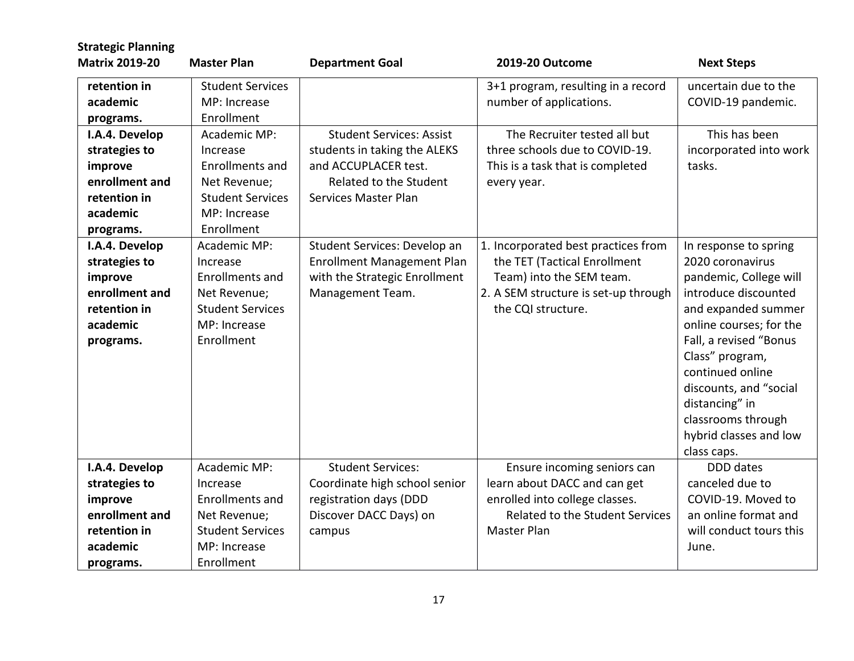| <b>Strategic Planning</b> |                         |                                 |                                        |                         |
|---------------------------|-------------------------|---------------------------------|----------------------------------------|-------------------------|
| <b>Matrix 2019-20</b>     | <b>Master Plan</b>      | <b>Department Goal</b>          | 2019-20 Outcome                        | <b>Next Steps</b>       |
| retention in              | <b>Student Services</b> |                                 | 3+1 program, resulting in a record     | uncertain due to the    |
| academic                  | MP: Increase            |                                 | number of applications.                | COVID-19 pandemic.      |
| programs.                 | Enrollment              |                                 |                                        |                         |
| I.A.4. Develop            | Academic MP:            | <b>Student Services: Assist</b> | The Recruiter tested all but           | This has been           |
| strategies to             | Increase                | students in taking the ALEKS    | three schools due to COVID-19.         | incorporated into work  |
| improve                   | <b>Enrollments and</b>  | and ACCUPLACER test.            | This is a task that is completed       | tasks.                  |
| enrollment and            | Net Revenue;            | Related to the Student          | every year.                            |                         |
| retention in              | <b>Student Services</b> | Services Master Plan            |                                        |                         |
| academic                  | MP: Increase            |                                 |                                        |                         |
| programs.                 | Enrollment              |                                 |                                        |                         |
| I.A.4. Develop            | Academic MP:            | Student Services: Develop an    | 1. Incorporated best practices from    | In response to spring   |
| strategies to             | Increase                | Enrollment Management Plan      | the TET (Tactical Enrollment           | 2020 coronavirus        |
| improve                   | <b>Enrollments and</b>  | with the Strategic Enrollment   | Team) into the SEM team.               | pandemic, College will  |
| enrollment and            | Net Revenue;            | Management Team.                | 2. A SEM structure is set-up through   | introduce discounted    |
| retention in              | <b>Student Services</b> |                                 | the CQI structure.                     | and expanded summer     |
| academic                  | MP: Increase            |                                 |                                        | online courses; for the |
| programs.                 | Enrollment              |                                 |                                        | Fall, a revised "Bonus  |
|                           |                         |                                 |                                        | Class" program,         |
|                           |                         |                                 |                                        | continued online        |
|                           |                         |                                 |                                        | discounts, and "social  |
|                           |                         |                                 |                                        | distancing" in          |
|                           |                         |                                 |                                        | classrooms through      |
|                           |                         |                                 |                                        | hybrid classes and low  |
|                           |                         |                                 |                                        | class caps.             |
| I.A.4. Develop            | Academic MP:            | <b>Student Services:</b>        | Ensure incoming seniors can            | DDD dates               |
| strategies to             | Increase                | Coordinate high school senior   | learn about DACC and can get           | canceled due to         |
| improve                   | <b>Enrollments and</b>  | registration days (DDD          | enrolled into college classes.         | COVID-19. Moved to      |
| enrollment and            | Net Revenue;            | Discover DACC Days) on          | <b>Related to the Student Services</b> | an online format and    |
| retention in              | <b>Student Services</b> | campus                          | Master Plan                            | will conduct tours this |
| academic                  | MP: Increase            |                                 |                                        | June.                   |
| programs.                 | Enrollment              |                                 |                                        |                         |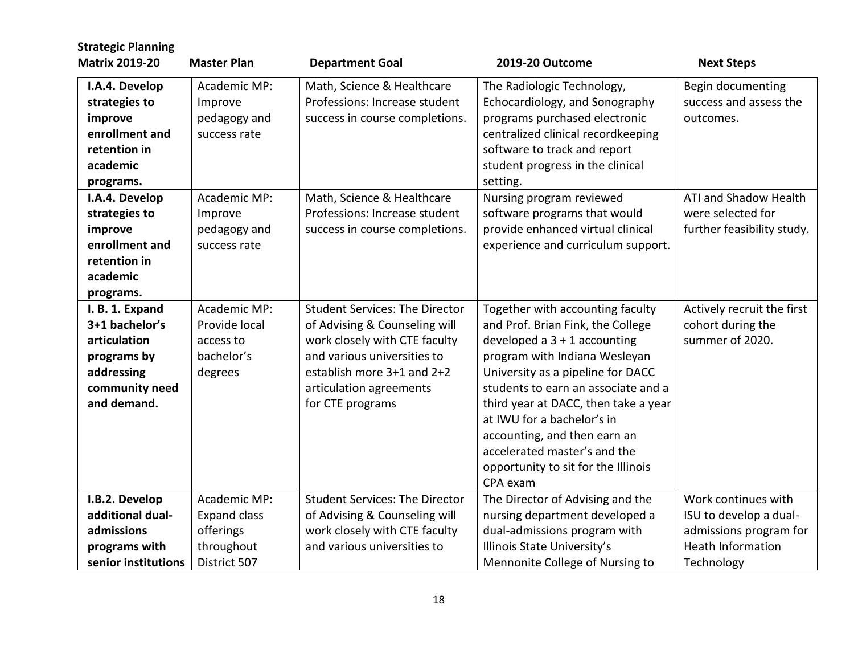| <b>Strategic Planning</b><br><b>Matrix 2019-20</b>                                                              | <b>Master Plan</b>                                                             | <b>Department Goal</b>                                                                                                                                                                                              | 2019-20 Outcome                                                                                                                                                                                                                                                                                                                                                                                               | <b>Next Steps</b>                                                                                                 |
|-----------------------------------------------------------------------------------------------------------------|--------------------------------------------------------------------------------|---------------------------------------------------------------------------------------------------------------------------------------------------------------------------------------------------------------------|---------------------------------------------------------------------------------------------------------------------------------------------------------------------------------------------------------------------------------------------------------------------------------------------------------------------------------------------------------------------------------------------------------------|-------------------------------------------------------------------------------------------------------------------|
| I.A.4. Develop<br>strategies to<br>improve<br>enrollment and<br>retention in<br>academic<br>programs.           | Academic MP:<br>Improve<br>pedagogy and<br>success rate                        | Math, Science & Healthcare<br>Professions: Increase student<br>success in course completions.                                                                                                                       | The Radiologic Technology,<br>Echocardiology, and Sonography<br>programs purchased electronic<br>centralized clinical recordkeeping<br>software to track and report<br>student progress in the clinical<br>setting.                                                                                                                                                                                           | Begin documenting<br>success and assess the<br>outcomes.                                                          |
| I.A.4. Develop<br>strategies to<br>improve<br>enrollment and<br>retention in<br>academic<br>programs.           | Academic MP:<br>Improve<br>pedagogy and<br>success rate                        | Math, Science & Healthcare<br>Professions: Increase student<br>success in course completions.                                                                                                                       | Nursing program reviewed<br>software programs that would<br>provide enhanced virtual clinical<br>experience and curriculum support.                                                                                                                                                                                                                                                                           | ATI and Shadow Health<br>were selected for<br>further feasibility study.                                          |
| I. B. 1. Expand<br>3+1 bachelor's<br>articulation<br>programs by<br>addressing<br>community need<br>and demand. | Academic MP:<br>Provide local<br>access to<br>bachelor's<br>degrees            | <b>Student Services: The Director</b><br>of Advising & Counseling will<br>work closely with CTE faculty<br>and various universities to<br>establish more 3+1 and 2+2<br>articulation agreements<br>for CTE programs | Together with accounting faculty<br>and Prof. Brian Fink, the College<br>developed a $3 + 1$ accounting<br>program with Indiana Wesleyan<br>University as a pipeline for DACC<br>students to earn an associate and a<br>third year at DACC, then take a year<br>at IWU for a bachelor's in<br>accounting, and then earn an<br>accelerated master's and the<br>opportunity to sit for the Illinois<br>CPA exam | Actively recruit the first<br>cohort during the<br>summer of 2020.                                                |
| I.B.2. Develop<br>additional dual-<br>admissions<br>programs with<br>senior institutions                        | Academic MP:<br><b>Expand class</b><br>offerings<br>throughout<br>District 507 | <b>Student Services: The Director</b><br>of Advising & Counseling will<br>work closely with CTE faculty<br>and various universities to                                                                              | The Director of Advising and the<br>nursing department developed a<br>dual-admissions program with<br>Illinois State University's<br>Mennonite College of Nursing to                                                                                                                                                                                                                                          | Work continues with<br>ISU to develop a dual-<br>admissions program for<br><b>Heath Information</b><br>Technology |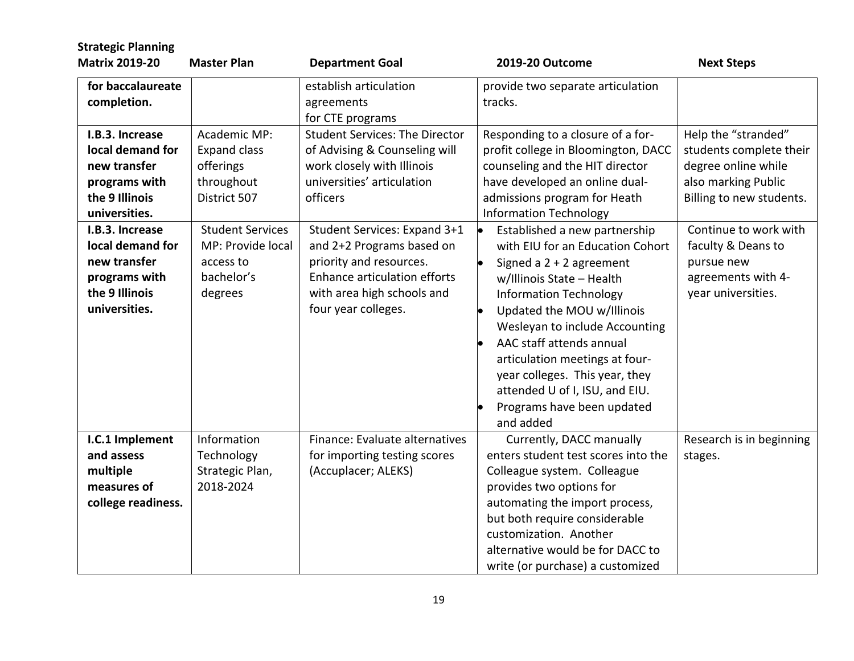| <b>Strategic Planning</b>                                                                               |                                                                                    |                                                                                                                                                                           |                                                                                                                                                                                                                                                                                                                                                                                                                         |                                                                                                                          |
|---------------------------------------------------------------------------------------------------------|------------------------------------------------------------------------------------|---------------------------------------------------------------------------------------------------------------------------------------------------------------------------|-------------------------------------------------------------------------------------------------------------------------------------------------------------------------------------------------------------------------------------------------------------------------------------------------------------------------------------------------------------------------------------------------------------------------|--------------------------------------------------------------------------------------------------------------------------|
| <b>Matrix 2019-20</b>                                                                                   | <b>Master Plan</b>                                                                 | <b>Department Goal</b>                                                                                                                                                    | 2019-20 Outcome                                                                                                                                                                                                                                                                                                                                                                                                         | <b>Next Steps</b>                                                                                                        |
| for baccalaureate<br>completion.                                                                        |                                                                                    | establish articulation<br>agreements<br>for CTE programs                                                                                                                  | provide two separate articulation<br>tracks.                                                                                                                                                                                                                                                                                                                                                                            |                                                                                                                          |
| I.B.3. Increase<br>local demand for<br>new transfer<br>programs with<br>the 9 Illinois<br>universities. | Academic MP:<br><b>Expand class</b><br>offerings<br>throughout<br>District 507     | <b>Student Services: The Director</b><br>of Advising & Counseling will<br>work closely with Illinois<br>universities' articulation<br>officers                            | Responding to a closure of a for-<br>profit college in Bloomington, DACC<br>counseling and the HIT director<br>have developed an online dual-<br>admissions program for Heath<br><b>Information Technology</b>                                                                                                                                                                                                          | Help the "stranded"<br>students complete their<br>degree online while<br>also marking Public<br>Billing to new students. |
| I.B.3. Increase<br>local demand for<br>new transfer<br>programs with<br>the 9 Illinois<br>universities. | <b>Student Services</b><br>MP: Provide local<br>access to<br>bachelor's<br>degrees | Student Services: Expand 3+1<br>and 2+2 Programs based on<br>priority and resources.<br>Enhance articulation efforts<br>with area high schools and<br>four year colleges. | Established a new partnership<br>$\bullet$<br>with EIU for an Education Cohort<br>Signed a $2 + 2$ agreement<br>w/Illinois State - Health<br><b>Information Technology</b><br>Updated the MOU w/Illinois<br>Wesleyan to include Accounting<br>AAC staff attends annual<br>articulation meetings at four-<br>year colleges. This year, they<br>attended U of I, ISU, and EIU.<br>Programs have been updated<br>and added | Continue to work with<br>faculty & Deans to<br>pursue new<br>agreements with 4-<br>year universities.                    |
| I.C.1 Implement<br>and assess<br>multiple<br>measures of<br>college readiness.                          | Information<br>Technology<br>Strategic Plan,<br>2018-2024                          | Finance: Evaluate alternatives<br>for importing testing scores<br>(Accuplacer; ALEKS)                                                                                     | Currently, DACC manually<br>enters student test scores into the<br>Colleague system. Colleague<br>provides two options for<br>automating the import process,<br>but both require considerable<br>customization. Another<br>alternative would be for DACC to<br>write (or purchase) a customized                                                                                                                         | Research is in beginning<br>stages.                                                                                      |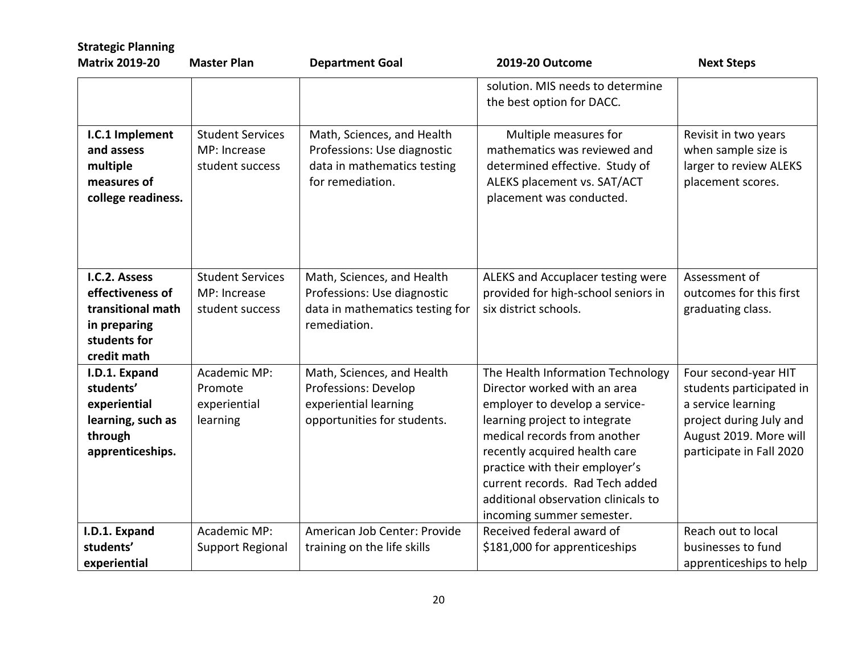| <b>Strategic Planning</b><br><b>Matrix 2019-20</b>                                                    | <b>Master Plan</b>                                         | <b>Department Goal</b>                                                                                       | 2019-20 Outcome                                                                                                                                                                                                                                                                                                                                | <b>Next Steps</b>                                                                                                                                       |
|-------------------------------------------------------------------------------------------------------|------------------------------------------------------------|--------------------------------------------------------------------------------------------------------------|------------------------------------------------------------------------------------------------------------------------------------------------------------------------------------------------------------------------------------------------------------------------------------------------------------------------------------------------|---------------------------------------------------------------------------------------------------------------------------------------------------------|
|                                                                                                       |                                                            |                                                                                                              | solution. MIS needs to determine<br>the best option for DACC.                                                                                                                                                                                                                                                                                  |                                                                                                                                                         |
| I.C.1 Implement<br>and assess<br>multiple<br>measures of<br>college readiness.                        | <b>Student Services</b><br>MP: Increase<br>student success | Math, Sciences, and Health<br>Professions: Use diagnostic<br>data in mathematics testing<br>for remediation. | Multiple measures for<br>mathematics was reviewed and<br>determined effective. Study of<br>ALEKS placement vs. SAT/ACT<br>placement was conducted.                                                                                                                                                                                             | Revisit in two years<br>when sample size is<br>larger to review ALEKS<br>placement scores.                                                              |
| I.C.2. Assess<br>effectiveness of<br>transitional math<br>in preparing<br>students for<br>credit math | <b>Student Services</b><br>MP: Increase<br>student success | Math, Sciences, and Health<br>Professions: Use diagnostic<br>data in mathematics testing for<br>remediation. | ALEKS and Accuplacer testing were<br>provided for high-school seniors in<br>six district schools.                                                                                                                                                                                                                                              | Assessment of<br>outcomes for this first<br>graduating class.                                                                                           |
| I.D.1. Expand<br>students'<br>experiential<br>learning, such as<br>through<br>apprenticeships.        | Academic MP:<br>Promote<br>experiential<br>learning        | Math, Sciences, and Health<br>Professions: Develop<br>experiential learning<br>opportunities for students.   | The Health Information Technology<br>Director worked with an area<br>employer to develop a service-<br>learning project to integrate<br>medical records from another<br>recently acquired health care<br>practice with their employer's<br>current records. Rad Tech added<br>additional observation clinicals to<br>incoming summer semester. | Four second-year HIT<br>students participated in<br>a service learning<br>project during July and<br>August 2019. More will<br>participate in Fall 2020 |
| I.D.1. Expand<br>students'<br>experiential                                                            | Academic MP:<br>Support Regional                           | American Job Center: Provide<br>training on the life skills                                                  | Received federal award of<br>\$181,000 for apprenticeships                                                                                                                                                                                                                                                                                     | Reach out to local<br>businesses to fund<br>apprenticeships to help                                                                                     |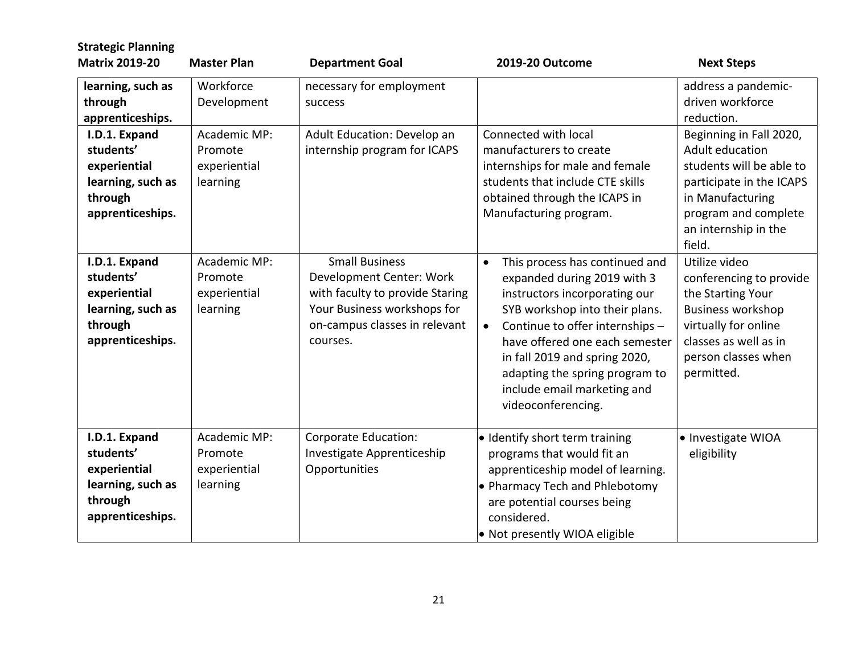| <b>Strategic Planning</b><br><b>Matrix 2019-20</b>                                             | <b>Master Plan</b>                                  | <b>Department Goal</b>                                                                                                                                           | 2019-20 Outcome                                                                                                                                                                                                                                                                                                                                         | <b>Next Steps</b>                                                                                                                                                               |
|------------------------------------------------------------------------------------------------|-----------------------------------------------------|------------------------------------------------------------------------------------------------------------------------------------------------------------------|---------------------------------------------------------------------------------------------------------------------------------------------------------------------------------------------------------------------------------------------------------------------------------------------------------------------------------------------------------|---------------------------------------------------------------------------------------------------------------------------------------------------------------------------------|
| learning, such as<br>through<br>apprenticeships.<br>I.D.1. Expand                              | Workforce<br>Development<br>Academic MP:            | necessary for employment<br>success<br>Adult Education: Develop an                                                                                               | Connected with local                                                                                                                                                                                                                                                                                                                                    | address a pandemic-<br>driven workforce<br>reduction.<br>Beginning in Fall 2020,                                                                                                |
| students'<br>experiential<br>learning, such as<br>through<br>apprenticeships.                  | Promote<br>experiential<br>learning                 | internship program for ICAPS                                                                                                                                     | manufacturers to create<br>internships for male and female<br>students that include CTE skills<br>obtained through the ICAPS in<br>Manufacturing program.                                                                                                                                                                                               | Adult education<br>students will be able to<br>participate in the ICAPS<br>in Manufacturing<br>program and complete<br>an internship in the<br>field.                           |
| I.D.1. Expand<br>students'<br>experiential<br>learning, such as<br>through<br>apprenticeships. | Academic MP:<br>Promote<br>experiential<br>learning | <b>Small Business</b><br>Development Center: Work<br>with faculty to provide Staring<br>Your Business workshops for<br>on-campus classes in relevant<br>courses. | This process has continued and<br>$\bullet$<br>expanded during 2019 with 3<br>instructors incorporating our<br>SYB workshop into their plans.<br>Continue to offer internships -<br>$\bullet$<br>have offered one each semester<br>in fall 2019 and spring 2020,<br>adapting the spring program to<br>include email marketing and<br>videoconferencing. | Utilize video<br>conferencing to provide<br>the Starting Your<br><b>Business workshop</b><br>virtually for online<br>classes as well as in<br>person classes when<br>permitted. |
| I.D.1. Expand<br>students'<br>experiential<br>learning, such as<br>through<br>apprenticeships. | Academic MP:<br>Promote<br>experiential<br>learning | Corporate Education:<br>Investigate Apprenticeship<br>Opportunities                                                                                              | · Identify short term training<br>programs that would fit an<br>apprenticeship model of learning.<br>. Pharmacy Tech and Phlebotomy<br>are potential courses being<br>considered.<br>• Not presently WIOA eligible                                                                                                                                      | • Investigate WIOA<br>eligibility                                                                                                                                               |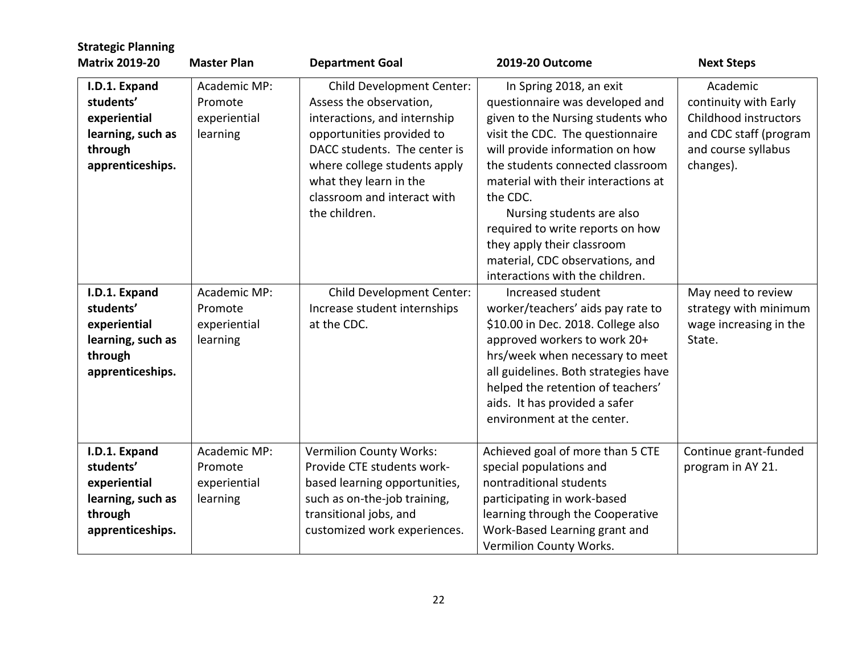| <b>Strategic Planning</b><br><b>Matrix 2019-20</b>                                             | <b>Master Plan</b>                                  | <b>Department Goal</b>                                                                                                                                                                                                                                             | 2019-20 Outcome                                                                                                                                                                                                                                                                                                                                                                                                                    | <b>Next Steps</b>                                                                                                        |
|------------------------------------------------------------------------------------------------|-----------------------------------------------------|--------------------------------------------------------------------------------------------------------------------------------------------------------------------------------------------------------------------------------------------------------------------|------------------------------------------------------------------------------------------------------------------------------------------------------------------------------------------------------------------------------------------------------------------------------------------------------------------------------------------------------------------------------------------------------------------------------------|--------------------------------------------------------------------------------------------------------------------------|
| I.D.1. Expand<br>students'<br>experiential<br>learning, such as<br>through<br>apprenticeships. | Academic MP:<br>Promote<br>experiential<br>learning | <b>Child Development Center:</b><br>Assess the observation,<br>interactions, and internship<br>opportunities provided to<br>DACC students. The center is<br>where college students apply<br>what they learn in the<br>classroom and interact with<br>the children. | In Spring 2018, an exit<br>questionnaire was developed and<br>given to the Nursing students who<br>visit the CDC. The questionnaire<br>will provide information on how<br>the students connected classroom<br>material with their interactions at<br>the CDC.<br>Nursing students are also<br>required to write reports on how<br>they apply their classroom<br>material, CDC observations, and<br>interactions with the children. | Academic<br>continuity with Early<br>Childhood instructors<br>and CDC staff (program<br>and course syllabus<br>changes). |
| I.D.1. Expand<br>students'<br>experiential<br>learning, such as<br>through<br>apprenticeships. | Academic MP:<br>Promote<br>experiential<br>learning | <b>Child Development Center:</b><br>Increase student internships<br>at the CDC.                                                                                                                                                                                    | Increased student<br>worker/teachers' aids pay rate to<br>\$10.00 in Dec. 2018. College also<br>approved workers to work 20+<br>hrs/week when necessary to meet<br>all guidelines. Both strategies have<br>helped the retention of teachers'<br>aids. It has provided a safer<br>environment at the center.                                                                                                                        | May need to review<br>strategy with minimum<br>wage increasing in the<br>State.                                          |
| I.D.1. Expand<br>students'<br>experiential<br>learning, such as<br>through<br>apprenticeships. | Academic MP:<br>Promote<br>experiential<br>learning | <b>Vermilion County Works:</b><br>Provide CTE students work-<br>based learning opportunities,<br>such as on-the-job training,<br>transitional jobs, and<br>customized work experiences.                                                                            | Achieved goal of more than 5 CTE<br>special populations and<br>nontraditional students<br>participating in work-based<br>learning through the Cooperative<br>Work-Based Learning grant and<br>Vermilion County Works.                                                                                                                                                                                                              | Continue grant-funded<br>program in AY 21.                                                                               |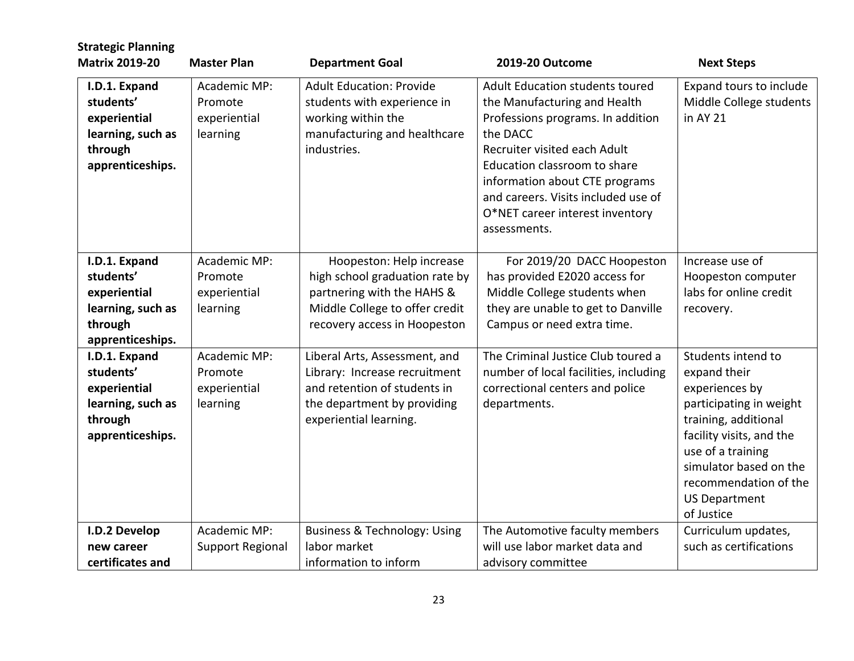| <b>Strategic Planning</b><br><b>Matrix 2019-20</b>                                             | <b>Master Plan</b>                                  | <b>Department Goal</b>                                                                                                                                     | <b>2019-20 Outcome</b>                                                                                                                                                                                                                                                                                              | <b>Next Steps</b>                                                                                                                                                                                                                                 |
|------------------------------------------------------------------------------------------------|-----------------------------------------------------|------------------------------------------------------------------------------------------------------------------------------------------------------------|---------------------------------------------------------------------------------------------------------------------------------------------------------------------------------------------------------------------------------------------------------------------------------------------------------------------|---------------------------------------------------------------------------------------------------------------------------------------------------------------------------------------------------------------------------------------------------|
| I.D.1. Expand<br>students'<br>experiential<br>learning, such as<br>through<br>apprenticeships. | Academic MP:<br>Promote<br>experiential<br>learning | <b>Adult Education: Provide</b><br>students with experience in<br>working within the<br>manufacturing and healthcare<br>industries.                        | <b>Adult Education students toured</b><br>the Manufacturing and Health<br>Professions programs. In addition<br>the DACC<br>Recruiter visited each Adult<br>Education classroom to share<br>information about CTE programs<br>and careers. Visits included use of<br>O*NET career interest inventory<br>assessments. | Expand tours to include<br>Middle College students<br>in AY 21                                                                                                                                                                                    |
| I.D.1. Expand<br>students'<br>experiential<br>learning, such as<br>through<br>apprenticeships. | Academic MP:<br>Promote<br>experiential<br>learning | Hoopeston: Help increase<br>high school graduation rate by<br>partnering with the HAHS &<br>Middle College to offer credit<br>recovery access in Hoopeston | For 2019/20 DACC Hoopeston<br>has provided E2020 access for<br>Middle College students when<br>they are unable to get to Danville<br>Campus or need extra time.                                                                                                                                                     | Increase use of<br>Hoopeston computer<br>labs for online credit<br>recovery.                                                                                                                                                                      |
| I.D.1. Expand<br>students'<br>experiential<br>learning, such as<br>through<br>apprenticeships. | Academic MP:<br>Promote<br>experiential<br>learning | Liberal Arts, Assessment, and<br>Library: Increase recruitment<br>and retention of students in<br>the department by providing<br>experiential learning.    | The Criminal Justice Club toured a<br>number of local facilities, including<br>correctional centers and police<br>departments.                                                                                                                                                                                      | Students intend to<br>expand their<br>experiences by<br>participating in weight<br>training, additional<br>facility visits, and the<br>use of a training<br>simulator based on the<br>recommendation of the<br><b>US Department</b><br>of Justice |
| I.D.2 Develop<br>new career<br>certificates and                                                | Academic MP:<br><b>Support Regional</b>             | <b>Business &amp; Technology: Using</b><br>labor market<br>information to inform                                                                           | The Automotive faculty members<br>will use labor market data and<br>advisory committee                                                                                                                                                                                                                              | Curriculum updates,<br>such as certifications                                                                                                                                                                                                     |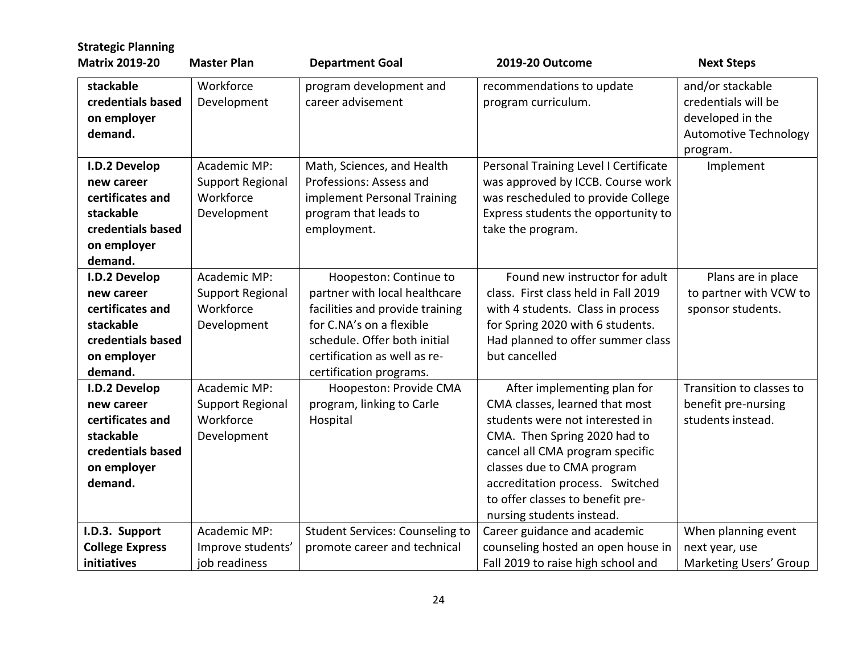| <b>Strategic Planning</b>                                                                                   |                                                                     |                                                                                                                                                                                                                   |                                                                                                                                                                                                                                                                                                       |                                                                                                         |
|-------------------------------------------------------------------------------------------------------------|---------------------------------------------------------------------|-------------------------------------------------------------------------------------------------------------------------------------------------------------------------------------------------------------------|-------------------------------------------------------------------------------------------------------------------------------------------------------------------------------------------------------------------------------------------------------------------------------------------------------|---------------------------------------------------------------------------------------------------------|
| <b>Matrix 2019-20</b>                                                                                       | <b>Master Plan</b>                                                  | <b>Department Goal</b>                                                                                                                                                                                            | 2019-20 Outcome                                                                                                                                                                                                                                                                                       | <b>Next Steps</b>                                                                                       |
| stackable<br>credentials based<br>on employer<br>demand.                                                    | Workforce<br>Development                                            | program development and<br>career advisement                                                                                                                                                                      | recommendations to update<br>program curriculum.                                                                                                                                                                                                                                                      | and/or stackable<br>credentials will be<br>developed in the<br><b>Automotive Technology</b><br>program. |
| I.D.2 Develop<br>new career<br>certificates and<br>stackable<br>credentials based<br>on employer<br>demand. | Academic MP:<br><b>Support Regional</b><br>Workforce<br>Development | Math, Sciences, and Health<br>Professions: Assess and<br>implement Personal Training<br>program that leads to<br>employment.                                                                                      | Personal Training Level I Certificate<br>was approved by ICCB. Course work<br>was rescheduled to provide College<br>Express students the opportunity to<br>take the program.                                                                                                                          | Implement                                                                                               |
| I.D.2 Develop<br>new career<br>certificates and<br>stackable<br>credentials based<br>on employer<br>demand. | Academic MP:<br><b>Support Regional</b><br>Workforce<br>Development | Hoopeston: Continue to<br>partner with local healthcare<br>facilities and provide training<br>for C.NA's on a flexible<br>schedule. Offer both initial<br>certification as well as re-<br>certification programs. | Found new instructor for adult<br>class. First class held in Fall 2019<br>with 4 students. Class in process<br>for Spring 2020 with 6 students.<br>Had planned to offer summer class<br>but cancelled                                                                                                 | Plans are in place<br>to partner with VCW to<br>sponsor students.                                       |
| I.D.2 Develop<br>new career<br>certificates and<br>stackable<br>credentials based<br>on employer<br>demand. | Academic MP:<br>Support Regional<br>Workforce<br>Development        | Hoopeston: Provide CMA<br>program, linking to Carle<br>Hospital                                                                                                                                                   | After implementing plan for<br>CMA classes, learned that most<br>students were not interested in<br>CMA. Then Spring 2020 had to<br>cancel all CMA program specific<br>classes due to CMA program<br>accreditation process. Switched<br>to offer classes to benefit pre-<br>nursing students instead. | Transition to classes to<br>benefit pre-nursing<br>students instead.                                    |
| I.D.3. Support<br><b>College Express</b><br>initiatives                                                     | Academic MP:<br>Improve students'<br>job readiness                  | <b>Student Services: Counseling to</b><br>promote career and technical                                                                                                                                            | Career guidance and academic<br>counseling hosted an open house in<br>Fall 2019 to raise high school and                                                                                                                                                                                              | When planning event<br>next year, use<br>Marketing Users' Group                                         |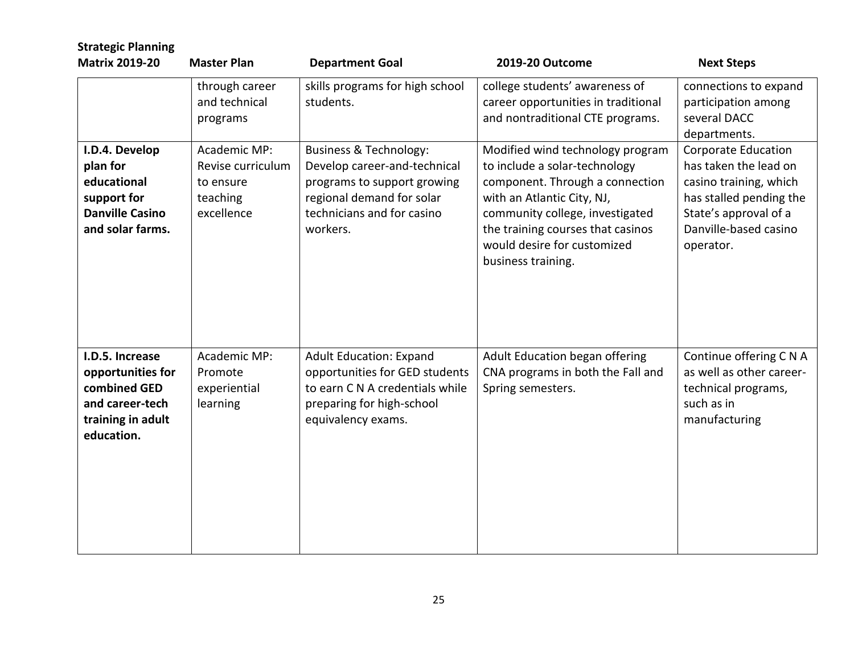| <b>Strategic Planning</b><br><b>Matrix 2019-20</b>                                                         | <b>Master Plan</b>                                                       | <b>Department Goal</b>                                                                                                                                                  | 2019-20 Outcome                                                                                                                                                                                                                                                 | <b>Next Steps</b>                                                                                                                                                |
|------------------------------------------------------------------------------------------------------------|--------------------------------------------------------------------------|-------------------------------------------------------------------------------------------------------------------------------------------------------------------------|-----------------------------------------------------------------------------------------------------------------------------------------------------------------------------------------------------------------------------------------------------------------|------------------------------------------------------------------------------------------------------------------------------------------------------------------|
|                                                                                                            | through career<br>and technical<br>programs                              | skills programs for high school<br>students.                                                                                                                            | college students' awareness of<br>career opportunities in traditional<br>and nontraditional CTE programs.                                                                                                                                                       | connections to expand<br>participation among<br>several DACC<br>departments.                                                                                     |
| I.D.4. Develop<br>plan for<br>educational<br>support for<br><b>Danville Casino</b><br>and solar farms.     | Academic MP:<br>Revise curriculum<br>to ensure<br>teaching<br>excellence | <b>Business &amp; Technology:</b><br>Develop career-and-technical<br>programs to support growing<br>regional demand for solar<br>technicians and for casino<br>workers. | Modified wind technology program<br>to include a solar-technology<br>component. Through a connection<br>with an Atlantic City, NJ,<br>community college, investigated<br>the training courses that casinos<br>would desire for customized<br>business training. | Corporate Education<br>has taken the lead on<br>casino training, which<br>has stalled pending the<br>State's approval of a<br>Danville-based casino<br>operator. |
| I.D.5. Increase<br>opportunities for<br>combined GED<br>and career-tech<br>training in adult<br>education. | Academic MP:<br>Promote<br>experiential<br>learning                      | <b>Adult Education: Expand</b><br>opportunities for GED students<br>to earn C N A credentials while<br>preparing for high-school<br>equivalency exams.                  | Adult Education began offering<br>CNA programs in both the Fall and<br>Spring semesters.                                                                                                                                                                        | Continue offering C N A<br>as well as other career-<br>technical programs,<br>such as in<br>manufacturing                                                        |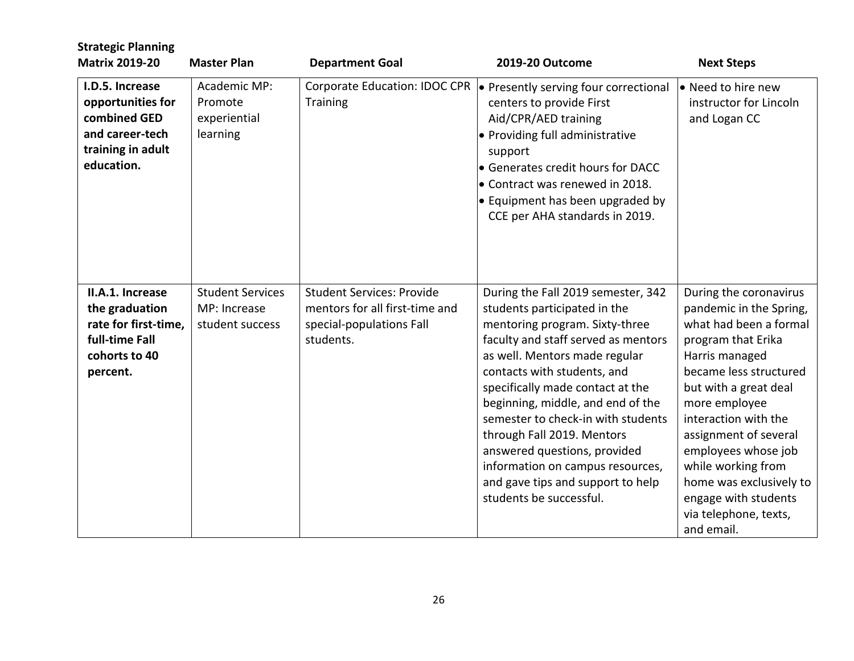| <b>Strategic Planning</b><br><b>Matrix 2019-20</b>                                                         | <b>Master Plan</b>                                         | <b>Department Goal</b>                                                                                      | 2019-20 Outcome                                                                                                                                                                                                                                                                                                                                                                                                                                                                              | <b>Next Steps</b>                                                                                                                                                                                                                                                                                                                                                               |
|------------------------------------------------------------------------------------------------------------|------------------------------------------------------------|-------------------------------------------------------------------------------------------------------------|----------------------------------------------------------------------------------------------------------------------------------------------------------------------------------------------------------------------------------------------------------------------------------------------------------------------------------------------------------------------------------------------------------------------------------------------------------------------------------------------|---------------------------------------------------------------------------------------------------------------------------------------------------------------------------------------------------------------------------------------------------------------------------------------------------------------------------------------------------------------------------------|
| I.D.5. Increase<br>opportunities for<br>combined GED<br>and career-tech<br>training in adult<br>education. | Academic MP:<br>Promote<br>experiential<br>learning        | Training                                                                                                    | Corporate Education: IDOC CPR  ● Presently serving four correctional<br>centers to provide First<br>Aid/CPR/AED training<br>• Providing full administrative<br>support<br>• Generates credit hours for DACC<br>• Contract was renewed in 2018.<br>• Equipment has been upgraded by<br>CCE per AHA standards in 2019.                                                                                                                                                                         | • Need to hire new<br>instructor for Lincoln<br>and Logan CC                                                                                                                                                                                                                                                                                                                    |
| II.A.1. Increase<br>the graduation<br>rate for first-time,<br>full-time Fall<br>cohorts to 40<br>percent.  | <b>Student Services</b><br>MP: Increase<br>student success | <b>Student Services: Provide</b><br>mentors for all first-time and<br>special-populations Fall<br>students. | During the Fall 2019 semester, 342<br>students participated in the<br>mentoring program. Sixty-three<br>faculty and staff served as mentors<br>as well. Mentors made regular<br>contacts with students, and<br>specifically made contact at the<br>beginning, middle, and end of the<br>semester to check-in with students<br>through Fall 2019. Mentors<br>answered questions, provided<br>information on campus resources,<br>and gave tips and support to help<br>students be successful. | During the coronavirus<br>pandemic in the Spring,<br>what had been a formal<br>program that Erika<br>Harris managed<br>became less structured<br>but with a great deal<br>more employee<br>interaction with the<br>assignment of several<br>employees whose job<br>while working from<br>home was exclusively to<br>engage with students<br>via telephone, texts,<br>and email. |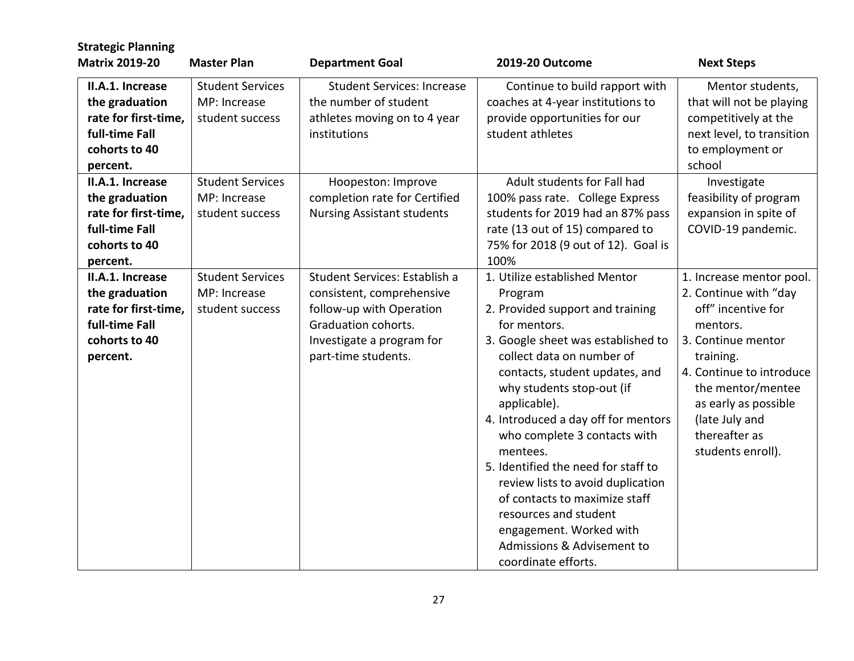| <b>Strategic Planning</b><br><b>Matrix 2019-20</b>                                                                            | <b>Master Plan</b>                                                                    | <b>Department Goal</b>                                                                                                                                            | 2019-20 Outcome                                                                                                                                                                                                                                                                                                                                                                                                                                                                                                                                         | <b>Next Steps</b>                                                                                                                                                                                                                                       |
|-------------------------------------------------------------------------------------------------------------------------------|---------------------------------------------------------------------------------------|-------------------------------------------------------------------------------------------------------------------------------------------------------------------|---------------------------------------------------------------------------------------------------------------------------------------------------------------------------------------------------------------------------------------------------------------------------------------------------------------------------------------------------------------------------------------------------------------------------------------------------------------------------------------------------------------------------------------------------------|---------------------------------------------------------------------------------------------------------------------------------------------------------------------------------------------------------------------------------------------------------|
| II.A.1. Increase<br>the graduation<br>rate for first-time,<br>full-time Fall<br>cohorts to 40<br>percent.<br>II.A.1. Increase | <b>Student Services</b><br>MP: Increase<br>student success<br><b>Student Services</b> | <b>Student Services: Increase</b><br>the number of student<br>athletes moving on to 4 year<br>institutions<br>Hoopeston: Improve                                  | Continue to build rapport with<br>coaches at 4-year institutions to<br>provide opportunities for our<br>student athletes<br>Adult students for Fall had                                                                                                                                                                                                                                                                                                                                                                                                 | Mentor students,<br>that will not be playing<br>competitively at the<br>next level, to transition<br>to employment or<br>school<br>Investigate                                                                                                          |
| the graduation<br>rate for first-time,<br>full-time Fall<br>cohorts to 40<br>percent.                                         | MP: Increase<br>student success                                                       | completion rate for Certified<br><b>Nursing Assistant students</b>                                                                                                | 100% pass rate. College Express<br>students for 2019 had an 87% pass<br>rate (13 out of 15) compared to<br>75% for 2018 (9 out of 12). Goal is<br>100%                                                                                                                                                                                                                                                                                                                                                                                                  | feasibility of program<br>expansion in spite of<br>COVID-19 pandemic.                                                                                                                                                                                   |
| II.A.1. Increase<br>the graduation<br>rate for first-time,<br>full-time Fall<br>cohorts to 40<br>percent.                     | <b>Student Services</b><br>MP: Increase<br>student success                            | Student Services: Establish a<br>consistent, comprehensive<br>follow-up with Operation<br>Graduation cohorts.<br>Investigate a program for<br>part-time students. | 1. Utilize established Mentor<br>Program<br>2. Provided support and training<br>for mentors.<br>3. Google sheet was established to<br>collect data on number of<br>contacts, student updates, and<br>why students stop-out (if<br>applicable).<br>4. Introduced a day off for mentors<br>who complete 3 contacts with<br>mentees.<br>5. Identified the need for staff to<br>review lists to avoid duplication<br>of contacts to maximize staff<br>resources and student<br>engagement. Worked with<br>Admissions & Advisement to<br>coordinate efforts. | 1. Increase mentor pool.<br>2. Continue with "day<br>off" incentive for<br>mentors.<br>3. Continue mentor<br>training.<br>4. Continue to introduce<br>the mentor/mentee<br>as early as possible<br>(late July and<br>thereafter as<br>students enroll). |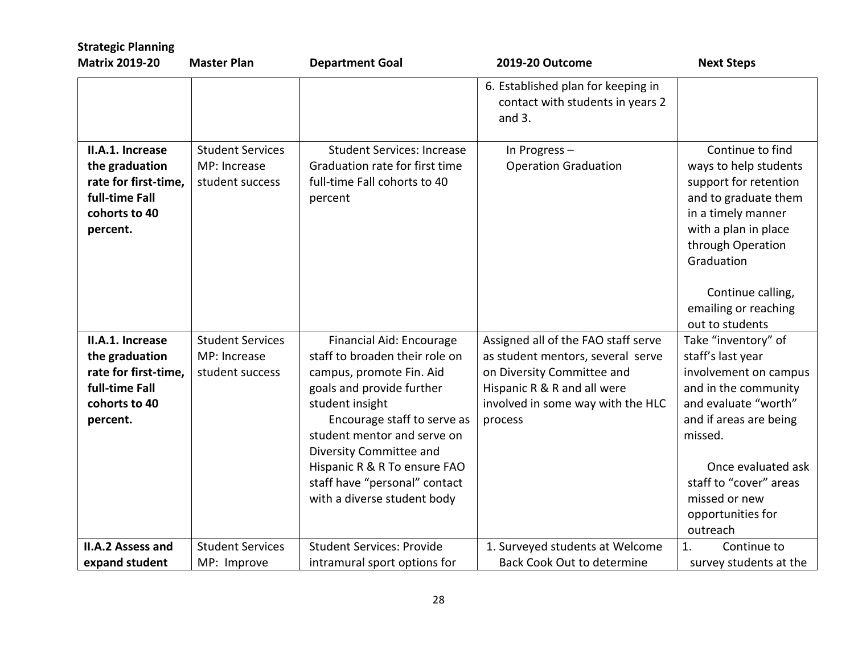| <b>Strategic Planning</b>                                                                                 |                                                            |                                                                                                                                                                                                                                                                                                                                 |                                                                                                                                                                                       |                                                                                                                                                                                                                                                          |
|-----------------------------------------------------------------------------------------------------------|------------------------------------------------------------|---------------------------------------------------------------------------------------------------------------------------------------------------------------------------------------------------------------------------------------------------------------------------------------------------------------------------------|---------------------------------------------------------------------------------------------------------------------------------------------------------------------------------------|----------------------------------------------------------------------------------------------------------------------------------------------------------------------------------------------------------------------------------------------------------|
| <b>Matrix 2019-20</b>                                                                                     | <b>Master Plan</b>                                         | <b>Department Goal</b>                                                                                                                                                                                                                                                                                                          | 2019-20 Outcome                                                                                                                                                                       | <b>Next Steps</b>                                                                                                                                                                                                                                        |
|                                                                                                           |                                                            |                                                                                                                                                                                                                                                                                                                                 | 6. Established plan for keeping in<br>contact with students in years 2<br>and $3.$                                                                                                    |                                                                                                                                                                                                                                                          |
| II.A.1. Increase<br>the graduation<br>rate for first-time,<br>full-time Fall<br>cohorts to 40<br>percent. | <b>Student Services</b><br>MP: Increase<br>student success | <b>Student Services: Increase</b><br>Graduation rate for first time<br>full-time Fall cohorts to 40<br>percent                                                                                                                                                                                                                  | In Progress-<br><b>Operation Graduation</b>                                                                                                                                           | Continue to find<br>ways to help students<br>support for retention<br>and to graduate them<br>in a timely manner<br>with a plan in place<br>through Operation<br>Graduation                                                                              |
|                                                                                                           |                                                            |                                                                                                                                                                                                                                                                                                                                 |                                                                                                                                                                                       | Continue calling,<br>emailing or reaching<br>out to students                                                                                                                                                                                             |
| II.A.1. Increase<br>the graduation<br>rate for first-time,<br>full-time Fall<br>cohorts to 40<br>percent. | <b>Student Services</b><br>MP: Increase<br>student success | Financial Aid: Encourage<br>staff to broaden their role on<br>campus, promote Fin. Aid<br>goals and provide further<br>student insight<br>Encourage staff to serve as<br>student mentor and serve on<br>Diversity Committee and<br>Hispanic R & R To ensure FAO<br>staff have "personal" contact<br>with a diverse student body | Assigned all of the FAO staff serve<br>as student mentors, several serve<br>on Diversity Committee and<br>Hispanic R & R and all were<br>involved in some way with the HLC<br>process | Take "inventory" of<br>staff's last year<br>involvement on campus<br>and in the community<br>and evaluate "worth"<br>and if areas are being<br>missed.<br>Once evaluated ask<br>staff to "cover" areas<br>missed or new<br>opportunities for<br>outreach |
| <b>II.A.2 Assess and</b>                                                                                  | <b>Student Services</b>                                    | <b>Student Services: Provide</b>                                                                                                                                                                                                                                                                                                | 1. Surveyed students at Welcome                                                                                                                                                       | 1.<br>Continue to                                                                                                                                                                                                                                        |
| expand student                                                                                            | MP: Improve                                                | intramural sport options for                                                                                                                                                                                                                                                                                                    | <b>Back Cook Out to determine</b>                                                                                                                                                     | survey students at the                                                                                                                                                                                                                                   |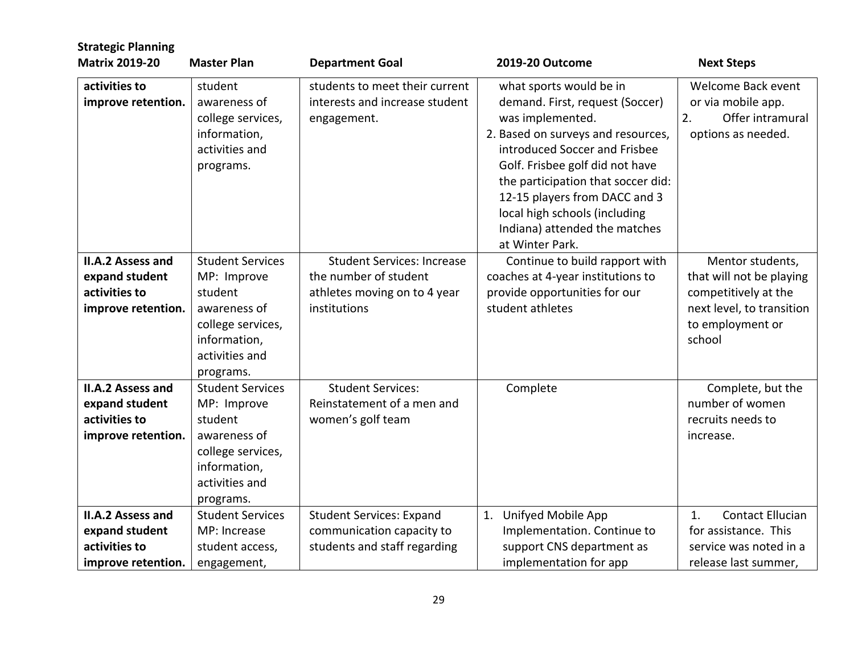| <b>Strategic Planning</b>                                                         |                                                                                                                                       |                                                                                                            |                                                                                                                                                                                                                                                                                                                                                      |                                                                                                                                 |
|-----------------------------------------------------------------------------------|---------------------------------------------------------------------------------------------------------------------------------------|------------------------------------------------------------------------------------------------------------|------------------------------------------------------------------------------------------------------------------------------------------------------------------------------------------------------------------------------------------------------------------------------------------------------------------------------------------------------|---------------------------------------------------------------------------------------------------------------------------------|
| <b>Matrix 2019-20</b>                                                             | <b>Master Plan</b>                                                                                                                    | <b>Department Goal</b>                                                                                     | 2019-20 Outcome                                                                                                                                                                                                                                                                                                                                      | <b>Next Steps</b>                                                                                                               |
| activities to<br>improve retention.                                               | student<br>awareness of<br>college services,<br>information,<br>activities and<br>programs.                                           | students to meet their current<br>interests and increase student<br>engagement.                            | what sports would be in<br>demand. First, request (Soccer)<br>was implemented.<br>2. Based on surveys and resources,<br>introduced Soccer and Frisbee<br>Golf. Frisbee golf did not have<br>the participation that soccer did:<br>12-15 players from DACC and 3<br>local high schools (including<br>Indiana) attended the matches<br>at Winter Park. | Welcome Back event<br>or via mobile app.<br>2.<br>Offer intramural<br>options as needed.                                        |
| <b>II.A.2 Assess and</b><br>expand student<br>activities to<br>improve retention. | <b>Student Services</b><br>MP: Improve<br>student<br>awareness of<br>college services,<br>information,<br>activities and<br>programs. | <b>Student Services: Increase</b><br>the number of student<br>athletes moving on to 4 year<br>institutions | Continue to build rapport with<br>coaches at 4-year institutions to<br>provide opportunities for our<br>student athletes                                                                                                                                                                                                                             | Mentor students,<br>that will not be playing<br>competitively at the<br>next level, to transition<br>to employment or<br>school |
| <b>II.A.2 Assess and</b><br>expand student<br>activities to<br>improve retention. | <b>Student Services</b><br>MP: Improve<br>student<br>awareness of<br>college services,<br>information,<br>activities and<br>programs. | <b>Student Services:</b><br>Reinstatement of a men and<br>women's golf team                                | Complete                                                                                                                                                                                                                                                                                                                                             | Complete, but the<br>number of women<br>recruits needs to<br>increase.                                                          |
| <b>II.A.2 Assess and</b><br>expand student<br>activities to<br>improve retention. | <b>Student Services</b><br>MP: Increase<br>student access,<br>engagement,                                                             | <b>Student Services: Expand</b><br>communication capacity to<br>students and staff regarding               | 1. Unifyed Mobile App<br>Implementation. Continue to<br>support CNS department as<br>implementation for app                                                                                                                                                                                                                                          | <b>Contact Ellucian</b><br>1.<br>for assistance. This<br>service was noted in a<br>release last summer,                         |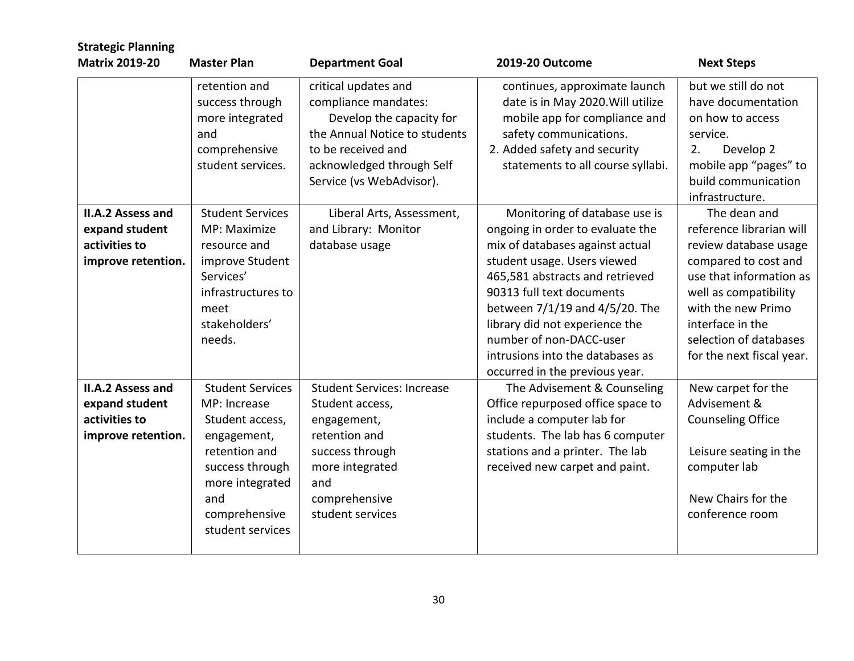| <b>Strategic Planning</b><br><b>Matrix 2019-20</b>                                | <b>Master Plan</b>                                                                                                                                                           | <b>Department Goal</b>                                                                                                                                                                   | 2019-20 Outcome                                                                                                                                                                                                                                                                                                                                                          | <b>Next Steps</b>                                                                                                                                                                                                                              |
|-----------------------------------------------------------------------------------|------------------------------------------------------------------------------------------------------------------------------------------------------------------------------|------------------------------------------------------------------------------------------------------------------------------------------------------------------------------------------|--------------------------------------------------------------------------------------------------------------------------------------------------------------------------------------------------------------------------------------------------------------------------------------------------------------------------------------------------------------------------|------------------------------------------------------------------------------------------------------------------------------------------------------------------------------------------------------------------------------------------------|
|                                                                                   | retention and<br>success through<br>more integrated<br>and<br>comprehensive<br>student services.                                                                             | critical updates and<br>compliance mandates:<br>Develop the capacity for<br>the Annual Notice to students<br>to be received and<br>acknowledged through Self<br>Service (vs WebAdvisor). | continues, approximate launch<br>date is in May 2020. Will utilize<br>mobile app for compliance and<br>safety communications.<br>2. Added safety and security<br>statements to all course syllabi.                                                                                                                                                                       | but we still do not<br>have documentation<br>on how to access<br>service.<br>2.<br>Develop 2<br>mobile app "pages" to<br>build communication<br>infrastructure.                                                                                |
| <b>II.A.2 Assess and</b><br>expand student<br>activities to<br>improve retention. | <b>Student Services</b><br>MP: Maximize<br>resource and<br>improve Student<br>Services'<br>infrastructures to<br>meet<br>stakeholders'<br>needs.                             | Liberal Arts, Assessment,<br>and Library: Monitor<br>database usage                                                                                                                      | Monitoring of database use is<br>ongoing in order to evaluate the<br>mix of databases against actual<br>student usage. Users viewed<br>465,581 abstracts and retrieved<br>90313 full text documents<br>between 7/1/19 and 4/5/20. The<br>library did not experience the<br>number of non-DACC-user<br>intrusions into the databases as<br>occurred in the previous year. | The dean and<br>reference librarian will<br>review database usage<br>compared to cost and<br>use that information as<br>well as compatibility<br>with the new Primo<br>interface in the<br>selection of databases<br>for the next fiscal year. |
| <b>II.A.2 Assess and</b><br>expand student<br>activities to<br>improve retention. | <b>Student Services</b><br>MP: Increase<br>Student access,<br>engagement,<br>retention and<br>success through<br>more integrated<br>and<br>comprehensive<br>student services | <b>Student Services: Increase</b><br>Student access,<br>engagement,<br>retention and<br>success through<br>more integrated<br>and<br>comprehensive<br>student services                   | The Advisement & Counseling<br>Office repurposed office space to<br>include a computer lab for<br>students. The lab has 6 computer<br>stations and a printer. The lab<br>received new carpet and paint.                                                                                                                                                                  | New carpet for the<br>Advisement &<br><b>Counseling Office</b><br>Leisure seating in the<br>computer lab<br>New Chairs for the<br>conference room                                                                                              |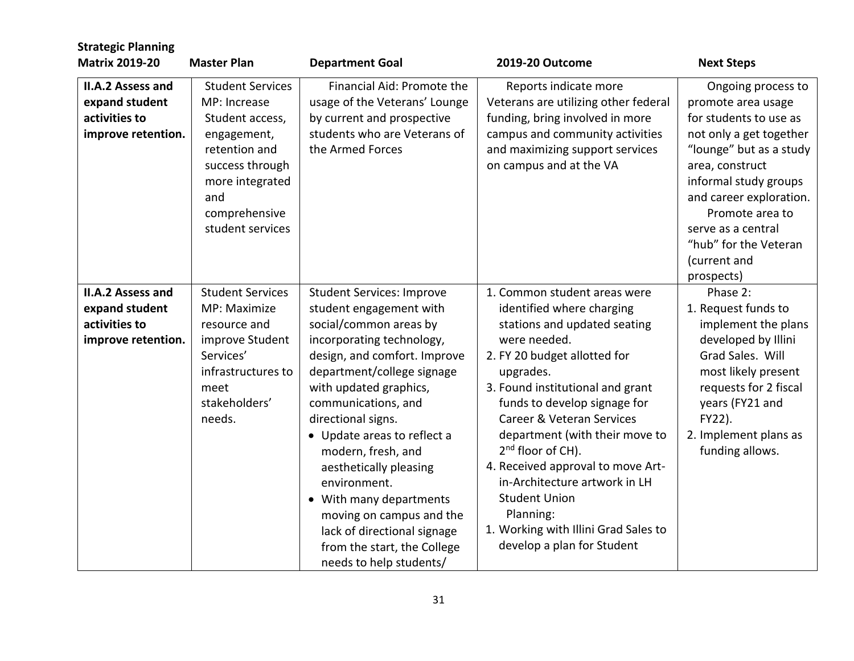| <b>Strategic Planning</b>                                                         |                                                                                                                                                                              |                                                                                                                                                                                                                                                                                                                                                                                                                                                                                                        |                                                                                                                                                                                                                                                                                                                                                                                                                                                                                                             |                                                                                                                                                                                                                                                                                                 |
|-----------------------------------------------------------------------------------|------------------------------------------------------------------------------------------------------------------------------------------------------------------------------|--------------------------------------------------------------------------------------------------------------------------------------------------------------------------------------------------------------------------------------------------------------------------------------------------------------------------------------------------------------------------------------------------------------------------------------------------------------------------------------------------------|-------------------------------------------------------------------------------------------------------------------------------------------------------------------------------------------------------------------------------------------------------------------------------------------------------------------------------------------------------------------------------------------------------------------------------------------------------------------------------------------------------------|-------------------------------------------------------------------------------------------------------------------------------------------------------------------------------------------------------------------------------------------------------------------------------------------------|
| <b>Matrix 2019-20</b>                                                             | <b>Master Plan</b>                                                                                                                                                           | <b>Department Goal</b>                                                                                                                                                                                                                                                                                                                                                                                                                                                                                 | 2019-20 Outcome                                                                                                                                                                                                                                                                                                                                                                                                                                                                                             | <b>Next Steps</b>                                                                                                                                                                                                                                                                               |
| II.A.2 Assess and<br>expand student<br>activities to<br>improve retention.        | <b>Student Services</b><br>MP: Increase<br>Student access,<br>engagement,<br>retention and<br>success through<br>more integrated<br>and<br>comprehensive<br>student services | Financial Aid: Promote the<br>usage of the Veterans' Lounge<br>by current and prospective<br>students who are Veterans of<br>the Armed Forces                                                                                                                                                                                                                                                                                                                                                          | Reports indicate more<br>Veterans are utilizing other federal<br>funding, bring involved in more<br>campus and community activities<br>and maximizing support services<br>on campus and at the VA                                                                                                                                                                                                                                                                                                           | Ongoing process to<br>promote area usage<br>for students to use as<br>not only a get together<br>"lounge" but as a study<br>area, construct<br>informal study groups<br>and career exploration.<br>Promote area to<br>serve as a central<br>"hub" for the Veteran<br>(current and<br>prospects) |
| <b>II.A.2 Assess and</b><br>expand student<br>activities to<br>improve retention. | <b>Student Services</b><br>MP: Maximize<br>resource and<br>improve Student<br>Services'<br>infrastructures to<br>meet<br>stakeholders'<br>needs.                             | <b>Student Services: Improve</b><br>student engagement with<br>social/common areas by<br>incorporating technology,<br>design, and comfort. Improve<br>department/college signage<br>with updated graphics,<br>communications, and<br>directional signs.<br>• Update areas to reflect a<br>modern, fresh, and<br>aesthetically pleasing<br>environment.<br>• With many departments<br>moving on campus and the<br>lack of directional signage<br>from the start, the College<br>needs to help students/ | 1. Common student areas were<br>identified where charging<br>stations and updated seating<br>were needed.<br>2. FY 20 budget allotted for<br>upgrades.<br>3. Found institutional and grant<br>funds to develop signage for<br>Career & Veteran Services<br>department (with their move to<br>2 <sup>nd</sup> floor of CH).<br>4. Received approval to move Art-<br>in-Architecture artwork in LH<br><b>Student Union</b><br>Planning:<br>1. Working with Illini Grad Sales to<br>develop a plan for Student | Phase 2:<br>1. Request funds to<br>implement the plans<br>developed by Illini<br>Grad Sales. Will<br>most likely present<br>requests for 2 fiscal<br>years (FY21 and<br>FY22).<br>2. Implement plans as<br>funding allows.                                                                      |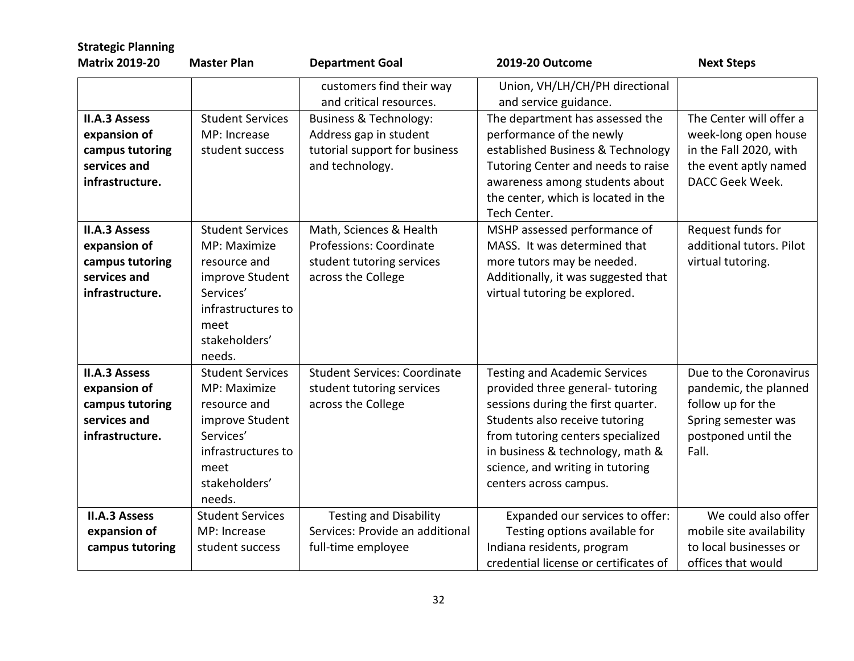| <b>Strategic Planning</b><br><b>Matrix 2019-20</b>                                         | <b>Master Plan</b>                                                                                                                               | <b>Department Goal</b>                                                                                          | 2019-20 Outcome                                                                                                                                                                                                                                                                        | <b>Next Steps</b>                                                                                                           |
|--------------------------------------------------------------------------------------------|--------------------------------------------------------------------------------------------------------------------------------------------------|-----------------------------------------------------------------------------------------------------------------|----------------------------------------------------------------------------------------------------------------------------------------------------------------------------------------------------------------------------------------------------------------------------------------|-----------------------------------------------------------------------------------------------------------------------------|
|                                                                                            |                                                                                                                                                  | customers find their way<br>and critical resources.                                                             | Union, VH/LH/CH/PH directional<br>and service guidance.                                                                                                                                                                                                                                |                                                                                                                             |
| <b>II.A.3 Assess</b><br>expansion of<br>campus tutoring<br>services and<br>infrastructure. | <b>Student Services</b><br>MP: Increase<br>student success                                                                                       | <b>Business &amp; Technology:</b><br>Address gap in student<br>tutorial support for business<br>and technology. | The department has assessed the<br>performance of the newly<br>established Business & Technology<br>Tutoring Center and needs to raise<br>awareness among students about<br>the center, which is located in the<br>Tech Center.                                                        | The Center will offer a<br>week-long open house<br>in the Fall 2020, with<br>the event aptly named<br>DACC Geek Week.       |
| <b>II.A.3 Assess</b><br>expansion of<br>campus tutoring<br>services and<br>infrastructure. | <b>Student Services</b><br>MP: Maximize<br>resource and<br>improve Student<br>Services'<br>infrastructures to<br>meet<br>stakeholders'<br>needs. | Math, Sciences & Health<br>Professions: Coordinate<br>student tutoring services<br>across the College           | MSHP assessed performance of<br>MASS. It was determined that<br>more tutors may be needed.<br>Additionally, it was suggested that<br>virtual tutoring be explored.                                                                                                                     | Request funds for<br>additional tutors. Pilot<br>virtual tutoring.                                                          |
| <b>II.A.3 Assess</b><br>expansion of<br>campus tutoring<br>services and<br>infrastructure. | <b>Student Services</b><br>MP: Maximize<br>resource and<br>improve Student<br>Services'<br>infrastructures to<br>meet<br>stakeholders'<br>needs. | <b>Student Services: Coordinate</b><br>student tutoring services<br>across the College                          | <b>Testing and Academic Services</b><br>provided three general-tutoring<br>sessions during the first quarter.<br>Students also receive tutoring<br>from tutoring centers specialized<br>in business & technology, math &<br>science, and writing in tutoring<br>centers across campus. | Due to the Coronavirus<br>pandemic, the planned<br>follow up for the<br>Spring semester was<br>postponed until the<br>Fall. |
| <b>II.A.3 Assess</b><br>expansion of<br>campus tutoring                                    | <b>Student Services</b><br>MP: Increase<br>student success                                                                                       | <b>Testing and Disability</b><br>Services: Provide an additional<br>full-time employee                          | Expanded our services to offer:<br>Testing options available for<br>Indiana residents, program<br>credential license or certificates of                                                                                                                                                | We could also offer<br>mobile site availability<br>to local businesses or<br>offices that would                             |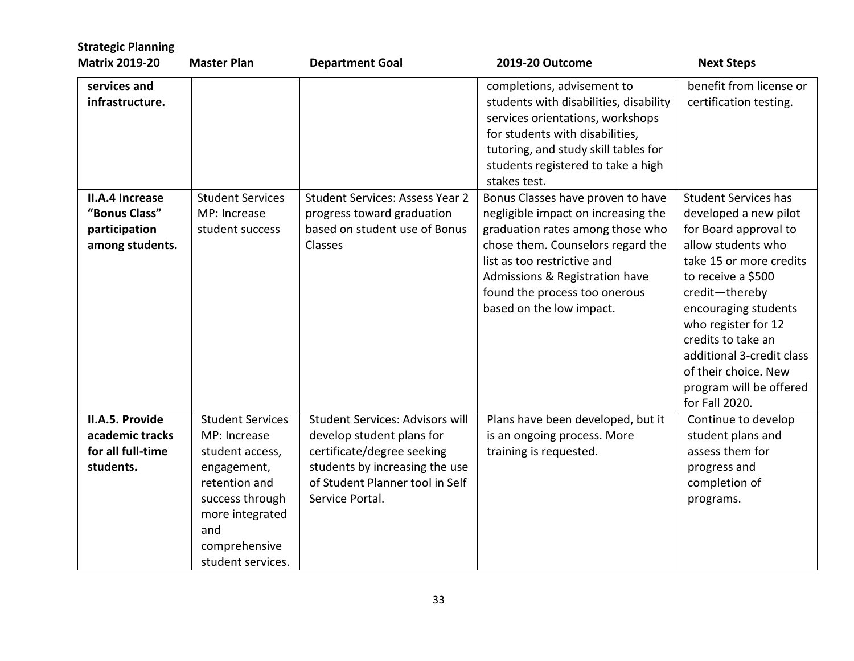| <b>Strategic Planning</b><br><b>Matrix 2019-20</b>                   | <b>Master Plan</b>                                                                                                                                                            | <b>Department Goal</b>                                                                                                                                                                    | 2019-20 Outcome                                                                                                                                                                                                                                                                 | <b>Next Steps</b>                                                                                                                                                                                                                                                                                                                             |
|----------------------------------------------------------------------|-------------------------------------------------------------------------------------------------------------------------------------------------------------------------------|-------------------------------------------------------------------------------------------------------------------------------------------------------------------------------------------|---------------------------------------------------------------------------------------------------------------------------------------------------------------------------------------------------------------------------------------------------------------------------------|-----------------------------------------------------------------------------------------------------------------------------------------------------------------------------------------------------------------------------------------------------------------------------------------------------------------------------------------------|
| services and<br>infrastructure.                                      |                                                                                                                                                                               |                                                                                                                                                                                           | completions, advisement to<br>students with disabilities, disability<br>services orientations, workshops<br>for students with disabilities,<br>tutoring, and study skill tables for<br>students registered to take a high<br>stakes test.                                       | benefit from license or<br>certification testing.                                                                                                                                                                                                                                                                                             |
| II.A.4 Increase<br>"Bonus Class"<br>participation<br>among students. | <b>Student Services</b><br>MP: Increase<br>student success                                                                                                                    | <b>Student Services: Assess Year 2</b><br>progress toward graduation<br>based on student use of Bonus<br>Classes                                                                          | Bonus Classes have proven to have<br>negligible impact on increasing the<br>graduation rates among those who<br>chose them. Counselors regard the<br>list as too restrictive and<br>Admissions & Registration have<br>found the process too onerous<br>based on the low impact. | <b>Student Services has</b><br>developed a new pilot<br>for Board approval to<br>allow students who<br>take 15 or more credits<br>to receive a \$500<br>credit-thereby<br>encouraging students<br>who register for 12<br>credits to take an<br>additional 3-credit class<br>of their choice. New<br>program will be offered<br>for Fall 2020. |
| II.A.5. Provide<br>academic tracks<br>for all full-time<br>students. | <b>Student Services</b><br>MP: Increase<br>student access,<br>engagement,<br>retention and<br>success through<br>more integrated<br>and<br>comprehensive<br>student services. | <b>Student Services: Advisors will</b><br>develop student plans for<br>certificate/degree seeking<br>students by increasing the use<br>of Student Planner tool in Self<br>Service Portal. | Plans have been developed, but it<br>is an ongoing process. More<br>training is requested.                                                                                                                                                                                      | Continue to develop<br>student plans and<br>assess them for<br>progress and<br>completion of<br>programs.                                                                                                                                                                                                                                     |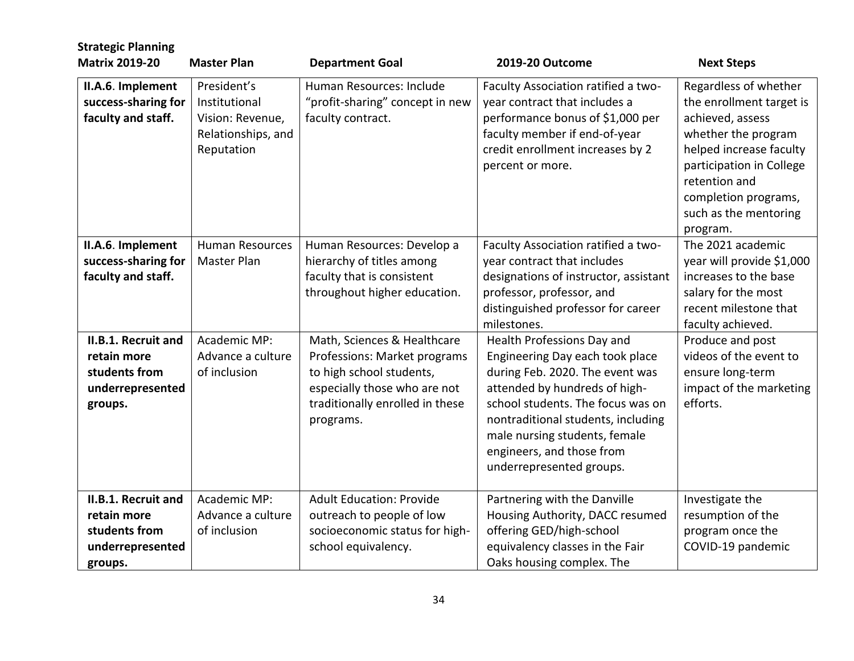| <b>Strategic Planning</b><br><b>Matrix 2019-20</b>                                        | <b>Master Plan</b>                                                                   | <b>Department Goal</b>                                                                                                                                                  | 2019-20 Outcome                                                                                                                                                                                                                                                                                        | <b>Next Steps</b>                                                                                                                                                                                                                 |
|-------------------------------------------------------------------------------------------|--------------------------------------------------------------------------------------|-------------------------------------------------------------------------------------------------------------------------------------------------------------------------|--------------------------------------------------------------------------------------------------------------------------------------------------------------------------------------------------------------------------------------------------------------------------------------------------------|-----------------------------------------------------------------------------------------------------------------------------------------------------------------------------------------------------------------------------------|
| II.A.6. Implement<br>success-sharing for<br>faculty and staff.                            | President's<br>Institutional<br>Vision: Revenue,<br>Relationships, and<br>Reputation | Human Resources: Include<br>"profit-sharing" concept in new<br>faculty contract.                                                                                        | Faculty Association ratified a two-<br>year contract that includes a<br>performance bonus of \$1,000 per<br>faculty member if end-of-year<br>credit enrollment increases by 2<br>percent or more.                                                                                                      | Regardless of whether<br>the enrollment target is<br>achieved, assess<br>whether the program<br>helped increase faculty<br>participation in College<br>retention and<br>completion programs,<br>such as the mentoring<br>program. |
| II.A.6. Implement<br>success-sharing for<br>faculty and staff.                            | <b>Human Resources</b><br>Master Plan                                                | Human Resources: Develop a<br>hierarchy of titles among<br>faculty that is consistent<br>throughout higher education.                                                   | Faculty Association ratified a two-<br>year contract that includes<br>designations of instructor, assistant<br>professor, professor, and<br>distinguished professor for career<br>milestones.                                                                                                          | The 2021 academic<br>year will provide \$1,000<br>increases to the base<br>salary for the most<br>recent milestone that<br>faculty achieved.                                                                                      |
| <b>II.B.1. Recruit and</b><br>retain more<br>students from<br>underrepresented<br>groups. | Academic MP:<br>Advance a culture<br>of inclusion                                    | Math, Sciences & Healthcare<br>Professions: Market programs<br>to high school students,<br>especially those who are not<br>traditionally enrolled in these<br>programs. | Health Professions Day and<br>Engineering Day each took place<br>during Feb. 2020. The event was<br>attended by hundreds of high-<br>school students. The focus was on<br>nontraditional students, including<br>male nursing students, female<br>engineers, and those from<br>underrepresented groups. | Produce and post<br>videos of the event to<br>ensure long-term<br>impact of the marketing<br>efforts.                                                                                                                             |
| II.B.1. Recruit and<br>retain more<br>students from<br>underrepresented<br>groups.        | Academic MP:<br>Advance a culture<br>of inclusion                                    | <b>Adult Education: Provide</b><br>outreach to people of low<br>socioeconomic status for high-<br>school equivalency.                                                   | Partnering with the Danville<br>Housing Authority, DACC resumed<br>offering GED/high-school<br>equivalency classes in the Fair<br>Oaks housing complex. The                                                                                                                                            | Investigate the<br>resumption of the<br>program once the<br>COVID-19 pandemic                                                                                                                                                     |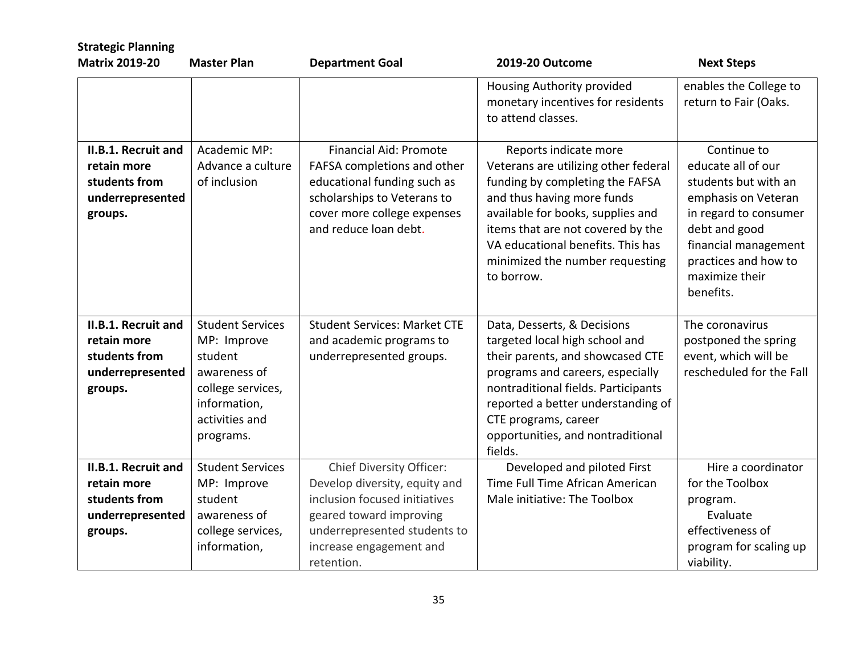| <b>Strategic Planning</b>                                                                 |                                                                                                                                       |                                                                                                                                                                                    |                                                                                                                                                                                                                                                                                                |                                                                                                                                                                                                           |  |
|-------------------------------------------------------------------------------------------|---------------------------------------------------------------------------------------------------------------------------------------|------------------------------------------------------------------------------------------------------------------------------------------------------------------------------------|------------------------------------------------------------------------------------------------------------------------------------------------------------------------------------------------------------------------------------------------------------------------------------------------|-----------------------------------------------------------------------------------------------------------------------------------------------------------------------------------------------------------|--|
| <b>Matrix 2019-20</b>                                                                     | <b>Master Plan</b>                                                                                                                    | <b>Department Goal</b>                                                                                                                                                             | 2019-20 Outcome                                                                                                                                                                                                                                                                                | <b>Next Steps</b>                                                                                                                                                                                         |  |
|                                                                                           |                                                                                                                                       |                                                                                                                                                                                    | Housing Authority provided<br>monetary incentives for residents<br>to attend classes.                                                                                                                                                                                                          | enables the College to<br>return to Fair (Oaks.                                                                                                                                                           |  |
| <b>II.B.1. Recruit and</b><br>retain more<br>students from<br>underrepresented<br>groups. | Academic MP:<br>Advance a culture<br>of inclusion                                                                                     | <b>Financial Aid: Promote</b><br>FAFSA completions and other<br>educational funding such as<br>scholarships to Veterans to<br>cover more college expenses<br>and reduce loan debt. | Reports indicate more<br>Veterans are utilizing other federal<br>funding by completing the FAFSA<br>and thus having more funds<br>available for books, supplies and<br>items that are not covered by the<br>VA educational benefits. This has<br>minimized the number requesting<br>to borrow. | Continue to<br>educate all of our<br>students but with an<br>emphasis on Veteran<br>in regard to consumer<br>debt and good<br>financial management<br>practices and how to<br>maximize their<br>benefits. |  |
| <b>II.B.1. Recruit and</b><br>retain more<br>students from<br>underrepresented<br>groups. | <b>Student Services</b><br>MP: Improve<br>student<br>awareness of<br>college services,<br>information,<br>activities and<br>programs. | <b>Student Services: Market CTE</b><br>and academic programs to<br>underrepresented groups.                                                                                        | Data, Desserts, & Decisions<br>targeted local high school and<br>their parents, and showcased CTE<br>programs and careers, especially<br>nontraditional fields. Participants<br>reported a better understanding of<br>CTE programs, career<br>opportunities, and nontraditional<br>fields.     | The coronavirus<br>postponed the spring<br>event, which will be<br>rescheduled for the Fall                                                                                                               |  |
| II.B.1. Recruit and                                                                       | <b>Student Services</b>                                                                                                               | <b>Chief Diversity Officer:</b>                                                                                                                                                    | Developed and piloted First                                                                                                                                                                                                                                                                    | Hire a coordinator                                                                                                                                                                                        |  |
| retain more                                                                               | MP: Improve                                                                                                                           | Develop diversity, equity and                                                                                                                                                      | Time Full Time African American                                                                                                                                                                                                                                                                | for the Toolbox                                                                                                                                                                                           |  |
| students from                                                                             | student                                                                                                                               | inclusion focused initiatives                                                                                                                                                      | Male initiative: The Toolbox                                                                                                                                                                                                                                                                   | program.                                                                                                                                                                                                  |  |
| underrepresented                                                                          | awareness of                                                                                                                          | geared toward improving                                                                                                                                                            |                                                                                                                                                                                                                                                                                                | Evaluate                                                                                                                                                                                                  |  |
| groups.                                                                                   | college services,                                                                                                                     | underrepresented students to                                                                                                                                                       |                                                                                                                                                                                                                                                                                                | effectiveness of                                                                                                                                                                                          |  |
|                                                                                           | information,                                                                                                                          | increase engagement and                                                                                                                                                            |                                                                                                                                                                                                                                                                                                | program for scaling up                                                                                                                                                                                    |  |
|                                                                                           |                                                                                                                                       | retention.                                                                                                                                                                         |                                                                                                                                                                                                                                                                                                | viability.                                                                                                                                                                                                |  |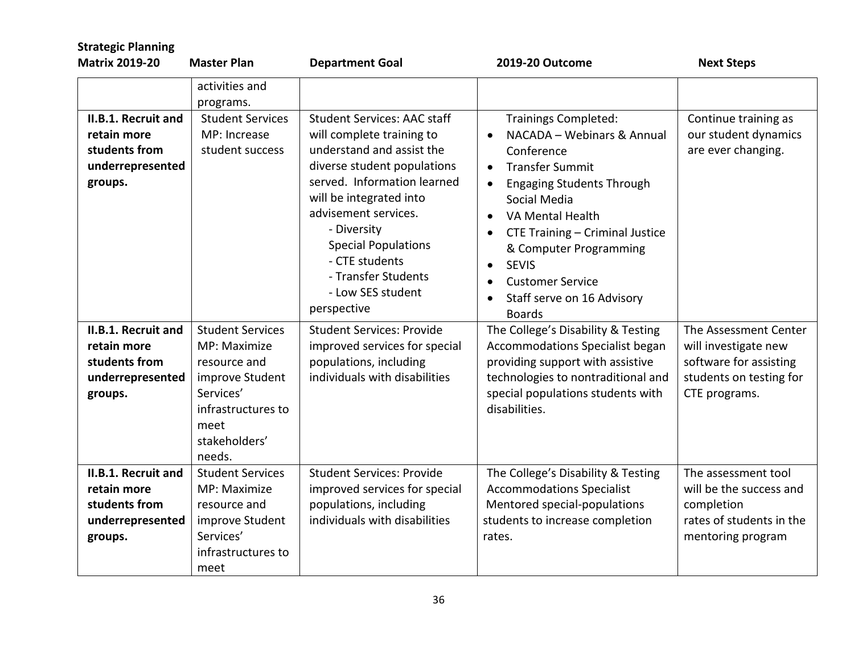| <b>Strategic Planning</b>                                                                 |                                                                                                                                                  |                                                                                                                                                                                                                                                                                                                          |                                                                                                                                                                                                                                                                                                                                                                                  |                                                                                                                     |
|-------------------------------------------------------------------------------------------|--------------------------------------------------------------------------------------------------------------------------------------------------|--------------------------------------------------------------------------------------------------------------------------------------------------------------------------------------------------------------------------------------------------------------------------------------------------------------------------|----------------------------------------------------------------------------------------------------------------------------------------------------------------------------------------------------------------------------------------------------------------------------------------------------------------------------------------------------------------------------------|---------------------------------------------------------------------------------------------------------------------|
| <b>Matrix 2019-20</b>                                                                     | <b>Master Plan</b>                                                                                                                               | <b>Department Goal</b>                                                                                                                                                                                                                                                                                                   | 2019-20 Outcome                                                                                                                                                                                                                                                                                                                                                                  | <b>Next Steps</b>                                                                                                   |
| <b>II.B.1. Recruit and</b><br>retain more<br>students from<br>underrepresented<br>groups. | activities and<br>programs.<br><b>Student Services</b><br>MP: Increase<br>student success                                                        | <b>Student Services: AAC staff</b><br>will complete training to<br>understand and assist the<br>diverse student populations<br>served. Information learned<br>will be integrated into<br>advisement services.<br>- Diversity<br><b>Special Populations</b><br>- CTE students<br>- Transfer Students<br>- Low SES student | <b>Trainings Completed:</b><br>NACADA - Webinars & Annual<br>Conference<br><b>Transfer Summit</b><br>$\bullet$<br><b>Engaging Students Through</b><br>$\bullet$<br>Social Media<br>VA Mental Health<br>$\bullet$<br>CTE Training - Criminal Justice<br>& Computer Programming<br><b>SEVIS</b><br>$\bullet$<br><b>Customer Service</b><br>$\bullet$<br>Staff serve on 16 Advisory | Continue training as<br>our student dynamics<br>are ever changing.                                                  |
| II.B.1. Recruit and<br>retain more<br>students from<br>underrepresented<br>groups.        | <b>Student Services</b><br>MP: Maximize<br>resource and<br>improve Student<br>Services'<br>infrastructures to<br>meet<br>stakeholders'<br>needs. | perspective<br><b>Student Services: Provide</b><br>improved services for special<br>populations, including<br>individuals with disabilities                                                                                                                                                                              | <b>Boards</b><br>The College's Disability & Testing<br>Accommodations Specialist began<br>providing support with assistive<br>technologies to nontraditional and<br>special populations students with<br>disabilities.                                                                                                                                                           | The Assessment Center<br>will investigate new<br>software for assisting<br>students on testing for<br>CTE programs. |
| <b>II.B.1. Recruit and</b><br>retain more<br>students from<br>underrepresented<br>groups. | <b>Student Services</b><br>MP: Maximize<br>resource and<br>improve Student<br>Services'<br>infrastructures to<br>meet                            | <b>Student Services: Provide</b><br>improved services for special<br>populations, including<br>individuals with disabilities                                                                                                                                                                                             | The College's Disability & Testing<br><b>Accommodations Specialist</b><br>Mentored special-populations<br>students to increase completion<br>rates.                                                                                                                                                                                                                              | The assessment tool<br>will be the success and<br>completion<br>rates of students in the<br>mentoring program       |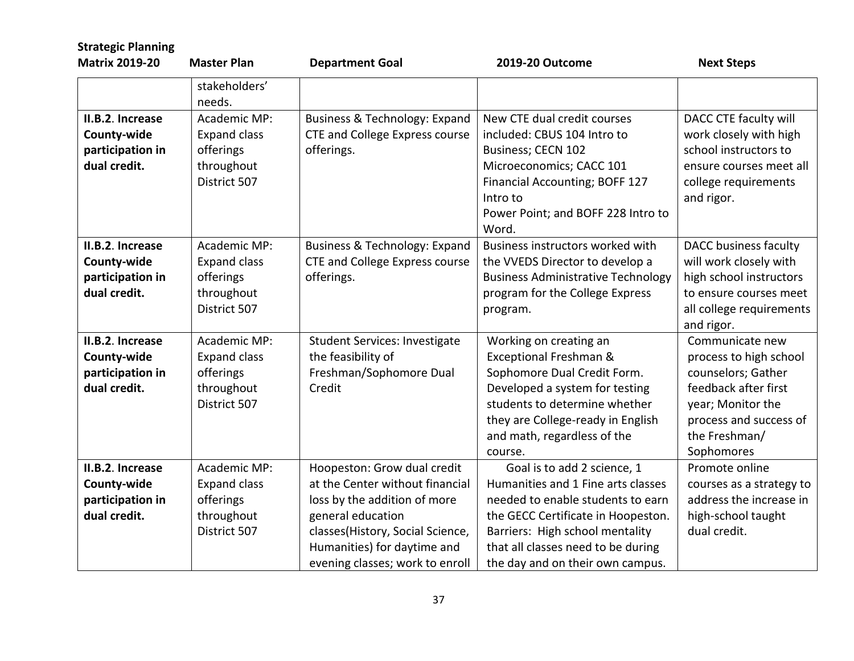| <b>Strategic Planning</b>                                           |                                                                                |                                                                                                                                                                                                                           |                                                                                                                                                                                                                                                           |                                                                                                                                                                       |
|---------------------------------------------------------------------|--------------------------------------------------------------------------------|---------------------------------------------------------------------------------------------------------------------------------------------------------------------------------------------------------------------------|-----------------------------------------------------------------------------------------------------------------------------------------------------------------------------------------------------------------------------------------------------------|-----------------------------------------------------------------------------------------------------------------------------------------------------------------------|
| <b>Matrix 2019-20</b>                                               | <b>Master Plan</b>                                                             | <b>Department Goal</b>                                                                                                                                                                                                    | 2019-20 Outcome                                                                                                                                                                                                                                           | <b>Next Steps</b>                                                                                                                                                     |
|                                                                     | stakeholders'<br>needs.                                                        |                                                                                                                                                                                                                           |                                                                                                                                                                                                                                                           |                                                                                                                                                                       |
| II.B.2. Increase<br>County-wide<br>participation in<br>dual credit. | Academic MP:<br><b>Expand class</b><br>offerings<br>throughout<br>District 507 | Business & Technology: Expand<br><b>CTE and College Express course</b><br>offerings.                                                                                                                                      | New CTE dual credit courses<br>included: CBUS 104 Intro to<br>Business; CECN 102<br>Microeconomics; CACC 101<br>Financial Accounting; BOFF 127<br>Intro to<br>Power Point; and BOFF 228 Intro to<br>Word.                                                 | DACC CTE faculty will<br>work closely with high<br>school instructors to<br>ensure courses meet all<br>college requirements<br>and rigor.                             |
| II.B.2. Increase<br>County-wide<br>participation in<br>dual credit. | Academic MP:<br><b>Expand class</b><br>offerings<br>throughout<br>District 507 | Business & Technology: Expand<br><b>CTE and College Express course</b><br>offerings.                                                                                                                                      | Business instructors worked with<br>the VVEDS Director to develop a<br><b>Business Administrative Technology</b><br>program for the College Express<br>program.                                                                                           | DACC business faculty<br>will work closely with<br>high school instructors<br>to ensure courses meet<br>all college requirements<br>and rigor.                        |
| II.B.2. Increase<br>County-wide<br>participation in<br>dual credit. | Academic MP:<br><b>Expand class</b><br>offerings<br>throughout<br>District 507 | <b>Student Services: Investigate</b><br>the feasibility of<br>Freshman/Sophomore Dual<br>Credit                                                                                                                           | Working on creating an<br>Exceptional Freshman &<br>Sophomore Dual Credit Form.<br>Developed a system for testing<br>students to determine whether<br>they are College-ready in English<br>and math, regardless of the<br>course.                         | Communicate new<br>process to high school<br>counselors; Gather<br>feedback after first<br>year; Monitor the<br>process and success of<br>the Freshman/<br>Sophomores |
| II.B.2. Increase<br>County-wide<br>participation in<br>dual credit. | Academic MP:<br><b>Expand class</b><br>offerings<br>throughout<br>District 507 | Hoopeston: Grow dual credit<br>at the Center without financial<br>loss by the addition of more<br>general education<br>classes(History, Social Science,<br>Humanities) for daytime and<br>evening classes; work to enroll | Goal is to add 2 science, 1<br>Humanities and 1 Fine arts classes<br>needed to enable students to earn<br>the GECC Certificate in Hoopeston.<br>Barriers: High school mentality<br>that all classes need to be during<br>the day and on their own campus. | Promote online<br>courses as a strategy to<br>address the increase in<br>high-school taught<br>dual credit.                                                           |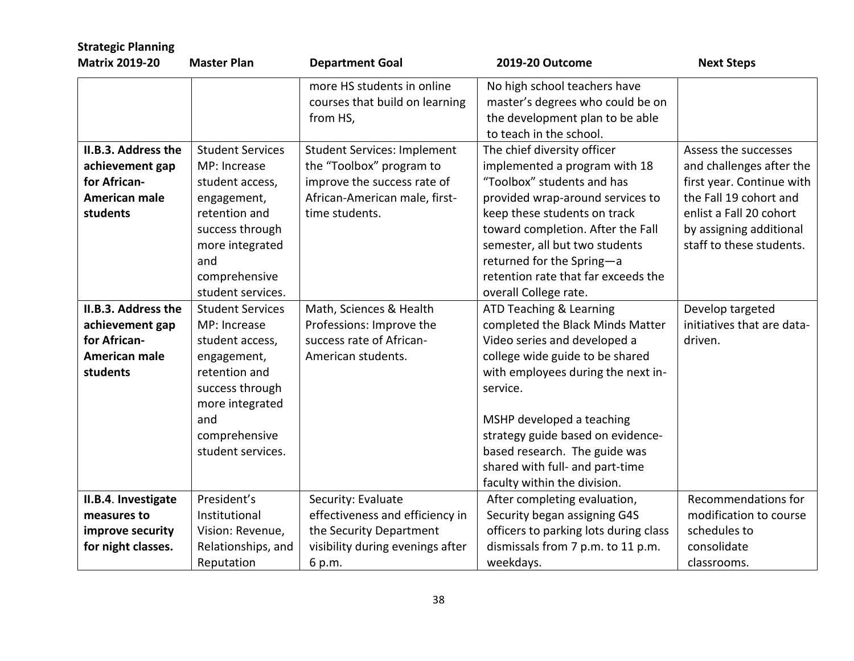| <b>Strategic Planning</b>                                                                  |                                                                                                                                                                               |                                                                                                                                                  |                                                                                                                                                                                                                                                                                                                                                        |                                                                                                                                                                                           |
|--------------------------------------------------------------------------------------------|-------------------------------------------------------------------------------------------------------------------------------------------------------------------------------|--------------------------------------------------------------------------------------------------------------------------------------------------|--------------------------------------------------------------------------------------------------------------------------------------------------------------------------------------------------------------------------------------------------------------------------------------------------------------------------------------------------------|-------------------------------------------------------------------------------------------------------------------------------------------------------------------------------------------|
| <b>Matrix 2019-20</b>                                                                      | <b>Master Plan</b>                                                                                                                                                            | <b>Department Goal</b>                                                                                                                           | 2019-20 Outcome                                                                                                                                                                                                                                                                                                                                        | <b>Next Steps</b>                                                                                                                                                                         |
|                                                                                            |                                                                                                                                                                               | more HS students in online<br>courses that build on learning<br>from HS,                                                                         | No high school teachers have<br>master's degrees who could be on<br>the development plan to be able<br>to teach in the school.                                                                                                                                                                                                                         |                                                                                                                                                                                           |
| II.B.3. Address the<br>achievement gap<br>for African-<br><b>American male</b><br>students | <b>Student Services</b><br>MP: Increase<br>student access,<br>engagement,<br>retention and<br>success through<br>more integrated<br>and<br>comprehensive<br>student services. | <b>Student Services: Implement</b><br>the "Toolbox" program to<br>improve the success rate of<br>African-American male, first-<br>time students. | The chief diversity officer<br>implemented a program with 18<br>"Toolbox" students and has<br>provided wrap-around services to<br>keep these students on track<br>toward completion. After the Fall<br>semester, all but two students<br>returned for the Spring-a<br>retention rate that far exceeds the<br>overall College rate.                     | Assess the successes<br>and challenges after the<br>first year. Continue with<br>the Fall 19 cohort and<br>enlist a Fall 20 cohort<br>by assigning additional<br>staff to these students. |
| II.B.3. Address the<br>achievement gap<br>for African-<br><b>American male</b><br>students | <b>Student Services</b><br>MP: Increase<br>student access,<br>engagement,<br>retention and<br>success through<br>more integrated<br>and<br>comprehensive<br>student services. | Math, Sciences & Health<br>Professions: Improve the<br>success rate of African-<br>American students.                                            | ATD Teaching & Learning<br>completed the Black Minds Matter<br>Video series and developed a<br>college wide guide to be shared<br>with employees during the next in-<br>service.<br>MSHP developed a teaching<br>strategy guide based on evidence-<br>based research. The guide was<br>shared with full- and part-time<br>faculty within the division. | Develop targeted<br>initiatives that are data-<br>driven.                                                                                                                                 |
| II.B.4. Investigate<br>measures to<br>improve security<br>for night classes.               | President's<br>Institutional<br>Vision: Revenue,<br>Relationships, and<br>Reputation                                                                                          | Security: Evaluate<br>effectiveness and efficiency in<br>the Security Department<br>visibility during evenings after<br>6 p.m.                   | After completing evaluation,<br>Security began assigning G4S<br>officers to parking lots during class<br>dismissals from 7 p.m. to 11 p.m.<br>weekdays.                                                                                                                                                                                                | Recommendations for<br>modification to course<br>schedules to<br>consolidate<br>classrooms.                                                                                               |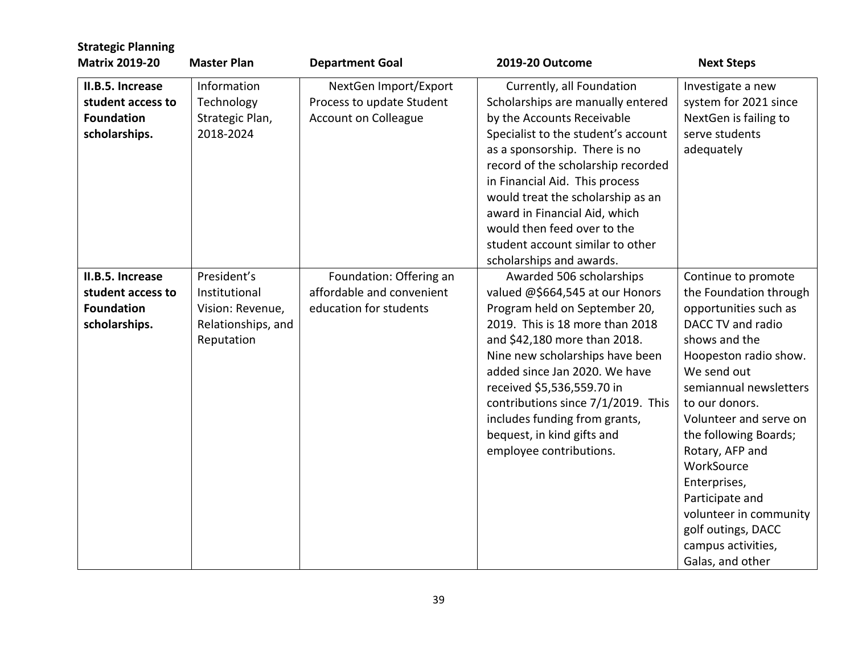| <b>Strategic Planning</b>                                                   |                                                                                      |                                                                                   |                                                                                                                                                                                                                                                                                                                                                                                                                   |                                                                                                                                                                                                                                                                                                                                                                                                                   |
|-----------------------------------------------------------------------------|--------------------------------------------------------------------------------------|-----------------------------------------------------------------------------------|-------------------------------------------------------------------------------------------------------------------------------------------------------------------------------------------------------------------------------------------------------------------------------------------------------------------------------------------------------------------------------------------------------------------|-------------------------------------------------------------------------------------------------------------------------------------------------------------------------------------------------------------------------------------------------------------------------------------------------------------------------------------------------------------------------------------------------------------------|
| <b>Matrix 2019-20</b>                                                       | <b>Master Plan</b>                                                                   | <b>Department Goal</b>                                                            | 2019-20 Outcome                                                                                                                                                                                                                                                                                                                                                                                                   | <b>Next Steps</b>                                                                                                                                                                                                                                                                                                                                                                                                 |
| II.B.5. Increase<br>student access to<br><b>Foundation</b><br>scholarships. | Information<br>Technology<br>Strategic Plan,<br>2018-2024                            | NextGen Import/Export<br>Process to update Student<br><b>Account on Colleague</b> | Currently, all Foundation<br>Scholarships are manually entered<br>by the Accounts Receivable<br>Specialist to the student's account<br>as a sponsorship. There is no<br>record of the scholarship recorded<br>in Financial Aid. This process<br>would treat the scholarship as an<br>award in Financial Aid, which<br>would then feed over to the<br>student account similar to other<br>scholarships and awards. | Investigate a new<br>system for 2021 since<br>NextGen is failing to<br>serve students<br>adequately                                                                                                                                                                                                                                                                                                               |
| II.B.5. Increase<br>student access to<br><b>Foundation</b><br>scholarships. | President's<br>Institutional<br>Vision: Revenue,<br>Relationships, and<br>Reputation | Foundation: Offering an<br>affordable and convenient<br>education for students    | Awarded 506 scholarships<br>valued @\$664,545 at our Honors<br>Program held on September 20,<br>2019. This is 18 more than 2018<br>and \$42,180 more than 2018.<br>Nine new scholarships have been<br>added since Jan 2020. We have<br>received \$5,536,559.70 in<br>contributions since 7/1/2019. This<br>includes funding from grants,<br>bequest, in kind gifts and<br>employee contributions.                 | Continue to promote<br>the Foundation through<br>opportunities such as<br>DACC TV and radio<br>shows and the<br>Hoopeston radio show.<br>We send out<br>semiannual newsletters<br>to our donors.<br>Volunteer and serve on<br>the following Boards;<br>Rotary, AFP and<br>WorkSource<br>Enterprises,<br>Participate and<br>volunteer in community<br>golf outings, DACC<br>campus activities,<br>Galas, and other |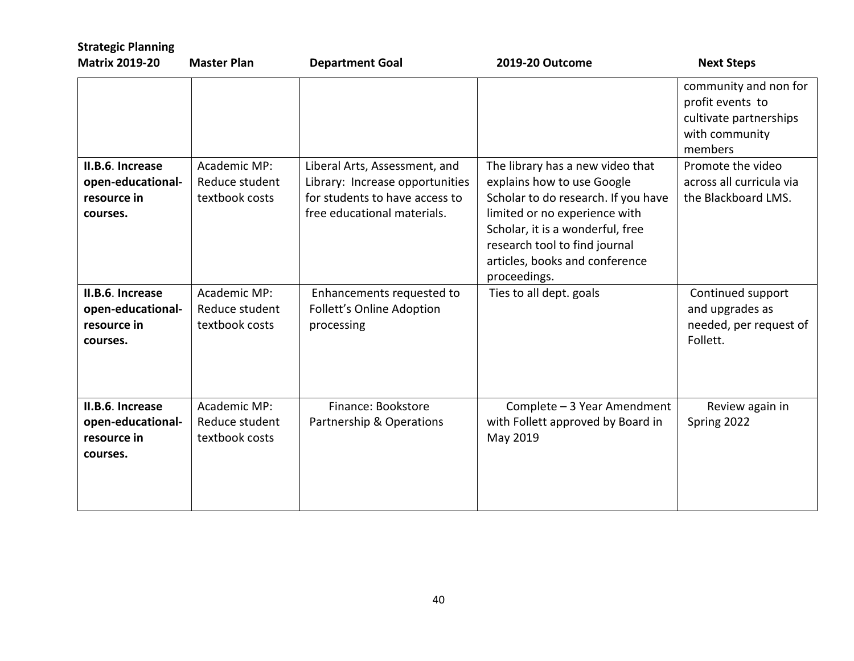| <b>Strategic Planning</b><br><b>Matrix 2019-20</b>               | <b>Master Plan</b>                               | <b>Department Goal</b>                                                                                                            | 2019-20 Outcome                                                                                                                                                                                                                                               | <b>Next Steps</b>                                                                                |
|------------------------------------------------------------------|--------------------------------------------------|-----------------------------------------------------------------------------------------------------------------------------------|---------------------------------------------------------------------------------------------------------------------------------------------------------------------------------------------------------------------------------------------------------------|--------------------------------------------------------------------------------------------------|
|                                                                  |                                                  |                                                                                                                                   |                                                                                                                                                                                                                                                               | community and non for<br>profit events to<br>cultivate partnerships<br>with community<br>members |
| II.B.6. Increase<br>open-educational-<br>resource in<br>courses. | Academic MP:<br>Reduce student<br>textbook costs | Liberal Arts, Assessment, and<br>Library: Increase opportunities<br>for students to have access to<br>free educational materials. | The library has a new video that<br>explains how to use Google<br>Scholar to do research. If you have<br>limited or no experience with<br>Scholar, it is a wonderful, free<br>research tool to find journal<br>articles, books and conference<br>proceedings. | Promote the video<br>across all curricula via<br>the Blackboard LMS.                             |
| II.B.6. Increase<br>open-educational-<br>resource in<br>courses. | Academic MP:<br>Reduce student<br>textbook costs | Enhancements requested to<br>Follett's Online Adoption<br>processing                                                              | Ties to all dept. goals                                                                                                                                                                                                                                       | Continued support<br>and upgrades as<br>needed, per request of<br>Follett.                       |
| II.B.6. Increase<br>open-educational-<br>resource in<br>courses. | Academic MP:<br>Reduce student<br>textbook costs | Finance: Bookstore<br>Partnership & Operations                                                                                    | Complete - 3 Year Amendment<br>with Follett approved by Board in<br>May 2019                                                                                                                                                                                  | Review again in<br>Spring 2022                                                                   |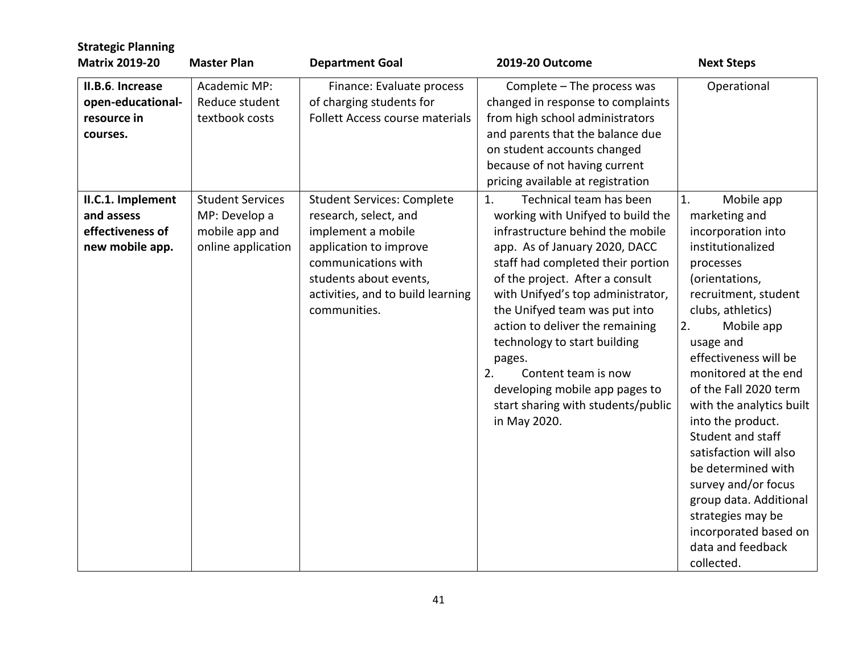| <b>Strategic Planning</b><br><b>Matrix 2019-20</b>                     | <b>Master Plan</b>                                                               | <b>Department Goal</b>                                                                                                                                                                                           | 2019-20 Outcome                                                                                                                                                                                                                                                                                                                                                                                                                                                                         | <b>Next Steps</b>                                                                                                                                                                                                                                                                                                                                                                                                                                                                                                           |
|------------------------------------------------------------------------|----------------------------------------------------------------------------------|------------------------------------------------------------------------------------------------------------------------------------------------------------------------------------------------------------------|-----------------------------------------------------------------------------------------------------------------------------------------------------------------------------------------------------------------------------------------------------------------------------------------------------------------------------------------------------------------------------------------------------------------------------------------------------------------------------------------|-----------------------------------------------------------------------------------------------------------------------------------------------------------------------------------------------------------------------------------------------------------------------------------------------------------------------------------------------------------------------------------------------------------------------------------------------------------------------------------------------------------------------------|
| II.B.6. Increase<br>open-educational-<br>resource in<br>courses.       | Academic MP:<br>Reduce student<br>textbook costs                                 | Finance: Evaluate process<br>of charging students for<br>Follett Access course materials                                                                                                                         | Complete - The process was<br>changed in response to complaints<br>from high school administrators<br>and parents that the balance due<br>on student accounts changed<br>because of not having current<br>pricing available at registration                                                                                                                                                                                                                                             | Operational                                                                                                                                                                                                                                                                                                                                                                                                                                                                                                                 |
| II.C.1. Implement<br>and assess<br>effectiveness of<br>new mobile app. | <b>Student Services</b><br>MP: Develop a<br>mobile app and<br>online application | <b>Student Services: Complete</b><br>research, select, and<br>implement a mobile<br>application to improve<br>communications with<br>students about events,<br>activities, and to build learning<br>communities. | Technical team has been<br>1.<br>working with Unifyed to build the<br>infrastructure behind the mobile<br>app. As of January 2020, DACC<br>staff had completed their portion<br>of the project. After a consult<br>with Unifyed's top administrator,<br>the Unifyed team was put into<br>action to deliver the remaining<br>technology to start building<br>pages.<br>2.<br>Content team is now<br>developing mobile app pages to<br>start sharing with students/public<br>in May 2020. | 1.<br>Mobile app<br>marketing and<br>incorporation into<br>institutionalized<br>processes<br>(orientations,<br>recruitment, student<br>clubs, athletics)<br>2.<br>Mobile app<br>usage and<br>effectiveness will be<br>monitored at the end<br>of the Fall 2020 term<br>with the analytics built<br>into the product.<br>Student and staff<br>satisfaction will also<br>be determined with<br>survey and/or focus<br>group data. Additional<br>strategies may be<br>incorporated based on<br>data and feedback<br>collected. |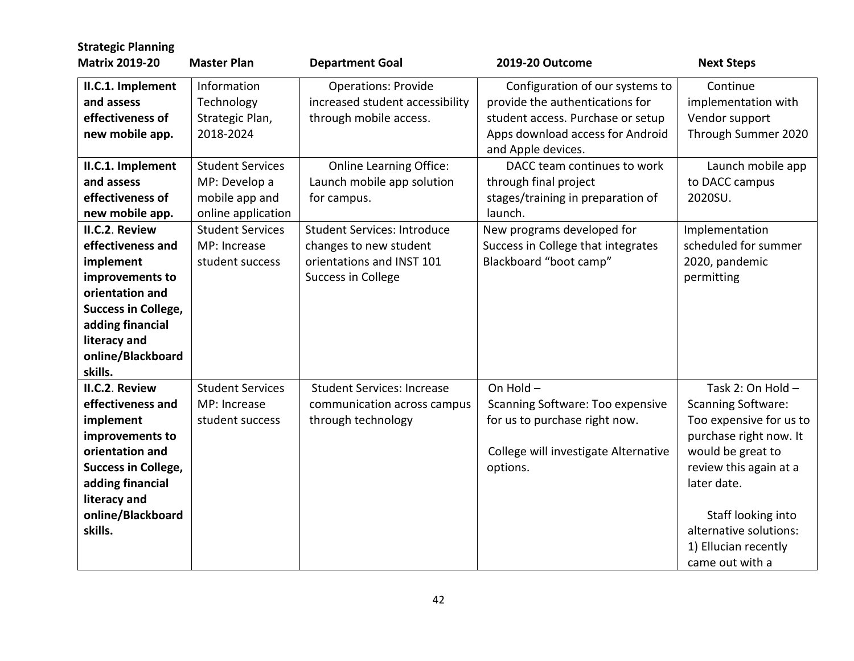| <b>Strategic Planning</b><br><b>Matrix 2019-20</b>                                                                                                                                       | <b>Master Plan</b>                                                                                                                            | <b>Department Goal</b>                                                                                                                                                 | 2019-20 Outcome                                                                                                                                                                                                                                                           | <b>Next Steps</b>                                                                                                                                                                                                                                            |
|------------------------------------------------------------------------------------------------------------------------------------------------------------------------------------------|-----------------------------------------------------------------------------------------------------------------------------------------------|------------------------------------------------------------------------------------------------------------------------------------------------------------------------|---------------------------------------------------------------------------------------------------------------------------------------------------------------------------------------------------------------------------------------------------------------------------|--------------------------------------------------------------------------------------------------------------------------------------------------------------------------------------------------------------------------------------------------------------|
| II.C.1. Implement<br>and assess<br>effectiveness of<br>new mobile app.<br>II.C.1. Implement<br>and assess<br>effectiveness of<br>new mobile app.                                         | Information<br>Technology<br>Strategic Plan,<br>2018-2024<br><b>Student Services</b><br>MP: Develop a<br>mobile app and<br>online application | <b>Operations: Provide</b><br>increased student accessibility<br>through mobile access.<br><b>Online Learning Office:</b><br>Launch mobile app solution<br>for campus. | Configuration of our systems to<br>provide the authentications for<br>student access. Purchase or setup<br>Apps download access for Android<br>and Apple devices.<br>DACC team continues to work<br>through final project<br>stages/training in preparation of<br>launch. | Continue<br>implementation with<br>Vendor support<br>Through Summer 2020<br>Launch mobile app<br>to DACC campus<br>2020SU.                                                                                                                                   |
| II.C.2. Review<br>effectiveness and<br>implement<br>improvements to<br>orientation and<br><b>Success in College,</b><br>adding financial<br>literacy and<br>online/Blackboard<br>skills. | <b>Student Services</b><br>MP: Increase<br>student success                                                                                    | <b>Student Services: Introduce</b><br>changes to new student<br>orientations and INST 101<br>Success in College                                                        | New programs developed for<br>Success in College that integrates<br>Blackboard "boot camp"                                                                                                                                                                                | Implementation<br>scheduled for summer<br>2020, pandemic<br>permitting                                                                                                                                                                                       |
| II.C.2. Review<br>effectiveness and<br>implement<br>improvements to<br>orientation and<br><b>Success in College,</b><br>adding financial<br>literacy and<br>online/Blackboard<br>skills. | <b>Student Services</b><br>MP: Increase<br>student success                                                                                    | <b>Student Services: Increase</b><br>communication across campus<br>through technology                                                                                 | On Hold-<br><b>Scanning Software: Too expensive</b><br>for us to purchase right now.<br>College will investigate Alternative<br>options.                                                                                                                                  | Task 2: On Hold -<br><b>Scanning Software:</b><br>Too expensive for us to<br>purchase right now. It<br>would be great to<br>review this again at a<br>later date.<br>Staff looking into<br>alternative solutions:<br>1) Ellucian recently<br>came out with a |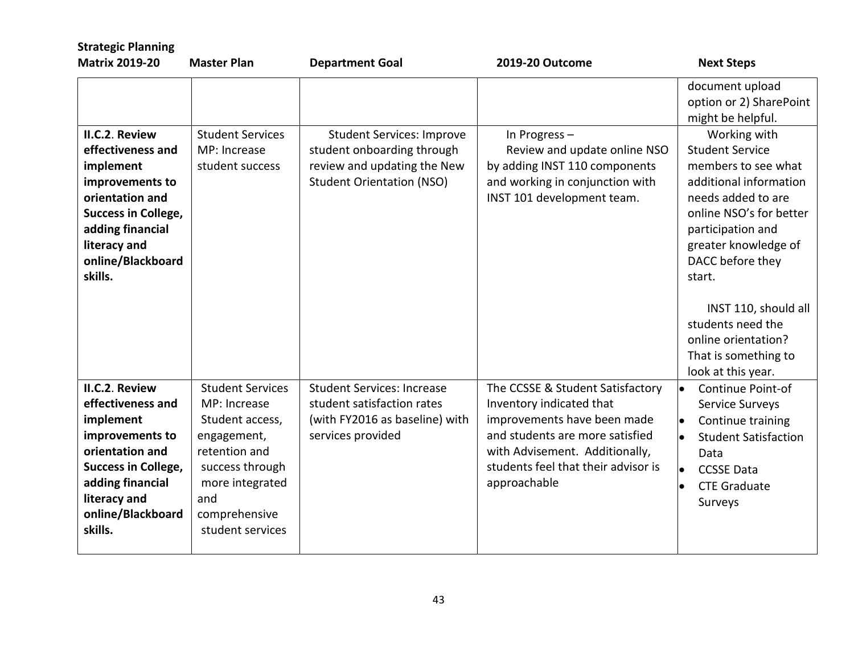| <b>Strategic Planning</b><br><b>Matrix 2019-20</b>                                                                                                                                       | <b>Master Plan</b>                                                                                                                                                           | <b>Department Goal</b>                                                                                                            | 2019-20 Outcome                                                                                                                                                                                                         | <b>Next Steps</b>                                                                                                                                                                                                                                                |
|------------------------------------------------------------------------------------------------------------------------------------------------------------------------------------------|------------------------------------------------------------------------------------------------------------------------------------------------------------------------------|-----------------------------------------------------------------------------------------------------------------------------------|-------------------------------------------------------------------------------------------------------------------------------------------------------------------------------------------------------------------------|------------------------------------------------------------------------------------------------------------------------------------------------------------------------------------------------------------------------------------------------------------------|
|                                                                                                                                                                                          |                                                                                                                                                                              |                                                                                                                                   |                                                                                                                                                                                                                         | document upload<br>option or 2) SharePoint<br>might be helpful.                                                                                                                                                                                                  |
| II.C.2. Review<br>effectiveness and<br>implement<br>improvements to<br>orientation and<br><b>Success in College,</b><br>adding financial<br>literacy and<br>online/Blackboard<br>skills. | <b>Student Services</b><br>MP: Increase<br>student success                                                                                                                   | <b>Student Services: Improve</b><br>student onboarding through<br>review and updating the New<br><b>Student Orientation (NSO)</b> | In Progress-<br>Review and update online NSO<br>by adding INST 110 components<br>and working in conjunction with<br>INST 101 development team.                                                                          | Working with<br><b>Student Service</b><br>members to see what<br>additional information<br>needs added to are<br>online NSO's for better<br>participation and<br>greater knowledge of<br>DACC before they<br>start.<br>INST 110, should all<br>students need the |
|                                                                                                                                                                                          |                                                                                                                                                                              |                                                                                                                                   |                                                                                                                                                                                                                         | online orientation?<br>That is something to<br>look at this year.                                                                                                                                                                                                |
| II.C.2. Review<br>effectiveness and<br>implement<br>improvements to<br>orientation and<br><b>Success in College,</b><br>adding financial<br>literacy and<br>online/Blackboard<br>skills. | <b>Student Services</b><br>MP: Increase<br>Student access,<br>engagement,<br>retention and<br>success through<br>more integrated<br>and<br>comprehensive<br>student services | <b>Student Services: Increase</b><br>student satisfaction rates<br>(with FY2016 as baseline) with<br>services provided            | The CCSSE & Student Satisfactory<br>Inventory indicated that<br>improvements have been made<br>and students are more satisfied<br>with Advisement. Additionally,<br>students feel that their advisor is<br>approachable | Continue Point-of<br>l.<br>Service Surveys<br>Continue training<br><b>Student Satisfaction</b><br>Data<br><b>CCSSE Data</b><br><b>CTE Graduate</b><br>Surveys                                                                                                    |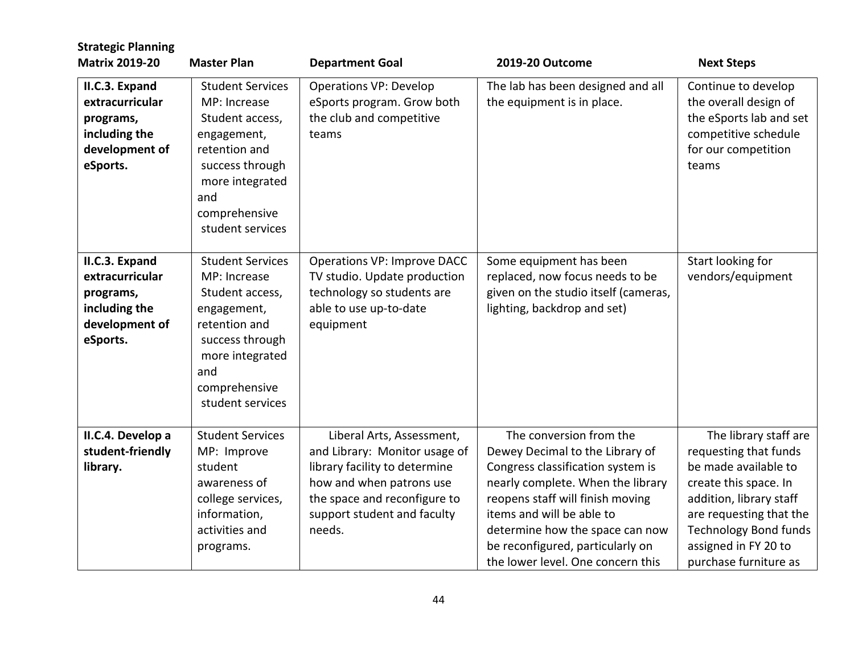| <b>Strategic Planning</b><br><b>Matrix 2019-20</b>                                            | <b>Master Plan</b>                                                                                                                                                           | <b>Department Goal</b>                                                                                                                                                                           | 2019-20 Outcome                                                                                                                                                                                                                                                                                                   | <b>Next Steps</b>                                                                                                                                                                                                                      |
|-----------------------------------------------------------------------------------------------|------------------------------------------------------------------------------------------------------------------------------------------------------------------------------|--------------------------------------------------------------------------------------------------------------------------------------------------------------------------------------------------|-------------------------------------------------------------------------------------------------------------------------------------------------------------------------------------------------------------------------------------------------------------------------------------------------------------------|----------------------------------------------------------------------------------------------------------------------------------------------------------------------------------------------------------------------------------------|
| II.C.3. Expand<br>extracurricular                                                             | <b>Student Services</b><br>MP: Increase                                                                                                                                      | <b>Operations VP: Develop</b><br>eSports program. Grow both                                                                                                                                      | The lab has been designed and all<br>the equipment is in place.                                                                                                                                                                                                                                                   | Continue to develop<br>the overall design of                                                                                                                                                                                           |
| programs,<br>including the<br>development of<br>eSports.                                      | Student access,<br>engagement,<br>retention and<br>success through<br>more integrated<br>and<br>comprehensive<br>student services                                            | the club and competitive<br>teams                                                                                                                                                                |                                                                                                                                                                                                                                                                                                                   | the eSports lab and set<br>competitive schedule<br>for our competition<br>teams                                                                                                                                                        |
| II.C.3. Expand<br>extracurricular<br>programs,<br>including the<br>development of<br>eSports. | <b>Student Services</b><br>MP: Increase<br>Student access,<br>engagement,<br>retention and<br>success through<br>more integrated<br>and<br>comprehensive<br>student services | <b>Operations VP: Improve DACC</b><br>TV studio. Update production<br>technology so students are<br>able to use up-to-date<br>equipment                                                          | Some equipment has been<br>replaced, now focus needs to be<br>given on the studio itself (cameras,<br>lighting, backdrop and set)                                                                                                                                                                                 | Start looking for<br>vendors/equipment                                                                                                                                                                                                 |
| II.C.4. Develop a<br>student-friendly<br>library.                                             | <b>Student Services</b><br>MP: Improve<br>student<br>awareness of<br>college services,<br>information,<br>activities and<br>programs.                                        | Liberal Arts, Assessment,<br>and Library: Monitor usage of<br>library facility to determine<br>how and when patrons use<br>the space and reconfigure to<br>support student and faculty<br>needs. | The conversion from the<br>Dewey Decimal to the Library of<br>Congress classification system is<br>nearly complete. When the library<br>reopens staff will finish moving<br>items and will be able to<br>determine how the space can now<br>be reconfigured, particularly on<br>the lower level. One concern this | The library staff are<br>requesting that funds<br>be made available to<br>create this space. In<br>addition, library staff<br>are requesting that the<br><b>Technology Bond funds</b><br>assigned in FY 20 to<br>purchase furniture as |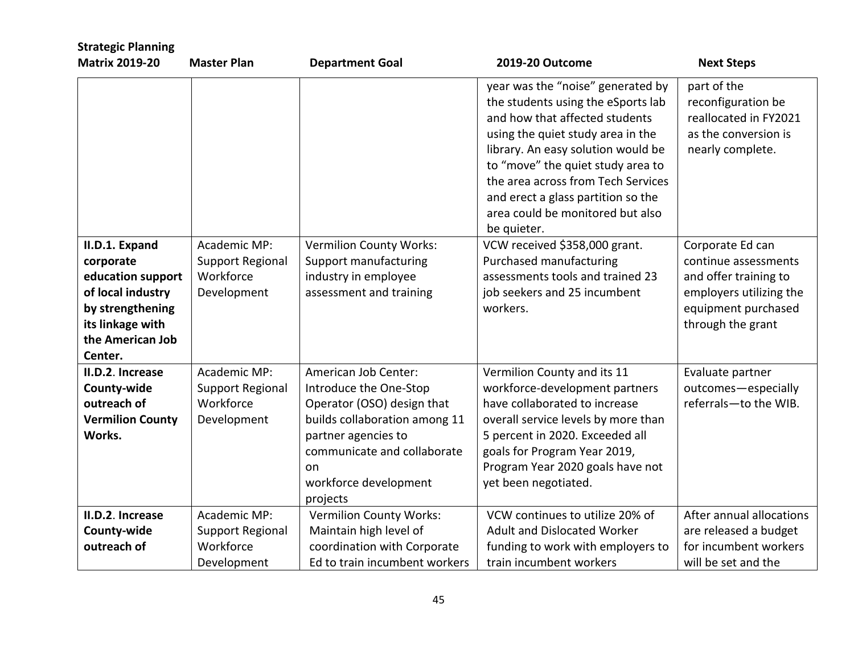| <b>Strategic Planning</b>                                                                                                                    |                                                                     |                                                                                                                                                                                                                |                                                                                                                                                                                                                                                                                                                                                          |                                                                                                                                          |
|----------------------------------------------------------------------------------------------------------------------------------------------|---------------------------------------------------------------------|----------------------------------------------------------------------------------------------------------------------------------------------------------------------------------------------------------------|----------------------------------------------------------------------------------------------------------------------------------------------------------------------------------------------------------------------------------------------------------------------------------------------------------------------------------------------------------|------------------------------------------------------------------------------------------------------------------------------------------|
| <b>Matrix 2019-20</b>                                                                                                                        | <b>Master Plan</b>                                                  | <b>Department Goal</b>                                                                                                                                                                                         | 2019-20 Outcome                                                                                                                                                                                                                                                                                                                                          | <b>Next Steps</b>                                                                                                                        |
|                                                                                                                                              |                                                                     |                                                                                                                                                                                                                | year was the "noise" generated by<br>the students using the eSports lab<br>and how that affected students<br>using the quiet study area in the<br>library. An easy solution would be<br>to "move" the quiet study area to<br>the area across from Tech Services<br>and erect a glass partition so the<br>area could be monitored but also<br>be quieter. | part of the<br>reconfiguration be<br>reallocated in FY2021<br>as the conversion is<br>nearly complete.                                   |
| II.D.1. Expand<br>corporate<br>education support<br>of local industry<br>by strengthening<br>its linkage with<br>the American Job<br>Center. | Academic MP:<br>Support Regional<br>Workforce<br>Development        | <b>Vermilion County Works:</b><br>Support manufacturing<br>industry in employee<br>assessment and training                                                                                                     | VCW received \$358,000 grant.<br>Purchased manufacturing<br>assessments tools and trained 23<br>job seekers and 25 incumbent<br>workers.                                                                                                                                                                                                                 | Corporate Ed can<br>continue assessments<br>and offer training to<br>employers utilizing the<br>equipment purchased<br>through the grant |
| II.D.2. Increase<br>County-wide<br>outreach of<br><b>Vermilion County</b><br>Works.                                                          | Academic MP:<br>Support Regional<br>Workforce<br>Development        | American Job Center:<br>Introduce the One-Stop<br>Operator (OSO) design that<br>builds collaboration among 11<br>partner agencies to<br>communicate and collaborate<br>on<br>workforce development<br>projects | Vermilion County and its 11<br>workforce-development partners<br>have collaborated to increase<br>overall service levels by more than<br>5 percent in 2020. Exceeded all<br>goals for Program Year 2019,<br>Program Year 2020 goals have not<br>yet been negotiated.                                                                                     | Evaluate partner<br>outcomes-especially<br>referrals-to the WIB.                                                                         |
| II.D.2. Increase<br>County-wide<br>outreach of                                                                                               | Academic MP:<br><b>Support Regional</b><br>Workforce<br>Development | <b>Vermilion County Works:</b><br>Maintain high level of<br>coordination with Corporate<br>Ed to train incumbent workers                                                                                       | VCW continues to utilize 20% of<br><b>Adult and Dislocated Worker</b><br>funding to work with employers to<br>train incumbent workers                                                                                                                                                                                                                    | After annual allocations<br>are released a budget<br>for incumbent workers<br>will be set and the                                        |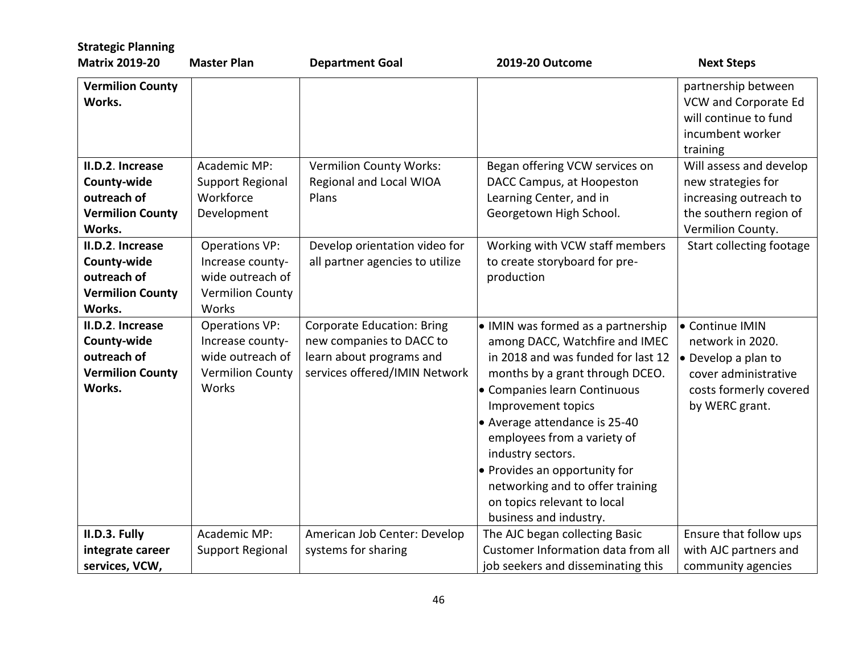| <b>Strategic Planning</b>                                                           |                                                                                                   |                                                                                                                            |                                                                                                                                                                                                                                                                                                                                                                                                                        |                                                                                                                                     |
|-------------------------------------------------------------------------------------|---------------------------------------------------------------------------------------------------|----------------------------------------------------------------------------------------------------------------------------|------------------------------------------------------------------------------------------------------------------------------------------------------------------------------------------------------------------------------------------------------------------------------------------------------------------------------------------------------------------------------------------------------------------------|-------------------------------------------------------------------------------------------------------------------------------------|
| <b>Matrix 2019-20</b>                                                               | <b>Master Plan</b>                                                                                | <b>Department Goal</b>                                                                                                     | 2019-20 Outcome                                                                                                                                                                                                                                                                                                                                                                                                        | <b>Next Steps</b>                                                                                                                   |
| <b>Vermilion County</b><br>Works.                                                   |                                                                                                   |                                                                                                                            |                                                                                                                                                                                                                                                                                                                                                                                                                        | partnership between<br>VCW and Corporate Ed<br>will continue to fund<br>incumbent worker<br>training                                |
| II.D.2. Increase<br>County-wide<br>outreach of<br><b>Vermilion County</b><br>Works. | Academic MP:<br><b>Support Regional</b><br>Workforce<br>Development                               | <b>Vermilion County Works:</b><br>Regional and Local WIOA<br>Plans                                                         | Began offering VCW services on<br>DACC Campus, at Hoopeston<br>Learning Center, and in<br>Georgetown High School.                                                                                                                                                                                                                                                                                                      | Will assess and develop<br>new strategies for<br>increasing outreach to<br>the southern region of<br>Vermilion County.              |
| II.D.2. Increase<br>County-wide<br>outreach of<br><b>Vermilion County</b><br>Works. | <b>Operations VP:</b><br>Increase county-<br>wide outreach of<br><b>Vermilion County</b><br>Works | Develop orientation video for<br>all partner agencies to utilize                                                           | Working with VCW staff members<br>to create storyboard for pre-<br>production                                                                                                                                                                                                                                                                                                                                          | Start collecting footage                                                                                                            |
| II.D.2. Increase<br>County-wide<br>outreach of<br><b>Vermilion County</b><br>Works. | <b>Operations VP:</b><br>Increase county-<br>wide outreach of<br><b>Vermilion County</b><br>Works | <b>Corporate Education: Bring</b><br>new companies to DACC to<br>learn about programs and<br>services offered/IMIN Network | • IMIN was formed as a partnership<br>among DACC, Watchfire and IMEC<br>in 2018 and was funded for last 12<br>months by a grant through DCEO.<br>• Companies learn Continuous<br>Improvement topics<br>• Average attendance is 25-40<br>employees from a variety of<br>industry sectors.<br>• Provides an opportunity for<br>networking and to offer training<br>on topics relevant to local<br>business and industry. | <b>Continue IMIN</b><br>network in 2020.<br>• Develop a plan to<br>cover administrative<br>costs formerly covered<br>by WERC grant. |
| II.D.3. Fully<br>integrate career<br>services, VCW,                                 | Academic MP:<br>Support Regional                                                                  | American Job Center: Develop<br>systems for sharing                                                                        | The AJC began collecting Basic<br>Customer Information data from all<br>job seekers and disseminating this                                                                                                                                                                                                                                                                                                             | Ensure that follow ups<br>with AJC partners and<br>community agencies                                                               |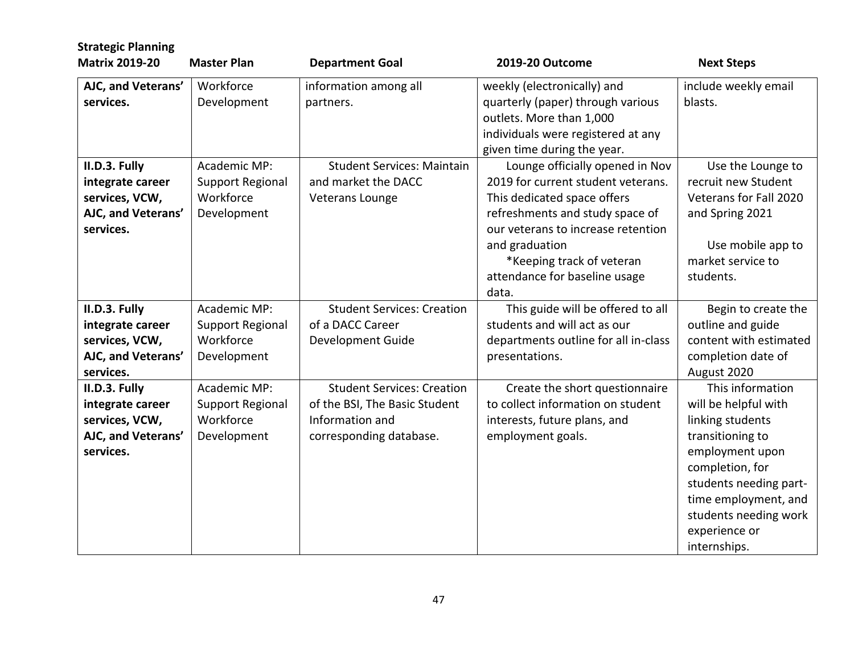| <b>Strategic Planning</b><br><b>Matrix 2019-20</b> | <b>Master Plan</b>      | <b>Department Goal</b>            | 2019-20 Outcome                      | <b>Next Steps</b>      |
|----------------------------------------------------|-------------------------|-----------------------------------|--------------------------------------|------------------------|
|                                                    |                         |                                   |                                      |                        |
| AJC, and Veterans'                                 | Workforce               | information among all             | weekly (electronically) and          | include weekly email   |
| services.                                          | Development             | partners.                         | quarterly (paper) through various    | blasts.                |
|                                                    |                         |                                   | outlets. More than 1,000             |                        |
|                                                    |                         |                                   | individuals were registered at any   |                        |
|                                                    |                         |                                   | given time during the year.          |                        |
| II.D.3. Fully                                      | Academic MP:            | <b>Student Services: Maintain</b> | Lounge officially opened in Nov      | Use the Lounge to      |
| integrate career                                   | Support Regional        | and market the DACC               | 2019 for current student veterans.   | recruit new Student    |
| services, VCW,                                     | Workforce               | Veterans Lounge                   | This dedicated space offers          | Veterans for Fall 2020 |
| AJC, and Veterans'                                 | Development             |                                   | refreshments and study space of      | and Spring 2021        |
| services.                                          |                         |                                   | our veterans to increase retention   |                        |
|                                                    |                         |                                   | and graduation                       | Use mobile app to      |
|                                                    |                         |                                   | *Keeping track of veteran            | market service to      |
|                                                    |                         |                                   | attendance for baseline usage        | students.              |
|                                                    |                         |                                   | data.                                |                        |
| II.D.3. Fully                                      | Academic MP:            | <b>Student Services: Creation</b> | This guide will be offered to all    | Begin to create the    |
| integrate career                                   | <b>Support Regional</b> | of a DACC Career                  | students and will act as our         | outline and guide      |
| services, VCW,                                     | Workforce               | <b>Development Guide</b>          | departments outline for all in-class | content with estimated |
| AJC, and Veterans'                                 | Development             |                                   | presentations.                       | completion date of     |
| services.                                          |                         |                                   |                                      | August 2020            |
| II.D.3. Fully                                      | Academic MP:            | <b>Student Services: Creation</b> | Create the short questionnaire       | This information       |
| integrate career                                   | <b>Support Regional</b> | of the BSI, The Basic Student     | to collect information on student    | will be helpful with   |
| services, VCW,                                     | Workforce               | Information and                   | interests, future plans, and         | linking students       |
| AJC, and Veterans'                                 | Development             | corresponding database.           | employment goals.                    | transitioning to       |
| services.                                          |                         |                                   |                                      | employment upon        |
|                                                    |                         |                                   |                                      | completion, for        |
|                                                    |                         |                                   |                                      | students needing part- |
|                                                    |                         |                                   |                                      | time employment, and   |
|                                                    |                         |                                   |                                      | students needing work  |
|                                                    |                         |                                   |                                      | experience or          |
|                                                    |                         |                                   |                                      | internships.           |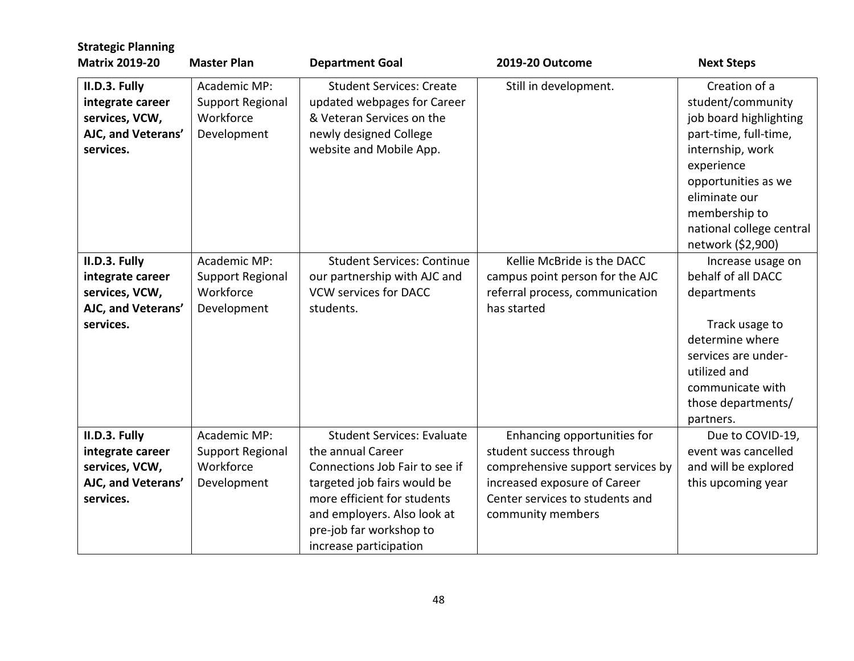| <b>Strategic Planning</b>                                                              |                                                                     |                                                                                                                                                                                                                                            |                                                                                                                                                                                     |                                                                                                                                                                                                                                   |
|----------------------------------------------------------------------------------------|---------------------------------------------------------------------|--------------------------------------------------------------------------------------------------------------------------------------------------------------------------------------------------------------------------------------------|-------------------------------------------------------------------------------------------------------------------------------------------------------------------------------------|-----------------------------------------------------------------------------------------------------------------------------------------------------------------------------------------------------------------------------------|
| <b>Matrix 2019-20</b>                                                                  | <b>Master Plan</b>                                                  | <b>Department Goal</b>                                                                                                                                                                                                                     | 2019-20 Outcome                                                                                                                                                                     | <b>Next Steps</b>                                                                                                                                                                                                                 |
| II.D.3. Fully<br>integrate career<br>services, VCW,<br>AJC, and Veterans'<br>services. | Academic MP:<br>Support Regional<br>Workforce<br>Development        | <b>Student Services: Create</b><br>updated webpages for Career<br>& Veteran Services on the<br>newly designed College<br>website and Mobile App.                                                                                           | Still in development.                                                                                                                                                               | Creation of a<br>student/community<br>job board highlighting<br>part-time, full-time,<br>internship, work<br>experience<br>opportunities as we<br>eliminate our<br>membership to<br>national college central<br>network (\$2,900) |
| II.D.3. Fully<br>integrate career<br>services, VCW,<br>AJC, and Veterans'<br>services. | Academic MP:<br>Support Regional<br>Workforce<br>Development        | <b>Student Services: Continue</b><br>our partnership with AJC and<br><b>VCW services for DACC</b><br>students.                                                                                                                             | Kellie McBride is the DACC<br>campus point person for the AJC<br>referral process, communication<br>has started                                                                     | Increase usage on<br>behalf of all DACC<br>departments<br>Track usage to<br>determine where<br>services are under-<br>utilized and<br>communicate with<br>those departments/<br>partners.                                         |
| II.D.3. Fully<br>integrate career<br>services, VCW,<br>AJC, and Veterans'<br>services. | Academic MP:<br><b>Support Regional</b><br>Workforce<br>Development | <b>Student Services: Evaluate</b><br>the annual Career<br>Connections Job Fair to see if<br>targeted job fairs would be<br>more efficient for students<br>and employers. Also look at<br>pre-job far workshop to<br>increase participation | Enhancing opportunities for<br>student success through<br>comprehensive support services by<br>increased exposure of Career<br>Center services to students and<br>community members | Due to COVID-19,<br>event was cancelled<br>and will be explored<br>this upcoming year                                                                                                                                             |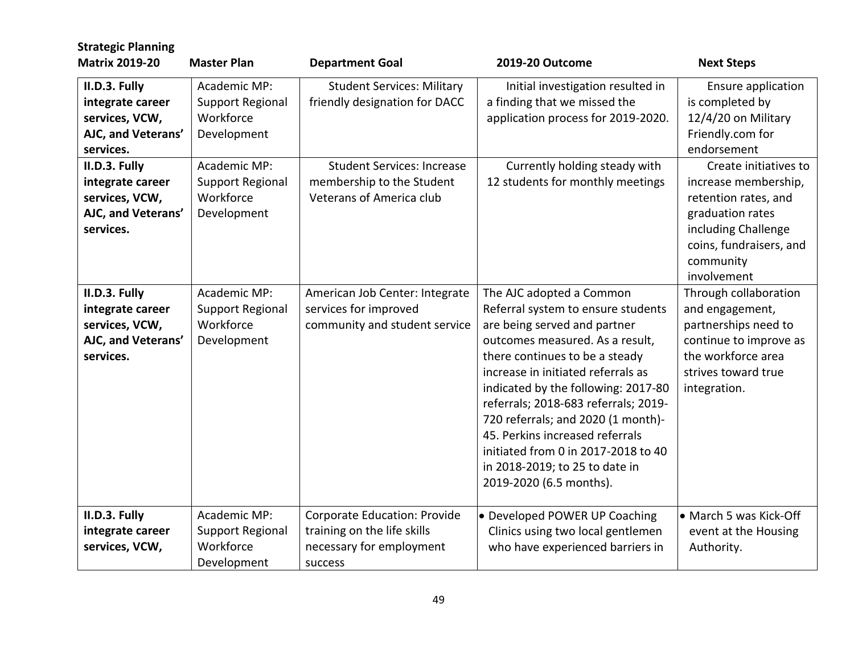| <b>Strategic Planning</b><br><b>Matrix 2019-20</b>                                                                                                                               | <b>Master Plan</b>                                                                                                                  | <b>Department Goal</b>                                                                                                                                                  | 2019-20 Outcome                                                                                                                                                                                                                                                                                                                                                                                                                                                       | <b>Next Steps</b>                                                                                                                                                                                                                                                          |
|----------------------------------------------------------------------------------------------------------------------------------------------------------------------------------|-------------------------------------------------------------------------------------------------------------------------------------|-------------------------------------------------------------------------------------------------------------------------------------------------------------------------|-----------------------------------------------------------------------------------------------------------------------------------------------------------------------------------------------------------------------------------------------------------------------------------------------------------------------------------------------------------------------------------------------------------------------------------------------------------------------|----------------------------------------------------------------------------------------------------------------------------------------------------------------------------------------------------------------------------------------------------------------------------|
| II.D.3. Fully<br>integrate career<br>services, VCW,<br>AJC, and Veterans'<br>services.<br>II.D.3. Fully<br>integrate career<br>services, VCW,<br>AJC, and Veterans'<br>services. | Academic MP:<br>Support Regional<br>Workforce<br>Development<br>Academic MP:<br><b>Support Regional</b><br>Workforce<br>Development | <b>Student Services: Military</b><br>friendly designation for DACC<br><b>Student Services: Increase</b><br>membership to the Student<br><b>Veterans of America club</b> | Initial investigation resulted in<br>a finding that we missed the<br>application process for 2019-2020.<br>Currently holding steady with<br>12 students for monthly meetings                                                                                                                                                                                                                                                                                          | Ensure application<br>is completed by<br>12/4/20 on Military<br>Friendly.com for<br>endorsement<br>Create initiatives to<br>increase membership,<br>retention rates, and<br>graduation rates<br>including Challenge<br>coins, fundraisers, and<br>community<br>involvement |
| II.D.3. Fully<br>integrate career<br>services, VCW,<br>AJC, and Veterans'<br>services.                                                                                           | Academic MP:<br><b>Support Regional</b><br>Workforce<br>Development                                                                 | American Job Center: Integrate<br>services for improved<br>community and student service                                                                                | The AJC adopted a Common<br>Referral system to ensure students<br>are being served and partner<br>outcomes measured. As a result,<br>there continues to be a steady<br>increase in initiated referrals as<br>indicated by the following: 2017-80<br>referrals; 2018-683 referrals; 2019-<br>720 referrals; and 2020 (1 month)-<br>45. Perkins increased referrals<br>initiated from 0 in 2017-2018 to 40<br>in 2018-2019; to 25 to date in<br>2019-2020 (6.5 months). | Through collaboration<br>and engagement,<br>partnerships need to<br>continue to improve as<br>the workforce area<br>strives toward true<br>integration.                                                                                                                    |
| II.D.3. Fully<br>integrate career<br>services, VCW,                                                                                                                              | Academic MP:<br><b>Support Regional</b><br>Workforce<br>Development                                                                 | <b>Corporate Education: Provide</b><br>training on the life skills<br>necessary for employment<br>success                                                               | • Developed POWER UP Coaching<br>Clinics using two local gentlemen<br>who have experienced barriers in                                                                                                                                                                                                                                                                                                                                                                | • March 5 was Kick-Off<br>event at the Housing<br>Authority.                                                                                                                                                                                                               |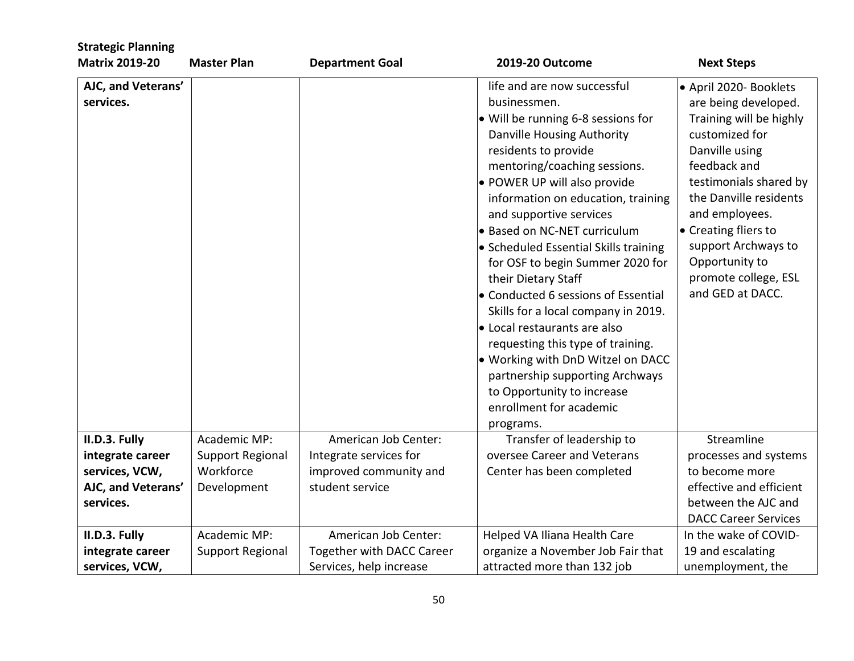| <b>Strategic Planning</b>          |                               |                                                  |                                                                                                                                                                                                                                                                                                                                                                                                                                                                                                                                                                                                                                                                                                               |                                                                                                                                                                                                                                                                                                                  |
|------------------------------------|-------------------------------|--------------------------------------------------|---------------------------------------------------------------------------------------------------------------------------------------------------------------------------------------------------------------------------------------------------------------------------------------------------------------------------------------------------------------------------------------------------------------------------------------------------------------------------------------------------------------------------------------------------------------------------------------------------------------------------------------------------------------------------------------------------------------|------------------------------------------------------------------------------------------------------------------------------------------------------------------------------------------------------------------------------------------------------------------------------------------------------------------|
| <b>Matrix 2019-20</b>              | <b>Master Plan</b>            | <b>Department Goal</b>                           | 2019-20 Outcome                                                                                                                                                                                                                                                                                                                                                                                                                                                                                                                                                                                                                                                                                               | <b>Next Steps</b>                                                                                                                                                                                                                                                                                                |
| AJC, and Veterans'<br>services.    |                               |                                                  | life and are now successful<br>businessmen.<br>• Will be running 6-8 sessions for<br>Danville Housing Authority<br>residents to provide<br>mentoring/coaching sessions.<br>• POWER UP will also provide<br>information on education, training<br>and supportive services<br>• Based on NC-NET curriculum<br>• Scheduled Essential Skills training<br>for OSF to begin Summer 2020 for<br>their Dietary Staff<br>• Conducted 6 sessions of Essential<br>Skills for a local company in 2019.<br>• Local restaurants are also<br>requesting this type of training.<br>. Working with DnD Witzel on DACC<br>partnership supporting Archways<br>to Opportunity to increase<br>enrollment for academic<br>programs. | ● April 2020- Booklets<br>are being developed.<br>Training will be highly<br>customized for<br>Danville using<br>feedback and<br>testimonials shared by<br>the Danville residents<br>and employees.<br>• Creating fliers to<br>support Archways to<br>Opportunity to<br>promote college, ESL<br>and GED at DACC. |
| II.D.3. Fully                      | Academic MP:                  | American Job Center:                             | Transfer of leadership to                                                                                                                                                                                                                                                                                                                                                                                                                                                                                                                                                                                                                                                                                     | Streamline                                                                                                                                                                                                                                                                                                       |
| integrate career<br>services, VCW, | Support Regional<br>Workforce | Integrate services for<br>improved community and | oversee Career and Veterans<br>Center has been completed                                                                                                                                                                                                                                                                                                                                                                                                                                                                                                                                                                                                                                                      | processes and systems<br>to become more                                                                                                                                                                                                                                                                          |
| AJC, and Veterans'<br>services.    | Development                   | student service                                  |                                                                                                                                                                                                                                                                                                                                                                                                                                                                                                                                                                                                                                                                                                               | effective and efficient<br>between the AJC and                                                                                                                                                                                                                                                                   |
|                                    |                               |                                                  |                                                                                                                                                                                                                                                                                                                                                                                                                                                                                                                                                                                                                                                                                                               | <b>DACC Career Services</b>                                                                                                                                                                                                                                                                                      |
| II.D.3. Fully                      | Academic MP:                  | American Job Center:                             | Helped VA Iliana Health Care                                                                                                                                                                                                                                                                                                                                                                                                                                                                                                                                                                                                                                                                                  | In the wake of COVID-                                                                                                                                                                                                                                                                                            |
| integrate career                   | <b>Support Regional</b>       | Together with DACC Career                        | organize a November Job Fair that                                                                                                                                                                                                                                                                                                                                                                                                                                                                                                                                                                                                                                                                             | 19 and escalating                                                                                                                                                                                                                                                                                                |
| services, VCW,                     |                               | Services, help increase                          | attracted more than 132 job                                                                                                                                                                                                                                                                                                                                                                                                                                                                                                                                                                                                                                                                                   | unemployment, the                                                                                                                                                                                                                                                                                                |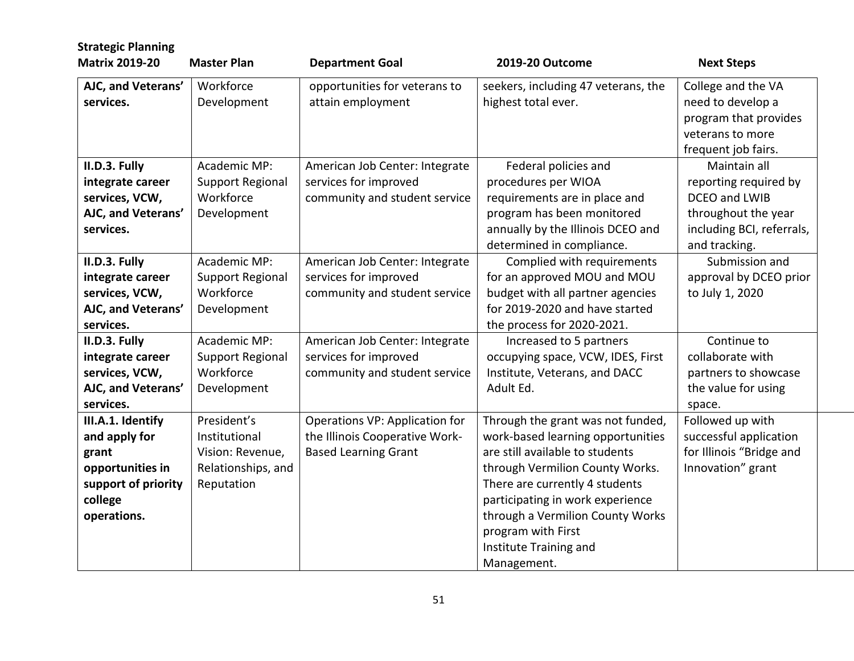| <b>Strategic Planning</b><br><b>Matrix 2019-20</b> | <b>Master Plan</b>       | <b>Department Goal</b>                             | 2019-20 Outcome                                            | <b>Next Steps</b>                                                                                           |
|----------------------------------------------------|--------------------------|----------------------------------------------------|------------------------------------------------------------|-------------------------------------------------------------------------------------------------------------|
| AJC, and Veterans'<br>services.                    | Workforce<br>Development | opportunities for veterans to<br>attain employment | seekers, including 47 veterans, the<br>highest total ever. | College and the VA<br>need to develop a<br>program that provides<br>veterans to more<br>frequent job fairs. |
| II.D.3. Fully                                      | Academic MP:             | American Job Center: Integrate                     | Federal policies and                                       | Maintain all                                                                                                |
| integrate career                                   | <b>Support Regional</b>  | services for improved                              | procedures per WIOA                                        | reporting required by                                                                                       |
| services, VCW,                                     | Workforce                | community and student service                      | requirements are in place and                              | DCEO and LWIB                                                                                               |
| AJC, and Veterans'                                 | Development              |                                                    | program has been monitored                                 | throughout the year                                                                                         |
| services.                                          |                          |                                                    | annually by the Illinois DCEO and                          | including BCI, referrals,                                                                                   |
|                                                    |                          |                                                    | determined in compliance.                                  | and tracking.                                                                                               |
| II.D.3. Fully                                      | Academic MP:             | American Job Center: Integrate                     | Complied with requirements                                 | Submission and                                                                                              |
| integrate career                                   | <b>Support Regional</b>  | services for improved                              | for an approved MOU and MOU                                | approval by DCEO prior                                                                                      |
| services, VCW,                                     | Workforce                | community and student service                      | budget with all partner agencies                           | to July 1, 2020                                                                                             |
| AJC, and Veterans'                                 | Development              |                                                    | for 2019-2020 and have started                             |                                                                                                             |
| services.                                          |                          |                                                    | the process for 2020-2021.                                 |                                                                                                             |
| II.D.3. Fully                                      | Academic MP:             | American Job Center: Integrate                     | Increased to 5 partners                                    | Continue to                                                                                                 |
| integrate career                                   | <b>Support Regional</b>  | services for improved                              | occupying space, VCW, IDES, First                          | collaborate with                                                                                            |
| services, VCW,                                     | Workforce                | community and student service                      | Institute, Veterans, and DACC                              | partners to showcase                                                                                        |
| AJC, and Veterans'                                 | Development              |                                                    | Adult Ed.                                                  | the value for using                                                                                         |
| services.                                          |                          |                                                    |                                                            | space.                                                                                                      |
| III.A.1. Identify                                  | President's              | Operations VP: Application for                     | Through the grant was not funded,                          | Followed up with                                                                                            |
| and apply for                                      | Institutional            | the Illinois Cooperative Work-                     | work-based learning opportunities                          | successful application                                                                                      |
| grant                                              | Vision: Revenue,         | <b>Based Learning Grant</b>                        | are still available to students                            | for Illinois "Bridge and                                                                                    |
| opportunities in                                   | Relationships, and       |                                                    | through Vermilion County Works.                            | Innovation" grant                                                                                           |
| support of priority                                | Reputation               |                                                    | There are currently 4 students                             |                                                                                                             |
| college                                            |                          |                                                    | participating in work experience                           |                                                                                                             |
| operations.                                        |                          |                                                    | through a Vermilion County Works                           |                                                                                                             |
|                                                    |                          |                                                    | program with First                                         |                                                                                                             |
|                                                    |                          |                                                    | Institute Training and                                     |                                                                                                             |
|                                                    |                          |                                                    | Management.                                                |                                                                                                             |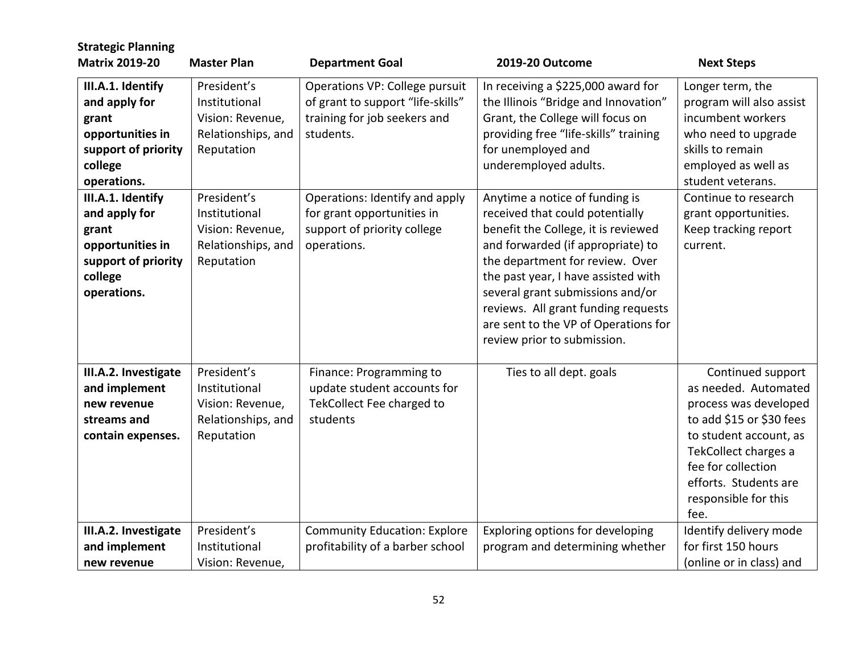| <b>Strategic Planning</b><br><b>Matrix 2019-20</b>                                                               | <b>Master Plan</b>                                                                   | <b>Department Goal</b>                                                                                           | <b>2019-20 Outcome</b>                                                                                                                                                                                                                                                                                                                                                    | <b>Next Steps</b>                                                                                                                                                                                                               |
|------------------------------------------------------------------------------------------------------------------|--------------------------------------------------------------------------------------|------------------------------------------------------------------------------------------------------------------|---------------------------------------------------------------------------------------------------------------------------------------------------------------------------------------------------------------------------------------------------------------------------------------------------------------------------------------------------------------------------|---------------------------------------------------------------------------------------------------------------------------------------------------------------------------------------------------------------------------------|
| III.A.1. Identify<br>and apply for<br>grant<br>opportunities in<br>support of priority<br>college<br>operations. | President's<br>Institutional<br>Vision: Revenue,<br>Relationships, and<br>Reputation | Operations VP: College pursuit<br>of grant to support "life-skills"<br>training for job seekers and<br>students. | In receiving a \$225,000 award for<br>the Illinois "Bridge and Innovation"<br>Grant, the College will focus on<br>providing free "life-skills" training<br>for unemployed and<br>underemployed adults.                                                                                                                                                                    | Longer term, the<br>program will also assist<br>incumbent workers<br>who need to upgrade<br>skills to remain<br>employed as well as<br>student veterans.                                                                        |
| III.A.1. Identify<br>and apply for<br>grant<br>opportunities in<br>support of priority<br>college<br>operations. | President's<br>Institutional<br>Vision: Revenue,<br>Relationships, and<br>Reputation | Operations: Identify and apply<br>for grant opportunities in<br>support of priority college<br>operations.       | Anytime a notice of funding is<br>received that could potentially<br>benefit the College, it is reviewed<br>and forwarded (if appropriate) to<br>the department for review. Over<br>the past year, I have assisted with<br>several grant submissions and/or<br>reviews. All grant funding requests<br>are sent to the VP of Operations for<br>review prior to submission. | Continue to research<br>grant opportunities.<br>Keep tracking report<br>current.                                                                                                                                                |
| III.A.2. Investigate<br>and implement<br>new revenue<br>streams and<br>contain expenses.                         | President's<br>Institutional<br>Vision: Revenue,<br>Relationships, and<br>Reputation | Finance: Programming to<br>update student accounts for<br>TekCollect Fee charged to<br>students                  | Ties to all dept. goals                                                                                                                                                                                                                                                                                                                                                   | Continued support<br>as needed. Automated<br>process was developed<br>to add \$15 or \$30 fees<br>to student account, as<br>TekCollect charges a<br>fee for collection<br>efforts. Students are<br>responsible for this<br>fee. |
| III.A.2. Investigate<br>and implement<br>new revenue                                                             | President's<br>Institutional<br>Vision: Revenue,                                     | <b>Community Education: Explore</b><br>profitability of a barber school                                          | Exploring options for developing<br>program and determining whether                                                                                                                                                                                                                                                                                                       | Identify delivery mode<br>for first 150 hours<br>(online or in class) and                                                                                                                                                       |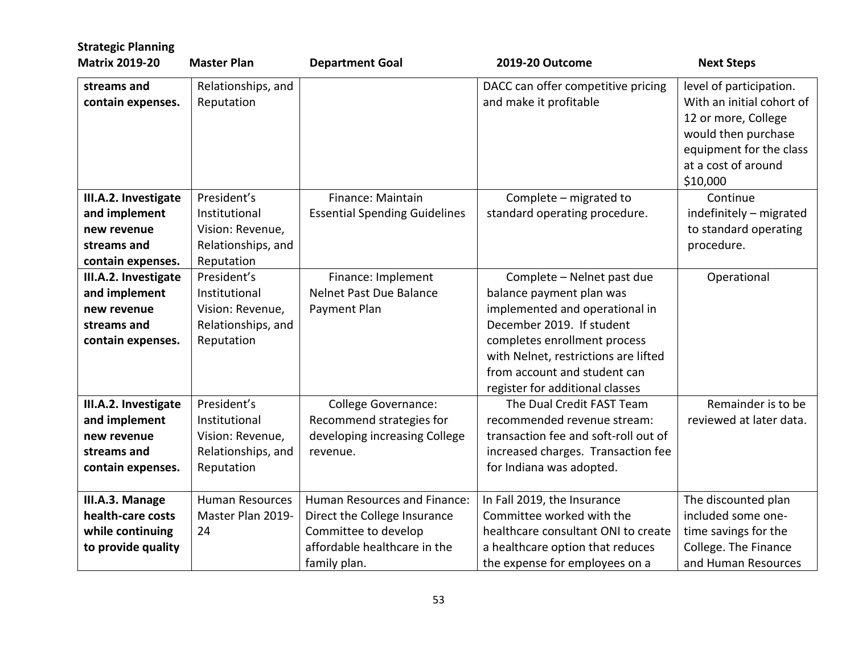| <b>Strategic Planning</b><br><b>Matrix 2019-20</b> | <b>Master Plan</b>     |                                      | 2019-20 Outcome                      |                           |
|----------------------------------------------------|------------------------|--------------------------------------|--------------------------------------|---------------------------|
|                                                    |                        | <b>Department Goal</b>               |                                      | <b>Next Steps</b>         |
| streams and                                        | Relationships, and     |                                      | DACC can offer competitive pricing   | level of participation.   |
| contain expenses.                                  | Reputation             |                                      | and make it profitable               | With an initial cohort of |
|                                                    |                        |                                      |                                      | 12 or more, College       |
|                                                    |                        |                                      |                                      | would then purchase       |
|                                                    |                        |                                      |                                      | equipment for the class   |
|                                                    |                        |                                      |                                      | at a cost of around       |
|                                                    |                        |                                      |                                      | \$10,000                  |
| III.A.2. Investigate                               | President's            | Finance: Maintain                    | Complete - migrated to               | Continue                  |
| and implement                                      | Institutional          | <b>Essential Spending Guidelines</b> | standard operating procedure.        | indefinitely - migrated   |
| new revenue                                        | Vision: Revenue,       |                                      |                                      | to standard operating     |
| streams and                                        | Relationships, and     |                                      |                                      | procedure.                |
| contain expenses.                                  | Reputation             |                                      |                                      |                           |
| III.A.2. Investigate                               | President's            | Finance: Implement                   | Complete - Nelnet past due           | Operational               |
| and implement                                      | Institutional          | Nelnet Past Due Balance              | balance payment plan was             |                           |
| new revenue                                        | Vision: Revenue,       | Payment Plan                         | implemented and operational in       |                           |
| streams and                                        | Relationships, and     |                                      | December 2019. If student            |                           |
| contain expenses.                                  | Reputation             |                                      | completes enrollment process         |                           |
|                                                    |                        |                                      | with Nelnet, restrictions are lifted |                           |
|                                                    |                        |                                      | from account and student can         |                           |
|                                                    |                        |                                      | register for additional classes      |                           |
| III.A.2. Investigate                               | President's            | <b>College Governance:</b>           | The Dual Credit FAST Team            | Remainder is to be        |
| and implement                                      | Institutional          | Recommend strategies for             | recommended revenue stream:          | reviewed at later data.   |
| new revenue                                        | Vision: Revenue,       | developing increasing College        | transaction fee and soft-roll out of |                           |
| streams and                                        | Relationships, and     | revenue.                             | increased charges. Transaction fee   |                           |
| contain expenses.                                  | Reputation             |                                      | for Indiana was adopted.             |                           |
| III.A.3. Manage                                    | <b>Human Resources</b> | Human Resources and Finance:         | In Fall 2019, the Insurance          | The discounted plan       |
| health-care costs                                  | Master Plan 2019-      | Direct the College Insurance         | Committee worked with the            | included some one-        |
| while continuing                                   | 24                     | Committee to develop                 | healthcare consultant ONI to create  | time savings for the      |
| to provide quality                                 |                        | affordable healthcare in the         | a healthcare option that reduces     | College. The Finance      |
|                                                    |                        | family plan.                         | the expense for employees on a       | and Human Resources       |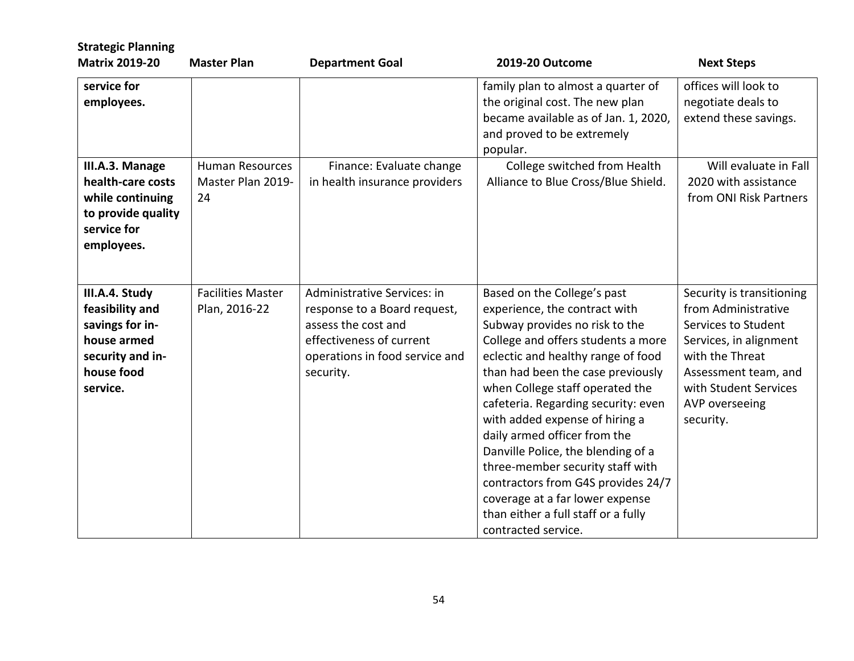| <b>Strategic Planning</b><br><b>Matrix 2019-20</b>                                                                | <b>Master Plan</b>                                | <b>Department Goal</b>                                                                                                                                        | 2019-20 Outcome                                                                                                                                                                                                                                                                                                                                                                                                                                                                                                                                                              | <b>Next Steps</b>                                                                                                                                                                                    |
|-------------------------------------------------------------------------------------------------------------------|---------------------------------------------------|---------------------------------------------------------------------------------------------------------------------------------------------------------------|------------------------------------------------------------------------------------------------------------------------------------------------------------------------------------------------------------------------------------------------------------------------------------------------------------------------------------------------------------------------------------------------------------------------------------------------------------------------------------------------------------------------------------------------------------------------------|------------------------------------------------------------------------------------------------------------------------------------------------------------------------------------------------------|
| service for<br>employees.                                                                                         |                                                   |                                                                                                                                                               | family plan to almost a quarter of<br>the original cost. The new plan<br>became available as of Jan. 1, 2020,<br>and proved to be extremely<br>popular.                                                                                                                                                                                                                                                                                                                                                                                                                      | offices will look to<br>negotiate deals to<br>extend these savings.                                                                                                                                  |
| III.A.3. Manage<br>health-care costs<br>while continuing<br>to provide quality<br>service for<br>employees.       | <b>Human Resources</b><br>Master Plan 2019-<br>24 | Finance: Evaluate change<br>in health insurance providers                                                                                                     | College switched from Health<br>Alliance to Blue Cross/Blue Shield.                                                                                                                                                                                                                                                                                                                                                                                                                                                                                                          | Will evaluate in Fall<br>2020 with assistance<br>from ONI Risk Partners                                                                                                                              |
| III.A.4. Study<br>feasibility and<br>savings for in-<br>house armed<br>security and in-<br>house food<br>service. | <b>Facilities Master</b><br>Plan, 2016-22         | Administrative Services: in<br>response to a Board request,<br>assess the cost and<br>effectiveness of current<br>operations in food service and<br>security. | Based on the College's past<br>experience, the contract with<br>Subway provides no risk to the<br>College and offers students a more<br>eclectic and healthy range of food<br>than had been the case previously<br>when College staff operated the<br>cafeteria. Regarding security: even<br>with added expense of hiring a<br>daily armed officer from the<br>Danville Police, the blending of a<br>three-member security staff with<br>contractors from G4S provides 24/7<br>coverage at a far lower expense<br>than either a full staff or a fully<br>contracted service. | Security is transitioning<br>from Administrative<br>Services to Student<br>Services, in alignment<br>with the Threat<br>Assessment team, and<br>with Student Services<br>AVP overseeing<br>security. |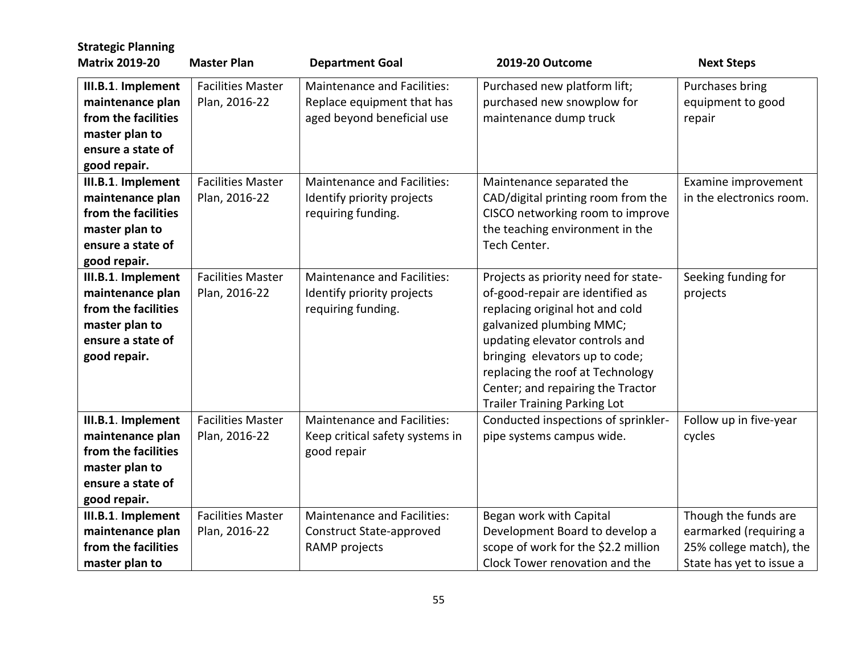| <b>Strategic Planning</b>                                                                                            |                                           |                                                                                         |                                                                                                                                                                                                                                                                                                                             |                                                                                                       |
|----------------------------------------------------------------------------------------------------------------------|-------------------------------------------|-----------------------------------------------------------------------------------------|-----------------------------------------------------------------------------------------------------------------------------------------------------------------------------------------------------------------------------------------------------------------------------------------------------------------------------|-------------------------------------------------------------------------------------------------------|
| <b>Matrix 2019-20</b>                                                                                                | <b>Master Plan</b>                        | <b>Department Goal</b>                                                                  | 2019-20 Outcome                                                                                                                                                                                                                                                                                                             | <b>Next Steps</b>                                                                                     |
| III.B.1. Implement<br>maintenance plan<br>from the facilities<br>master plan to<br>ensure a state of<br>good repair. | <b>Facilities Master</b><br>Plan, 2016-22 | Maintenance and Facilities:<br>Replace equipment that has<br>aged beyond beneficial use | Purchased new platform lift;<br>purchased new snowplow for<br>maintenance dump truck                                                                                                                                                                                                                                        | Purchases bring<br>equipment to good<br>repair                                                        |
| III.B.1. Implement<br>maintenance plan<br>from the facilities<br>master plan to<br>ensure a state of<br>good repair. | <b>Facilities Master</b><br>Plan, 2016-22 | <b>Maintenance and Facilities:</b><br>Identify priority projects<br>requiring funding.  | Maintenance separated the<br>CAD/digital printing room from the<br>CISCO networking room to improve<br>the teaching environment in the<br>Tech Center.                                                                                                                                                                      | Examine improvement<br>in the electronics room.                                                       |
| III.B.1. Implement<br>maintenance plan<br>from the facilities<br>master plan to<br>ensure a state of<br>good repair. | <b>Facilities Master</b><br>Plan, 2016-22 | <b>Maintenance and Facilities:</b><br>Identify priority projects<br>requiring funding.  | Projects as priority need for state-<br>of-good-repair are identified as<br>replacing original hot and cold<br>galvanized plumbing MMC;<br>updating elevator controls and<br>bringing elevators up to code;<br>replacing the roof at Technology<br>Center; and repairing the Tractor<br><b>Trailer Training Parking Lot</b> | Seeking funding for<br>projects                                                                       |
| III.B.1. Implement<br>maintenance plan<br>from the facilities<br>master plan to<br>ensure a state of<br>good repair. | <b>Facilities Master</b><br>Plan, 2016-22 | <b>Maintenance and Facilities:</b><br>Keep critical safety systems in<br>good repair    | Conducted inspections of sprinkler-<br>pipe systems campus wide.                                                                                                                                                                                                                                                            | Follow up in five-year<br>cycles                                                                      |
| III.B.1. Implement<br>maintenance plan<br>from the facilities<br>master plan to                                      | <b>Facilities Master</b><br>Plan, 2016-22 | Maintenance and Facilities:<br>Construct State-approved<br>RAMP projects                | Began work with Capital<br>Development Board to develop a<br>scope of work for the \$2.2 million<br>Clock Tower renovation and the                                                                                                                                                                                          | Though the funds are<br>earmarked (requiring a<br>25% college match), the<br>State has yet to issue a |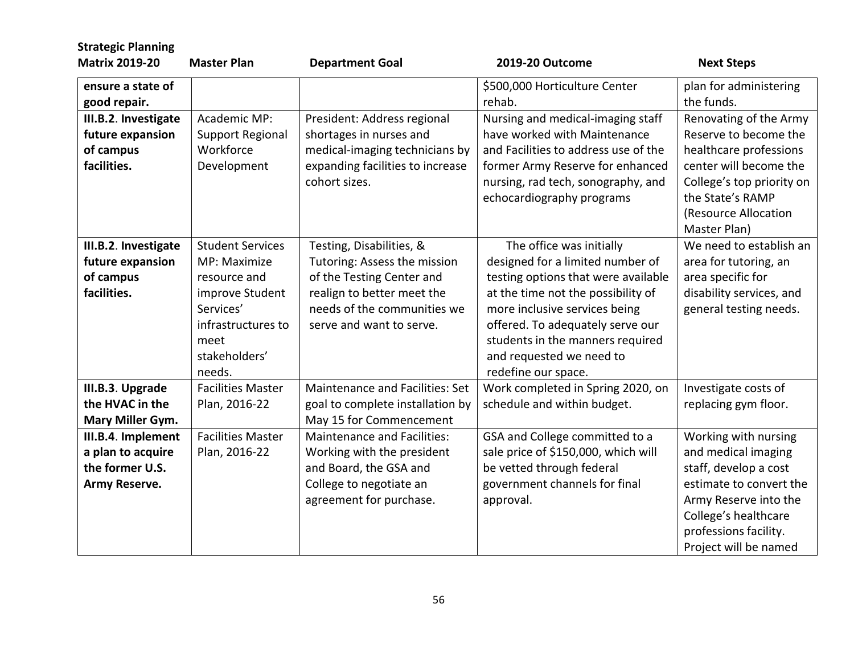| <b>Master Plan</b>      |                                                                                                                                                                                                                            | 2019-20 Outcome                                                                                                                                                                                                                                                                                                                                                                                                                                                                                                                                     | <b>Next Steps</b>                                                                                                                                                                                                                                                                                                                                                                                                                                                                                                                                                                                                                         |
|-------------------------|----------------------------------------------------------------------------------------------------------------------------------------------------------------------------------------------------------------------------|-----------------------------------------------------------------------------------------------------------------------------------------------------------------------------------------------------------------------------------------------------------------------------------------------------------------------------------------------------------------------------------------------------------------------------------------------------------------------------------------------------------------------------------------------------|-------------------------------------------------------------------------------------------------------------------------------------------------------------------------------------------------------------------------------------------------------------------------------------------------------------------------------------------------------------------------------------------------------------------------------------------------------------------------------------------------------------------------------------------------------------------------------------------------------------------------------------------|
|                         |                                                                                                                                                                                                                            | \$500,000 Horticulture Center                                                                                                                                                                                                                                                                                                                                                                                                                                                                                                                       | plan for administering                                                                                                                                                                                                                                                                                                                                                                                                                                                                                                                                                                                                                    |
|                         |                                                                                                                                                                                                                            |                                                                                                                                                                                                                                                                                                                                                                                                                                                                                                                                                     | the funds.                                                                                                                                                                                                                                                                                                                                                                                                                                                                                                                                                                                                                                |
|                         |                                                                                                                                                                                                                            |                                                                                                                                                                                                                                                                                                                                                                                                                                                                                                                                                     | Renovating of the Army                                                                                                                                                                                                                                                                                                                                                                                                                                                                                                                                                                                                                    |
|                         |                                                                                                                                                                                                                            |                                                                                                                                                                                                                                                                                                                                                                                                                                                                                                                                                     | Reserve to become the                                                                                                                                                                                                                                                                                                                                                                                                                                                                                                                                                                                                                     |
| Workforce               |                                                                                                                                                                                                                            | and Facilities to address use of the                                                                                                                                                                                                                                                                                                                                                                                                                                                                                                                | healthcare professions                                                                                                                                                                                                                                                                                                                                                                                                                                                                                                                                                                                                                    |
| Development             | expanding facilities to increase                                                                                                                                                                                           | former Army Reserve for enhanced                                                                                                                                                                                                                                                                                                                                                                                                                                                                                                                    | center will become the                                                                                                                                                                                                                                                                                                                                                                                                                                                                                                                                                                                                                    |
|                         | cohort sizes.                                                                                                                                                                                                              | nursing, rad tech, sonography, and                                                                                                                                                                                                                                                                                                                                                                                                                                                                                                                  | College's top priority on                                                                                                                                                                                                                                                                                                                                                                                                                                                                                                                                                                                                                 |
|                         |                                                                                                                                                                                                                            |                                                                                                                                                                                                                                                                                                                                                                                                                                                                                                                                                     | the State's RAMP                                                                                                                                                                                                                                                                                                                                                                                                                                                                                                                                                                                                                          |
|                         |                                                                                                                                                                                                                            |                                                                                                                                                                                                                                                                                                                                                                                                                                                                                                                                                     | (Resource Allocation                                                                                                                                                                                                                                                                                                                                                                                                                                                                                                                                                                                                                      |
|                         |                                                                                                                                                                                                                            |                                                                                                                                                                                                                                                                                                                                                                                                                                                                                                                                                     | Master Plan)                                                                                                                                                                                                                                                                                                                                                                                                                                                                                                                                                                                                                              |
| <b>Student Services</b> |                                                                                                                                                                                                                            |                                                                                                                                                                                                                                                                                                                                                                                                                                                                                                                                                     | We need to establish an                                                                                                                                                                                                                                                                                                                                                                                                                                                                                                                                                                                                                   |
| MP: Maximize            |                                                                                                                                                                                                                            |                                                                                                                                                                                                                                                                                                                                                                                                                                                                                                                                                     | area for tutoring, an                                                                                                                                                                                                                                                                                                                                                                                                                                                                                                                                                                                                                     |
| resource and            |                                                                                                                                                                                                                            |                                                                                                                                                                                                                                                                                                                                                                                                                                                                                                                                                     | area specific for                                                                                                                                                                                                                                                                                                                                                                                                                                                                                                                                                                                                                         |
|                         |                                                                                                                                                                                                                            |                                                                                                                                                                                                                                                                                                                                                                                                                                                                                                                                                     | disability services, and                                                                                                                                                                                                                                                                                                                                                                                                                                                                                                                                                                                                                  |
|                         |                                                                                                                                                                                                                            |                                                                                                                                                                                                                                                                                                                                                                                                                                                                                                                                                     | general testing needs.                                                                                                                                                                                                                                                                                                                                                                                                                                                                                                                                                                                                                    |
|                         |                                                                                                                                                                                                                            |                                                                                                                                                                                                                                                                                                                                                                                                                                                                                                                                                     |                                                                                                                                                                                                                                                                                                                                                                                                                                                                                                                                                                                                                                           |
|                         |                                                                                                                                                                                                                            |                                                                                                                                                                                                                                                                                                                                                                                                                                                                                                                                                     |                                                                                                                                                                                                                                                                                                                                                                                                                                                                                                                                                                                                                                           |
|                         |                                                                                                                                                                                                                            |                                                                                                                                                                                                                                                                                                                                                                                                                                                                                                                                                     |                                                                                                                                                                                                                                                                                                                                                                                                                                                                                                                                                                                                                                           |
|                         |                                                                                                                                                                                                                            |                                                                                                                                                                                                                                                                                                                                                                                                                                                                                                                                                     |                                                                                                                                                                                                                                                                                                                                                                                                                                                                                                                                                                                                                                           |
|                         |                                                                                                                                                                                                                            |                                                                                                                                                                                                                                                                                                                                                                                                                                                                                                                                                     | Investigate costs of                                                                                                                                                                                                                                                                                                                                                                                                                                                                                                                                                                                                                      |
|                         |                                                                                                                                                                                                                            |                                                                                                                                                                                                                                                                                                                                                                                                                                                                                                                                                     | replacing gym floor.                                                                                                                                                                                                                                                                                                                                                                                                                                                                                                                                                                                                                      |
|                         |                                                                                                                                                                                                                            |                                                                                                                                                                                                                                                                                                                                                                                                                                                                                                                                                     |                                                                                                                                                                                                                                                                                                                                                                                                                                                                                                                                                                                                                                           |
|                         |                                                                                                                                                                                                                            |                                                                                                                                                                                                                                                                                                                                                                                                                                                                                                                                                     | Working with nursing                                                                                                                                                                                                                                                                                                                                                                                                                                                                                                                                                                                                                      |
|                         |                                                                                                                                                                                                                            |                                                                                                                                                                                                                                                                                                                                                                                                                                                                                                                                                     | and medical imaging                                                                                                                                                                                                                                                                                                                                                                                                                                                                                                                                                                                                                       |
|                         |                                                                                                                                                                                                                            |                                                                                                                                                                                                                                                                                                                                                                                                                                                                                                                                                     | staff, develop a cost                                                                                                                                                                                                                                                                                                                                                                                                                                                                                                                                                                                                                     |
|                         |                                                                                                                                                                                                                            |                                                                                                                                                                                                                                                                                                                                                                                                                                                                                                                                                     | estimate to convert the                                                                                                                                                                                                                                                                                                                                                                                                                                                                                                                                                                                                                   |
|                         |                                                                                                                                                                                                                            |                                                                                                                                                                                                                                                                                                                                                                                                                                                                                                                                                     | Army Reserve into the                                                                                                                                                                                                                                                                                                                                                                                                                                                                                                                                                                                                                     |
|                         |                                                                                                                                                                                                                            |                                                                                                                                                                                                                                                                                                                                                                                                                                                                                                                                                     | College's healthcare                                                                                                                                                                                                                                                                                                                                                                                                                                                                                                                                                                                                                      |
|                         |                                                                                                                                                                                                                            |                                                                                                                                                                                                                                                                                                                                                                                                                                                                                                                                                     | professions facility.                                                                                                                                                                                                                                                                                                                                                                                                                                                                                                                                                                                                                     |
|                         |                                                                                                                                                                                                                            |                                                                                                                                                                                                                                                                                                                                                                                                                                                                                                                                                     | Project will be named                                                                                                                                                                                                                                                                                                                                                                                                                                                                                                                                                                                                                     |
|                         | Academic MP:<br><b>Support Regional</b><br>improve Student<br>Services'<br>infrastructures to<br>meet<br>stakeholders'<br>needs.<br><b>Facilities Master</b><br>Plan, 2016-22<br><b>Facilities Master</b><br>Plan, 2016-22 | <b>Department Goal</b><br>President: Address regional<br>shortages in nurses and<br>medical-imaging technicians by<br>Testing, Disabilities, &<br>Tutoring: Assess the mission<br>of the Testing Center and<br>realign to better meet the<br>needs of the communities we<br>serve and want to serve.<br>Maintenance and Facilities: Set<br>goal to complete installation by<br>May 15 for Commencement<br>Maintenance and Facilities:<br>Working with the president<br>and Board, the GSA and<br>College to negotiate an<br>agreement for purchase. | rehab.<br>Nursing and medical-imaging staff<br>have worked with Maintenance<br>echocardiography programs<br>The office was initially<br>designed for a limited number of<br>testing options that were available<br>at the time not the possibility of<br>more inclusive services being<br>offered. To adequately serve our<br>students in the manners required<br>and requested we need to<br>redefine our space.<br>Work completed in Spring 2020, on<br>schedule and within budget.<br>GSA and College committed to a<br>sale price of \$150,000, which will<br>be vetted through federal<br>government channels for final<br>approval. |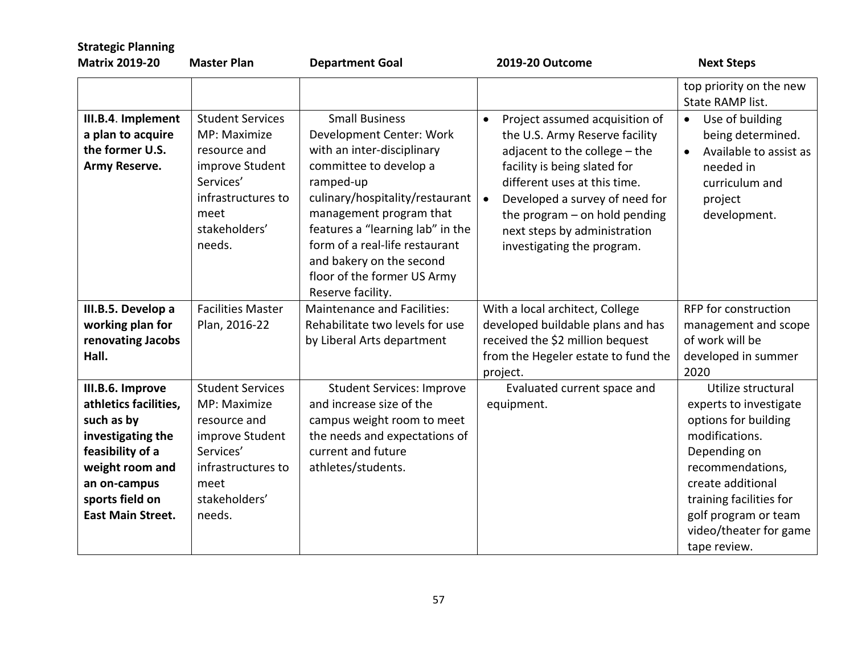| <b>Strategic Planning</b><br><b>Matrix 2019-20</b>                                                                                                                                 | <b>Master Plan</b>                                                                                                                               | <b>Department Goal</b>                                                                                                                                                                                                                                                                                                                     | 2019-20 Outcome                                                                                                                                                                                                                                                                                                                | <b>Next Steps</b>                                                                                                                                                                                                                            |
|------------------------------------------------------------------------------------------------------------------------------------------------------------------------------------|--------------------------------------------------------------------------------------------------------------------------------------------------|--------------------------------------------------------------------------------------------------------------------------------------------------------------------------------------------------------------------------------------------------------------------------------------------------------------------------------------------|--------------------------------------------------------------------------------------------------------------------------------------------------------------------------------------------------------------------------------------------------------------------------------------------------------------------------------|----------------------------------------------------------------------------------------------------------------------------------------------------------------------------------------------------------------------------------------------|
|                                                                                                                                                                                    |                                                                                                                                                  |                                                                                                                                                                                                                                                                                                                                            |                                                                                                                                                                                                                                                                                                                                | top priority on the new<br>State RAMP list.                                                                                                                                                                                                  |
| III.B.4. Implement<br>a plan to acquire<br>the former U.S.<br>Army Reserve.                                                                                                        | <b>Student Services</b><br>MP: Maximize<br>resource and<br>improve Student<br>Services'<br>infrastructures to<br>meet<br>stakeholders'<br>needs. | <b>Small Business</b><br>Development Center: Work<br>with an inter-disciplinary<br>committee to develop a<br>ramped-up<br>culinary/hospitality/restaurant<br>management program that<br>features a "learning lab" in the<br>form of a real-life restaurant<br>and bakery on the second<br>floor of the former US Army<br>Reserve facility. | Project assumed acquisition of<br>$\bullet$<br>the U.S. Army Reserve facility<br>adjacent to the college - the<br>facility is being slated for<br>different uses at this time.<br>Developed a survey of need for<br>$\bullet$<br>the program $-$ on hold pending<br>next steps by administration<br>investigating the program. | Use of building<br>$\bullet$<br>being determined.<br>Available to assist as<br>$\bullet$<br>needed in<br>curriculum and<br>project<br>development.                                                                                           |
| III.B.5. Develop a                                                                                                                                                                 | <b>Facilities Master</b>                                                                                                                         | <b>Maintenance and Facilities:</b>                                                                                                                                                                                                                                                                                                         | With a local architect, College                                                                                                                                                                                                                                                                                                | RFP for construction                                                                                                                                                                                                                         |
| working plan for                                                                                                                                                                   | Plan, 2016-22                                                                                                                                    | Rehabilitate two levels for use                                                                                                                                                                                                                                                                                                            | developed buildable plans and has                                                                                                                                                                                                                                                                                              | management and scope                                                                                                                                                                                                                         |
| renovating Jacobs                                                                                                                                                                  |                                                                                                                                                  | by Liberal Arts department                                                                                                                                                                                                                                                                                                                 | received the \$2 million bequest                                                                                                                                                                                                                                                                                               | of work will be                                                                                                                                                                                                                              |
| Hall.                                                                                                                                                                              |                                                                                                                                                  |                                                                                                                                                                                                                                                                                                                                            | from the Hegeler estate to fund the<br>project.                                                                                                                                                                                                                                                                                | developed in summer<br>2020                                                                                                                                                                                                                  |
| III.B.6. Improve<br>athletics facilities,<br>such as by<br>investigating the<br>feasibility of a<br>weight room and<br>an on-campus<br>sports field on<br><b>East Main Street.</b> | <b>Student Services</b><br>MP: Maximize<br>resource and<br>improve Student<br>Services'<br>infrastructures to<br>meet<br>stakeholders'<br>needs. | <b>Student Services: Improve</b><br>and increase size of the<br>campus weight room to meet<br>the needs and expectations of<br>current and future<br>athletes/students.                                                                                                                                                                    | Evaluated current space and<br>equipment.                                                                                                                                                                                                                                                                                      | Utilize structural<br>experts to investigate<br>options for building<br>modifications.<br>Depending on<br>recommendations,<br>create additional<br>training facilities for<br>golf program or team<br>video/theater for game<br>tape review. |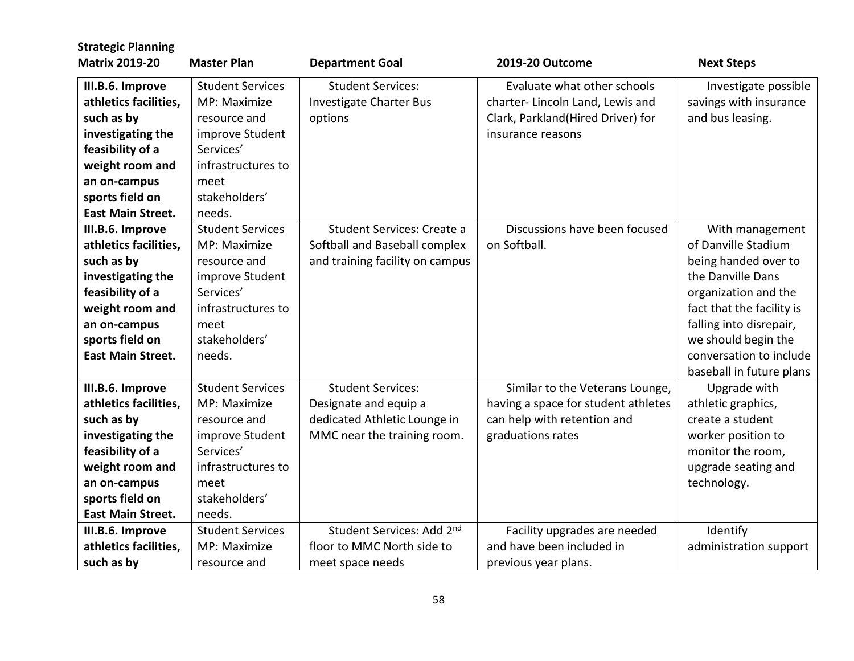| <b>Strategic Planning</b> |                         |                                 |                                     |                           |
|---------------------------|-------------------------|---------------------------------|-------------------------------------|---------------------------|
| <b>Matrix 2019-20</b>     | <b>Master Plan</b>      | <b>Department Goal</b>          | 2019-20 Outcome                     | <b>Next Steps</b>         |
| III.B.6. Improve          | <b>Student Services</b> | <b>Student Services:</b>        | Evaluate what other schools         | Investigate possible      |
| athletics facilities,     | MP: Maximize            | <b>Investigate Charter Bus</b>  | charter- Lincoln Land, Lewis and    | savings with insurance    |
| such as by                | resource and            | options                         | Clark, Parkland(Hired Driver) for   | and bus leasing.          |
| investigating the         | improve Student         |                                 | insurance reasons                   |                           |
| feasibility of a          | Services'               |                                 |                                     |                           |
| weight room and           | infrastructures to      |                                 |                                     |                           |
| an on-campus              | meet                    |                                 |                                     |                           |
| sports field on           | stakeholders'           |                                 |                                     |                           |
| <b>East Main Street.</b>  | needs.                  |                                 |                                     |                           |
| III.B.6. Improve          | <b>Student Services</b> | Student Services: Create a      | Discussions have been focused       | With management           |
| athletics facilities,     | MP: Maximize            | Softball and Baseball complex   | on Softball.                        | of Danville Stadium       |
| such as by                | resource and            | and training facility on campus |                                     | being handed over to      |
| investigating the         | improve Student         |                                 |                                     | the Danville Dans         |
| feasibility of a          | Services'               |                                 |                                     | organization and the      |
| weight room and           | infrastructures to      |                                 |                                     | fact that the facility is |
| an on-campus              | meet                    |                                 |                                     | falling into disrepair,   |
| sports field on           | stakeholders'           |                                 |                                     | we should begin the       |
| <b>East Main Street.</b>  | needs.                  |                                 |                                     | conversation to include   |
|                           |                         |                                 |                                     | baseball in future plans  |
| III.B.6. Improve          | <b>Student Services</b> | <b>Student Services:</b>        | Similar to the Veterans Lounge,     | Upgrade with              |
| athletics facilities,     | MP: Maximize            | Designate and equip a           | having a space for student athletes | athletic graphics,        |
| such as by                | resource and            | dedicated Athletic Lounge in    | can help with retention and         | create a student          |
| investigating the         | improve Student         | MMC near the training room.     | graduations rates                   | worker position to        |
| feasibility of a          | Services'               |                                 |                                     | monitor the room,         |
| weight room and           | infrastructures to      |                                 |                                     | upgrade seating and       |
| an on-campus              | meet                    |                                 |                                     | technology.               |
| sports field on           | stakeholders'           |                                 |                                     |                           |
| <b>East Main Street.</b>  | needs.                  |                                 |                                     |                           |
| III.B.6. Improve          | <b>Student Services</b> | Student Services: Add 2nd       | Facility upgrades are needed        | Identify                  |
| athletics facilities,     | MP: Maximize            | floor to MMC North side to      | and have been included in           | administration support    |
| such as by                | resource and            | meet space needs                | previous year plans.                |                           |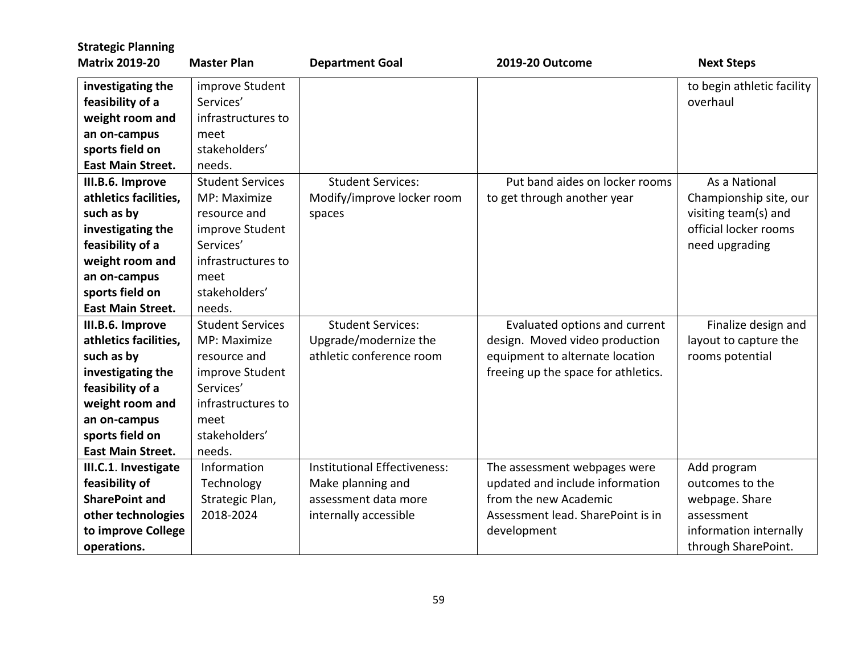| <b>Strategic Planning</b> |                         |                                     |                                     |                            |
|---------------------------|-------------------------|-------------------------------------|-------------------------------------|----------------------------|
| <b>Matrix 2019-20</b>     | <b>Master Plan</b>      | <b>Department Goal</b>              | 2019-20 Outcome                     | <b>Next Steps</b>          |
| investigating the         | improve Student         |                                     |                                     | to begin athletic facility |
| feasibility of a          | Services'               |                                     |                                     | overhaul                   |
| weight room and           | infrastructures to      |                                     |                                     |                            |
| an on-campus              | meet                    |                                     |                                     |                            |
| sports field on           | stakeholders'           |                                     |                                     |                            |
| <b>East Main Street.</b>  | needs.                  |                                     |                                     |                            |
| III.B.6. Improve          | <b>Student Services</b> | <b>Student Services:</b>            | Put band aides on locker rooms      | As a National              |
| athletics facilities,     | MP: Maximize            | Modify/improve locker room          | to get through another year         | Championship site, our     |
| such as by                | resource and            | spaces                              |                                     | visiting team(s) and       |
| investigating the         | improve Student         |                                     |                                     | official locker rooms      |
| feasibility of a          | Services'               |                                     |                                     | need upgrading             |
| weight room and           | infrastructures to      |                                     |                                     |                            |
| an on-campus              | meet                    |                                     |                                     |                            |
| sports field on           | stakeholders'           |                                     |                                     |                            |
| <b>East Main Street.</b>  | needs.                  |                                     |                                     |                            |
| III.B.6. Improve          | <b>Student Services</b> | <b>Student Services:</b>            | Evaluated options and current       | Finalize design and        |
| athletics facilities,     | MP: Maximize            | Upgrade/modernize the               | design. Moved video production      | layout to capture the      |
| such as by                | resource and            | athletic conference room            | equipment to alternate location     | rooms potential            |
| investigating the         | improve Student         |                                     | freeing up the space for athletics. |                            |
| feasibility of a          | Services'               |                                     |                                     |                            |
| weight room and           | infrastructures to      |                                     |                                     |                            |
| an on-campus              | meet                    |                                     |                                     |                            |
| sports field on           | stakeholders'           |                                     |                                     |                            |
| <b>East Main Street.</b>  | needs.                  |                                     |                                     |                            |
| III.C.1. Investigate      | Information             | <b>Institutional Effectiveness:</b> | The assessment webpages were        | Add program                |
| feasibility of            | Technology              | Make planning and                   | updated and include information     | outcomes to the            |
| <b>SharePoint and</b>     | Strategic Plan,         | assessment data more                | from the new Academic               | webpage. Share             |
| other technologies        | 2018-2024               | internally accessible               | Assessment lead. SharePoint is in   | assessment                 |
| to improve College        |                         |                                     | development                         | information internally     |
| operations.               |                         |                                     |                                     | through SharePoint.        |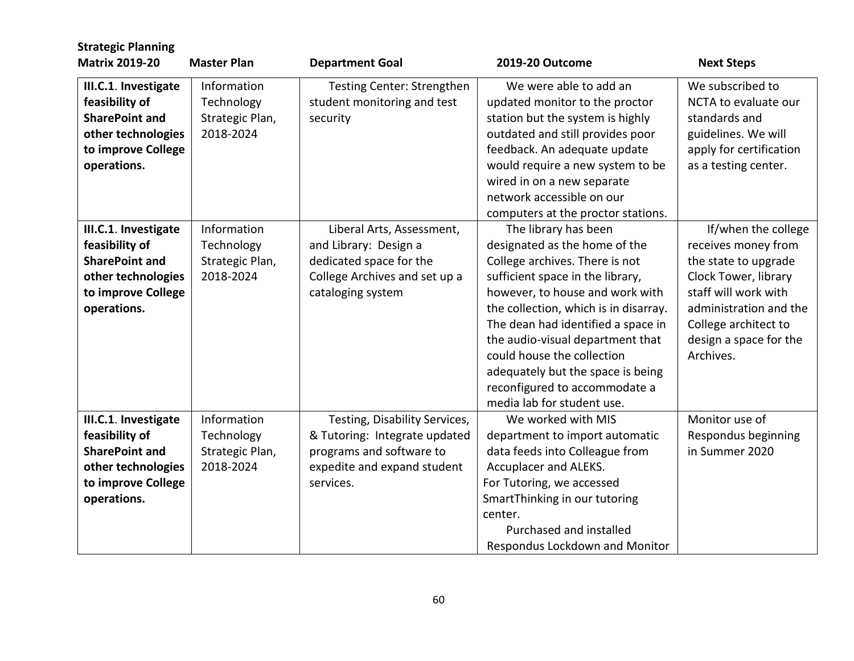| <b>Strategic Planning</b><br><b>Matrix 2019-20</b> | <b>Master Plan</b> | <b>Department Goal</b>        | 2019-20 Outcome                       | <b>Next Steps</b>       |
|----------------------------------------------------|--------------------|-------------------------------|---------------------------------------|-------------------------|
|                                                    |                    |                               |                                       |                         |
| III.C.1. Investigate                               | Information        | Testing Center: Strengthen    | We were able to add an                | We subscribed to        |
| feasibility of                                     | Technology         | student monitoring and test   | updated monitor to the proctor        | NCTA to evaluate our    |
| <b>SharePoint and</b>                              | Strategic Plan,    | security                      | station but the system is highly      | standards and           |
| other technologies                                 | 2018-2024          |                               | outdated and still provides poor      | guidelines. We will     |
| to improve College                                 |                    |                               | feedback. An adequate update          | apply for certification |
| operations.                                        |                    |                               | would require a new system to be      | as a testing center.    |
|                                                    |                    |                               | wired in on a new separate            |                         |
|                                                    |                    |                               | network accessible on our             |                         |
|                                                    |                    |                               | computers at the proctor stations.    |                         |
| III.C.1. Investigate                               | Information        | Liberal Arts, Assessment,     | The library has been                  | If/when the college     |
| feasibility of                                     | Technology         | and Library: Design a         | designated as the home of the         | receives money from     |
| <b>SharePoint and</b>                              | Strategic Plan,    | dedicated space for the       | College archives. There is not        | the state to upgrade    |
| other technologies                                 | 2018-2024          | College Archives and set up a | sufficient space in the library,      | Clock Tower, library    |
| to improve College                                 |                    | cataloging system             | however, to house and work with       | staff will work with    |
| operations.                                        |                    |                               | the collection, which is in disarray. | administration and the  |
|                                                    |                    |                               | The dean had identified a space in    | College architect to    |
|                                                    |                    |                               | the audio-visual department that      | design a space for the  |
|                                                    |                    |                               | could house the collection            | Archives.               |
|                                                    |                    |                               | adequately but the space is being     |                         |
|                                                    |                    |                               | reconfigured to accommodate a         |                         |
|                                                    |                    |                               | media lab for student use.            |                         |
| III.C.1. Investigate                               | Information        | Testing, Disability Services, | We worked with MIS                    | Monitor use of          |
| feasibility of                                     | Technology         | & Tutoring: Integrate updated | department to import automatic        | Respondus beginning     |
| <b>SharePoint and</b>                              | Strategic Plan,    | programs and software to      | data feeds into Colleague from        | in Summer 2020          |
| other technologies                                 | 2018-2024          | expedite and expand student   | Accuplacer and ALEKS.                 |                         |
| to improve College                                 |                    | services.                     | For Tutoring, we accessed             |                         |
| operations.                                        |                    |                               | SmartThinking in our tutoring         |                         |
|                                                    |                    |                               | center.                               |                         |
|                                                    |                    |                               | Purchased and installed               |                         |
|                                                    |                    |                               | Respondus Lockdown and Monitor        |                         |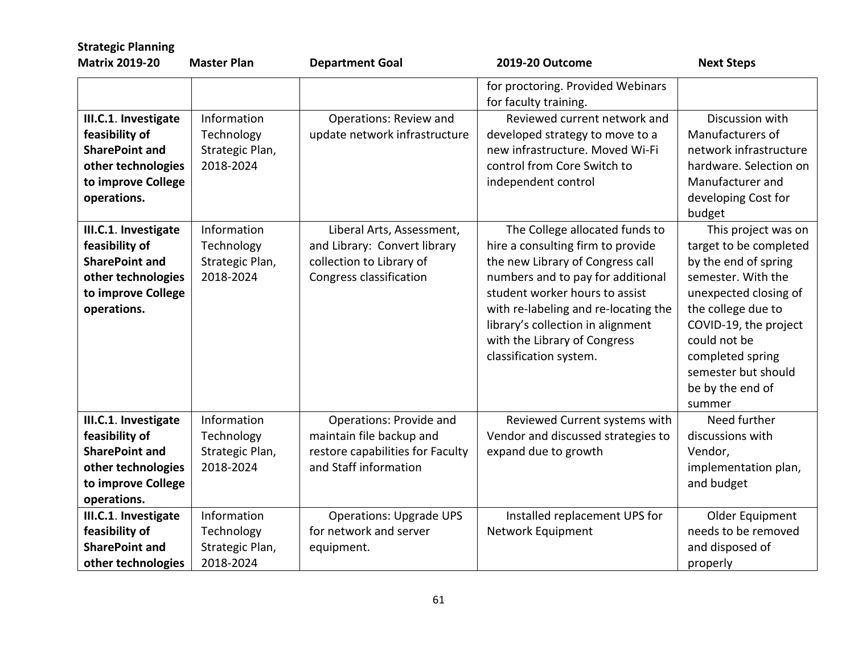| <b>Strategic Planning</b>                                                                                                  |                                                           |                                                                                                                  |                                                                                                                                                                                                                                                                                                                       |                                                                                                                                                                                                                                                              |
|----------------------------------------------------------------------------------------------------------------------------|-----------------------------------------------------------|------------------------------------------------------------------------------------------------------------------|-----------------------------------------------------------------------------------------------------------------------------------------------------------------------------------------------------------------------------------------------------------------------------------------------------------------------|--------------------------------------------------------------------------------------------------------------------------------------------------------------------------------------------------------------------------------------------------------------|
| <b>Matrix 2019-20</b>                                                                                                      | <b>Master Plan</b>                                        | <b>Department Goal</b>                                                                                           | 2019-20 Outcome                                                                                                                                                                                                                                                                                                       | <b>Next Steps</b>                                                                                                                                                                                                                                            |
|                                                                                                                            |                                                           |                                                                                                                  | for proctoring. Provided Webinars<br>for faculty training.                                                                                                                                                                                                                                                            |                                                                                                                                                                                                                                                              |
| III.C.1. Investigate<br>feasibility of<br><b>SharePoint and</b><br>other technologies<br>to improve College<br>operations. | Information<br>Technology<br>Strategic Plan,<br>2018-2024 | Operations: Review and<br>update network infrastructure                                                          | Reviewed current network and<br>developed strategy to move to a<br>new infrastructure. Moved Wi-Fi<br>control from Core Switch to<br>independent control                                                                                                                                                              | Discussion with<br>Manufacturers of<br>network infrastructure<br>hardware. Selection on<br>Manufacturer and<br>developing Cost for<br>budget                                                                                                                 |
| III.C.1. Investigate<br>feasibility of<br><b>SharePoint and</b><br>other technologies<br>to improve College<br>operations. | Information<br>Technology<br>Strategic Plan,<br>2018-2024 | Liberal Arts, Assessment,<br>and Library: Convert library<br>collection to Library of<br>Congress classification | The College allocated funds to<br>hire a consulting firm to provide<br>the new Library of Congress call<br>numbers and to pay for additional<br>student worker hours to assist<br>with re-labeling and re-locating the<br>library's collection in alignment<br>with the Library of Congress<br>classification system. | This project was on<br>target to be completed<br>by the end of spring<br>semester. With the<br>unexpected closing of<br>the college due to<br>COVID-19, the project<br>could not be<br>completed spring<br>semester but should<br>be by the end of<br>summer |
| III.C.1. Investigate<br>feasibility of<br><b>SharePoint and</b><br>other technologies<br>to improve College<br>operations. | Information<br>Technology<br>Strategic Plan,<br>2018-2024 | Operations: Provide and<br>maintain file backup and<br>restore capabilities for Faculty<br>and Staff information | Reviewed Current systems with<br>Vendor and discussed strategies to<br>expand due to growth                                                                                                                                                                                                                           | Need further<br>discussions with<br>Vendor,<br>implementation plan,<br>and budget                                                                                                                                                                            |
| III.C.1. Investigate<br>feasibility of<br><b>SharePoint and</b><br>other technologies                                      | Information<br>Technology<br>Strategic Plan,<br>2018-2024 | <b>Operations: Upgrade UPS</b><br>for network and server<br>equipment.                                           | Installed replacement UPS for<br>Network Equipment                                                                                                                                                                                                                                                                    | Older Equipment<br>needs to be removed<br>and disposed of<br>properly                                                                                                                                                                                        |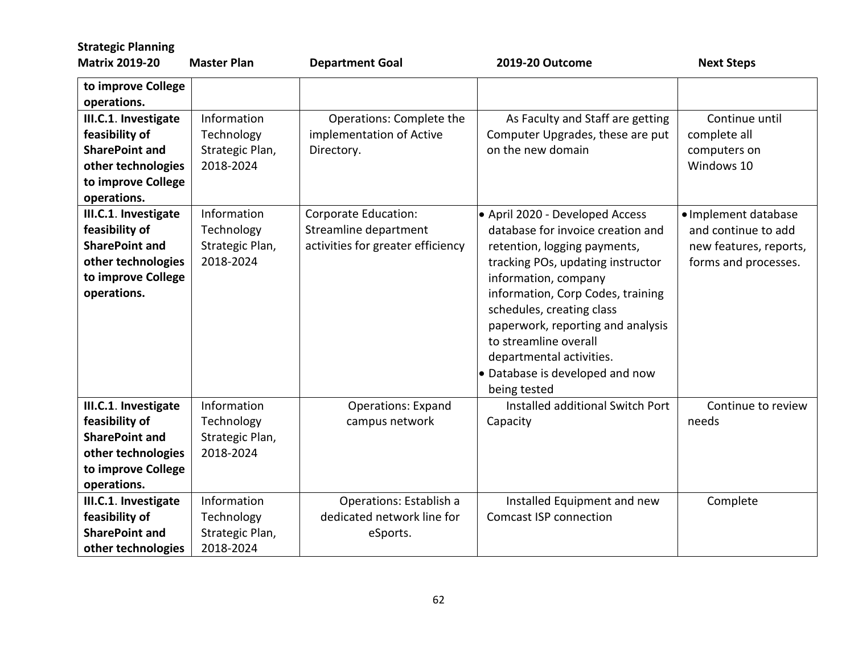| <b>Strategic Planning</b>                                                                                                  |                                                           |                                                                                    |                                                                                                                                                                                                                                                                                                                                                                                  |                                                                                               |
|----------------------------------------------------------------------------------------------------------------------------|-----------------------------------------------------------|------------------------------------------------------------------------------------|----------------------------------------------------------------------------------------------------------------------------------------------------------------------------------------------------------------------------------------------------------------------------------------------------------------------------------------------------------------------------------|-----------------------------------------------------------------------------------------------|
| <b>Matrix 2019-20</b>                                                                                                      | <b>Master Plan</b>                                        | <b>Department Goal</b>                                                             | 2019-20 Outcome                                                                                                                                                                                                                                                                                                                                                                  | <b>Next Steps</b>                                                                             |
| to improve College<br>operations.                                                                                          |                                                           |                                                                                    |                                                                                                                                                                                                                                                                                                                                                                                  |                                                                                               |
| III.C.1. Investigate<br>feasibility of<br><b>SharePoint and</b><br>other technologies<br>to improve College<br>operations. | Information<br>Technology<br>Strategic Plan,<br>2018-2024 | Operations: Complete the<br>implementation of Active<br>Directory.                 | As Faculty and Staff are getting<br>Computer Upgrades, these are put<br>on the new domain                                                                                                                                                                                                                                                                                        | Continue until<br>complete all<br>computers on<br>Windows 10                                  |
| III.C.1. Investigate<br>feasibility of<br><b>SharePoint and</b><br>other technologies<br>to improve College<br>operations. | Information<br>Technology<br>Strategic Plan,<br>2018-2024 | Corporate Education:<br>Streamline department<br>activities for greater efficiency | • April 2020 - Developed Access<br>database for invoice creation and<br>retention, logging payments,<br>tracking POs, updating instructor<br>information, company<br>information, Corp Codes, training<br>schedules, creating class<br>paperwork, reporting and analysis<br>to streamline overall<br>departmental activities.<br>• Database is developed and now<br>being tested | · Implement database<br>and continue to add<br>new features, reports,<br>forms and processes. |
| III.C.1. Investigate<br>feasibility of<br><b>SharePoint and</b><br>other technologies<br>to improve College<br>operations. | Information<br>Technology<br>Strategic Plan,<br>2018-2024 | <b>Operations: Expand</b><br>campus network                                        | Installed additional Switch Port<br>Capacity                                                                                                                                                                                                                                                                                                                                     | Continue to review<br>needs                                                                   |
| III.C.1. Investigate<br>feasibility of<br><b>SharePoint and</b><br>other technologies                                      | Information<br>Technology<br>Strategic Plan,<br>2018-2024 | Operations: Establish a<br>dedicated network line for<br>eSports.                  | Installed Equipment and new<br><b>Comcast ISP connection</b>                                                                                                                                                                                                                                                                                                                     | Complete                                                                                      |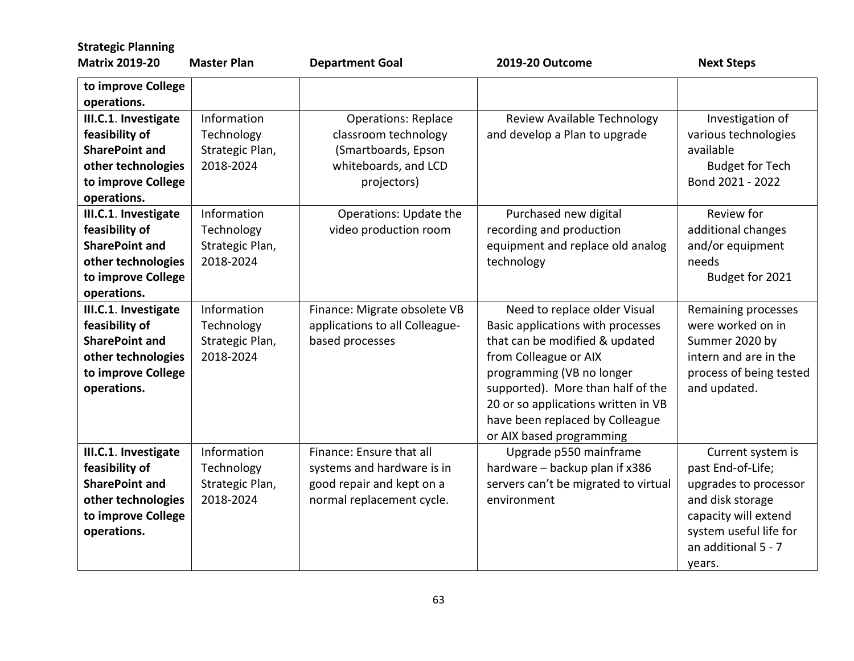| <b>Strategic Planning</b>                                                                                                  |                                                           |                                                                                                                  |                                                                                                                                                                                                                                                                                                      |                                                                                                                                                                        |
|----------------------------------------------------------------------------------------------------------------------------|-----------------------------------------------------------|------------------------------------------------------------------------------------------------------------------|------------------------------------------------------------------------------------------------------------------------------------------------------------------------------------------------------------------------------------------------------------------------------------------------------|------------------------------------------------------------------------------------------------------------------------------------------------------------------------|
| <b>Matrix 2019-20</b>                                                                                                      | <b>Master Plan</b>                                        | <b>Department Goal</b>                                                                                           | 2019-20 Outcome                                                                                                                                                                                                                                                                                      | <b>Next Steps</b>                                                                                                                                                      |
| to improve College<br>operations.                                                                                          |                                                           |                                                                                                                  |                                                                                                                                                                                                                                                                                                      |                                                                                                                                                                        |
| III.C.1. Investigate<br>feasibility of<br><b>SharePoint and</b><br>other technologies<br>to improve College<br>operations. | Information<br>Technology<br>Strategic Plan,<br>2018-2024 | <b>Operations: Replace</b><br>classroom technology<br>(Smartboards, Epson<br>whiteboards, and LCD<br>projectors) | Review Available Technology<br>and develop a Plan to upgrade                                                                                                                                                                                                                                         | Investigation of<br>various technologies<br>available<br><b>Budget for Tech</b><br>Bond 2021 - 2022                                                                    |
| III.C.1. Investigate<br>feasibility of<br><b>SharePoint and</b><br>other technologies<br>to improve College<br>operations. | Information<br>Technology<br>Strategic Plan,<br>2018-2024 | Operations: Update the<br>video production room                                                                  | Purchased new digital<br>recording and production<br>equipment and replace old analog<br>technology                                                                                                                                                                                                  | Review for<br>additional changes<br>and/or equipment<br>needs<br>Budget for 2021                                                                                       |
| III.C.1. Investigate<br>feasibility of<br><b>SharePoint and</b><br>other technologies<br>to improve College<br>operations. | Information<br>Technology<br>Strategic Plan,<br>2018-2024 | Finance: Migrate obsolete VB<br>applications to all Colleague-<br>based processes                                | Need to replace older Visual<br>Basic applications with processes<br>that can be modified & updated<br>from Colleague or AIX<br>programming (VB no longer<br>supported). More than half of the<br>20 or so applications written in VB<br>have been replaced by Colleague<br>or AIX based programming | Remaining processes<br>were worked on in<br>Summer 2020 by<br>intern and are in the<br>process of being tested<br>and updated.                                         |
| III.C.1. Investigate<br>feasibility of<br><b>SharePoint and</b><br>other technologies<br>to improve College<br>operations. | Information<br>Technology<br>Strategic Plan,<br>2018-2024 | Finance: Ensure that all<br>systems and hardware is in<br>good repair and kept on a<br>normal replacement cycle. | Upgrade p550 mainframe<br>hardware - backup plan if x386<br>servers can't be migrated to virtual<br>environment                                                                                                                                                                                      | Current system is<br>past End-of-Life;<br>upgrades to processor<br>and disk storage<br>capacity will extend<br>system useful life for<br>an additional 5 - 7<br>years. |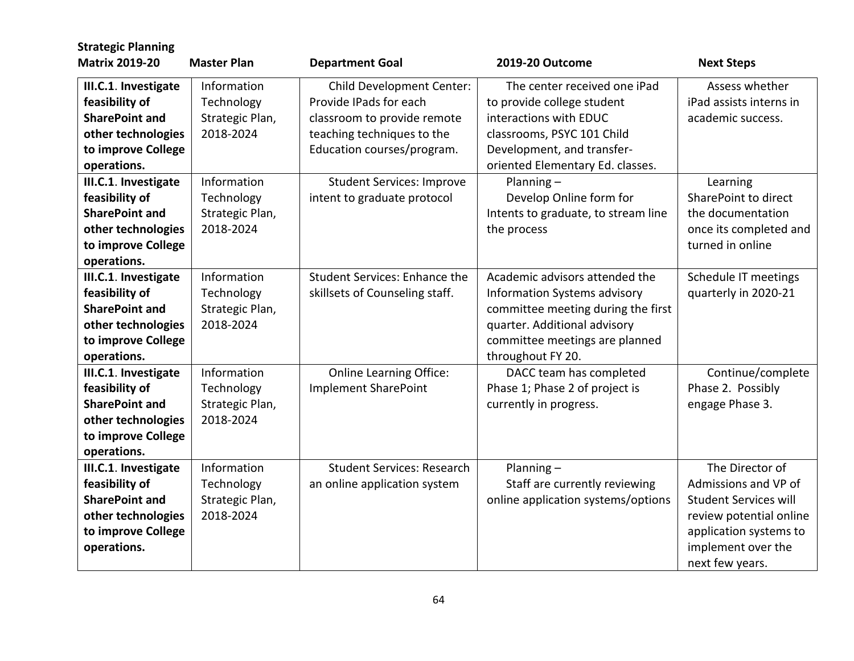| <b>Strategic Planning</b>                                                                                                  |                                                           |                                                                                                                                                |                                                                                                                                                                                             |                                                                                                                                                                       |
|----------------------------------------------------------------------------------------------------------------------------|-----------------------------------------------------------|------------------------------------------------------------------------------------------------------------------------------------------------|---------------------------------------------------------------------------------------------------------------------------------------------------------------------------------------------|-----------------------------------------------------------------------------------------------------------------------------------------------------------------------|
| <b>Matrix 2019-20</b>                                                                                                      | <b>Master Plan</b>                                        | <b>Department Goal</b>                                                                                                                         | 2019-20 Outcome                                                                                                                                                                             | <b>Next Steps</b>                                                                                                                                                     |
| III.C.1. Investigate<br>feasibility of<br><b>SharePoint and</b><br>other technologies<br>to improve College<br>operations. | Information<br>Technology<br>Strategic Plan,<br>2018-2024 | Child Development Center:<br>Provide IPads for each<br>classroom to provide remote<br>teaching techniques to the<br>Education courses/program. | The center received one iPad<br>to provide college student<br>interactions with EDUC<br>classrooms, PSYC 101 Child<br>Development, and transfer-<br>oriented Elementary Ed. classes.        | Assess whether<br>iPad assists interns in<br>academic success.                                                                                                        |
| III.C.1. Investigate<br>feasibility of<br><b>SharePoint and</b><br>other technologies<br>to improve College<br>operations. | Information<br>Technology<br>Strategic Plan,<br>2018-2024 | <b>Student Services: Improve</b><br>intent to graduate protocol                                                                                | Planning $-$<br>Develop Online form for<br>Intents to graduate, to stream line<br>the process                                                                                               | Learning<br>SharePoint to direct<br>the documentation<br>once its completed and<br>turned in online                                                                   |
| III.C.1. Investigate<br>feasibility of<br><b>SharePoint and</b><br>other technologies<br>to improve College<br>operations. | Information<br>Technology<br>Strategic Plan,<br>2018-2024 | <b>Student Services: Enhance the</b><br>skillsets of Counseling staff.                                                                         | Academic advisors attended the<br>Information Systems advisory<br>committee meeting during the first<br>quarter. Additional advisory<br>committee meetings are planned<br>throughout FY 20. | Schedule IT meetings<br>quarterly in 2020-21                                                                                                                          |
| III.C.1. Investigate<br>feasibility of<br><b>SharePoint and</b><br>other technologies<br>to improve College<br>operations. | Information<br>Technology<br>Strategic Plan,<br>2018-2024 | <b>Online Learning Office:</b><br><b>Implement SharePoint</b>                                                                                  | DACC team has completed<br>Phase 1; Phase 2 of project is<br>currently in progress.                                                                                                         | Continue/complete<br>Phase 2. Possibly<br>engage Phase 3.                                                                                                             |
| III.C.1. Investigate<br>feasibility of<br><b>SharePoint and</b><br>other technologies<br>to improve College<br>operations. | Information<br>Technology<br>Strategic Plan,<br>2018-2024 | <b>Student Services: Research</b><br>an online application system                                                                              | Planning $-$<br>Staff are currently reviewing<br>online application systems/options                                                                                                         | The Director of<br>Admissions and VP of<br><b>Student Services will</b><br>review potential online<br>application systems to<br>implement over the<br>next few years. |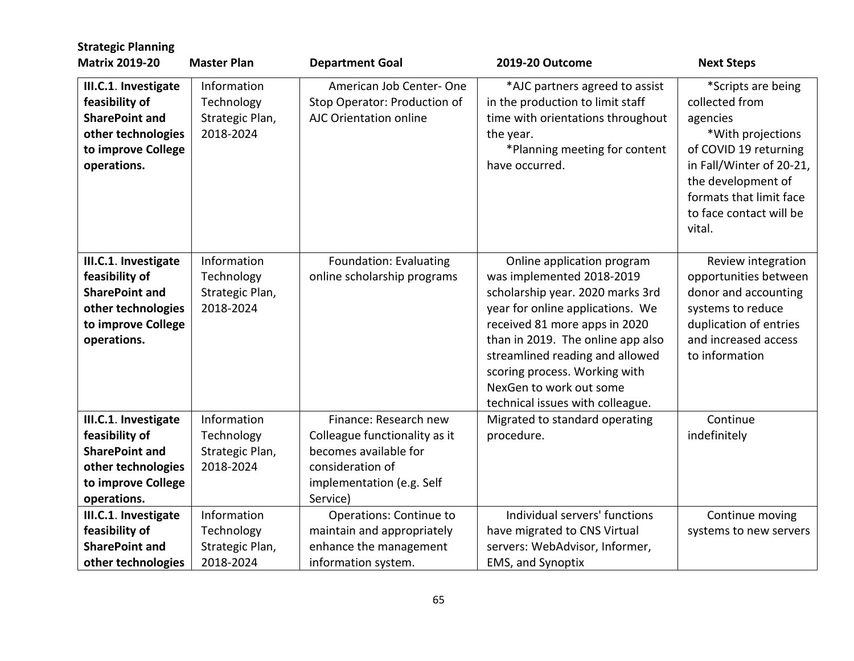| <b>Strategic Planning</b>                                                                                                  |                                                           |                                                                                                                                              |                                                                                                                                                                                                                                                                                                                                          |                                                                                                                                                                                                                  |
|----------------------------------------------------------------------------------------------------------------------------|-----------------------------------------------------------|----------------------------------------------------------------------------------------------------------------------------------------------|------------------------------------------------------------------------------------------------------------------------------------------------------------------------------------------------------------------------------------------------------------------------------------------------------------------------------------------|------------------------------------------------------------------------------------------------------------------------------------------------------------------------------------------------------------------|
| <b>Matrix 2019-20</b>                                                                                                      | <b>Master Plan</b>                                        | <b>Department Goal</b>                                                                                                                       | 2019-20 Outcome                                                                                                                                                                                                                                                                                                                          | <b>Next Steps</b>                                                                                                                                                                                                |
| III.C.1. Investigate<br>feasibility of<br><b>SharePoint and</b><br>other technologies<br>to improve College<br>operations. | Information<br>Technology<br>Strategic Plan,<br>2018-2024 | American Job Center-One<br>Stop Operator: Production of<br>AJC Orientation online                                                            | *AJC partners agreed to assist<br>in the production to limit staff<br>time with orientations throughout<br>the year.<br>*Planning meeting for content<br>have occurred.                                                                                                                                                                  | *Scripts are being<br>collected from<br>agencies<br>*With projections<br>of COVID 19 returning<br>in Fall/Winter of 20-21,<br>the development of<br>formats that limit face<br>to face contact will be<br>vital. |
| III.C.1. Investigate<br>feasibility of<br><b>SharePoint and</b><br>other technologies<br>to improve College<br>operations. | Information<br>Technology<br>Strategic Plan,<br>2018-2024 | Foundation: Evaluating<br>online scholarship programs                                                                                        | Online application program<br>was implemented 2018-2019<br>scholarship year. 2020 marks 3rd<br>year for online applications. We<br>received 81 more apps in 2020<br>than in 2019. The online app also<br>streamlined reading and allowed<br>scoring process. Working with<br>NexGen to work out some<br>technical issues with colleague. | Review integration<br>opportunities between<br>donor and accounting<br>systems to reduce<br>duplication of entries<br>and increased access<br>to information                                                     |
| III.C.1. Investigate<br>feasibility of<br><b>SharePoint and</b><br>other technologies<br>to improve College<br>operations. | Information<br>Technology<br>Strategic Plan,<br>2018-2024 | Finance: Research new<br>Colleague functionality as it<br>becomes available for<br>consideration of<br>implementation (e.g. Self<br>Service) | Migrated to standard operating<br>procedure.                                                                                                                                                                                                                                                                                             | Continue<br>indefinitely                                                                                                                                                                                         |
| III.C.1. Investigate<br>feasibility of<br><b>SharePoint and</b><br>other technologies                                      | Information<br>Technology<br>Strategic Plan,<br>2018-2024 | Operations: Continue to<br>maintain and appropriately<br>enhance the management<br>information system.                                       | Individual servers' functions<br>have migrated to CNS Virtual<br>servers: WebAdvisor, Informer,<br><b>EMS, and Synoptix</b>                                                                                                                                                                                                              | Continue moving<br>systems to new servers                                                                                                                                                                        |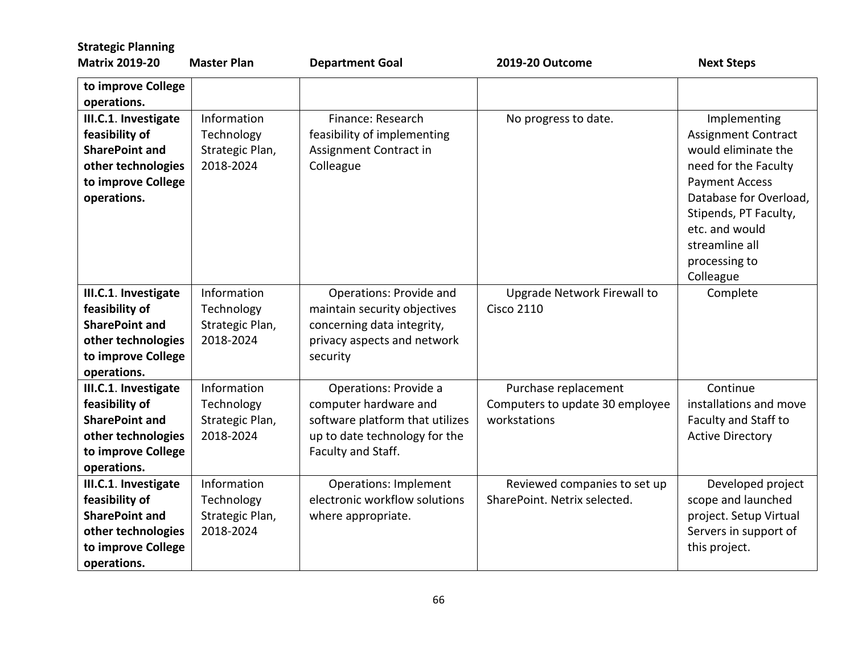| <b>Strategic Planning</b>                                                                                                  |                                                           |                                                                                                                                          |                                                                         |                                                                                                                                                                                                                                         |
|----------------------------------------------------------------------------------------------------------------------------|-----------------------------------------------------------|------------------------------------------------------------------------------------------------------------------------------------------|-------------------------------------------------------------------------|-----------------------------------------------------------------------------------------------------------------------------------------------------------------------------------------------------------------------------------------|
| <b>Matrix 2019-20</b>                                                                                                      | <b>Master Plan</b>                                        | <b>Department Goal</b>                                                                                                                   | 2019-20 Outcome                                                         | <b>Next Steps</b>                                                                                                                                                                                                                       |
| to improve College<br>operations.                                                                                          |                                                           |                                                                                                                                          |                                                                         |                                                                                                                                                                                                                                         |
| III.C.1. Investigate<br>feasibility of<br><b>SharePoint and</b><br>other technologies<br>to improve College<br>operations. | Information<br>Technology<br>Strategic Plan,<br>2018-2024 | Finance: Research<br>feasibility of implementing<br>Assignment Contract in<br>Colleague                                                  | No progress to date.                                                    | Implementing<br><b>Assignment Contract</b><br>would eliminate the<br>need for the Faculty<br><b>Payment Access</b><br>Database for Overload,<br>Stipends, PT Faculty,<br>etc. and would<br>streamline all<br>processing to<br>Colleague |
| III.C.1. Investigate<br>feasibility of<br><b>SharePoint and</b><br>other technologies<br>to improve College<br>operations. | Information<br>Technology<br>Strategic Plan,<br>2018-2024 | Operations: Provide and<br>maintain security objectives<br>concerning data integrity,<br>privacy aspects and network<br>security         | Upgrade Network Firewall to<br><b>Cisco 2110</b>                        | Complete                                                                                                                                                                                                                                |
| III.C.1. Investigate<br>feasibility of<br><b>SharePoint and</b><br>other technologies<br>to improve College<br>operations. | Information<br>Technology<br>Strategic Plan,<br>2018-2024 | Operations: Provide a<br>computer hardware and<br>software platform that utilizes<br>up to date technology for the<br>Faculty and Staff. | Purchase replacement<br>Computers to update 30 employee<br>workstations | Continue<br>installations and move<br>Faculty and Staff to<br><b>Active Directory</b>                                                                                                                                                   |
| III.C.1. Investigate<br>feasibility of<br><b>SharePoint and</b><br>other technologies<br>to improve College<br>operations. | Information<br>Technology<br>Strategic Plan,<br>2018-2024 | <b>Operations: Implement</b><br>electronic workflow solutions<br>where appropriate.                                                      | Reviewed companies to set up<br>SharePoint. Netrix selected.            | Developed project<br>scope and launched<br>project. Setup Virtual<br>Servers in support of<br>this project.                                                                                                                             |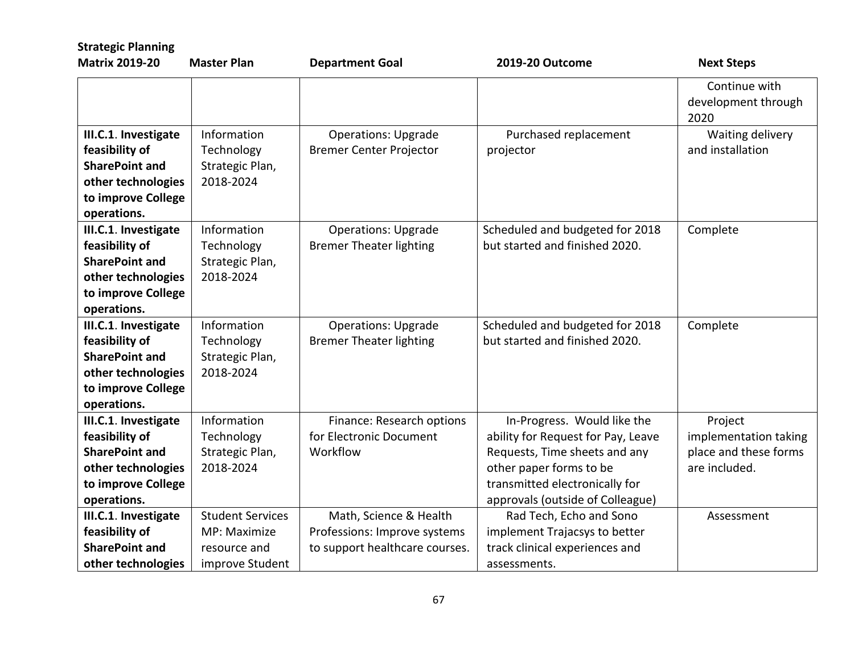| <b>Strategic Planning</b>                                                                                                  |                                                                            |                                                                                          |                                                                                                                                                                                                     |                                                                            |
|----------------------------------------------------------------------------------------------------------------------------|----------------------------------------------------------------------------|------------------------------------------------------------------------------------------|-----------------------------------------------------------------------------------------------------------------------------------------------------------------------------------------------------|----------------------------------------------------------------------------|
| <b>Matrix 2019-20</b>                                                                                                      | <b>Master Plan</b>                                                         | <b>Department Goal</b>                                                                   | 2019-20 Outcome                                                                                                                                                                                     | <b>Next Steps</b>                                                          |
|                                                                                                                            |                                                                            |                                                                                          |                                                                                                                                                                                                     | Continue with<br>development through<br>2020                               |
| III.C.1. Investigate<br>feasibility of<br><b>SharePoint and</b><br>other technologies<br>to improve College<br>operations. | Information<br>Technology<br>Strategic Plan,<br>2018-2024                  | <b>Operations: Upgrade</b><br><b>Bremer Center Projector</b>                             | Purchased replacement<br>projector                                                                                                                                                                  | Waiting delivery<br>and installation                                       |
| III.C.1. Investigate<br>feasibility of<br><b>SharePoint and</b><br>other technologies<br>to improve College<br>operations. | Information<br>Technology<br>Strategic Plan,<br>2018-2024                  | <b>Operations: Upgrade</b><br><b>Bremer Theater lighting</b>                             | Scheduled and budgeted for 2018<br>but started and finished 2020.                                                                                                                                   | Complete                                                                   |
| III.C.1. Investigate<br>feasibility of<br><b>SharePoint and</b><br>other technologies<br>to improve College<br>operations. | Information<br>Technology<br>Strategic Plan,<br>2018-2024                  | <b>Operations: Upgrade</b><br><b>Bremer Theater lighting</b>                             | Scheduled and budgeted for 2018<br>but started and finished 2020.                                                                                                                                   | Complete                                                                   |
| III.C.1. Investigate<br>feasibility of<br><b>SharePoint and</b><br>other technologies<br>to improve College<br>operations. | Information<br>Technology<br>Strategic Plan,<br>2018-2024                  | Finance: Research options<br>for Electronic Document<br>Workflow                         | In-Progress. Would like the<br>ability for Request for Pay, Leave<br>Requests, Time sheets and any<br>other paper forms to be<br>transmitted electronically for<br>approvals (outside of Colleague) | Project<br>implementation taking<br>place and these forms<br>are included. |
| III.C.1. Investigate<br>feasibility of<br><b>SharePoint and</b><br>other technologies                                      | <b>Student Services</b><br>MP: Maximize<br>resource and<br>improve Student | Math, Science & Health<br>Professions: Improve systems<br>to support healthcare courses. | Rad Tech, Echo and Sono<br>implement Trajacsys to better<br>track clinical experiences and<br>assessments.                                                                                          | Assessment                                                                 |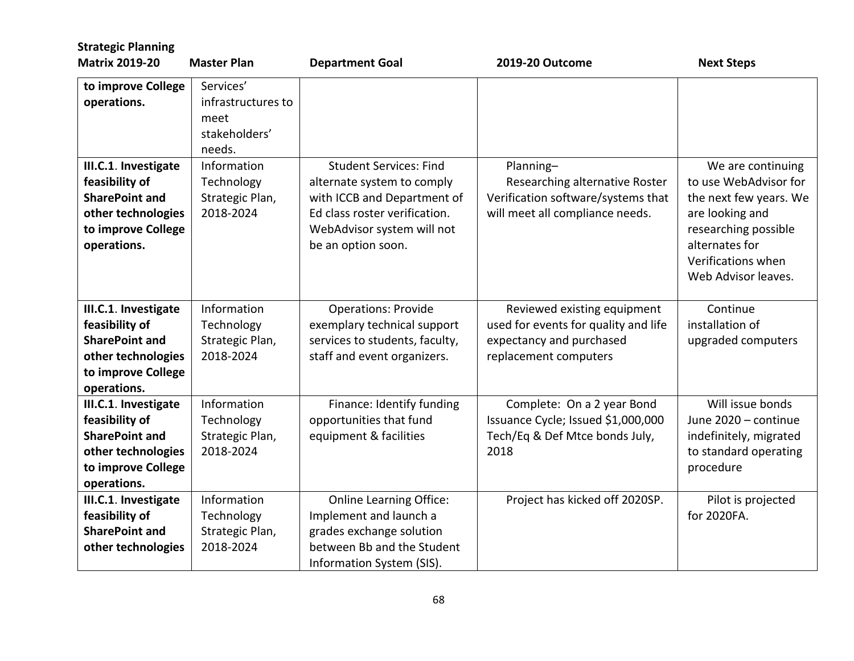| <b>Strategic Planning</b>                                                                                                  |                                                                    |                                                                                                                                                                                 |                                                                                                                          |                                                                                                                                                                                |
|----------------------------------------------------------------------------------------------------------------------------|--------------------------------------------------------------------|---------------------------------------------------------------------------------------------------------------------------------------------------------------------------------|--------------------------------------------------------------------------------------------------------------------------|--------------------------------------------------------------------------------------------------------------------------------------------------------------------------------|
| <b>Matrix 2019-20</b>                                                                                                      | <b>Master Plan</b>                                                 | <b>Department Goal</b>                                                                                                                                                          | 2019-20 Outcome                                                                                                          | <b>Next Steps</b>                                                                                                                                                              |
| to improve College<br>operations.                                                                                          | Services'<br>infrastructures to<br>meet<br>stakeholders'<br>needs. |                                                                                                                                                                                 |                                                                                                                          |                                                                                                                                                                                |
| III.C.1. Investigate<br>feasibility of<br><b>SharePoint and</b><br>other technologies<br>to improve College<br>operations. | Information<br>Technology<br>Strategic Plan,<br>2018-2024          | <b>Student Services: Find</b><br>alternate system to comply<br>with ICCB and Department of<br>Ed class roster verification.<br>WebAdvisor system will not<br>be an option soon. | Planning-<br>Researching alternative Roster<br>Verification software/systems that<br>will meet all compliance needs.     | We are continuing<br>to use WebAdvisor for<br>the next few years. We<br>are looking and<br>researching possible<br>alternates for<br>Verifications when<br>Web Advisor leaves. |
| III.C.1. Investigate<br>feasibility of<br><b>SharePoint and</b><br>other technologies<br>to improve College<br>operations. | Information<br>Technology<br>Strategic Plan,<br>2018-2024          | <b>Operations: Provide</b><br>exemplary technical support<br>services to students, faculty,<br>staff and event organizers.                                                      | Reviewed existing equipment<br>used for events for quality and life<br>expectancy and purchased<br>replacement computers | Continue<br>installation of<br>upgraded computers                                                                                                                              |
| III.C.1. Investigate<br>feasibility of<br><b>SharePoint and</b><br>other technologies<br>to improve College<br>operations. | Information<br>Technology<br>Strategic Plan,<br>2018-2024          | Finance: Identify funding<br>opportunities that fund<br>equipment & facilities                                                                                                  | Complete: On a 2 year Bond<br>Issuance Cycle; Issued \$1,000,000<br>Tech/Eq & Def Mtce bonds July,<br>2018               | Will issue bonds<br>June 2020 - continue<br>indefinitely, migrated<br>to standard operating<br>procedure                                                                       |
| III.C.1. Investigate<br>feasibility of<br><b>SharePoint and</b><br>other technologies                                      | Information<br>Technology<br>Strategic Plan,<br>2018-2024          | <b>Online Learning Office:</b><br>Implement and launch a<br>grades exchange solution<br>between Bb and the Student<br>Information System (SIS).                                 | Project has kicked off 2020SP.                                                                                           | Pilot is projected<br>for 2020FA.                                                                                                                                              |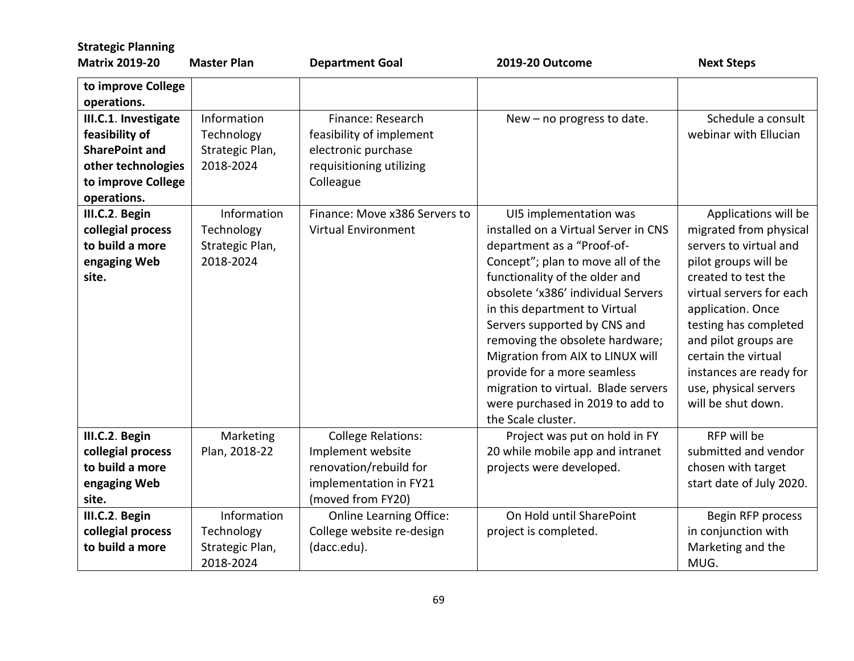| <b>Strategic Planning</b>                                                                                                  |                                                           |                                                                                                                         |                                                                                                                                                                                                                                                                                                                                                                                                                                                                                   |                                                                                                                                                                                                                                                                                                                            |
|----------------------------------------------------------------------------------------------------------------------------|-----------------------------------------------------------|-------------------------------------------------------------------------------------------------------------------------|-----------------------------------------------------------------------------------------------------------------------------------------------------------------------------------------------------------------------------------------------------------------------------------------------------------------------------------------------------------------------------------------------------------------------------------------------------------------------------------|----------------------------------------------------------------------------------------------------------------------------------------------------------------------------------------------------------------------------------------------------------------------------------------------------------------------------|
| <b>Matrix 2019-20</b>                                                                                                      | <b>Master Plan</b>                                        | <b>Department Goal</b>                                                                                                  | 2019-20 Outcome                                                                                                                                                                                                                                                                                                                                                                                                                                                                   | <b>Next Steps</b>                                                                                                                                                                                                                                                                                                          |
| to improve College<br>operations.                                                                                          |                                                           |                                                                                                                         |                                                                                                                                                                                                                                                                                                                                                                                                                                                                                   |                                                                                                                                                                                                                                                                                                                            |
| III.C.1. Investigate<br>feasibility of<br><b>SharePoint and</b><br>other technologies<br>to improve College<br>operations. | Information<br>Technology<br>Strategic Plan,<br>2018-2024 | Finance: Research<br>feasibility of implement<br>electronic purchase<br>requisitioning utilizing<br>Colleague           | New - no progress to date.                                                                                                                                                                                                                                                                                                                                                                                                                                                        | Schedule a consult<br>webinar with Ellucian                                                                                                                                                                                                                                                                                |
| III.C.2. Begin<br>collegial process<br>to build a more<br>engaging Web<br>site.                                            | Information<br>Technology<br>Strategic Plan,<br>2018-2024 | Finance: Move x386 Servers to<br><b>Virtual Environment</b>                                                             | UI5 implementation was<br>installed on a Virtual Server in CNS<br>department as a "Proof-of-<br>Concept"; plan to move all of the<br>functionality of the older and<br>obsolete 'x386' individual Servers<br>in this department to Virtual<br>Servers supported by CNS and<br>removing the obsolete hardware;<br>Migration from AIX to LINUX will<br>provide for a more seamless<br>migration to virtual. Blade servers<br>were purchased in 2019 to add to<br>the Scale cluster. | Applications will be<br>migrated from physical<br>servers to virtual and<br>pilot groups will be<br>created to test the<br>virtual servers for each<br>application. Once<br>testing has completed<br>and pilot groups are<br>certain the virtual<br>instances are ready for<br>use, physical servers<br>will be shut down. |
| III.C.2. Begin<br>collegial process<br>to build a more<br>engaging Web<br>site.                                            | Marketing<br>Plan, 2018-22                                | <b>College Relations:</b><br>Implement website<br>renovation/rebuild for<br>implementation in FY21<br>(moved from FY20) | Project was put on hold in FY<br>20 while mobile app and intranet<br>projects were developed.                                                                                                                                                                                                                                                                                                                                                                                     | RFP will be<br>submitted and vendor<br>chosen with target<br>start date of July 2020.                                                                                                                                                                                                                                      |
| III.C.2. Begin<br>collegial process<br>to build a more                                                                     | Information<br>Technology<br>Strategic Plan,<br>2018-2024 | <b>Online Learning Office:</b><br>College website re-design<br>(dacc.edu).                                              | On Hold until SharePoint<br>project is completed.                                                                                                                                                                                                                                                                                                                                                                                                                                 | Begin RFP process<br>in conjunction with<br>Marketing and the<br>MUG.                                                                                                                                                                                                                                                      |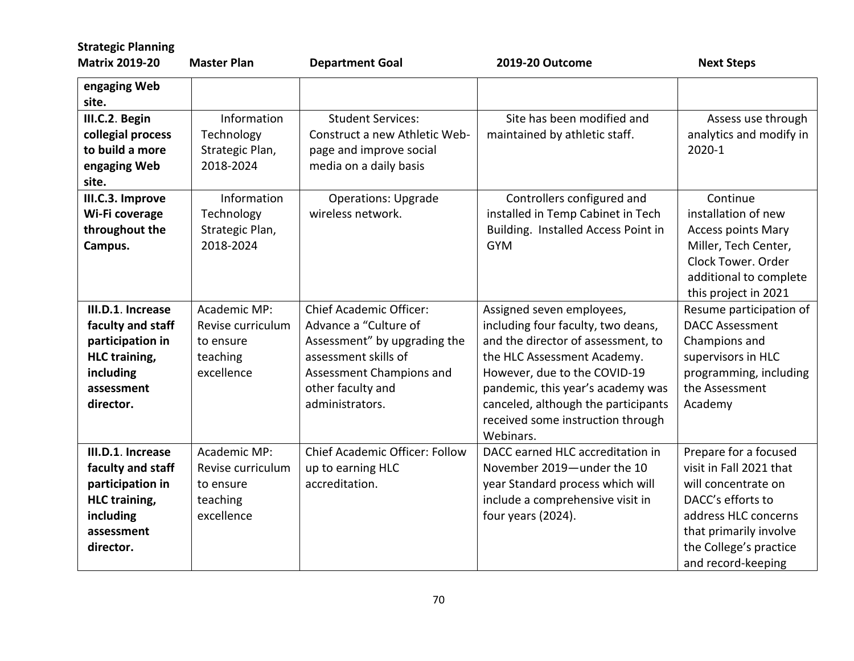| <b>Strategic Planning</b><br><b>Matrix 2019-20</b>                                                                         | <b>Master Plan</b>                                                       | <b>Department Goal</b>                                                                                                                                                              | 2019-20 Outcome                                                                                                                                                                                                                                                                                    | <b>Next Steps</b>                                                                                                                                                                              |
|----------------------------------------------------------------------------------------------------------------------------|--------------------------------------------------------------------------|-------------------------------------------------------------------------------------------------------------------------------------------------------------------------------------|----------------------------------------------------------------------------------------------------------------------------------------------------------------------------------------------------------------------------------------------------------------------------------------------------|------------------------------------------------------------------------------------------------------------------------------------------------------------------------------------------------|
| engaging Web<br>site.                                                                                                      |                                                                          |                                                                                                                                                                                     |                                                                                                                                                                                                                                                                                                    |                                                                                                                                                                                                |
| III.C.2. Begin<br>collegial process<br>to build a more<br>engaging Web<br>site.                                            | Information<br>Technology<br>Strategic Plan,<br>2018-2024                | <b>Student Services:</b><br>Construct a new Athletic Web-<br>page and improve social<br>media on a daily basis                                                                      | Site has been modified and<br>maintained by athletic staff.                                                                                                                                                                                                                                        | Assess use through<br>analytics and modify in<br>2020-1                                                                                                                                        |
| III.C.3. Improve<br>Wi-Fi coverage<br>throughout the<br>Campus.                                                            | Information<br>Technology<br>Strategic Plan,<br>2018-2024                | <b>Operations: Upgrade</b><br>wireless network.                                                                                                                                     | Controllers configured and<br>installed in Temp Cabinet in Tech<br>Building. Installed Access Point in<br><b>GYM</b>                                                                                                                                                                               | Continue<br>installation of new<br><b>Access points Mary</b><br>Miller, Tech Center,<br>Clock Tower, Order<br>additional to complete<br>this project in 2021                                   |
| III.D.1. Increase<br>faculty and staff<br>participation in<br><b>HLC</b> training,<br>including<br>assessment<br>director. | Academic MP:<br>Revise curriculum<br>to ensure<br>teaching<br>excellence | <b>Chief Academic Officer:</b><br>Advance a "Culture of<br>Assessment" by upgrading the<br>assessment skills of<br>Assessment Champions and<br>other faculty and<br>administrators. | Assigned seven employees,<br>including four faculty, two deans,<br>and the director of assessment, to<br>the HLC Assessment Academy.<br>However, due to the COVID-19<br>pandemic, this year's academy was<br>canceled, although the participants<br>received some instruction through<br>Webinars. | Resume participation of<br><b>DACC Assessment</b><br>Champions and<br>supervisors in HLC<br>programming, including<br>the Assessment<br>Academy                                                |
| III.D.1. Increase<br>faculty and staff<br>participation in<br><b>HLC training,</b><br>including<br>assessment<br>director. | Academic MP:<br>Revise curriculum<br>to ensure<br>teaching<br>excellence | <b>Chief Academic Officer: Follow</b><br>up to earning HLC<br>accreditation.                                                                                                        | DACC earned HLC accreditation in<br>November 2019-under the 10<br>year Standard process which will<br>include a comprehensive visit in<br>four years (2024).                                                                                                                                       | Prepare for a focused<br>visit in Fall 2021 that<br>will concentrate on<br>DACC's efforts to<br>address HLC concerns<br>that primarily involve<br>the College's practice<br>and record-keeping |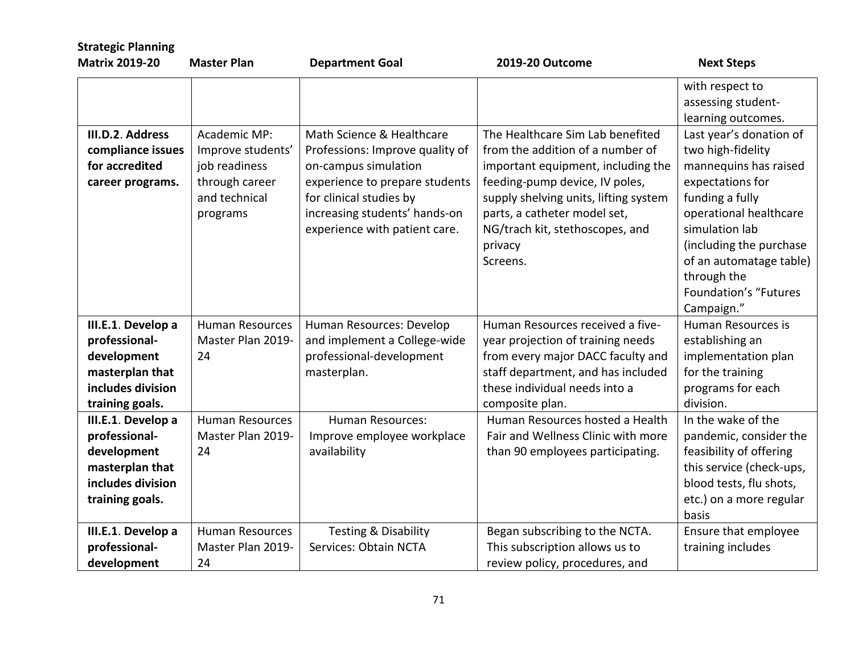| <b>Strategic Planning</b><br><b>Matrix 2019-20</b> | <b>Master Plan</b>     | <b>Department Goal</b>          | 2019-20 Outcome                       | <b>Next Steps</b>        |
|----------------------------------------------------|------------------------|---------------------------------|---------------------------------------|--------------------------|
|                                                    |                        |                                 |                                       | with respect to          |
|                                                    |                        |                                 |                                       | assessing student-       |
|                                                    |                        |                                 |                                       | learning outcomes.       |
| III.D.2. Address                                   | Academic MP:           | Math Science & Healthcare       | The Healthcare Sim Lab benefited      | Last year's donation of  |
| compliance issues                                  | Improve students'      | Professions: Improve quality of | from the addition of a number of      | two high-fidelity        |
| for accredited                                     | job readiness          | on-campus simulation            | important equipment, including the    | mannequins has raised    |
| career programs.                                   | through career         | experience to prepare students  | feeding-pump device, IV poles,        | expectations for         |
|                                                    | and technical          | for clinical studies by         | supply shelving units, lifting system | funding a fully          |
|                                                    | programs               | increasing students' hands-on   | parts, a catheter model set,          | operational healthcare   |
|                                                    |                        | experience with patient care.   | NG/trach kit, stethoscopes, and       | simulation lab           |
|                                                    |                        |                                 | privacy                               | (including the purchase  |
|                                                    |                        |                                 | Screens.                              | of an automatage table)  |
|                                                    |                        |                                 |                                       | through the              |
|                                                    |                        |                                 |                                       | Foundation's "Futures    |
|                                                    |                        |                                 |                                       | Campaign."               |
| III.E.1. Develop a                                 | <b>Human Resources</b> | Human Resources: Develop        | Human Resources received a five-      | Human Resources is       |
| professional-                                      | Master Plan 2019-      | and implement a College-wide    | year projection of training needs     | establishing an          |
| development                                        | 24                     | professional-development        | from every major DACC faculty and     | implementation plan      |
| masterplan that                                    |                        | masterplan.                     | staff department, and has included    | for the training         |
| includes division                                  |                        |                                 | these individual needs into a         | programs for each        |
| training goals.                                    |                        |                                 | composite plan.                       | division.                |
| III.E.1. Develop a                                 | <b>Human Resources</b> | <b>Human Resources:</b>         | Human Resources hosted a Health       | In the wake of the       |
| professional-                                      | Master Plan 2019-      | Improve employee workplace      | Fair and Wellness Clinic with more    | pandemic, consider the   |
| development                                        | 24                     | availability                    | than 90 employees participating.      | feasibility of offering  |
| masterplan that                                    |                        |                                 |                                       | this service (check-ups, |
| includes division                                  |                        |                                 |                                       | blood tests, flu shots,  |
| training goals.                                    |                        |                                 |                                       | etc.) on a more regular  |
|                                                    |                        |                                 |                                       | basis                    |
| III.E.1. Develop a                                 | <b>Human Resources</b> | Testing & Disability            | Began subscribing to the NCTA.        | Ensure that employee     |
| professional-                                      | Master Plan 2019-      | Services: Obtain NCTA           | This subscription allows us to        | training includes        |
| development                                        | 24                     |                                 | review policy, procedures, and        |                          |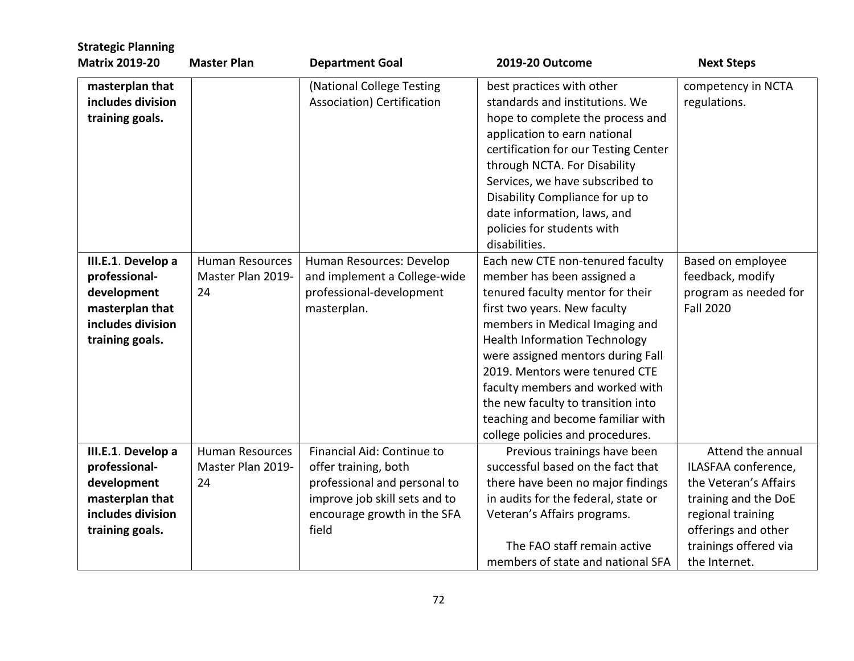| <b>Strategic Planning</b><br><b>Matrix 2019-20</b>                                                            | <b>Master Plan</b>                                | <b>Department Goal</b>                                                                                                                                      | 2019-20 Outcome                                                                                                                                                                                                                                                                                                                                                                                                                       | <b>Next Steps</b>                                                                                                                                                               |
|---------------------------------------------------------------------------------------------------------------|---------------------------------------------------|-------------------------------------------------------------------------------------------------------------------------------------------------------------|---------------------------------------------------------------------------------------------------------------------------------------------------------------------------------------------------------------------------------------------------------------------------------------------------------------------------------------------------------------------------------------------------------------------------------------|---------------------------------------------------------------------------------------------------------------------------------------------------------------------------------|
| masterplan that<br>includes division<br>training goals.                                                       |                                                   | (National College Testing<br>Association) Certification                                                                                                     | best practices with other<br>standards and institutions. We<br>hope to complete the process and<br>application to earn national<br>certification for our Testing Center<br>through NCTA. For Disability<br>Services, we have subscribed to<br>Disability Compliance for up to<br>date information, laws, and<br>policies for students with<br>disabilities.                                                                           | competency in NCTA<br>regulations.                                                                                                                                              |
| III.E.1. Develop a<br>professional-<br>development<br>masterplan that<br>includes division<br>training goals. | <b>Human Resources</b><br>Master Plan 2019-<br>24 | Human Resources: Develop<br>and implement a College-wide<br>professional-development<br>masterplan.                                                         | Each new CTE non-tenured faculty<br>member has been assigned a<br>tenured faculty mentor for their<br>first two years. New faculty<br>members in Medical Imaging and<br><b>Health Information Technology</b><br>were assigned mentors during Fall<br>2019. Mentors were tenured CTE<br>faculty members and worked with<br>the new faculty to transition into<br>teaching and become familiar with<br>college policies and procedures. | Based on employee<br>feedback, modify<br>program as needed for<br><b>Fall 2020</b>                                                                                              |
| III.E.1. Develop a<br>professional-<br>development<br>masterplan that<br>includes division<br>training goals. | <b>Human Resources</b><br>Master Plan 2019-<br>24 | Financial Aid: Continue to<br>offer training, both<br>professional and personal to<br>improve job skill sets and to<br>encourage growth in the SFA<br>field | Previous trainings have been<br>successful based on the fact that<br>there have been no major findings<br>in audits for the federal, state or<br>Veteran's Affairs programs.<br>The FAO staff remain active<br>members of state and national SFA                                                                                                                                                                                      | Attend the annual<br>ILASFAA conference,<br>the Veteran's Affairs<br>training and the DoE<br>regional training<br>offerings and other<br>trainings offered via<br>the Internet. |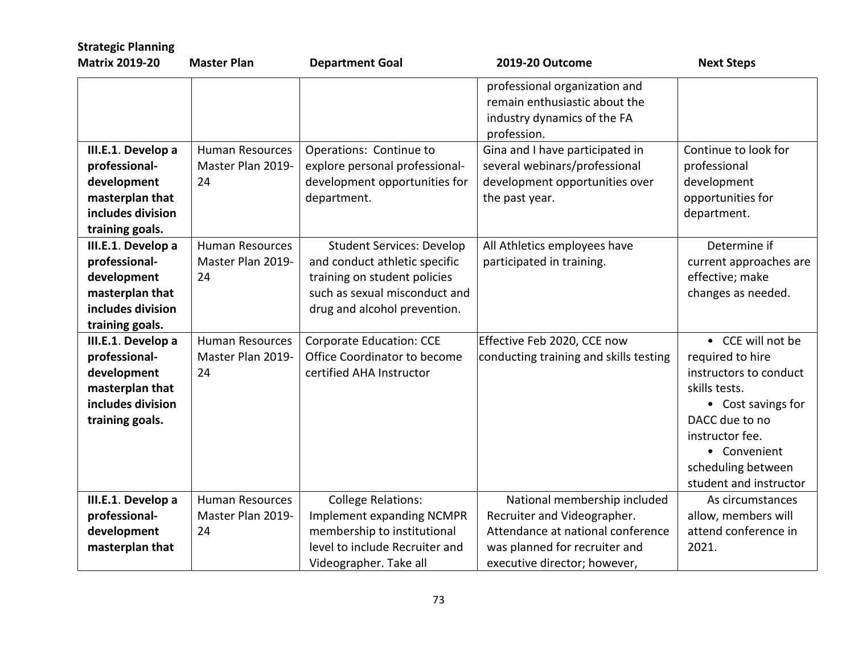| <b>Strategic Planning</b>                                                                                     |                                                   |                                                                                                                                                                    |                                                                                                                                                                   |                                                                                                                                                                                                             |
|---------------------------------------------------------------------------------------------------------------|---------------------------------------------------|--------------------------------------------------------------------------------------------------------------------------------------------------------------------|-------------------------------------------------------------------------------------------------------------------------------------------------------------------|-------------------------------------------------------------------------------------------------------------------------------------------------------------------------------------------------------------|
| <b>Matrix 2019-20</b>                                                                                         | <b>Master Plan</b>                                | <b>Department Goal</b>                                                                                                                                             | 2019-20 Outcome                                                                                                                                                   | <b>Next Steps</b>                                                                                                                                                                                           |
|                                                                                                               |                                                   |                                                                                                                                                                    | professional organization and<br>remain enthusiastic about the<br>industry dynamics of the FA<br>profession.                                                      |                                                                                                                                                                                                             |
| III.E.1. Develop a<br>professional-<br>development<br>masterplan that<br>includes division<br>training goals. | <b>Human Resources</b><br>Master Plan 2019-<br>24 | Operations: Continue to<br>explore personal professional-<br>development opportunities for<br>department.                                                          | Gina and I have participated in<br>several webinars/professional<br>development opportunities over<br>the past year.                                              | Continue to look for<br>professional<br>development<br>opportunities for<br>department.                                                                                                                     |
| III.E.1. Develop a<br>professional-<br>development<br>masterplan that<br>includes division<br>training goals. | <b>Human Resources</b><br>Master Plan 2019-<br>24 | <b>Student Services: Develop</b><br>and conduct athletic specific<br>training on student policies<br>such as sexual misconduct and<br>drug and alcohol prevention. | All Athletics employees have<br>participated in training.                                                                                                         | Determine if<br>current approaches are<br>effective; make<br>changes as needed.                                                                                                                             |
| III.E.1. Develop a<br>professional-<br>development<br>masterplan that<br>includes division<br>training goals. | <b>Human Resources</b><br>Master Plan 2019-<br>24 | <b>Corporate Education: CCE</b><br>Office Coordinator to become<br>certified AHA Instructor                                                                        | Effective Feb 2020, CCE now<br>conducting training and skills testing                                                                                             | • CCE will not be<br>required to hire<br>instructors to conduct<br>skills tests.<br>• Cost savings for<br>DACC due to no<br>instructor fee.<br>• Convenient<br>scheduling between<br>student and instructor |
| III.E.1. Develop a<br>professional-<br>development<br>masterplan that                                         | <b>Human Resources</b><br>Master Plan 2019-<br>24 | <b>College Relations:</b><br>Implement expanding NCMPR<br>membership to institutional<br>level to include Recruiter and<br>Videographer. Take all                  | National membership included<br>Recruiter and Videographer.<br>Attendance at national conference<br>was planned for recruiter and<br>executive director; however, | As circumstances<br>allow, members will<br>attend conference in<br>2021.                                                                                                                                    |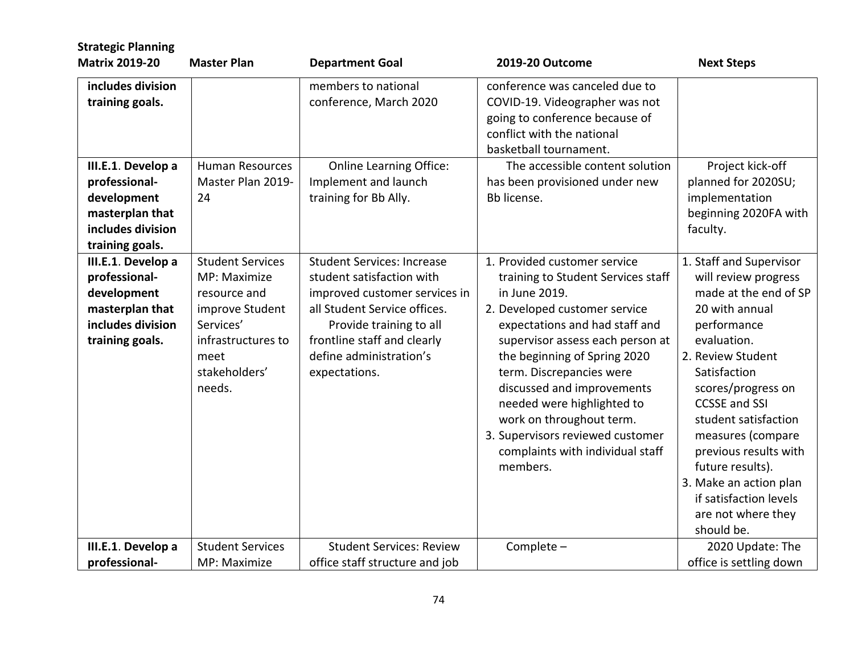| <b>Strategic Planning</b>                                                                                     |                                                                                                                                                  |                                                                                                                                                                                                                                       |                                                                                                                                                                                                                                                                                                                                                                                                                                    |                                                                                                                                                                                                                                                                                                                                                                                               |
|---------------------------------------------------------------------------------------------------------------|--------------------------------------------------------------------------------------------------------------------------------------------------|---------------------------------------------------------------------------------------------------------------------------------------------------------------------------------------------------------------------------------------|------------------------------------------------------------------------------------------------------------------------------------------------------------------------------------------------------------------------------------------------------------------------------------------------------------------------------------------------------------------------------------------------------------------------------------|-----------------------------------------------------------------------------------------------------------------------------------------------------------------------------------------------------------------------------------------------------------------------------------------------------------------------------------------------------------------------------------------------|
| <b>Matrix 2019-20</b>                                                                                         | <b>Master Plan</b>                                                                                                                               | <b>Department Goal</b>                                                                                                                                                                                                                | 2019-20 Outcome                                                                                                                                                                                                                                                                                                                                                                                                                    | <b>Next Steps</b>                                                                                                                                                                                                                                                                                                                                                                             |
| includes division<br>training goals.                                                                          |                                                                                                                                                  | members to national<br>conference, March 2020                                                                                                                                                                                         | conference was canceled due to<br>COVID-19. Videographer was not<br>going to conference because of<br>conflict with the national<br>basketball tournament.                                                                                                                                                                                                                                                                         |                                                                                                                                                                                                                                                                                                                                                                                               |
| III.E.1. Develop a<br>professional-<br>development<br>masterplan that<br>includes division<br>training goals. | <b>Human Resources</b><br>Master Plan 2019-<br>24                                                                                                | <b>Online Learning Office:</b><br>Implement and launch<br>training for Bb Ally.                                                                                                                                                       | The accessible content solution<br>has been provisioned under new<br>Bb license.                                                                                                                                                                                                                                                                                                                                                   | Project kick-off<br>planned for 2020SU;<br>implementation<br>beginning 2020FA with<br>faculty.                                                                                                                                                                                                                                                                                                |
| III.E.1. Develop a<br>professional-<br>development<br>masterplan that<br>includes division<br>training goals. | <b>Student Services</b><br>MP: Maximize<br>resource and<br>improve Student<br>Services'<br>infrastructures to<br>meet<br>stakeholders'<br>needs. | <b>Student Services: Increase</b><br>student satisfaction with<br>improved customer services in<br>all Student Service offices.<br>Provide training to all<br>frontline staff and clearly<br>define administration's<br>expectations. | 1. Provided customer service<br>training to Student Services staff<br>in June 2019.<br>2. Developed customer service<br>expectations and had staff and<br>supervisor assess each person at<br>the beginning of Spring 2020<br>term. Discrepancies were<br>discussed and improvements<br>needed were highlighted to<br>work on throughout term.<br>3. Supervisors reviewed customer<br>complaints with individual staff<br>members. | 1. Staff and Supervisor<br>will review progress<br>made at the end of SP<br>20 with annual<br>performance<br>evaluation.<br>2. Review Student<br>Satisfaction<br>scores/progress on<br><b>CCSSE and SSI</b><br>student satisfaction<br>measures (compare<br>previous results with<br>future results).<br>3. Make an action plan<br>if satisfaction levels<br>are not where they<br>should be. |
| III.E.1. Develop a<br>professional-                                                                           | <b>Student Services</b><br>MP: Maximize                                                                                                          | <b>Student Services: Review</b><br>office staff structure and job                                                                                                                                                                     | Complete -                                                                                                                                                                                                                                                                                                                                                                                                                         | 2020 Update: The<br>office is settling down                                                                                                                                                                                                                                                                                                                                                   |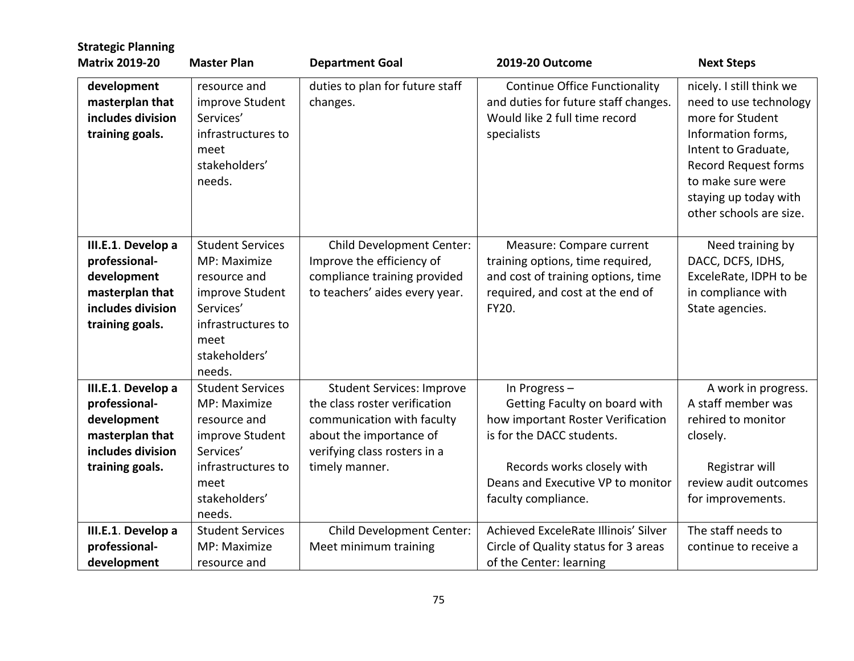| <b>Strategic Planning</b><br><b>Matrix 2019-20</b>                                                            | <b>Master Plan</b>                                                                                                                               | <b>Department Goal</b>                                                                                                                                                       | 2019-20 Outcome                                                                                                                                                                                           | <b>Next Steps</b>                                                                                                                                                                                                           |
|---------------------------------------------------------------------------------------------------------------|--------------------------------------------------------------------------------------------------------------------------------------------------|------------------------------------------------------------------------------------------------------------------------------------------------------------------------------|-----------------------------------------------------------------------------------------------------------------------------------------------------------------------------------------------------------|-----------------------------------------------------------------------------------------------------------------------------------------------------------------------------------------------------------------------------|
| development<br>masterplan that<br>includes division<br>training goals.                                        | resource and<br>improve Student<br>Services'<br>infrastructures to<br>meet<br>stakeholders'<br>needs.                                            | duties to plan for future staff<br>changes.                                                                                                                                  | <b>Continue Office Functionality</b><br>and duties for future staff changes.<br>Would like 2 full time record<br>specialists                                                                              | nicely. I still think we<br>need to use technology<br>more for Student<br>Information forms,<br>Intent to Graduate,<br><b>Record Request forms</b><br>to make sure were<br>staying up today with<br>other schools are size. |
| III.E.1. Develop a<br>professional-<br>development<br>masterplan that<br>includes division<br>training goals. | <b>Student Services</b><br>MP: Maximize<br>resource and<br>improve Student<br>Services'<br>infrastructures to<br>meet<br>stakeholders'<br>needs. | Child Development Center:<br>Improve the efficiency of<br>compliance training provided<br>to teachers' aides every year.                                                     | Measure: Compare current<br>training options, time required,<br>and cost of training options, time<br>required, and cost at the end of<br>FY20.                                                           | Need training by<br>DACC, DCFS, IDHS,<br>ExceleRate, IDPH to be<br>in compliance with<br>State agencies.                                                                                                                    |
| III.E.1. Develop a<br>professional-<br>development<br>masterplan that<br>includes division<br>training goals. | <b>Student Services</b><br>MP: Maximize<br>resource and<br>improve Student<br>Services'<br>infrastructures to<br>meet<br>stakeholders'<br>needs. | <b>Student Services: Improve</b><br>the class roster verification<br>communication with faculty<br>about the importance of<br>verifying class rosters in a<br>timely manner. | In Progress-<br>Getting Faculty on board with<br>how important Roster Verification<br>is for the DACC students.<br>Records works closely with<br>Deans and Executive VP to monitor<br>faculty compliance. | A work in progress.<br>A staff member was<br>rehired to monitor<br>closely.<br>Registrar will<br>review audit outcomes<br>for improvements.                                                                                 |
| III.E.1. Develop a<br>professional-<br>development                                                            | <b>Student Services</b><br>MP: Maximize<br>resource and                                                                                          | <b>Child Development Center:</b><br>Meet minimum training                                                                                                                    | Achieved ExceleRate Illinois' Silver<br>Circle of Quality status for 3 areas<br>of the Center: learning                                                                                                   | The staff needs to<br>continue to receive a                                                                                                                                                                                 |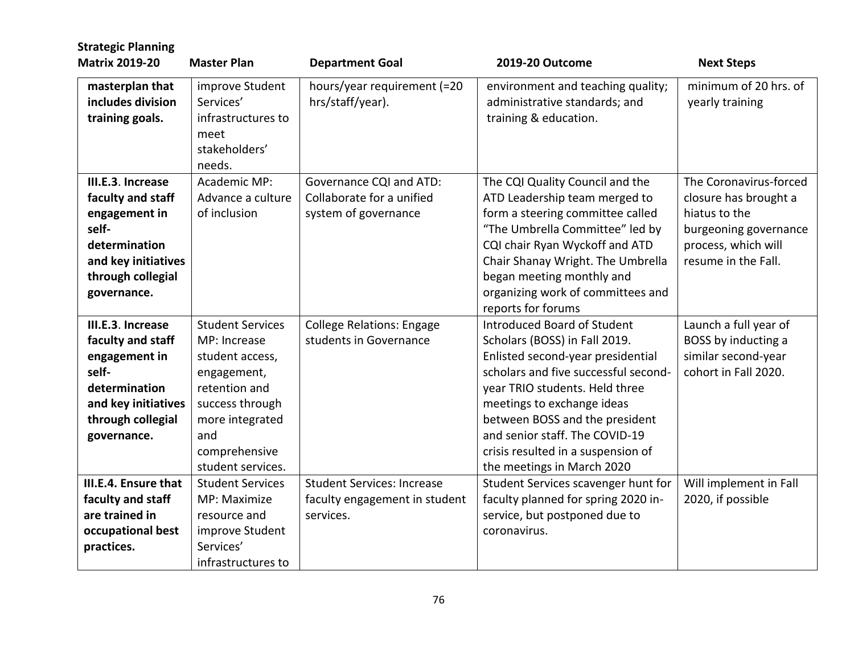| <b>Strategic Planning</b><br><b>Matrix 2019-20</b>                                                                                           | <b>Master Plan</b>                                                                                                                                                            | <b>Department Goal</b>                                                          | 2019-20 Outcome                                                                                                                                                                                                                                                                                                                                   | <b>Next Steps</b>                                                                                                                       |
|----------------------------------------------------------------------------------------------------------------------------------------------|-------------------------------------------------------------------------------------------------------------------------------------------------------------------------------|---------------------------------------------------------------------------------|---------------------------------------------------------------------------------------------------------------------------------------------------------------------------------------------------------------------------------------------------------------------------------------------------------------------------------------------------|-----------------------------------------------------------------------------------------------------------------------------------------|
| masterplan that<br>includes division<br>training goals.                                                                                      | improve Student<br>Services'<br>infrastructures to<br>meet<br>stakeholders'<br>needs.                                                                                         | hours/year requirement (=20<br>hrs/staff/year).                                 | environment and teaching quality;<br>administrative standards; and<br>training & education.                                                                                                                                                                                                                                                       | minimum of 20 hrs. of<br>yearly training                                                                                                |
| III.E.3. Increase<br>faculty and staff<br>engagement in<br>self-<br>determination<br>and key initiatives<br>through collegial<br>governance. | Academic MP:<br>Advance a culture<br>of inclusion                                                                                                                             | Governance CQI and ATD:<br>Collaborate for a unified<br>system of governance    | The CQI Quality Council and the<br>ATD Leadership team merged to<br>form a steering committee called<br>"The Umbrella Committee" led by<br>CQI chair Ryan Wyckoff and ATD<br>Chair Shanay Wright. The Umbrella<br>began meeting monthly and<br>organizing work of committees and<br>reports for forums                                            | The Coronavirus-forced<br>closure has brought a<br>hiatus to the<br>burgeoning governance<br>process, which will<br>resume in the Fall. |
| III.E.3. Increase<br>faculty and staff<br>engagement in<br>self-<br>determination<br>and key initiatives<br>through collegial<br>governance. | <b>Student Services</b><br>MP: Increase<br>student access,<br>engagement,<br>retention and<br>success through<br>more integrated<br>and<br>comprehensive<br>student services. | <b>College Relations: Engage</b><br>students in Governance                      | Introduced Board of Student<br>Scholars (BOSS) in Fall 2019.<br>Enlisted second-year presidential<br>scholars and five successful second-<br>year TRIO students. Held three<br>meetings to exchange ideas<br>between BOSS and the president<br>and senior staff. The COVID-19<br>crisis resulted in a suspension of<br>the meetings in March 2020 | Launch a full year of<br>BOSS by inducting a<br>similar second-year<br>cohort in Fall 2020.                                             |
| III.E.4. Ensure that<br>faculty and staff<br>are trained in<br>occupational best<br>practices.                                               | <b>Student Services</b><br>MP: Maximize<br>resource and<br>improve Student<br>Services'<br>infrastructures to                                                                 | <b>Student Services: Increase</b><br>faculty engagement in student<br>services. | Student Services scavenger hunt for<br>faculty planned for spring 2020 in-<br>service, but postponed due to<br>coronavirus.                                                                                                                                                                                                                       | Will implement in Fall<br>2020, if possible                                                                                             |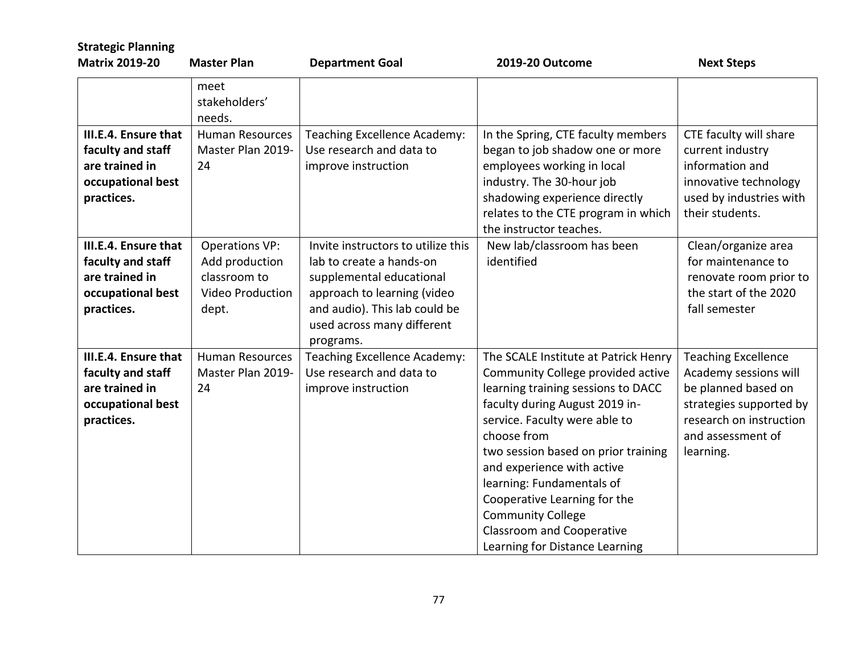| <b>Strategic Planning</b>                                                                      |                                                                                             |                                                                                                                                                                                                       |                                                                                                                                                                                                                                                                                                                                                                                                                                       |                                                                                                                                                                    |
|------------------------------------------------------------------------------------------------|---------------------------------------------------------------------------------------------|-------------------------------------------------------------------------------------------------------------------------------------------------------------------------------------------------------|---------------------------------------------------------------------------------------------------------------------------------------------------------------------------------------------------------------------------------------------------------------------------------------------------------------------------------------------------------------------------------------------------------------------------------------|--------------------------------------------------------------------------------------------------------------------------------------------------------------------|
| <b>Matrix 2019-20</b>                                                                          | <b>Master Plan</b>                                                                          | <b>Department Goal</b>                                                                                                                                                                                | 2019-20 Outcome                                                                                                                                                                                                                                                                                                                                                                                                                       | <b>Next Steps</b>                                                                                                                                                  |
|                                                                                                | meet<br>stakeholders'<br>needs.                                                             |                                                                                                                                                                                                       |                                                                                                                                                                                                                                                                                                                                                                                                                                       |                                                                                                                                                                    |
| III.E.4. Ensure that<br>faculty and staff<br>are trained in<br>occupational best<br>practices. | <b>Human Resources</b><br>Master Plan 2019-<br>24                                           | Teaching Excellence Academy:<br>Use research and data to<br>improve instruction                                                                                                                       | In the Spring, CTE faculty members<br>began to job shadow one or more<br>employees working in local<br>industry. The 30-hour job<br>shadowing experience directly<br>relates to the CTE program in which<br>the instructor teaches.                                                                                                                                                                                                   | CTE faculty will share<br>current industry<br>information and<br>innovative technology<br>used by industries with<br>their students.                               |
| III.E.4. Ensure that<br>faculty and staff<br>are trained in<br>occupational best<br>practices. | <b>Operations VP:</b><br>Add production<br>classroom to<br><b>Video Production</b><br>dept. | Invite instructors to utilize this<br>lab to create a hands-on<br>supplemental educational<br>approach to learning (video<br>and audio). This lab could be<br>used across many different<br>programs. | New lab/classroom has been<br>identified                                                                                                                                                                                                                                                                                                                                                                                              | Clean/organize area<br>for maintenance to<br>renovate room prior to<br>the start of the 2020<br>fall semester                                                      |
| III.E.4. Ensure that<br>faculty and staff<br>are trained in<br>occupational best<br>practices. | <b>Human Resources</b><br>Master Plan 2019-<br>24                                           | Teaching Excellence Academy:<br>Use research and data to<br>improve instruction                                                                                                                       | The SCALE Institute at Patrick Henry<br>Community College provided active<br>learning training sessions to DACC<br>faculty during August 2019 in-<br>service. Faculty were able to<br>choose from<br>two session based on prior training<br>and experience with active<br>learning: Fundamentals of<br>Cooperative Learning for the<br><b>Community College</b><br><b>Classroom and Cooperative</b><br>Learning for Distance Learning | <b>Teaching Excellence</b><br>Academy sessions will<br>be planned based on<br>strategies supported by<br>research on instruction<br>and assessment of<br>learning. |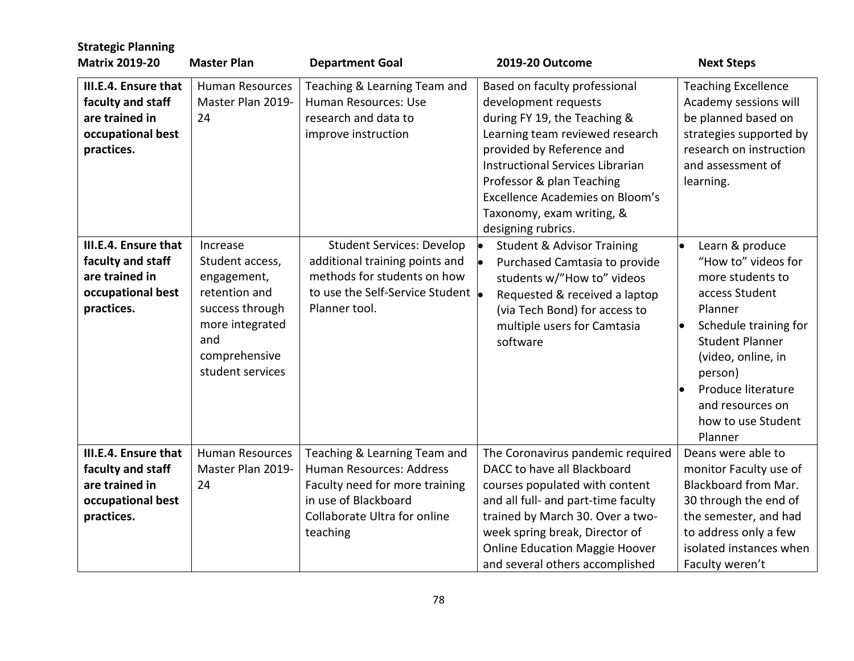| <b>Strategic Planning</b><br><b>Matrix 2019-20</b>                                             | <b>Master Plan</b>                                                                                                                            | <b>Department Goal</b>                                                                                                                                         | 2019-20 Outcome                                                                                                                                                                                                                                                                                                     | <b>Next Steps</b>                                                                                                                                                                                                                                      |
|------------------------------------------------------------------------------------------------|-----------------------------------------------------------------------------------------------------------------------------------------------|----------------------------------------------------------------------------------------------------------------------------------------------------------------|---------------------------------------------------------------------------------------------------------------------------------------------------------------------------------------------------------------------------------------------------------------------------------------------------------------------|--------------------------------------------------------------------------------------------------------------------------------------------------------------------------------------------------------------------------------------------------------|
| III.E.4. Ensure that<br>faculty and staff<br>are trained in<br>occupational best<br>practices. | <b>Human Resources</b><br>Master Plan 2019-<br>24                                                                                             | Teaching & Learning Team and<br>Human Resources: Use<br>research and data to<br>improve instruction                                                            | Based on faculty professional<br>development requests<br>during FY 19, the Teaching &<br>Learning team reviewed research<br>provided by Reference and<br><b>Instructional Services Librarian</b><br>Professor & plan Teaching<br>Excellence Academies on Bloom's<br>Taxonomy, exam writing, &<br>designing rubrics. | <b>Teaching Excellence</b><br>Academy sessions will<br>be planned based on<br>strategies supported by<br>research on instruction<br>and assessment of<br>learning.                                                                                     |
| III.E.4. Ensure that<br>faculty and staff<br>are trained in<br>occupational best<br>practices. | Increase<br>Student access,<br>engagement,<br>retention and<br>success through<br>more integrated<br>and<br>comprehensive<br>student services | <b>Student Services: Develop</b><br>additional training points and<br>methods for students on how<br>to use the Self-Service Student lo<br>Planner tool.       | <b>Student &amp; Advisor Training</b><br>Purchased Camtasia to provide<br>students w/"How to" videos<br>Requested & received a laptop<br>(via Tech Bond) for access to<br>multiple users for Camtasia<br>software                                                                                                   | Learn & produce<br>"How to" videos for<br>more students to<br>access Student<br>Planner<br>Schedule training for<br><b>Student Planner</b><br>(video, online, in<br>person)<br>Produce literature<br>and resources on<br>how to use Student<br>Planner |
| III.E.4. Ensure that<br>faculty and staff<br>are trained in<br>occupational best<br>practices. | <b>Human Resources</b><br>Master Plan 2019-<br>24                                                                                             | Teaching & Learning Team and<br>Human Resources: Address<br>Faculty need for more training<br>in use of Blackboard<br>Collaborate Ultra for online<br>teaching | The Coronavirus pandemic required<br>DACC to have all Blackboard<br>courses populated with content<br>and all full- and part-time faculty<br>trained by March 30. Over a two-<br>week spring break, Director of<br><b>Online Education Maggie Hoover</b><br>and several others accomplished                         | Deans were able to<br>monitor Faculty use of<br>Blackboard from Mar.<br>30 through the end of<br>the semester, and had<br>to address only a few<br>isolated instances when<br>Faculty weren't                                                          |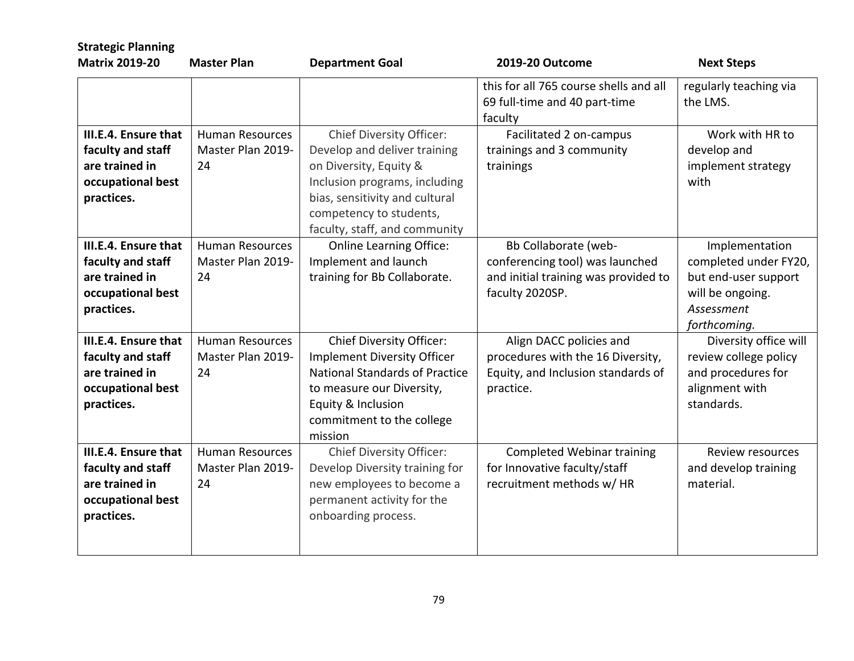| <b>Strategic Planning</b>                                                                      |                                                   |                                                                                                                                                                                                                          |                                                                                                                    |                                                                                                                   |
|------------------------------------------------------------------------------------------------|---------------------------------------------------|--------------------------------------------------------------------------------------------------------------------------------------------------------------------------------------------------------------------------|--------------------------------------------------------------------------------------------------------------------|-------------------------------------------------------------------------------------------------------------------|
| <b>Matrix 2019-20</b>                                                                          | <b>Master Plan</b>                                | <b>Department Goal</b>                                                                                                                                                                                                   | 2019-20 Outcome                                                                                                    | <b>Next Steps</b>                                                                                                 |
|                                                                                                |                                                   |                                                                                                                                                                                                                          | this for all 765 course shells and all<br>69 full-time and 40 part-time<br>faculty                                 | regularly teaching via<br>the LMS.                                                                                |
| III.E.4. Ensure that<br>faculty and staff<br>are trained in<br>occupational best<br>practices. | <b>Human Resources</b><br>Master Plan 2019-<br>24 | <b>Chief Diversity Officer:</b><br>Develop and deliver training<br>on Diversity, Equity &<br>Inclusion programs, including<br>bias, sensitivity and cultural<br>competency to students,<br>faculty, staff, and community | Facilitated 2 on-campus<br>trainings and 3 community<br>trainings                                                  | Work with HR to<br>develop and<br>implement strategy<br>with                                                      |
| III.E.4. Ensure that<br>faculty and staff<br>are trained in<br>occupational best<br>practices. | <b>Human Resources</b><br>Master Plan 2019-<br>24 | <b>Online Learning Office:</b><br>Implement and launch<br>training for Bb Collaborate.                                                                                                                                   | Bb Collaborate (web-<br>conferencing tool) was launched<br>and initial training was provided to<br>faculty 2020SP. | Implementation<br>completed under FY20,<br>but end-user support<br>will be ongoing.<br>Assessment<br>forthcoming. |
| III.E.4. Ensure that<br>faculty and staff<br>are trained in<br>occupational best<br>practices. | <b>Human Resources</b><br>Master Plan 2019-<br>24 | <b>Chief Diversity Officer:</b><br><b>Implement Diversity Officer</b><br><b>National Standards of Practice</b><br>to measure our Diversity,<br>Equity & Inclusion<br>commitment to the college<br>mission                | Align DACC policies and<br>procedures with the 16 Diversity,<br>Equity, and Inclusion standards of<br>practice.    | Diversity office will<br>review college policy<br>and procedures for<br>alignment with<br>standards.              |
| III.E.4. Ensure that<br>faculty and staff<br>are trained in<br>occupational best<br>practices. | <b>Human Resources</b><br>Master Plan 2019-<br>24 | <b>Chief Diversity Officer:</b><br>Develop Diversity training for<br>new employees to become a<br>permanent activity for the<br>onboarding process.                                                                      | <b>Completed Webinar training</b><br>for Innovative faculty/staff<br>recruitment methods w/ HR                     | <b>Review resources</b><br>and develop training<br>material.                                                      |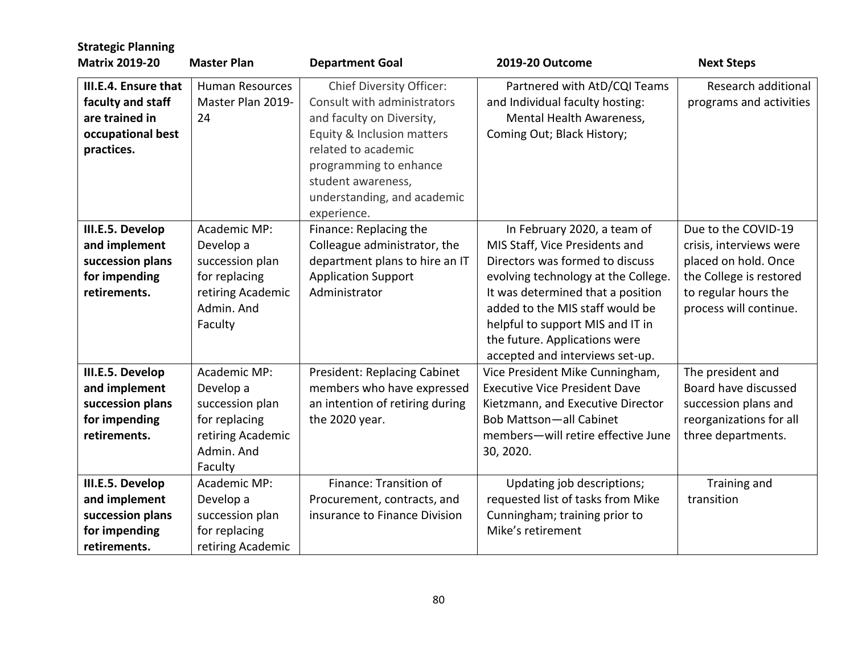| <b>Strategic Planning</b><br><b>Matrix 2019-20</b>                                             | <b>Master Plan</b>                                                                                          |                                                                                                                                                                                                                                                |                                                                                                                                                                                                                                                                                                                         |                                                                                                                                                     |
|------------------------------------------------------------------------------------------------|-------------------------------------------------------------------------------------------------------------|------------------------------------------------------------------------------------------------------------------------------------------------------------------------------------------------------------------------------------------------|-------------------------------------------------------------------------------------------------------------------------------------------------------------------------------------------------------------------------------------------------------------------------------------------------------------------------|-----------------------------------------------------------------------------------------------------------------------------------------------------|
|                                                                                                |                                                                                                             | <b>Department Goal</b>                                                                                                                                                                                                                         | 2019-20 Outcome                                                                                                                                                                                                                                                                                                         | <b>Next Steps</b>                                                                                                                                   |
| III.E.4. Ensure that<br>faculty and staff<br>are trained in<br>occupational best<br>practices. | <b>Human Resources</b><br>Master Plan 2019-<br>24                                                           | <b>Chief Diversity Officer:</b><br>Consult with administrators<br>and faculty on Diversity,<br>Equity & Inclusion matters<br>related to academic<br>programming to enhance<br>student awareness,<br>understanding, and academic<br>experience. | Partnered with AtD/CQI Teams<br>and Individual faculty hosting:<br>Mental Health Awareness,<br>Coming Out; Black History;                                                                                                                                                                                               | Research additional<br>programs and activities                                                                                                      |
| III.E.5. Develop<br>and implement<br>succession plans<br>for impending<br>retirements.         | Academic MP:<br>Develop a<br>succession plan<br>for replacing<br>retiring Academic<br>Admin. And<br>Faculty | Finance: Replacing the<br>Colleague administrator, the<br>department plans to hire an IT<br><b>Application Support</b><br>Administrator                                                                                                        | In February 2020, a team of<br>MIS Staff, Vice Presidents and<br>Directors was formed to discuss<br>evolving technology at the College.<br>It was determined that a position<br>added to the MIS staff would be<br>helpful to support MIS and IT in<br>the future. Applications were<br>accepted and interviews set-up. | Due to the COVID-19<br>crisis, interviews were<br>placed on hold. Once<br>the College is restored<br>to regular hours the<br>process will continue. |
| III.E.5. Develop<br>and implement<br>succession plans<br>for impending<br>retirements.         | Academic MP:<br>Develop a<br>succession plan<br>for replacing<br>retiring Academic<br>Admin. And<br>Faculty | President: Replacing Cabinet<br>members who have expressed<br>an intention of retiring during<br>the 2020 year.                                                                                                                                | Vice President Mike Cunningham,<br><b>Executive Vice President Dave</b><br>Kietzmann, and Executive Director<br><b>Bob Mattson-all Cabinet</b><br>members-will retire effective June<br>30, 2020.                                                                                                                       | The president and<br>Board have discussed<br>succession plans and<br>reorganizations for all<br>three departments.                                  |
| III.E.5. Develop<br>and implement<br>succession plans<br>for impending<br>retirements.         | Academic MP:<br>Develop a<br>succession plan<br>for replacing<br>retiring Academic                          | Finance: Transition of<br>Procurement, contracts, and<br>insurance to Finance Division                                                                                                                                                         | Updating job descriptions;<br>requested list of tasks from Mike<br>Cunningham; training prior to<br>Mike's retirement                                                                                                                                                                                                   | Training and<br>transition                                                                                                                          |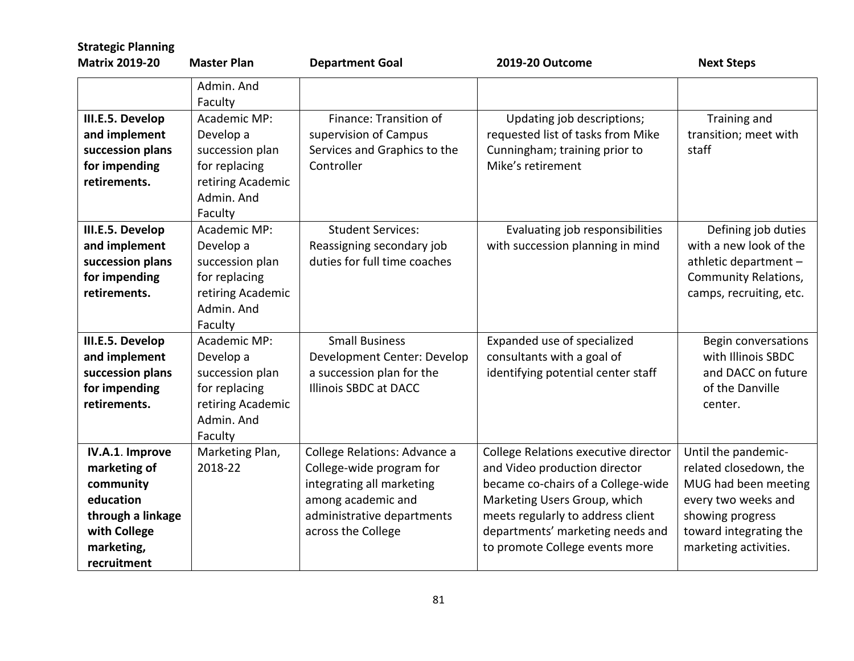| <b>Strategic Planning</b><br><b>Matrix 2019-20</b>                                                                          | <b>Master Plan</b>                                                                                          | <b>Department Goal</b>                                                                                                                                          | 2019-20 Outcome                                                                                                                                                                                                                                        | <b>Next Steps</b>                                                                                                                                                   |
|-----------------------------------------------------------------------------------------------------------------------------|-------------------------------------------------------------------------------------------------------------|-----------------------------------------------------------------------------------------------------------------------------------------------------------------|--------------------------------------------------------------------------------------------------------------------------------------------------------------------------------------------------------------------------------------------------------|---------------------------------------------------------------------------------------------------------------------------------------------------------------------|
|                                                                                                                             | Admin. And<br>Faculty                                                                                       |                                                                                                                                                                 |                                                                                                                                                                                                                                                        |                                                                                                                                                                     |
| III.E.5. Develop<br>and implement<br>succession plans<br>for impending<br>retirements.                                      | Academic MP:<br>Develop a<br>succession plan<br>for replacing<br>retiring Academic<br>Admin. And<br>Faculty | Finance: Transition of<br>supervision of Campus<br>Services and Graphics to the<br>Controller                                                                   | Updating job descriptions;<br>requested list of tasks from Mike<br>Cunningham; training prior to<br>Mike's retirement                                                                                                                                  | Training and<br>transition; meet with<br>staff                                                                                                                      |
| III.E.5. Develop<br>and implement<br>succession plans<br>for impending<br>retirements.                                      | Academic MP:<br>Develop a<br>succession plan<br>for replacing<br>retiring Academic<br>Admin, And<br>Faculty | <b>Student Services:</b><br>Reassigning secondary job<br>duties for full time coaches                                                                           | Evaluating job responsibilities<br>with succession planning in mind                                                                                                                                                                                    | Defining job duties<br>with a new look of the<br>athletic department -<br><b>Community Relations,</b><br>camps, recruiting, etc.                                    |
| III.E.5. Develop<br>and implement<br>succession plans<br>for impending<br>retirements.                                      | Academic MP:<br>Develop a<br>succession plan<br>for replacing<br>retiring Academic<br>Admin, And<br>Faculty | <b>Small Business</b><br>Development Center: Develop<br>a succession plan for the<br><b>Illinois SBDC at DACC</b>                                               | Expanded use of specialized<br>consultants with a goal of<br>identifying potential center staff                                                                                                                                                        | Begin conversations<br>with Illinois SBDC<br>and DACC on future<br>of the Danville<br>center.                                                                       |
| IV.A.1. Improve<br>marketing of<br>community<br>education<br>through a linkage<br>with College<br>marketing,<br>recruitment | Marketing Plan,<br>2018-22                                                                                  | College Relations: Advance a<br>College-wide program for<br>integrating all marketing<br>among academic and<br>administrative departments<br>across the College | College Relations executive director<br>and Video production director<br>became co-chairs of a College-wide<br>Marketing Users Group, which<br>meets regularly to address client<br>departments' marketing needs and<br>to promote College events more | Until the pandemic-<br>related closedown, the<br>MUG had been meeting<br>every two weeks and<br>showing progress<br>toward integrating the<br>marketing activities. |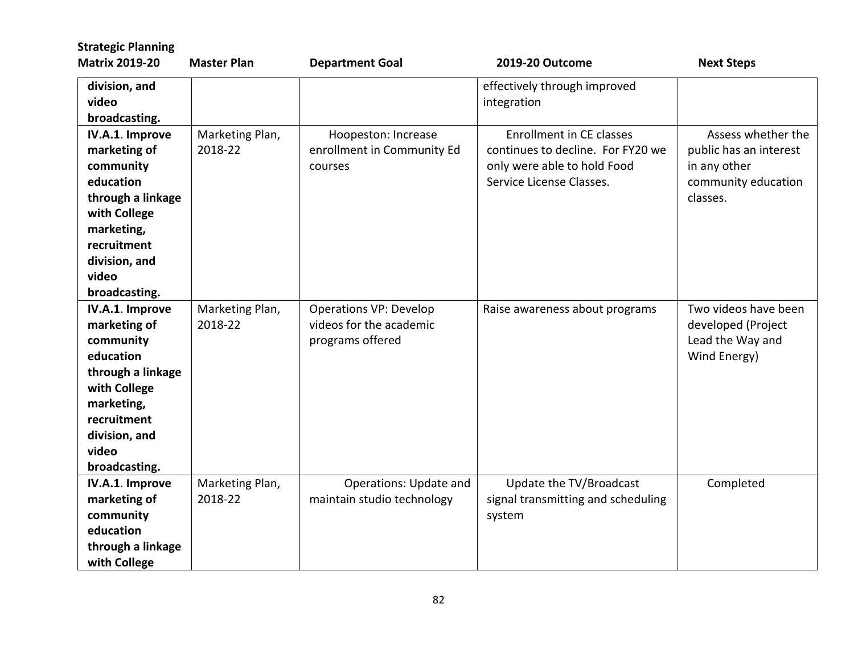| <b>Strategic Planning</b>                                                                                                                                              |                            |                                                                              |                                                                                                                                 |                                                                                                 |
|------------------------------------------------------------------------------------------------------------------------------------------------------------------------|----------------------------|------------------------------------------------------------------------------|---------------------------------------------------------------------------------------------------------------------------------|-------------------------------------------------------------------------------------------------|
| <b>Matrix 2019-20</b>                                                                                                                                                  | <b>Master Plan</b>         | <b>Department Goal</b>                                                       | 2019-20 Outcome                                                                                                                 | <b>Next Steps</b>                                                                               |
| division, and<br>video<br>broadcasting.                                                                                                                                |                            |                                                                              | effectively through improved<br>integration                                                                                     |                                                                                                 |
| IV.A.1. Improve<br>marketing of<br>community<br>education<br>through a linkage<br>with College<br>marketing,<br>recruitment<br>division, and<br>video<br>broadcasting. | Marketing Plan,<br>2018-22 | Hoopeston: Increase<br>enrollment in Community Ed<br>courses                 | <b>Enrollment in CE classes</b><br>continues to decline. For FY20 we<br>only were able to hold Food<br>Service License Classes. | Assess whether the<br>public has an interest<br>in any other<br>community education<br>classes. |
| IV.A.1. Improve<br>marketing of<br>community<br>education<br>through a linkage<br>with College<br>marketing,<br>recruitment<br>division, and<br>video<br>broadcasting. | Marketing Plan,<br>2018-22 | <b>Operations VP: Develop</b><br>videos for the academic<br>programs offered | Raise awareness about programs                                                                                                  | Two videos have been<br>developed (Project<br>Lead the Way and<br>Wind Energy)                  |
| IV.A.1. Improve<br>marketing of<br>community<br>education<br>through a linkage<br>with College                                                                         | Marketing Plan,<br>2018-22 | Operations: Update and<br>maintain studio technology                         | Update the TV/Broadcast<br>signal transmitting and scheduling<br>system                                                         | Completed                                                                                       |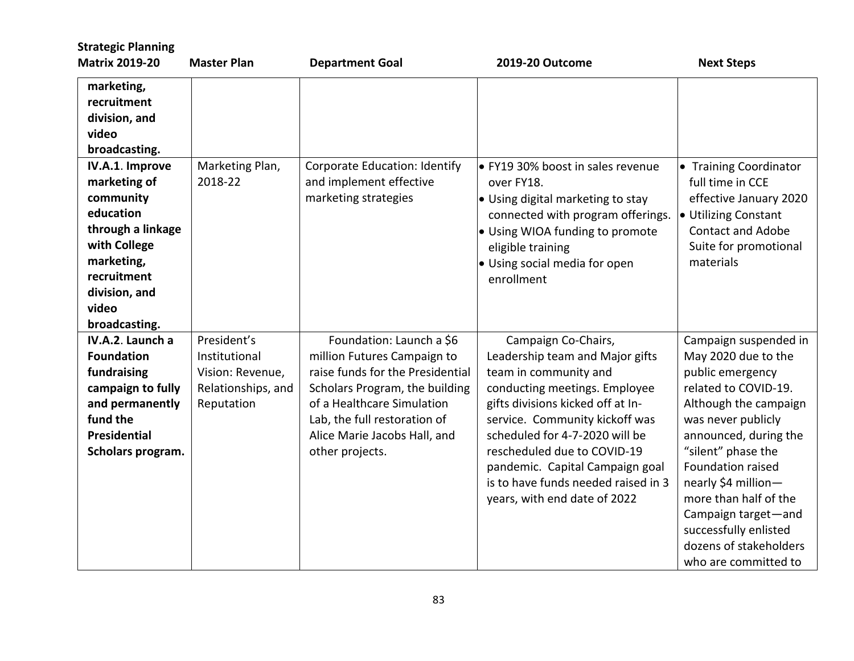| <b>Strategic Planning</b><br><b>Matrix 2019-20</b>                                                                                                                     | <b>Master Plan</b>                                                                   | <b>Department Goal</b>                                                                                                                                                                                                                         | <b>2019-20 Outcome</b>                                                                                                                                                                                                                                                                                                                                             | <b>Next Steps</b>                                                                                                                                                                                                                                                                                                                                             |
|------------------------------------------------------------------------------------------------------------------------------------------------------------------------|--------------------------------------------------------------------------------------|------------------------------------------------------------------------------------------------------------------------------------------------------------------------------------------------------------------------------------------------|--------------------------------------------------------------------------------------------------------------------------------------------------------------------------------------------------------------------------------------------------------------------------------------------------------------------------------------------------------------------|---------------------------------------------------------------------------------------------------------------------------------------------------------------------------------------------------------------------------------------------------------------------------------------------------------------------------------------------------------------|
| marketing,<br>recruitment<br>division, and<br>video<br>broadcasting.                                                                                                   |                                                                                      |                                                                                                                                                                                                                                                |                                                                                                                                                                                                                                                                                                                                                                    |                                                                                                                                                                                                                                                                                                                                                               |
| IV.A.1. Improve<br>marketing of<br>community<br>education<br>through a linkage<br>with College<br>marketing,<br>recruitment<br>division, and<br>video<br>broadcasting. | Marketing Plan,<br>2018-22                                                           | Corporate Education: Identify<br>and implement effective<br>marketing strategies                                                                                                                                                               | • FY19 30% boost in sales revenue<br>over FY18.<br>• Using digital marketing to stay<br>connected with program offerings.<br>· Using WIOA funding to promote<br>eligible training<br>• Using social media for open<br>enrollment                                                                                                                                   | • Training Coordinator<br>full time in CCE<br>effective January 2020<br>• Utilizing Constant<br><b>Contact and Adobe</b><br>Suite for promotional<br>materials                                                                                                                                                                                                |
| IV.A.2. Launch a<br><b>Foundation</b><br>fundraising<br>campaign to fully<br>and permanently<br>fund the<br><b>Presidential</b><br>Scholars program.                   | President's<br>Institutional<br>Vision: Revenue,<br>Relationships, and<br>Reputation | Foundation: Launch a \$6<br>million Futures Campaign to<br>raise funds for the Presidential<br>Scholars Program, the building<br>of a Healthcare Simulation<br>Lab, the full restoration of<br>Alice Marie Jacobs Hall, and<br>other projects. | Campaign Co-Chairs,<br>Leadership team and Major gifts<br>team in community and<br>conducting meetings. Employee<br>gifts divisions kicked off at In-<br>service. Community kickoff was<br>scheduled for 4-7-2020 will be<br>rescheduled due to COVID-19<br>pandemic. Capital Campaign goal<br>is to have funds needed raised in 3<br>years, with end date of 2022 | Campaign suspended in<br>May 2020 due to the<br>public emergency<br>related to COVID-19.<br>Although the campaign<br>was never publicly<br>announced, during the<br>"silent" phase the<br>Foundation raised<br>nearly \$4 million-<br>more than half of the<br>Campaign target-and<br>successfully enlisted<br>dozens of stakeholders<br>who are committed to |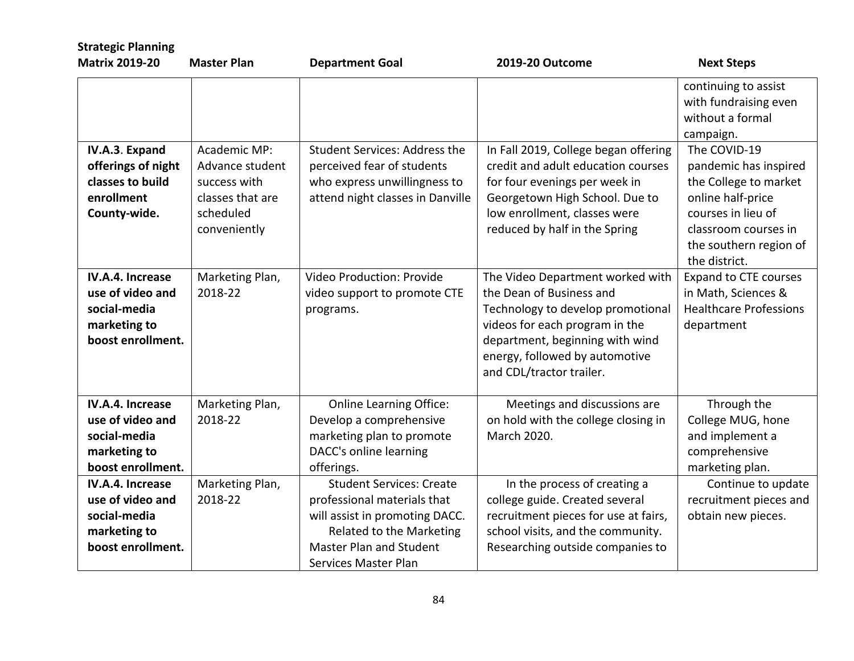| <b>Strategic Planning</b><br><b>Matrix 2019-20</b> | <b>Master Plan</b> |                                      | 2019-20 Outcome                      |                                           |
|----------------------------------------------------|--------------------|--------------------------------------|--------------------------------------|-------------------------------------------|
|                                                    |                    | <b>Department Goal</b>               |                                      | <b>Next Steps</b>                         |
|                                                    |                    |                                      |                                      | continuing to assist                      |
|                                                    |                    |                                      |                                      | with fundraising even<br>without a formal |
|                                                    |                    |                                      |                                      |                                           |
|                                                    |                    |                                      |                                      | campaign.                                 |
| IV.A.3. Expand                                     | Academic MP:       | <b>Student Services: Address the</b> | In Fall 2019, College began offering | The COVID-19                              |
| offerings of night                                 | Advance student    | perceived fear of students           | credit and adult education courses   | pandemic has inspired                     |
| classes to build                                   | success with       | who express unwillingness to         | for four evenings per week in        | the College to market                     |
| enrollment                                         | classes that are   | attend night classes in Danville     | Georgetown High School. Due to       | online half-price                         |
| County-wide.                                       | scheduled          |                                      | low enrollment, classes were         | courses in lieu of                        |
|                                                    | conveniently       |                                      | reduced by half in the Spring        | classroom courses in                      |
|                                                    |                    |                                      |                                      | the southern region of                    |
|                                                    |                    |                                      |                                      | the district.                             |
| IV.A.4. Increase                                   | Marketing Plan,    | Video Production: Provide            | The Video Department worked with     | <b>Expand to CTE courses</b>              |
| use of video and                                   | 2018-22            | video support to promote CTE         | the Dean of Business and             | in Math, Sciences &                       |
| social-media                                       |                    | programs.                            | Technology to develop promotional    | <b>Healthcare Professions</b>             |
| marketing to                                       |                    |                                      | videos for each program in the       | department                                |
| boost enrollment.                                  |                    |                                      | department, beginning with wind      |                                           |
|                                                    |                    |                                      | energy, followed by automotive       |                                           |
|                                                    |                    |                                      | and CDL/tractor trailer.             |                                           |
| IV.A.4. Increase                                   | Marketing Plan,    | <b>Online Learning Office:</b>       | Meetings and discussions are         | Through the                               |
| use of video and                                   | 2018-22            | Develop a comprehensive              | on hold with the college closing in  | College MUG, hone                         |
| social-media                                       |                    | marketing plan to promote            | March 2020.                          | and implement a                           |
| marketing to                                       |                    | DACC's online learning               |                                      | comprehensive                             |
| boost enrollment.                                  |                    | offerings.                           |                                      | marketing plan.                           |
| IV.A.4. Increase                                   | Marketing Plan,    | <b>Student Services: Create</b>      | In the process of creating a         | Continue to update                        |
| use of video and                                   | 2018-22            | professional materials that          | college guide. Created several       | recruitment pieces and                    |
| social-media                                       |                    | will assist in promoting DACC.       | recruitment pieces for use at fairs, | obtain new pieces.                        |
| marketing to                                       |                    | Related to the Marketing             | school visits, and the community.    |                                           |
| boost enrollment.                                  |                    | Master Plan and Student              | Researching outside companies to     |                                           |
|                                                    |                    | Services Master Plan                 |                                      |                                           |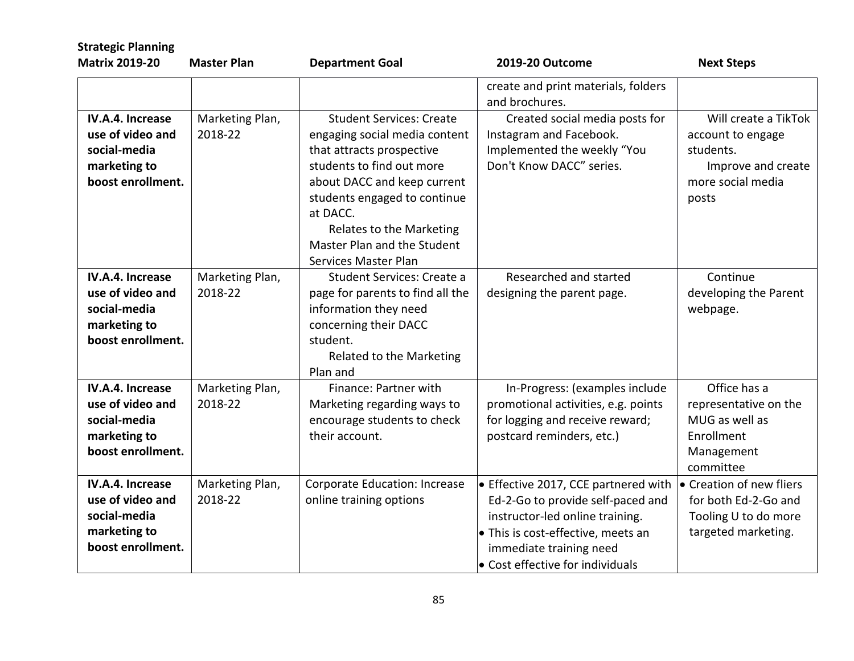| <b>Strategic Planning</b><br><b>Matrix 2019-20</b>                                        | <b>Master Plan</b>         | <b>Department Goal</b>                                                                                                                                                                                                                                                                   | 2019-20 Outcome                                                                                                                                                                                                   | <b>Next Steps</b>                                                                                          |
|-------------------------------------------------------------------------------------------|----------------------------|------------------------------------------------------------------------------------------------------------------------------------------------------------------------------------------------------------------------------------------------------------------------------------------|-------------------------------------------------------------------------------------------------------------------------------------------------------------------------------------------------------------------|------------------------------------------------------------------------------------------------------------|
|                                                                                           |                            |                                                                                                                                                                                                                                                                                          | create and print materials, folders<br>and brochures.                                                                                                                                                             |                                                                                                            |
| IV.A.4. Increase<br>use of video and<br>social-media<br>marketing to<br>boost enrollment. | Marketing Plan,<br>2018-22 | <b>Student Services: Create</b><br>engaging social media content<br>that attracts prospective<br>students to find out more<br>about DACC and keep current<br>students engaged to continue<br>at DACC.<br>Relates to the Marketing<br>Master Plan and the Student<br>Services Master Plan | Created social media posts for<br>Instagram and Facebook.<br>Implemented the weekly "You<br>Don't Know DACC" series.                                                                                              | Will create a TikTok<br>account to engage<br>students.<br>Improve and create<br>more social media<br>posts |
| IV.A.4. Increase<br>use of video and<br>social-media<br>marketing to<br>boost enrollment. | Marketing Plan,<br>2018-22 | Student Services: Create a<br>page for parents to find all the<br>information they need<br>concerning their DACC<br>student.<br>Related to the Marketing<br>Plan and                                                                                                                     | Researched and started<br>designing the parent page.                                                                                                                                                              | Continue<br>developing the Parent<br>webpage.                                                              |
| IV.A.4. Increase<br>use of video and<br>social-media<br>marketing to<br>boost enrollment. | Marketing Plan,<br>2018-22 | Finance: Partner with<br>Marketing regarding ways to<br>encourage students to check<br>their account.                                                                                                                                                                                    | In-Progress: (examples include<br>promotional activities, e.g. points<br>for logging and receive reward;<br>postcard reminders, etc.)                                                                             | Office has a<br>representative on the<br>MUG as well as<br>Enrollment<br>Management<br>committee           |
| IV.A.4. Increase<br>use of video and<br>social-media<br>marketing to<br>boost enrollment. | Marketing Plan,<br>2018-22 | <b>Corporate Education: Increase</b><br>online training options                                                                                                                                                                                                                          | • Effective 2017, CCE partnered with<br>Ed-2-Go to provide self-paced and<br>instructor-led online training.<br>. This is cost-effective, meets an<br>immediate training need<br>• Cost effective for individuals | • Creation of new fliers<br>for both Ed-2-Go and<br>Tooling U to do more<br>targeted marketing.            |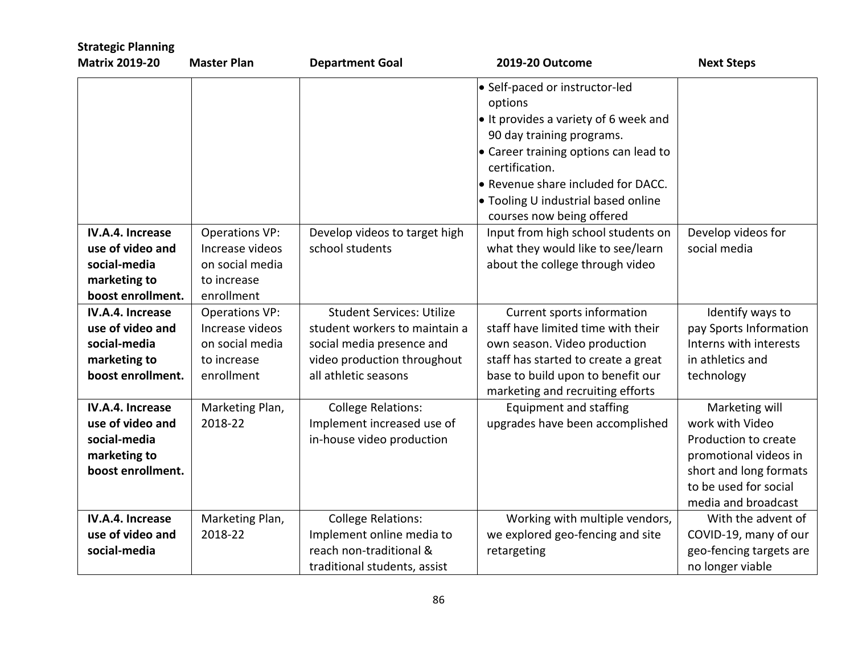| <b>Strategic Planning</b>                                                                        |                                                                                          |                                                                                                                                                       |                                                                                                                                                                                                                                                                                                      |                                                                                                                                                              |
|--------------------------------------------------------------------------------------------------|------------------------------------------------------------------------------------------|-------------------------------------------------------------------------------------------------------------------------------------------------------|------------------------------------------------------------------------------------------------------------------------------------------------------------------------------------------------------------------------------------------------------------------------------------------------------|--------------------------------------------------------------------------------------------------------------------------------------------------------------|
| <b>Matrix 2019-20</b>                                                                            | <b>Master Plan</b>                                                                       | <b>Department Goal</b>                                                                                                                                | 2019-20 Outcome                                                                                                                                                                                                                                                                                      | <b>Next Steps</b>                                                                                                                                            |
|                                                                                                  |                                                                                          |                                                                                                                                                       | • Self-paced or instructor-led<br>options<br>$\bullet$ It provides a variety of 6 week and<br>90 day training programs.<br>$\bullet$ Career training options can lead to<br>certification.<br>● Revenue share included for DACC.<br>• Tooling U industrial based online<br>courses now being offered |                                                                                                                                                              |
| IV.A.4. Increase<br>use of video and<br>social-media<br>marketing to<br>boost enrollment.        | <b>Operations VP:</b><br>Increase videos<br>on social media<br>to increase<br>enrollment | Develop videos to target high<br>school students                                                                                                      | Input from high school students on<br>what they would like to see/learn<br>about the college through video                                                                                                                                                                                           | Develop videos for<br>social media                                                                                                                           |
| IV.A.4. Increase<br>use of video and<br>social-media<br>marketing to<br>boost enrollment.        | <b>Operations VP:</b><br>Increase videos<br>on social media<br>to increase<br>enrollment | <b>Student Services: Utilize</b><br>student workers to maintain a<br>social media presence and<br>video production throughout<br>all athletic seasons | Current sports information<br>staff have limited time with their<br>own season. Video production<br>staff has started to create a great<br>base to build upon to benefit our<br>marketing and recruiting efforts                                                                                     | Identify ways to<br>pay Sports Information<br>Interns with interests<br>in athletics and<br>technology                                                       |
| <b>IV.A.4. Increase</b><br>use of video and<br>social-media<br>marketing to<br>boost enrollment. | Marketing Plan,<br>2018-22                                                               | <b>College Relations:</b><br>Implement increased use of<br>in-house video production                                                                  | <b>Equipment and staffing</b><br>upgrades have been accomplished                                                                                                                                                                                                                                     | Marketing will<br>work with Video<br>Production to create<br>promotional videos in<br>short and long formats<br>to be used for social<br>media and broadcast |
| IV.A.4. Increase<br>use of video and<br>social-media                                             | Marketing Plan,<br>2018-22                                                               | <b>College Relations:</b><br>Implement online media to<br>reach non-traditional &<br>traditional students, assist                                     | Working with multiple vendors,<br>we explored geo-fencing and site<br>retargeting                                                                                                                                                                                                                    | With the advent of<br>COVID-19, many of our<br>geo-fencing targets are<br>no longer viable                                                                   |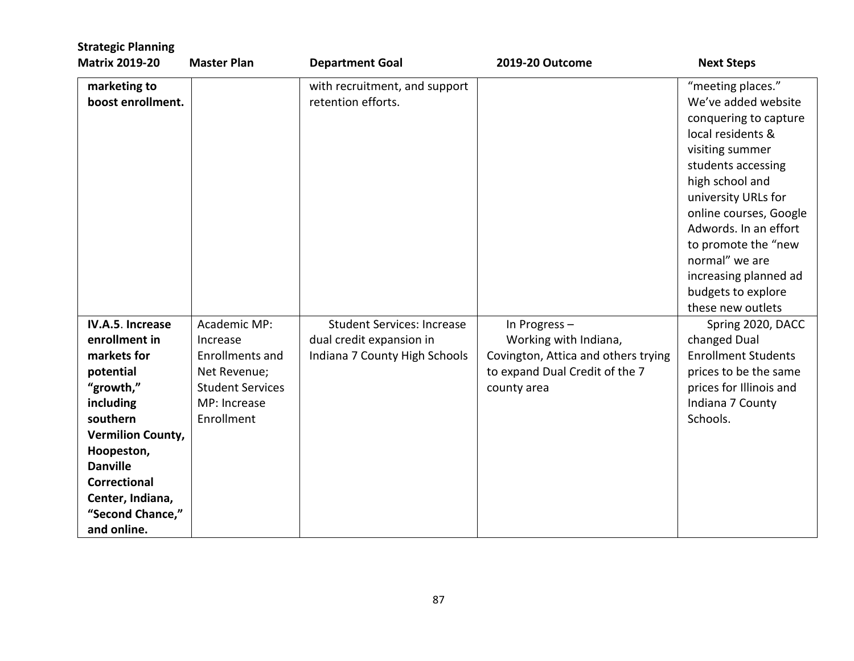| <b>Strategic Planning</b><br><b>Matrix 2019-20</b> | <b>Master Plan</b>      | <b>Department Goal</b>            | <b>2019-20 Outcome</b>              | <b>Next Steps</b>          |
|----------------------------------------------------|-------------------------|-----------------------------------|-------------------------------------|----------------------------|
|                                                    |                         |                                   |                                     |                            |
| marketing to                                       |                         | with recruitment, and support     |                                     | "meeting places."          |
| boost enrollment.                                  |                         | retention efforts.                |                                     | We've added website        |
|                                                    |                         |                                   |                                     | conquering to capture      |
|                                                    |                         |                                   |                                     | local residents &          |
|                                                    |                         |                                   |                                     | visiting summer            |
|                                                    |                         |                                   |                                     | students accessing         |
|                                                    |                         |                                   |                                     | high school and            |
|                                                    |                         |                                   |                                     | university URLs for        |
|                                                    |                         |                                   |                                     | online courses, Google     |
|                                                    |                         |                                   |                                     | Adwords. In an effort      |
|                                                    |                         |                                   |                                     | to promote the "new        |
|                                                    |                         |                                   |                                     | normal" we are             |
|                                                    |                         |                                   |                                     | increasing planned ad      |
|                                                    |                         |                                   |                                     | budgets to explore         |
|                                                    |                         |                                   |                                     | these new outlets          |
| IV.A.5. Increase                                   | Academic MP:            | <b>Student Services: Increase</b> | In Progress-                        | Spring 2020, DACC          |
| enrollment in                                      | Increase                | dual credit expansion in          | Working with Indiana,               | changed Dual               |
| markets for                                        | <b>Enrollments and</b>  | Indiana 7 County High Schools     | Covington, Attica and others trying | <b>Enrollment Students</b> |
| potential                                          | Net Revenue;            |                                   | to expand Dual Credit of the 7      | prices to be the same      |
| "growth,"                                          | <b>Student Services</b> |                                   | county area                         | prices for Illinois and    |
| including                                          | MP: Increase            |                                   |                                     | Indiana 7 County           |
| southern                                           | Enrollment              |                                   |                                     | Schools.                   |
| <b>Vermilion County,</b>                           |                         |                                   |                                     |                            |
| Hoopeston,                                         |                         |                                   |                                     |                            |
| <b>Danville</b>                                    |                         |                                   |                                     |                            |
| <b>Correctional</b>                                |                         |                                   |                                     |                            |
| Center, Indiana,                                   |                         |                                   |                                     |                            |
| "Second Chance,"                                   |                         |                                   |                                     |                            |
| and online.                                        |                         |                                   |                                     |                            |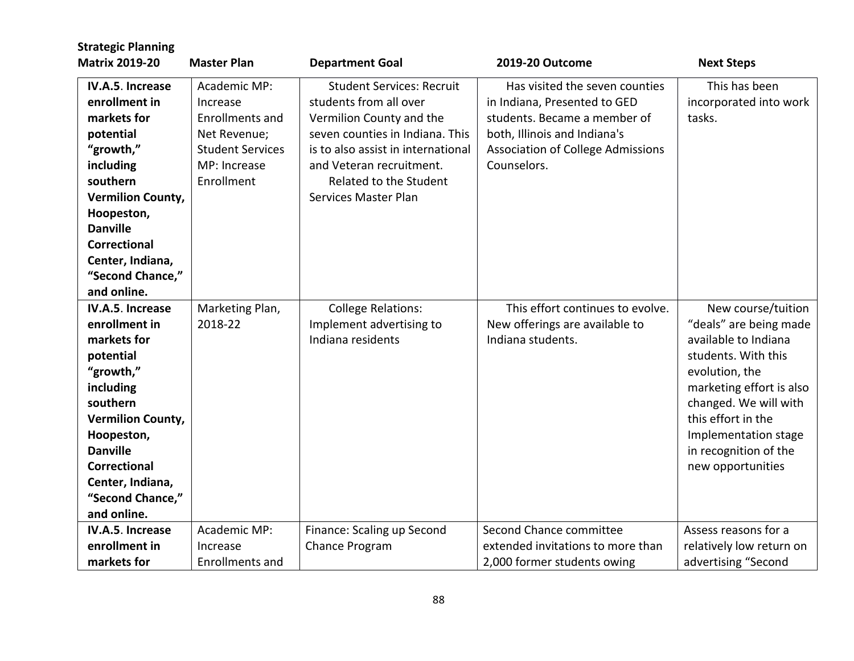| <b>Strategic Planning</b>                                                                                                                                                                                                                      |                                                                                                                             |                                                                                                                                                                                                                                               |                                                                                                                                                                                           |                                                                                                                                                                                                                                                                |
|------------------------------------------------------------------------------------------------------------------------------------------------------------------------------------------------------------------------------------------------|-----------------------------------------------------------------------------------------------------------------------------|-----------------------------------------------------------------------------------------------------------------------------------------------------------------------------------------------------------------------------------------------|-------------------------------------------------------------------------------------------------------------------------------------------------------------------------------------------|----------------------------------------------------------------------------------------------------------------------------------------------------------------------------------------------------------------------------------------------------------------|
| <b>Matrix 2019-20</b>                                                                                                                                                                                                                          | <b>Master Plan</b>                                                                                                          | <b>Department Goal</b>                                                                                                                                                                                                                        | 2019-20 Outcome                                                                                                                                                                           | <b>Next Steps</b>                                                                                                                                                                                                                                              |
| IV.A.5. Increase<br>enrollment in<br>markets for<br>potential<br>"growth,"<br>including<br>southern<br><b>Vermilion County,</b><br>Hoopeston,<br><b>Danville</b><br><b>Correctional</b><br>Center, Indiana,<br>"Second Chance,"<br>and online. | Academic MP:<br>Increase<br><b>Enrollments and</b><br>Net Revenue;<br><b>Student Services</b><br>MP: Increase<br>Enrollment | <b>Student Services: Recruit</b><br>students from all over<br>Vermilion County and the<br>seven counties in Indiana. This<br>is to also assist in international<br>and Veteran recruitment.<br>Related to the Student<br>Services Master Plan | Has visited the seven counties<br>in Indiana, Presented to GED<br>students. Became a member of<br>both, Illinois and Indiana's<br><b>Association of College Admissions</b><br>Counselors. | This has been<br>incorporated into work<br>tasks.                                                                                                                                                                                                              |
| IV.A.5. Increase<br>enrollment in<br>markets for<br>potential<br>"growth,"<br>including<br>southern<br><b>Vermilion County,</b><br>Hoopeston,<br><b>Danville</b><br><b>Correctional</b><br>Center, Indiana,<br>"Second Chance,"<br>and online. | Marketing Plan,<br>2018-22                                                                                                  | <b>College Relations:</b><br>Implement advertising to<br>Indiana residents                                                                                                                                                                    | This effort continues to evolve.<br>New offerings are available to<br>Indiana students.                                                                                                   | New course/tuition<br>"deals" are being made<br>available to Indiana<br>students. With this<br>evolution, the<br>marketing effort is also<br>changed. We will with<br>this effort in the<br>Implementation stage<br>in recognition of the<br>new opportunities |
| IV.A.5. Increase<br>enrollment in                                                                                                                                                                                                              | Academic MP:<br>Increase                                                                                                    | Finance: Scaling up Second<br>Chance Program                                                                                                                                                                                                  | Second Chance committee<br>extended invitations to more than                                                                                                                              | Assess reasons for a<br>relatively low return on                                                                                                                                                                                                               |
| markets for                                                                                                                                                                                                                                    | <b>Enrollments and</b>                                                                                                      |                                                                                                                                                                                                                                               | 2,000 former students owing                                                                                                                                                               | advertising "Second                                                                                                                                                                                                                                            |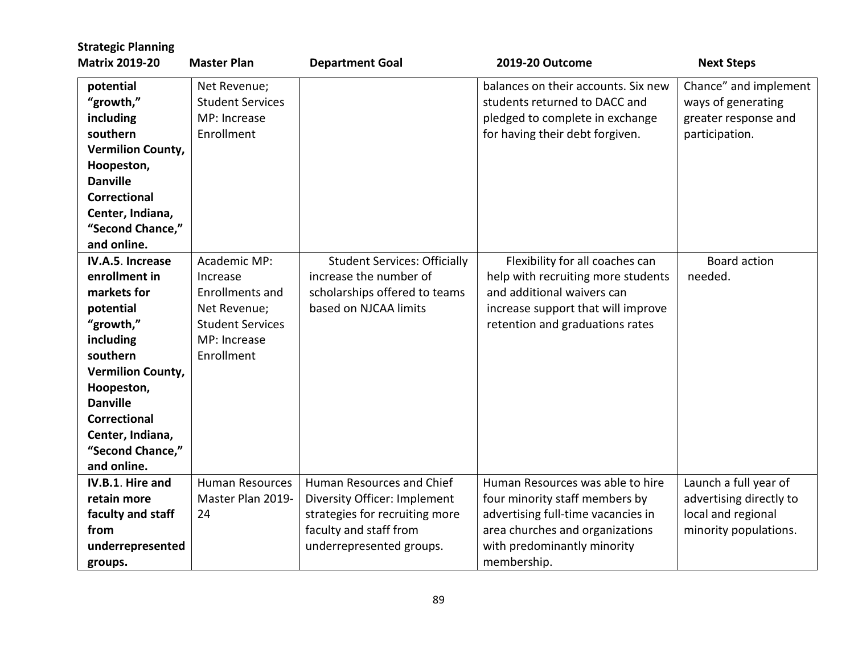| <b>Strategic Planning</b> |                         |                                     |                                     |                         |
|---------------------------|-------------------------|-------------------------------------|-------------------------------------|-------------------------|
| <b>Matrix 2019-20</b>     | <b>Master Plan</b>      | <b>Department Goal</b>              | 2019-20 Outcome                     | <b>Next Steps</b>       |
| potential                 | Net Revenue;            |                                     | balances on their accounts. Six new | Chance" and implement   |
| "growth,"                 | <b>Student Services</b> |                                     | students returned to DACC and       | ways of generating      |
| including                 | MP: Increase            |                                     | pledged to complete in exchange     | greater response and    |
| southern                  | Enrollment              |                                     | for having their debt forgiven.     | participation.          |
| <b>Vermilion County,</b>  |                         |                                     |                                     |                         |
| Hoopeston,                |                         |                                     |                                     |                         |
| <b>Danville</b>           |                         |                                     |                                     |                         |
| <b>Correctional</b>       |                         |                                     |                                     |                         |
| Center, Indiana,          |                         |                                     |                                     |                         |
| "Second Chance,"          |                         |                                     |                                     |                         |
| and online.               |                         |                                     |                                     |                         |
| IV.A.5. Increase          | Academic MP:            | <b>Student Services: Officially</b> | Flexibility for all coaches can     | Board action            |
| enrollment in             | Increase                | increase the number of              | help with recruiting more students  | needed.                 |
| markets for               | Enrollments and         | scholarships offered to teams       | and additional waivers can          |                         |
| potential                 | Net Revenue;            | based on NJCAA limits               | increase support that will improve  |                         |
| "growth,"                 | <b>Student Services</b> |                                     | retention and graduations rates     |                         |
| including                 | MP: Increase            |                                     |                                     |                         |
| southern                  | Enrollment              |                                     |                                     |                         |
| <b>Vermilion County,</b>  |                         |                                     |                                     |                         |
| Hoopeston,                |                         |                                     |                                     |                         |
| <b>Danville</b>           |                         |                                     |                                     |                         |
| <b>Correctional</b>       |                         |                                     |                                     |                         |
| Center, Indiana,          |                         |                                     |                                     |                         |
| "Second Chance,"          |                         |                                     |                                     |                         |
| and online.               |                         |                                     |                                     |                         |
| IV.B.1. Hire and          | <b>Human Resources</b>  | Human Resources and Chief           | Human Resources was able to hire    | Launch a full year of   |
| retain more               | Master Plan 2019-       | Diversity Officer: Implement        | four minority staff members by      | advertising directly to |
| faculty and staff         | 24                      | strategies for recruiting more      | advertising full-time vacancies in  | local and regional      |
| from                      |                         | faculty and staff from              | area churches and organizations     | minority populations.   |
| underrepresented          |                         | underrepresented groups.            | with predominantly minority         |                         |
| groups.                   |                         |                                     | membership.                         |                         |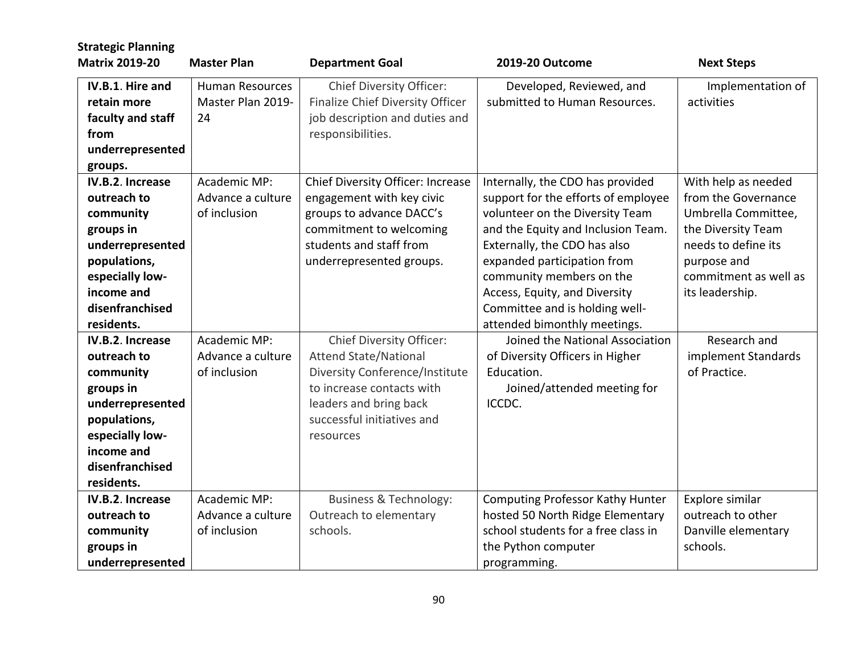| <b>Strategic Planning</b> |                        |                                       |                                         |                       |
|---------------------------|------------------------|---------------------------------------|-----------------------------------------|-----------------------|
| <b>Matrix 2019-20</b>     | <b>Master Plan</b>     | <b>Department Goal</b>                | 2019-20 Outcome                         | <b>Next Steps</b>     |
| IV.B.1. Hire and          | <b>Human Resources</b> | <b>Chief Diversity Officer:</b>       | Developed, Reviewed, and                | Implementation of     |
| retain more               | Master Plan 2019-      | Finalize Chief Diversity Officer      | submitted to Human Resources.           | activities            |
| faculty and staff         | 24                     | job description and duties and        |                                         |                       |
| from                      |                        | responsibilities.                     |                                         |                       |
| underrepresented          |                        |                                       |                                         |                       |
| groups.                   |                        |                                       |                                         |                       |
| IV.B.2. Increase          | Academic MP:           | Chief Diversity Officer: Increase     | Internally, the CDO has provided        | With help as needed   |
| outreach to               | Advance a culture      | engagement with key civic             | support for the efforts of employee     | from the Governance   |
| community                 | of inclusion           | groups to advance DACC's              | volunteer on the Diversity Team         | Umbrella Committee,   |
| groups in                 |                        | commitment to welcoming               | and the Equity and Inclusion Team.      | the Diversity Team    |
| underrepresented          |                        | students and staff from               | Externally, the CDO has also            | needs to define its   |
| populations,              |                        | underrepresented groups.              | expanded participation from             | purpose and           |
| especially low-           |                        |                                       | community members on the                | commitment as well as |
| income and                |                        |                                       | Access, Equity, and Diversity           | its leadership.       |
| disenfranchised           |                        |                                       | Committee and is holding well-          |                       |
| residents.                |                        |                                       | attended bimonthly meetings.            |                       |
| IV.B.2. Increase          | Academic MP:           | <b>Chief Diversity Officer:</b>       | Joined the National Association         | Research and          |
| outreach to               | Advance a culture      | <b>Attend State/National</b>          | of Diversity Officers in Higher         | implement Standards   |
| community                 | of inclusion           | <b>Diversity Conference/Institute</b> | Education.                              | of Practice.          |
| groups in                 |                        | to increase contacts with             | Joined/attended meeting for             |                       |
| underrepresented          |                        | leaders and bring back                | ICCDC.                                  |                       |
| populations,              |                        | successful initiatives and            |                                         |                       |
| especially low-           |                        | resources                             |                                         |                       |
| income and                |                        |                                       |                                         |                       |
| disenfranchised           |                        |                                       |                                         |                       |
| residents.                |                        |                                       |                                         |                       |
| IV.B.2. Increase          | Academic MP:           | <b>Business &amp; Technology:</b>     | <b>Computing Professor Kathy Hunter</b> | Explore similar       |
| outreach to               | Advance a culture      | Outreach to elementary                | hosted 50 North Ridge Elementary        | outreach to other     |
| community                 | of inclusion           | schools.                              | school students for a free class in     | Danville elementary   |
| groups in                 |                        |                                       | the Python computer                     | schools.              |
| underrepresented          |                        |                                       | programming.                            |                       |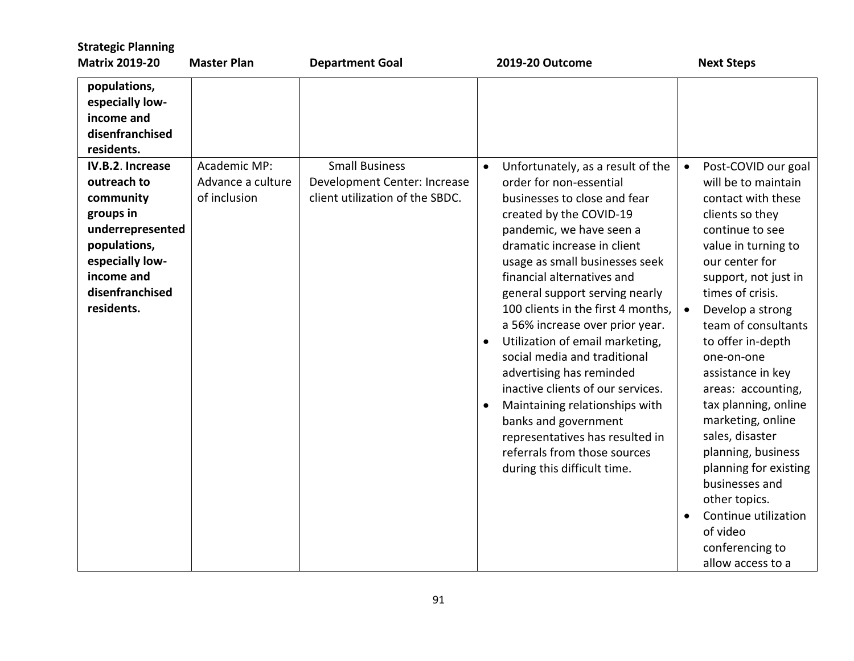| <b>Strategic Planning</b><br><b>Matrix 2019-20</b>                                                                                                              | <b>Master Plan</b>                                | <b>Department Goal</b>                                                                   | 2019-20 Outcome                                                                                                                                                                                                                                                                                                                                                                                                                                                                                                                                                                                                                                                                                      | <b>Next Steps</b>                                                                                                                                                                                                                                                                                                                                                                                                                                                                                                                                                            |
|-----------------------------------------------------------------------------------------------------------------------------------------------------------------|---------------------------------------------------|------------------------------------------------------------------------------------------|------------------------------------------------------------------------------------------------------------------------------------------------------------------------------------------------------------------------------------------------------------------------------------------------------------------------------------------------------------------------------------------------------------------------------------------------------------------------------------------------------------------------------------------------------------------------------------------------------------------------------------------------------------------------------------------------------|------------------------------------------------------------------------------------------------------------------------------------------------------------------------------------------------------------------------------------------------------------------------------------------------------------------------------------------------------------------------------------------------------------------------------------------------------------------------------------------------------------------------------------------------------------------------------|
| populations,<br>especially low-<br>income and<br>disenfranchised<br>residents.                                                                                  |                                                   |                                                                                          |                                                                                                                                                                                                                                                                                                                                                                                                                                                                                                                                                                                                                                                                                                      |                                                                                                                                                                                                                                                                                                                                                                                                                                                                                                                                                                              |
| IV.B.2. Increase<br>outreach to<br>community<br>groups in<br>underrepresented<br>populations,<br>especially low-<br>income and<br>disenfranchised<br>residents. | Academic MP:<br>Advance a culture<br>of inclusion | <b>Small Business</b><br>Development Center: Increase<br>client utilization of the SBDC. | Unfortunately, as a result of the<br>$\bullet$<br>order for non-essential<br>businesses to close and fear<br>created by the COVID-19<br>pandemic, we have seen a<br>dramatic increase in client<br>usage as small businesses seek<br>financial alternatives and<br>general support serving nearly<br>100 clients in the first 4 months,<br>a 56% increase over prior year.<br>Utilization of email marketing,<br>$\bullet$<br>social media and traditional<br>advertising has reminded<br>inactive clients of our services.<br>Maintaining relationships with<br>$\bullet$<br>banks and government<br>representatives has resulted in<br>referrals from those sources<br>during this difficult time. | Post-COVID our goal<br>$\bullet$<br>will be to maintain<br>contact with these<br>clients so they<br>continue to see<br>value in turning to<br>our center for<br>support, not just in<br>times of crisis.<br>Develop a strong<br>team of consultants<br>to offer in-depth<br>one-on-one<br>assistance in key<br>areas: accounting,<br>tax planning, online<br>marketing, online<br>sales, disaster<br>planning, business<br>planning for existing<br>businesses and<br>other topics.<br>Continue utilization<br>$\bullet$<br>of video<br>conferencing to<br>allow access to a |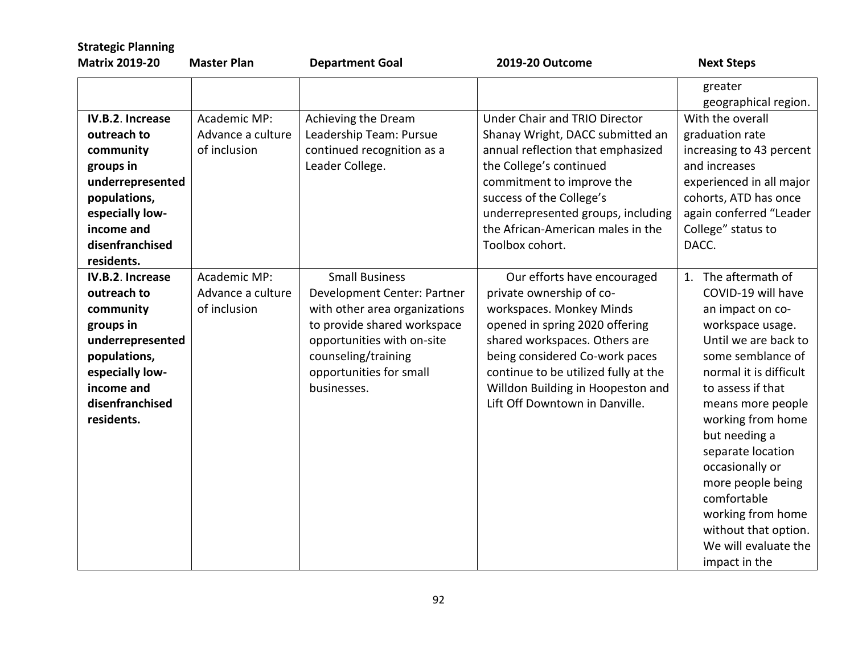| <b>Strategic Planning</b><br><b>Matrix 2019-20</b>                                                                                                              | <b>Master Plan</b>                                | <b>Department Goal</b>                                                                                                                                                                                              | 2019-20 Outcome                                                                                                                                                                                                                                                                                         | <b>Next Steps</b>                                                                                                                                                                                                                                                                                                                                                                                          |
|-----------------------------------------------------------------------------------------------------------------------------------------------------------------|---------------------------------------------------|---------------------------------------------------------------------------------------------------------------------------------------------------------------------------------------------------------------------|---------------------------------------------------------------------------------------------------------------------------------------------------------------------------------------------------------------------------------------------------------------------------------------------------------|------------------------------------------------------------------------------------------------------------------------------------------------------------------------------------------------------------------------------------------------------------------------------------------------------------------------------------------------------------------------------------------------------------|
|                                                                                                                                                                 |                                                   |                                                                                                                                                                                                                     |                                                                                                                                                                                                                                                                                                         | greater<br>geographical region.                                                                                                                                                                                                                                                                                                                                                                            |
| IV.B.2. Increase<br>outreach to<br>community<br>groups in<br>underrepresented<br>populations,<br>especially low-<br>income and<br>disenfranchised<br>residents. | Academic MP:<br>Advance a culture<br>of inclusion | Achieving the Dream<br>Leadership Team: Pursue<br>continued recognition as a<br>Leader College.                                                                                                                     | <b>Under Chair and TRIO Director</b><br>Shanay Wright, DACC submitted an<br>annual reflection that emphasized<br>the College's continued<br>commitment to improve the<br>success of the College's<br>underrepresented groups, including<br>the African-American males in the<br>Toolbox cohort.         | With the overall<br>graduation rate<br>increasing to 43 percent<br>and increases<br>experienced in all major<br>cohorts, ATD has once<br>again conferred "Leader<br>College" status to<br>DACC.                                                                                                                                                                                                            |
| IV.B.2. Increase<br>outreach to<br>community<br>groups in<br>underrepresented<br>populations,<br>especially low-<br>income and<br>disenfranchised<br>residents. | Academic MP:<br>Advance a culture<br>of inclusion | <b>Small Business</b><br>Development Center: Partner<br>with other area organizations<br>to provide shared workspace<br>opportunities with on-site<br>counseling/training<br>opportunities for small<br>businesses. | Our efforts have encouraged<br>private ownership of co-<br>workspaces. Monkey Minds<br>opened in spring 2020 offering<br>shared workspaces. Others are<br>being considered Co-work paces<br>continue to be utilized fully at the<br>Willdon Building in Hoopeston and<br>Lift Off Downtown in Danville. | 1. The aftermath of<br>COVID-19 will have<br>an impact on co-<br>workspace usage.<br>Until we are back to<br>some semblance of<br>normal it is difficult<br>to assess if that<br>means more people<br>working from home<br>but needing a<br>separate location<br>occasionally or<br>more people being<br>comfortable<br>working from home<br>without that option.<br>We will evaluate the<br>impact in the |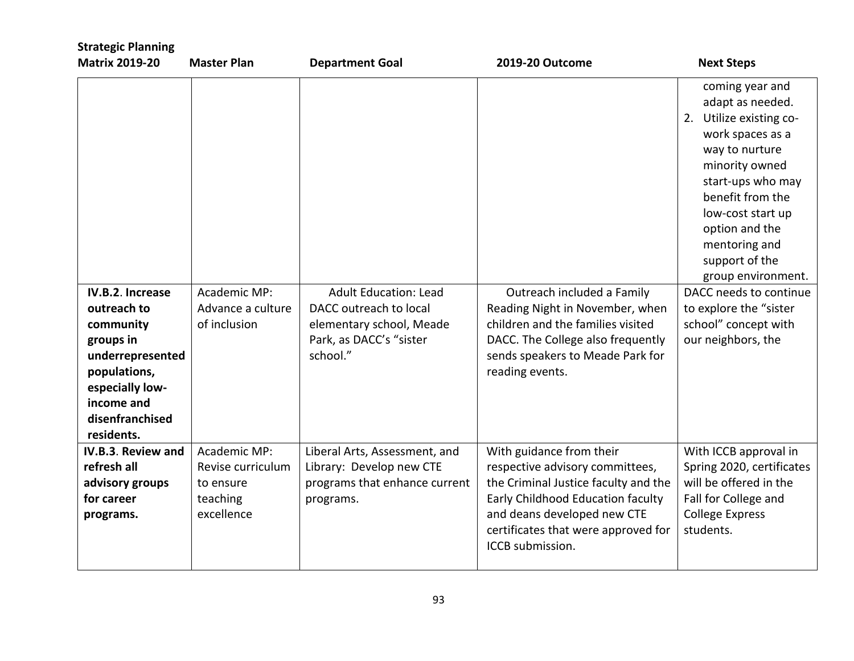| <b>Strategic Planning</b><br><b>Matrix 2019-20</b>                                                                                                              | <b>Master Plan</b>                                                       | <b>Department Goal</b>                                                                                                    | 2019-20 Outcome                                                                                                                                                                                                                    | <b>Next Steps</b>                                                                                                                                                                                                                                                                                                                                                 |
|-----------------------------------------------------------------------------------------------------------------------------------------------------------------|--------------------------------------------------------------------------|---------------------------------------------------------------------------------------------------------------------------|------------------------------------------------------------------------------------------------------------------------------------------------------------------------------------------------------------------------------------|-------------------------------------------------------------------------------------------------------------------------------------------------------------------------------------------------------------------------------------------------------------------------------------------------------------------------------------------------------------------|
| IV.B.2. Increase<br>outreach to<br>community<br>groups in<br>underrepresented<br>populations,<br>especially low-<br>income and<br>disenfranchised<br>residents. | Academic MP:<br>Advance a culture<br>of inclusion                        | <b>Adult Education: Lead</b><br>DACC outreach to local<br>elementary school, Meade<br>Park, as DACC's "sister<br>school." | Outreach included a Family<br>Reading Night in November, when<br>children and the families visited<br>DACC. The College also frequently<br>sends speakers to Meade Park for<br>reading events.                                     | coming year and<br>adapt as needed.<br>2. Utilize existing co-<br>work spaces as a<br>way to nurture<br>minority owned<br>start-ups who may<br>benefit from the<br>low-cost start up<br>option and the<br>mentoring and<br>support of the<br>group environment.<br>DACC needs to continue<br>to explore the "sister<br>school" concept with<br>our neighbors, the |
| IV.B.3. Review and<br>refresh all<br>advisory groups<br>for career<br>programs.                                                                                 | Academic MP:<br>Revise curriculum<br>to ensure<br>teaching<br>excellence | Liberal Arts, Assessment, and<br>Library: Develop new CTE<br>programs that enhance current<br>programs.                   | With guidance from their<br>respective advisory committees,<br>the Criminal Justice faculty and the<br>Early Childhood Education faculty<br>and deans developed new CTE<br>certificates that were approved for<br>ICCB submission. | With ICCB approval in<br>Spring 2020, certificates<br>will be offered in the<br>Fall for College and<br><b>College Express</b><br>students.                                                                                                                                                                                                                       |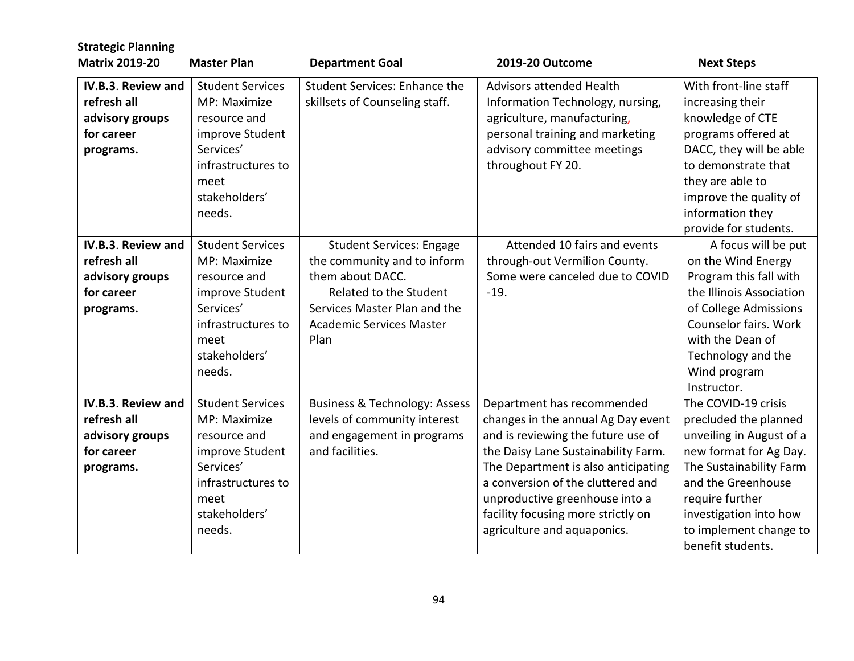| <b>Strategic Planning</b><br><b>Matrix 2019-20</b>                              | <b>Master Plan</b>                                                                                                                               | <b>Department Goal</b>                                                                                                                                                                  | 2019-20 Outcome                                                                                                                                                                                                                                                                                                                  | <b>Next Steps</b>                                                                                                                                                                                                                               |
|---------------------------------------------------------------------------------|--------------------------------------------------------------------------------------------------------------------------------------------------|-----------------------------------------------------------------------------------------------------------------------------------------------------------------------------------------|----------------------------------------------------------------------------------------------------------------------------------------------------------------------------------------------------------------------------------------------------------------------------------------------------------------------------------|-------------------------------------------------------------------------------------------------------------------------------------------------------------------------------------------------------------------------------------------------|
| IV.B.3. Review and<br>refresh all<br>advisory groups<br>for career<br>programs. | <b>Student Services</b><br>MP: Maximize<br>resource and<br>improve Student<br>Services'<br>infrastructures to<br>meet<br>stakeholders'<br>needs. | <b>Student Services: Enhance the</b><br>skillsets of Counseling staff.                                                                                                                  | <b>Advisors attended Health</b><br>Information Technology, nursing,<br>agriculture, manufacturing,<br>personal training and marketing<br>advisory committee meetings<br>throughout FY 20.                                                                                                                                        | With front-line staff<br>increasing their<br>knowledge of CTE<br>programs offered at<br>DACC, they will be able<br>to demonstrate that<br>they are able to<br>improve the quality of<br>information they<br>provide for students.               |
| IV.B.3. Review and<br>refresh all<br>advisory groups<br>for career<br>programs. | <b>Student Services</b><br>MP: Maximize<br>resource and<br>improve Student<br>Services'<br>infrastructures to<br>meet<br>stakeholders'<br>needs. | <b>Student Services: Engage</b><br>the community and to inform<br>them about DACC.<br>Related to the Student<br>Services Master Plan and the<br><b>Academic Services Master</b><br>Plan | Attended 10 fairs and events<br>through-out Vermilion County.<br>Some were canceled due to COVID<br>$-19.$                                                                                                                                                                                                                       | A focus will be put<br>on the Wind Energy<br>Program this fall with<br>the Illinois Association<br>of College Admissions<br>Counselor fairs. Work<br>with the Dean of<br>Technology and the<br>Wind program<br>Instructor.                      |
| IV.B.3. Review and<br>refresh all<br>advisory groups<br>for career<br>programs. | <b>Student Services</b><br>MP: Maximize<br>resource and<br>improve Student<br>Services'<br>infrastructures to<br>meet<br>stakeholders'<br>needs. | <b>Business &amp; Technology: Assess</b><br>levels of community interest<br>and engagement in programs<br>and facilities.                                                               | Department has recommended<br>changes in the annual Ag Day event<br>and is reviewing the future use of<br>the Daisy Lane Sustainability Farm.<br>The Department is also anticipating<br>a conversion of the cluttered and<br>unproductive greenhouse into a<br>facility focusing more strictly on<br>agriculture and aquaponics. | The COVID-19 crisis<br>precluded the planned<br>unveiling in August of a<br>new format for Ag Day.<br>The Sustainability Farm<br>and the Greenhouse<br>require further<br>investigation into how<br>to implement change to<br>benefit students. |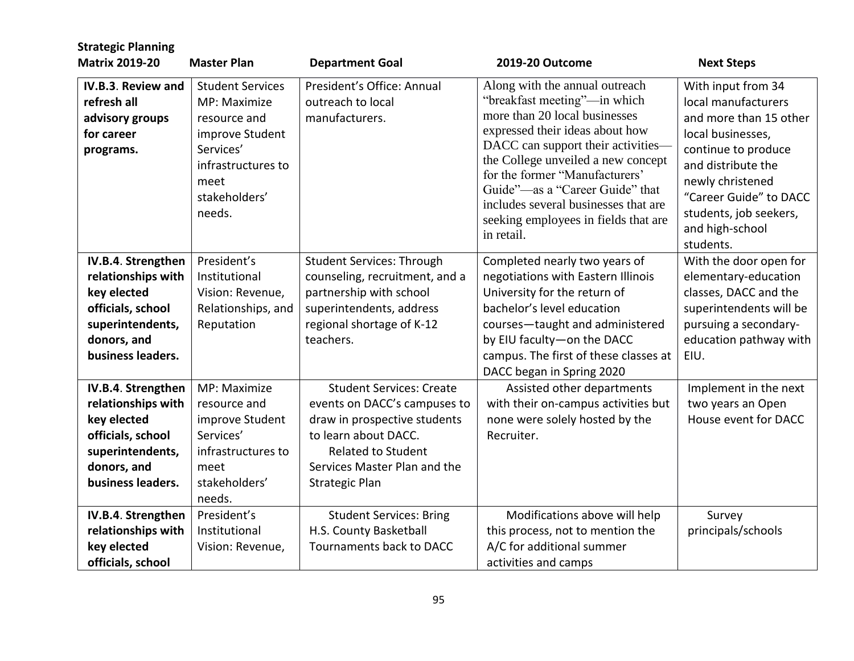| <b>Strategic Planning</b>                                                                                                            |                                                                                                                                                  |                                                                                                                                                                                                               |                                                                                                                                                                                                                                                                                                                                                                                   |                                                                                                                                                                                                                                               |
|--------------------------------------------------------------------------------------------------------------------------------------|--------------------------------------------------------------------------------------------------------------------------------------------------|---------------------------------------------------------------------------------------------------------------------------------------------------------------------------------------------------------------|-----------------------------------------------------------------------------------------------------------------------------------------------------------------------------------------------------------------------------------------------------------------------------------------------------------------------------------------------------------------------------------|-----------------------------------------------------------------------------------------------------------------------------------------------------------------------------------------------------------------------------------------------|
| <b>Matrix 2019-20</b>                                                                                                                | <b>Master Plan</b>                                                                                                                               | <b>Department Goal</b>                                                                                                                                                                                        | 2019-20 Outcome                                                                                                                                                                                                                                                                                                                                                                   | <b>Next Steps</b>                                                                                                                                                                                                                             |
| IV.B.3. Review and<br>refresh all<br>advisory groups<br>for career<br>programs.                                                      | <b>Student Services</b><br>MP: Maximize<br>resource and<br>improve Student<br>Services'<br>infrastructures to<br>meet<br>stakeholders'<br>needs. | President's Office: Annual<br>outreach to local<br>manufacturers.                                                                                                                                             | Along with the annual outreach<br>"breakfast meeting"-in which<br>more than 20 local businesses<br>expressed their ideas about how<br>DACC can support their activities-<br>the College unveiled a new concept<br>for the former "Manufacturers"<br>Guide"—as a "Career Guide" that<br>includes several businesses that are<br>seeking employees in fields that are<br>in retail. | With input from 34<br>local manufacturers<br>and more than 15 other<br>local businesses,<br>continue to produce<br>and distribute the<br>newly christened<br>"Career Guide" to DACC<br>students, job seekers,<br>and high-school<br>students. |
| IV.B.4. Strengthen<br>relationships with<br>key elected<br>officials, school<br>superintendents,<br>donors, and<br>business leaders. | President's<br>Institutional<br>Vision: Revenue,<br>Relationships, and<br>Reputation                                                             | <b>Student Services: Through</b><br>counseling, recruitment, and a<br>partnership with school<br>superintendents, address<br>regional shortage of K-12<br>teachers.                                           | Completed nearly two years of<br>negotiations with Eastern Illinois<br>University for the return of<br>bachelor's level education<br>courses-taught and administered<br>by EIU faculty-on the DACC<br>campus. The first of these classes at<br>DACC began in Spring 2020                                                                                                          | With the door open for<br>elementary-education<br>classes, DACC and the<br>superintendents will be<br>pursuing a secondary-<br>education pathway with<br>EIU.                                                                                 |
| IV.B.4. Strengthen<br>relationships with<br>key elected<br>officials, school<br>superintendents,<br>donors, and<br>business leaders. | MP: Maximize<br>resource and<br>improve Student<br>Services'<br>infrastructures to<br>meet<br>stakeholders'<br>needs.                            | <b>Student Services: Create</b><br>events on DACC's campuses to<br>draw in prospective students<br>to learn about DACC.<br><b>Related to Student</b><br>Services Master Plan and the<br><b>Strategic Plan</b> | Assisted other departments<br>with their on-campus activities but<br>none were solely hosted by the<br>Recruiter.                                                                                                                                                                                                                                                                 | Implement in the next<br>two years an Open<br>House event for DACC                                                                                                                                                                            |
| IV.B.4. Strengthen<br>relationships with<br>key elected<br>officials, school                                                         | President's<br>Institutional<br>Vision: Revenue,                                                                                                 | <b>Student Services: Bring</b><br>H.S. County Basketball<br>Tournaments back to DACC                                                                                                                          | Modifications above will help<br>this process, not to mention the<br>A/C for additional summer<br>activities and camps                                                                                                                                                                                                                                                            | Survey<br>principals/schools                                                                                                                                                                                                                  |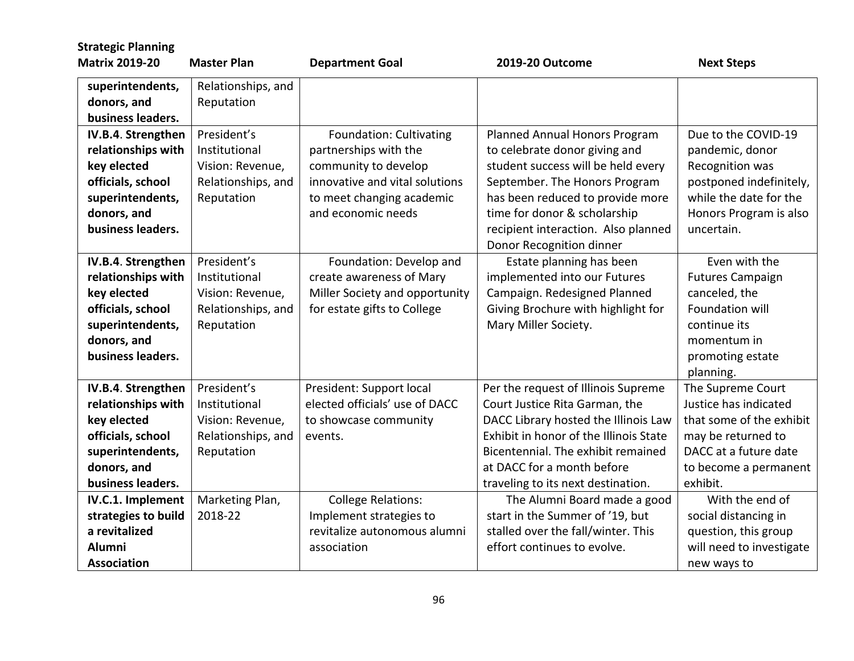| <b>Strategic Planning</b> |                    |                                |                                        |                          |
|---------------------------|--------------------|--------------------------------|----------------------------------------|--------------------------|
| <b>Matrix 2019-20</b>     | <b>Master Plan</b> | <b>Department Goal</b>         | 2019-20 Outcome                        | <b>Next Steps</b>        |
| superintendents,          | Relationships, and |                                |                                        |                          |
| donors, and               | Reputation         |                                |                                        |                          |
| business leaders.         |                    |                                |                                        |                          |
| IV.B.4. Strengthen        | President's        | Foundation: Cultivating        | Planned Annual Honors Program          | Due to the COVID-19      |
| relationships with        | Institutional      | partnerships with the          | to celebrate donor giving and          | pandemic, donor          |
| key elected               | Vision: Revenue,   | community to develop           | student success will be held every     | Recognition was          |
| officials, school         | Relationships, and | innovative and vital solutions | September. The Honors Program          | postponed indefinitely,  |
| superintendents,          | Reputation         | to meet changing academic      | has been reduced to provide more       | while the date for the   |
| donors, and               |                    | and economic needs             | time for donor & scholarship           | Honors Program is also   |
| business leaders.         |                    |                                | recipient interaction. Also planned    | uncertain.               |
|                           |                    |                                | Donor Recognition dinner               |                          |
| IV.B.4. Strengthen        | President's        | Foundation: Develop and        | Estate planning has been               | Even with the            |
| relationships with        | Institutional      | create awareness of Mary       | implemented into our Futures           | <b>Futures Campaign</b>  |
| key elected               | Vision: Revenue,   | Miller Society and opportunity | Campaign. Redesigned Planned           | canceled, the            |
| officials, school         | Relationships, and | for estate gifts to College    | Giving Brochure with highlight for     | Foundation will          |
| superintendents,          | Reputation         |                                | Mary Miller Society.                   | continue its             |
| donors, and               |                    |                                |                                        | momentum in              |
| business leaders.         |                    |                                |                                        | promoting estate         |
|                           |                    |                                |                                        | planning.                |
| IV.B.4. Strengthen        | President's        | President: Support local       | Per the request of Illinois Supreme    | The Supreme Court        |
| relationships with        | Institutional      | elected officials' use of DACC | Court Justice Rita Garman, the         | Justice has indicated    |
| key elected               | Vision: Revenue,   | to showcase community          | DACC Library hosted the Illinois Law   | that some of the exhibit |
| officials, school         | Relationships, and | events.                        | Exhibit in honor of the Illinois State | may be returned to       |
| superintendents,          | Reputation         |                                | Bicentennial. The exhibit remained     | DACC at a future date    |
| donors, and               |                    |                                | at DACC for a month before             | to become a permanent    |
| business leaders.         |                    |                                | traveling to its next destination.     | exhibit.                 |
| IV.C.1. Implement         | Marketing Plan,    | <b>College Relations:</b>      | The Alumni Board made a good           | With the end of          |
| strategies to build       | 2018-22            | Implement strategies to        | start in the Summer of '19, but        | social distancing in     |
| a revitalized             |                    | revitalize autonomous alumni   | stalled over the fall/winter. This     | question, this group     |
| <b>Alumni</b>             |                    | association                    | effort continues to evolve.            | will need to investigate |
| <b>Association</b>        |                    |                                |                                        | new ways to              |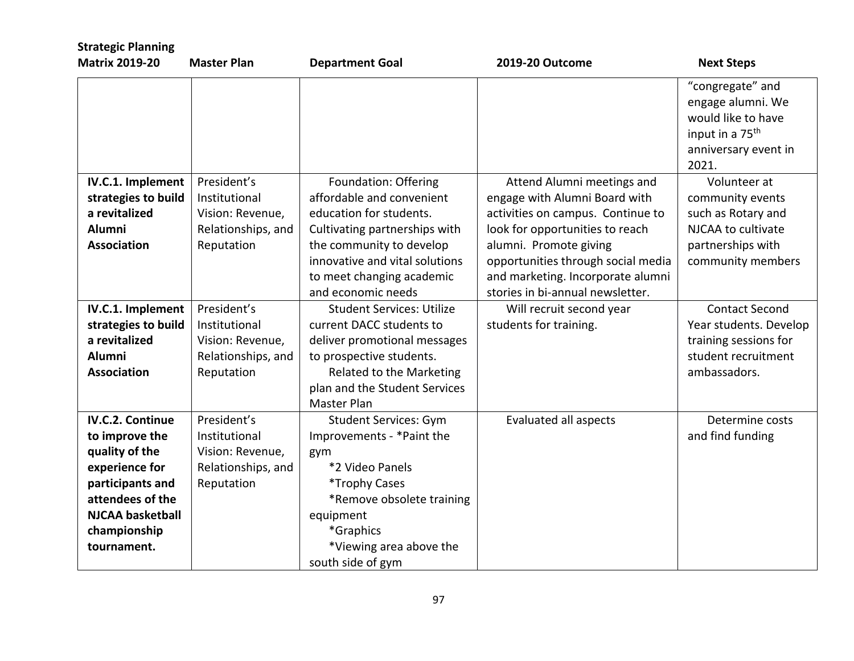| <b>Strategic Planning</b>                                                                                                                                                       |                                                                                      |                                                                                                                                                                                                                                |                                                                                                                                                                                                                                                                              |                                                                                                                             |
|---------------------------------------------------------------------------------------------------------------------------------------------------------------------------------|--------------------------------------------------------------------------------------|--------------------------------------------------------------------------------------------------------------------------------------------------------------------------------------------------------------------------------|------------------------------------------------------------------------------------------------------------------------------------------------------------------------------------------------------------------------------------------------------------------------------|-----------------------------------------------------------------------------------------------------------------------------|
| <b>Matrix 2019-20</b>                                                                                                                                                           | <b>Master Plan</b>                                                                   | <b>Department Goal</b>                                                                                                                                                                                                         | 2019-20 Outcome                                                                                                                                                                                                                                                              | <b>Next Steps</b>                                                                                                           |
|                                                                                                                                                                                 |                                                                                      |                                                                                                                                                                                                                                |                                                                                                                                                                                                                                                                              | "congregate" and<br>engage alumni. We<br>would like to have<br>input in a 75 <sup>th</sup><br>anniversary event in<br>2021. |
| IV.C.1. Implement<br>strategies to build<br>a revitalized<br><b>Alumni</b><br><b>Association</b>                                                                                | President's<br>Institutional<br>Vision: Revenue,<br>Relationships, and<br>Reputation | Foundation: Offering<br>affordable and convenient<br>education for students.<br>Cultivating partnerships with<br>the community to develop<br>innovative and vital solutions<br>to meet changing academic<br>and economic needs | Attend Alumni meetings and<br>engage with Alumni Board with<br>activities on campus. Continue to<br>look for opportunities to reach<br>alumni. Promote giving<br>opportunities through social media<br>and marketing. Incorporate alumni<br>stories in bi-annual newsletter. | Volunteer at<br>community events<br>such as Rotary and<br>NJCAA to cultivate<br>partnerships with<br>community members      |
| IV.C.1. Implement<br>strategies to build<br>a revitalized<br>Alumni<br><b>Association</b>                                                                                       | President's<br>Institutional<br>Vision: Revenue,<br>Relationships, and<br>Reputation | <b>Student Services: Utilize</b><br>current DACC students to<br>deliver promotional messages<br>to prospective students.<br>Related to the Marketing<br>plan and the Student Services<br>Master Plan                           | Will recruit second year<br>students for training.                                                                                                                                                                                                                           | <b>Contact Second</b><br>Year students. Develop<br>training sessions for<br>student recruitment<br>ambassadors.             |
| <b>IV.C.2. Continue</b><br>to improve the<br>quality of the<br>experience for<br>participants and<br>attendees of the<br><b>NJCAA basketball</b><br>championship<br>tournament. | President's<br>Institutional<br>Vision: Revenue,<br>Relationships, and<br>Reputation | <b>Student Services: Gym</b><br>Improvements - *Paint the<br>gym<br>*2 Video Panels<br>*Trophy Cases<br>*Remove obsolete training<br>equipment<br>*Graphics<br>*Viewing area above the<br>south side of gym                    | <b>Evaluated all aspects</b>                                                                                                                                                                                                                                                 | Determine costs<br>and find funding                                                                                         |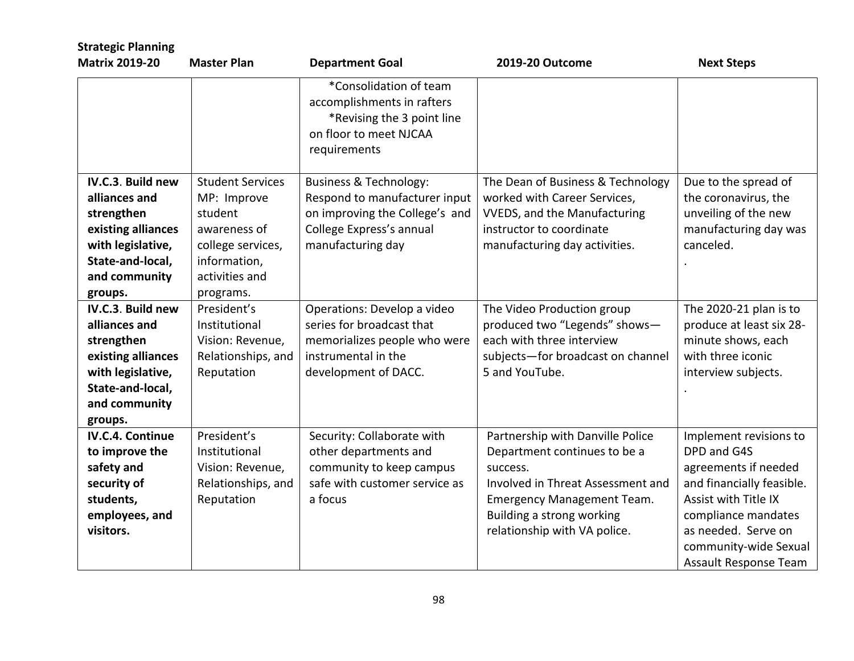| <b>Strategic Planning</b>                                                                                                                   |                                                                                                                                       |                                                                                                                                                       |                                                                                                                                                                                                                     |                                                                                                                                                                                                                    |
|---------------------------------------------------------------------------------------------------------------------------------------------|---------------------------------------------------------------------------------------------------------------------------------------|-------------------------------------------------------------------------------------------------------------------------------------------------------|---------------------------------------------------------------------------------------------------------------------------------------------------------------------------------------------------------------------|--------------------------------------------------------------------------------------------------------------------------------------------------------------------------------------------------------------------|
| <b>Matrix 2019-20</b>                                                                                                                       | <b>Master Plan</b>                                                                                                                    | <b>Department Goal</b>                                                                                                                                | 2019-20 Outcome                                                                                                                                                                                                     | <b>Next Steps</b>                                                                                                                                                                                                  |
|                                                                                                                                             |                                                                                                                                       | *Consolidation of team<br>accomplishments in rafters<br>*Revising the 3 point line<br>on floor to meet NJCAA<br>requirements                          |                                                                                                                                                                                                                     |                                                                                                                                                                                                                    |
| IV.C.3. Build new<br>alliances and<br>strengthen<br>existing alliances<br>with legislative,<br>State-and-local,<br>and community<br>groups. | <b>Student Services</b><br>MP: Improve<br>student<br>awareness of<br>college services,<br>information,<br>activities and<br>programs. | <b>Business &amp; Technology:</b><br>Respond to manufacturer input<br>on improving the College's and<br>College Express's annual<br>manufacturing day | The Dean of Business & Technology<br>worked with Career Services,<br><b>VVEDS, and the Manufacturing</b><br>instructor to coordinate<br>manufacturing day activities.                                               | Due to the spread of<br>the coronavirus, the<br>unveiling of the new<br>manufacturing day was<br>canceled.                                                                                                         |
| IV.C.3. Build new<br>alliances and<br>strengthen<br>existing alliances<br>with legislative,<br>State-and-local,<br>and community<br>groups. | President's<br>Institutional<br>Vision: Revenue,<br>Relationships, and<br>Reputation                                                  | Operations: Develop a video<br>series for broadcast that<br>memorializes people who were<br>instrumental in the<br>development of DACC.               | The Video Production group<br>produced two "Legends" shows-<br>each with three interview<br>subjects-for broadcast on channel<br>5 and YouTube.                                                                     | The 2020-21 plan is to<br>produce at least six 28-<br>minute shows, each<br>with three iconic<br>interview subjects.                                                                                               |
| <b>IV.C.4. Continue</b><br>to improve the<br>safety and<br>security of<br>students,<br>employees, and<br>visitors.                          | President's<br>Institutional<br>Vision: Revenue,<br>Relationships, and<br>Reputation                                                  | Security: Collaborate with<br>other departments and<br>community to keep campus<br>safe with customer service as<br>a focus                           | Partnership with Danville Police<br>Department continues to be a<br>success.<br>Involved in Threat Assessment and<br><b>Emergency Management Team.</b><br>Building a strong working<br>relationship with VA police. | Implement revisions to<br>DPD and G4S<br>agreements if needed<br>and financially feasible.<br>Assist with Title IX<br>compliance mandates<br>as needed. Serve on<br>community-wide Sexual<br>Assault Response Team |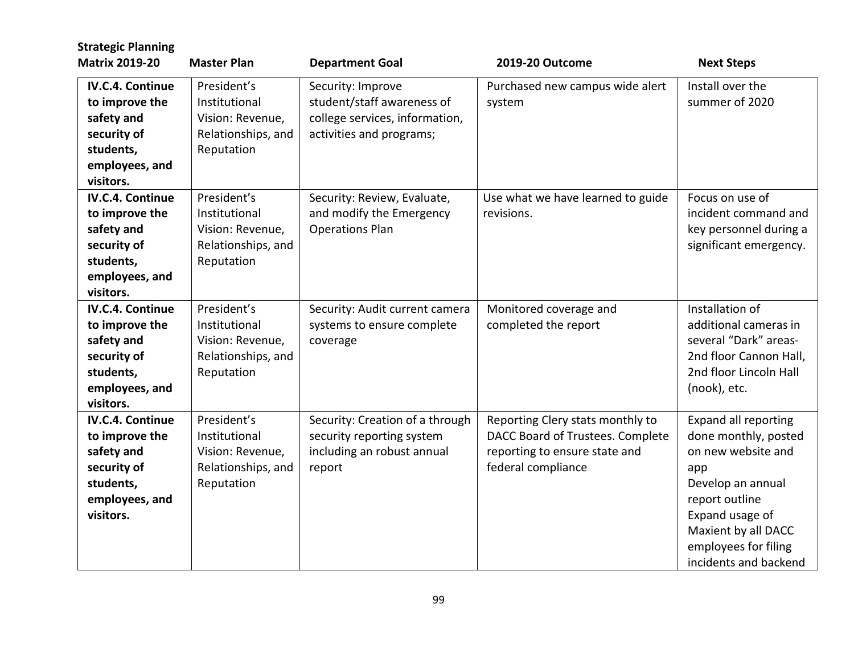| <b>Strategic Planning</b>                                                                                          |                                                                                      |                                                                                                               |                                                                                                                             |                                                                                                                                                                                                                    |
|--------------------------------------------------------------------------------------------------------------------|--------------------------------------------------------------------------------------|---------------------------------------------------------------------------------------------------------------|-----------------------------------------------------------------------------------------------------------------------------|--------------------------------------------------------------------------------------------------------------------------------------------------------------------------------------------------------------------|
| <b>Matrix 2019-20</b>                                                                                              | <b>Master Plan</b>                                                                   | <b>Department Goal</b>                                                                                        | 2019-20 Outcome                                                                                                             | <b>Next Steps</b>                                                                                                                                                                                                  |
| <b>IV.C.4. Continue</b><br>to improve the<br>safety and<br>security of<br>students,<br>employees, and<br>visitors. | President's<br>Institutional<br>Vision: Revenue,<br>Relationships, and<br>Reputation | Security: Improve<br>student/staff awareness of<br>college services, information,<br>activities and programs; | Purchased new campus wide alert<br>system                                                                                   | Install over the<br>summer of 2020                                                                                                                                                                                 |
| <b>IV.C.4. Continue</b><br>to improve the<br>safety and<br>security of<br>students,<br>employees, and<br>visitors. | President's<br>Institutional<br>Vision: Revenue,<br>Relationships, and<br>Reputation | Security: Review, Evaluate,<br>and modify the Emergency<br><b>Operations Plan</b>                             | Use what we have learned to guide<br>revisions.                                                                             | Focus on use of<br>incident command and<br>key personnel during a<br>significant emergency.                                                                                                                        |
| <b>IV.C.4. Continue</b><br>to improve the<br>safety and<br>security of<br>students,<br>employees, and<br>visitors. | President's<br>Institutional<br>Vision: Revenue,<br>Relationships, and<br>Reputation | Security: Audit current camera<br>systems to ensure complete<br>coverage                                      | Monitored coverage and<br>completed the report                                                                              | Installation of<br>additional cameras in<br>several "Dark" areas-<br>2nd floor Cannon Hall,<br>2nd floor Lincoln Hall<br>(nook), etc.                                                                              |
| IV.C.4. Continue<br>to improve the<br>safety and<br>security of<br>students,<br>employees, and<br>visitors.        | President's<br>Institutional<br>Vision: Revenue,<br>Relationships, and<br>Reputation | Security: Creation of a through<br>security reporting system<br>including an robust annual<br>report          | Reporting Clery stats monthly to<br>DACC Board of Trustees. Complete<br>reporting to ensure state and<br>federal compliance | <b>Expand all reporting</b><br>done monthly, posted<br>on new website and<br>app<br>Develop an annual<br>report outline<br>Expand usage of<br>Maxient by all DACC<br>employees for filing<br>incidents and backend |